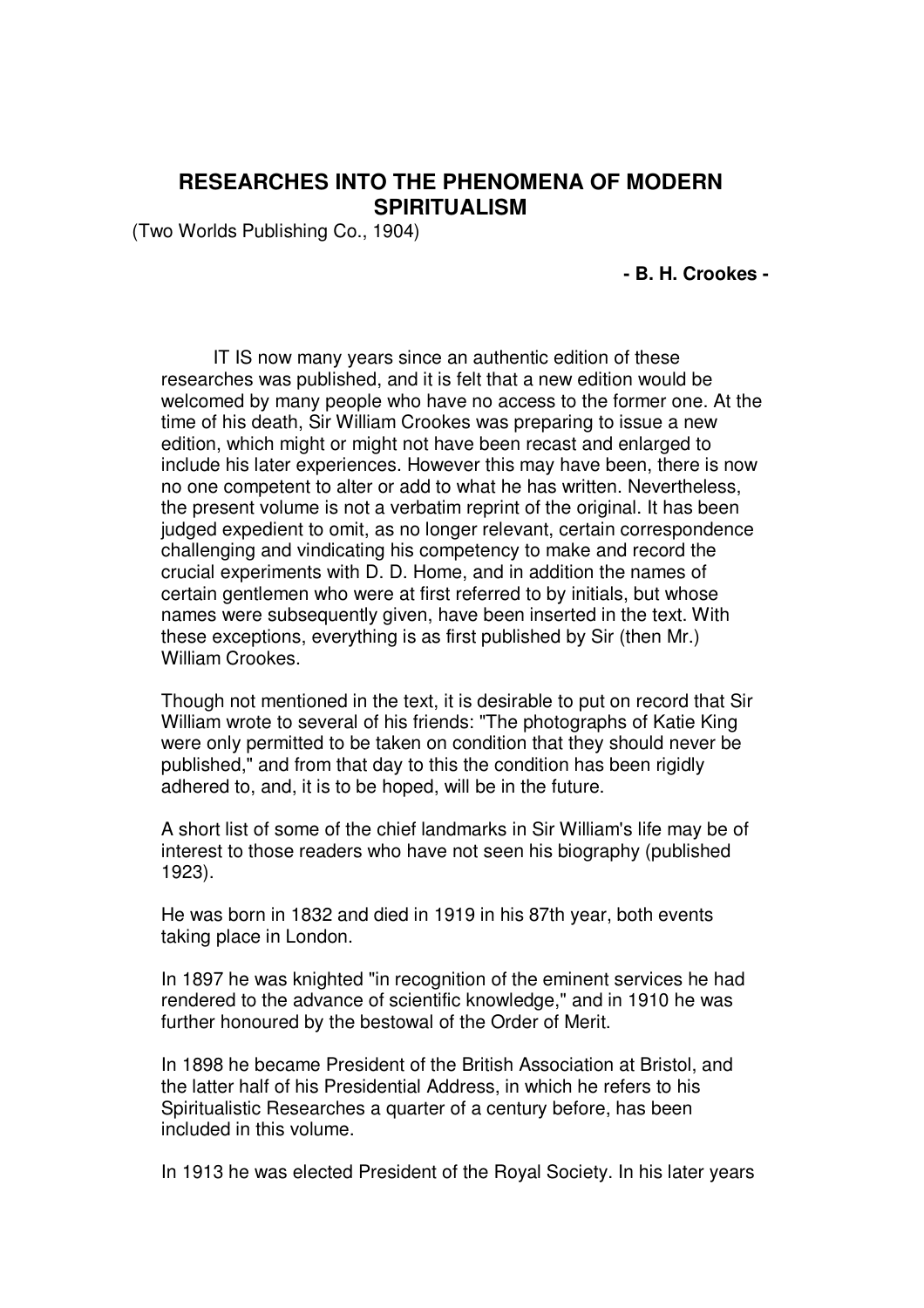# **RESEARCHES INTO THE PHENOMENA OF MODERN SPIRITUALISM**

(Two Worlds Publishing Co., 1904)

**- B. H. Crookes -**

IT IS now many years since an authentic edition of these researches was published, and it is felt that a new edition would be welcomed by many people who have no access to the former one. At the time of his death, Sir William Crookes was preparing to issue a new edition, which might or might not have been recast and enlarged to include his later experiences. However this may have been, there is now no one competent to alter or add to what he has written. Nevertheless, the present volume is not a verbatim reprint of the original. It has been judged expedient to omit, as no longer relevant, certain correspondence challenging and vindicating his competency to make and record the crucial experiments with D. D. Home, and in addition the names of certain gentlemen who were at first referred to by initials, but whose names were subsequently given, have been inserted in the text. With these exceptions, everything is as first published by Sir (then Mr.) William Crookes.

Though not mentioned in the text, it is desirable to put on record that Sir William wrote to several of his friends: "The photographs of Katie King were only permitted to be taken on condition that they should never be published," and from that day to this the condition has been rigidly adhered to, and, it is to be hoped, will be in the future.

A short list of some of the chief landmarks in Sir William's life may be of interest to those readers who have not seen his biography (published 1923).

He was born in 1832 and died in 1919 in his 87th year, both events taking place in London.

In 1897 he was knighted "in recognition of the eminent services he had rendered to the advance of scientific knowledge," and in 1910 he was further honoured by the bestowal of the Order of Merit.

In 1898 he became President of the British Association at Bristol, and the latter half of his Presidential Address, in which he refers to his Spiritualistic Researches a quarter of a century before, has been included in this volume.

In 1913 he was elected President of the Royal Society. In his later years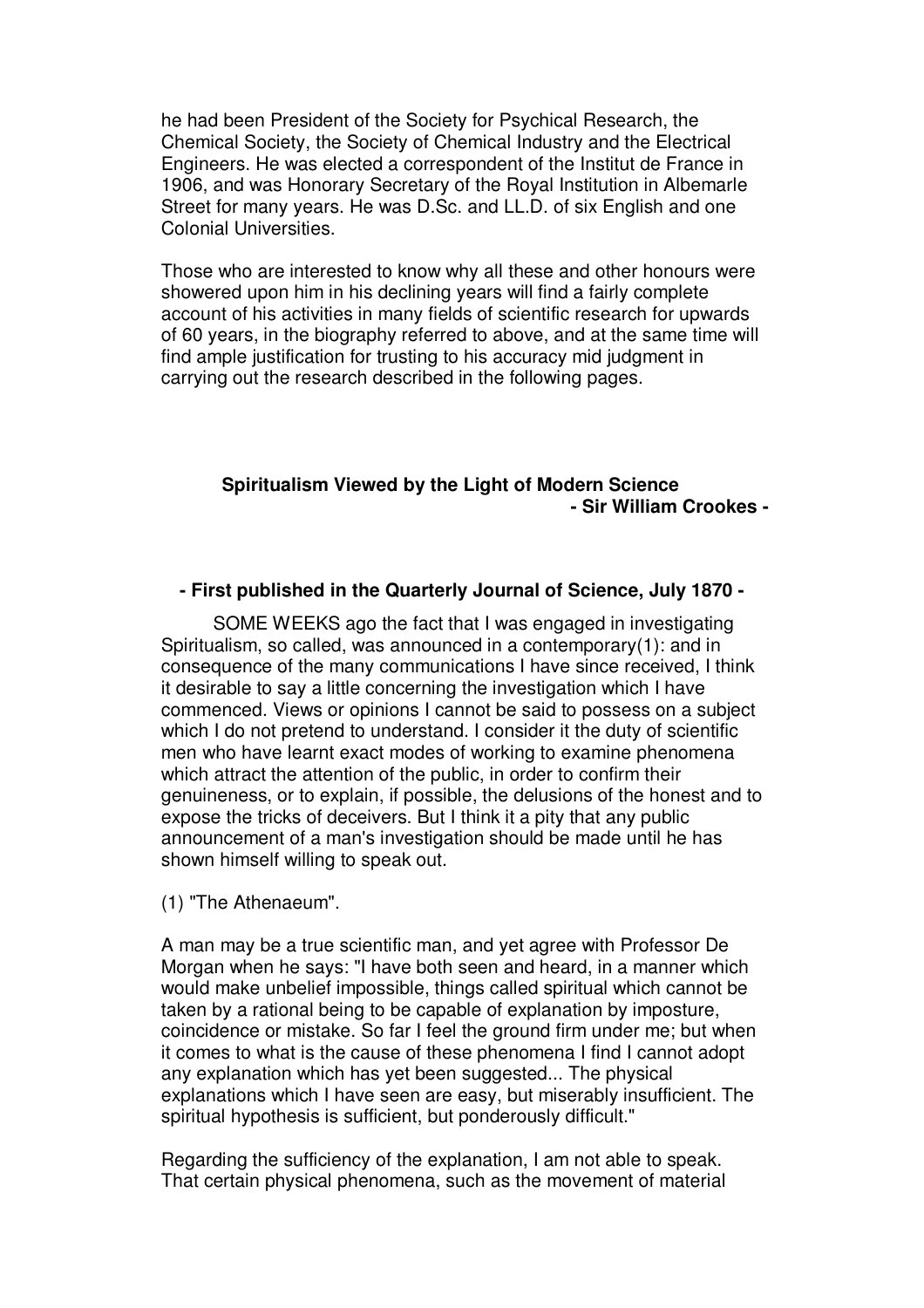he had been President of the Society for Psychical Research, the Chemical Society, the Society of Chemical Industry and the Electrical Engineers. He was elected a correspondent of the Institut de France in 1906, and was Honorary Secretary of the Royal Institution in Albemarle Street for many years. He was D.Sc. and LL.D. of six English and one Colonial Universities.

Those who are interested to know why all these and other honours were showered upon him in his declining years will find a fairly complete account of his activities in many fields of scientific research for upwards of 60 years, in the biography referred to above, and at the same time will find ample justification for trusting to his accuracy mid judgment in carrying out the research described in the following pages.

### **Spiritualism Viewed by the Light of Modern Science - Sir William Crookes -**

#### **- First published in the Quarterly Journal of Science, July 1870 -**

SOME WEEKS ago the fact that I was engaged in investigating Spiritualism, so called, was announced in a contemporary(1): and in consequence of the many communications I have since received, I think it desirable to say a little concerning the investigation which I have commenced. Views or opinions I cannot be said to possess on a subject which I do not pretend to understand. I consider it the duty of scientific men who have learnt exact modes of working to examine phenomena which attract the attention of the public, in order to confirm their genuineness, or to explain, if possible, the delusions of the honest and to expose the tricks of deceivers. But I think it a pity that any public announcement of a man's investigation should be made until he has shown himself willing to speak out.

(1) "The Athenaeum".

A man may be a true scientific man, and yet agree with Professor De Morgan when he says: "I have both seen and heard, in a manner which would make unbelief impossible, things called spiritual which cannot be taken by a rational being to be capable of explanation by imposture, coincidence or mistake. So far I feel the ground firm under me; but when it comes to what is the cause of these phenomena I find I cannot adopt any explanation which has yet been suggested... The physical explanations which I have seen are easy, but miserably insufficient. The spiritual hypothesis is sufficient, but ponderously difficult."

Regarding the sufficiency of the explanation, I am not able to speak. That certain physical phenomena, such as the movement of material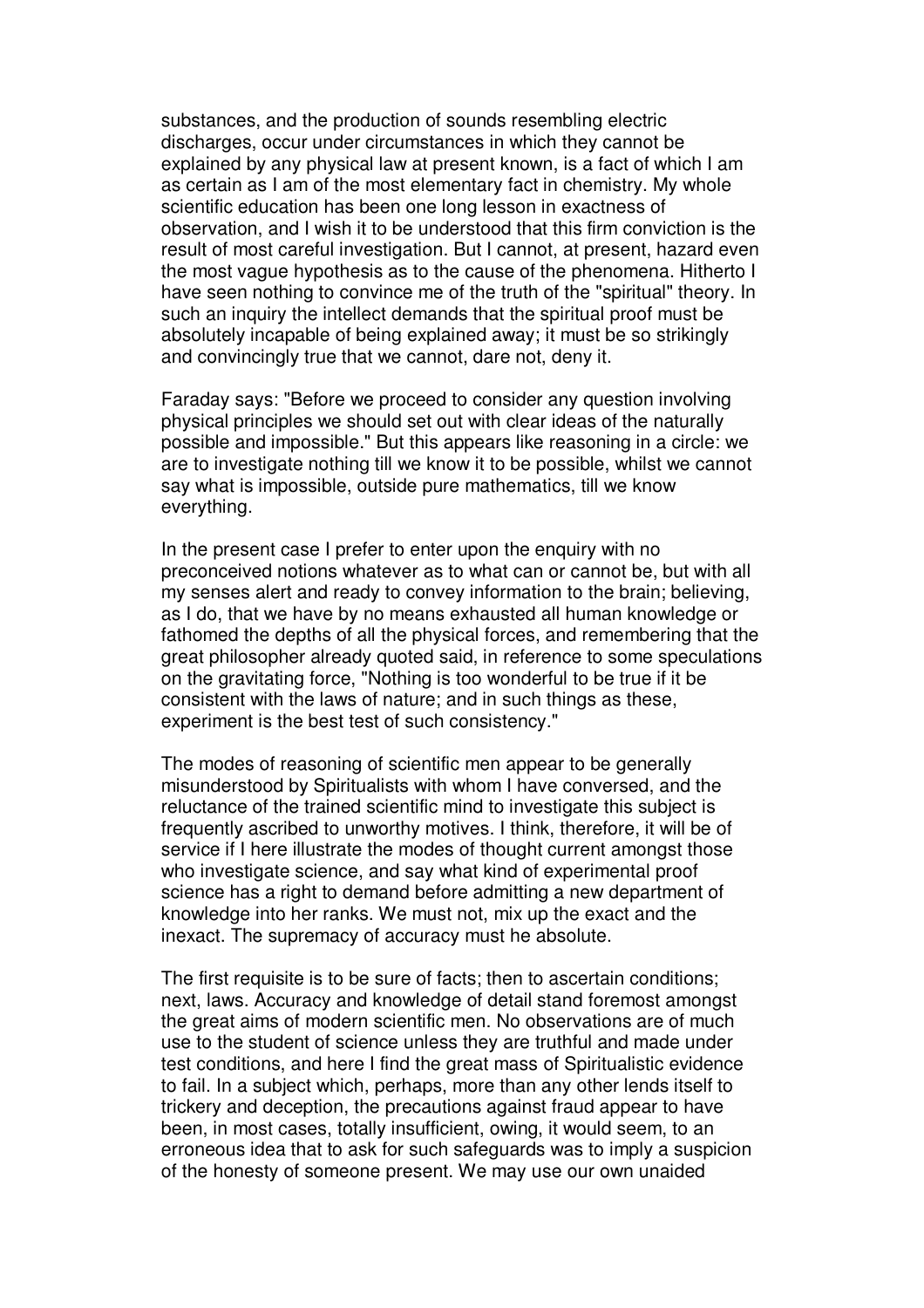substances, and the production of sounds resembling electric discharges, occur under circumstances in which they cannot be explained by any physical law at present known, is a fact of which I am as certain as I am of the most elementary fact in chemistry. My whole scientific education has been one long lesson in exactness of observation, and I wish it to be understood that this firm conviction is the result of most careful investigation. But I cannot, at present, hazard even the most vague hypothesis as to the cause of the phenomena. Hitherto I have seen nothing to convince me of the truth of the "spiritual" theory. In such an inquiry the intellect demands that the spiritual proof must be absolutely incapable of being explained away; it must be so strikingly and convincingly true that we cannot, dare not, deny it.

Faraday says: "Before we proceed to consider any question involving physical principles we should set out with clear ideas of the naturally possible and impossible." But this appears like reasoning in a circle: we are to investigate nothing till we know it to be possible, whilst we cannot say what is impossible, outside pure mathematics, till we know everything.

In the present case I prefer to enter upon the enquiry with no preconceived notions whatever as to what can or cannot be, but with all my senses alert and ready to convey information to the brain; believing, as I do, that we have by no means exhausted all human knowledge or fathomed the depths of all the physical forces, and remembering that the great philosopher already quoted said, in reference to some speculations on the gravitating force, "Nothing is too wonderful to be true if it be consistent with the laws of nature; and in such things as these, experiment is the best test of such consistency."

The modes of reasoning of scientific men appear to be generally misunderstood by Spiritualists with whom I have conversed, and the reluctance of the trained scientific mind to investigate this subject is frequently ascribed to unworthy motives. I think, therefore, it will be of service if I here illustrate the modes of thought current amongst those who investigate science, and say what kind of experimental proof science has a right to demand before admitting a new department of knowledge into her ranks. We must not, mix up the exact and the inexact. The supremacy of accuracy must he absolute.

The first requisite is to be sure of facts; then to ascertain conditions; next, laws. Accuracy and knowledge of detail stand foremost amongst the great aims of modern scientific men. No observations are of much use to the student of science unless they are truthful and made under test conditions, and here I find the great mass of Spiritualistic evidence to fail. In a subject which, perhaps, more than any other lends itself to trickery and deception, the precautions against fraud appear to have been, in most cases, totally insufficient, owing, it would seem, to an erroneous idea that to ask for such safeguards was to imply a suspicion of the honesty of someone present. We may use our own unaided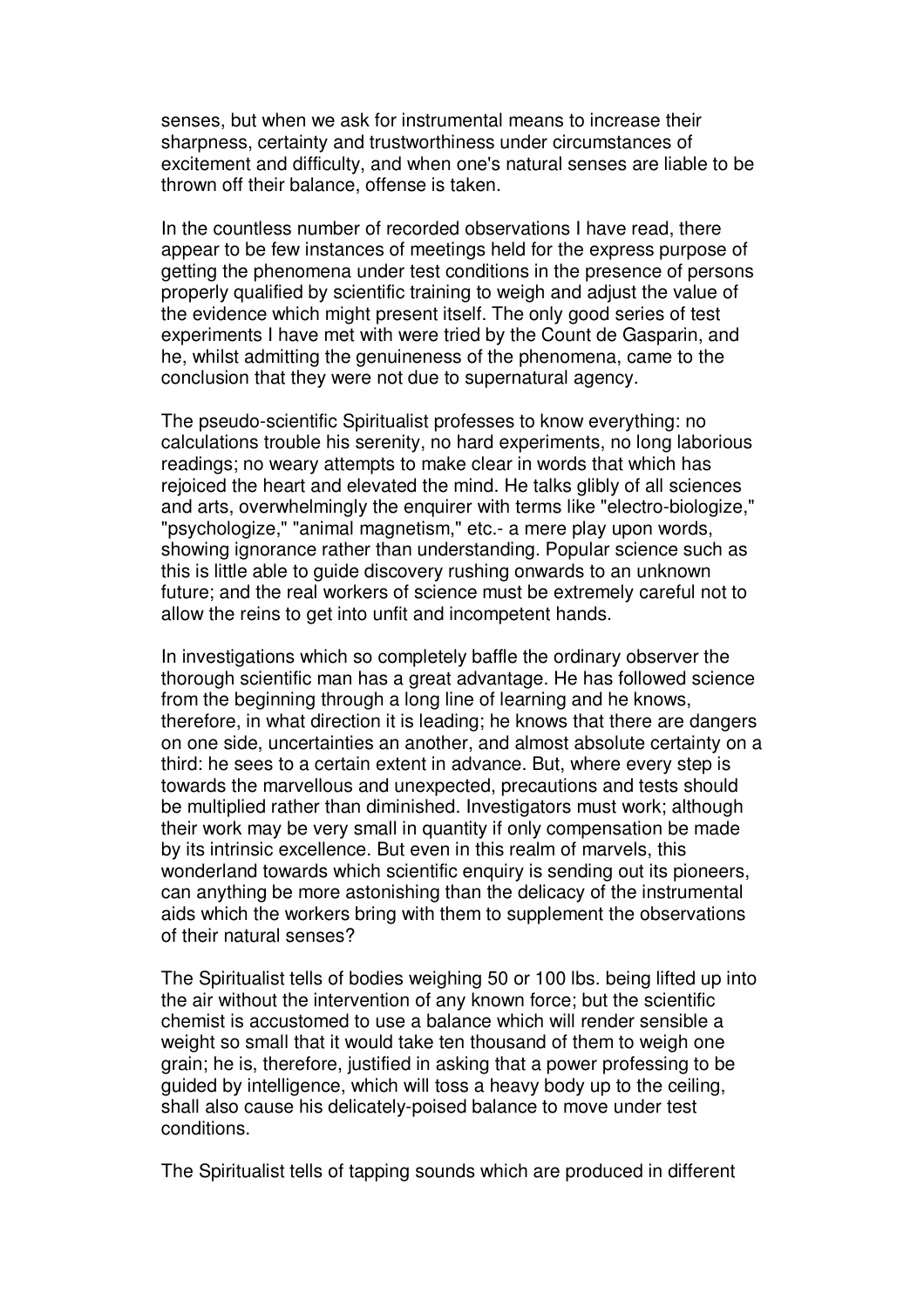senses, but when we ask for instrumental means to increase their sharpness, certainty and trustworthiness under circumstances of excitement and difficulty, and when one's natural senses are liable to be thrown off their balance, offense is taken.

In the countless number of recorded observations I have read, there appear to be few instances of meetings held for the express purpose of getting the phenomena under test conditions in the presence of persons properly qualified by scientific training to weigh and adjust the value of the evidence which might present itself. The only good series of test experiments I have met with were tried by the Count de Gasparin, and he, whilst admitting the genuineness of the phenomena, came to the conclusion that they were not due to supernatural agency.

The pseudo-scientific Spiritualist professes to know everything: no calculations trouble his serenity, no hard experiments, no long laborious readings; no weary attempts to make clear in words that which has rejoiced the heart and elevated the mind. He talks glibly of all sciences and arts, overwhelmingly the enquirer with terms like "electro-biologize," "psychologize," "animal magnetism," etc.- a mere play upon words, showing ignorance rather than understanding. Popular science such as this is little able to guide discovery rushing onwards to an unknown future; and the real workers of science must be extremely careful not to allow the reins to get into unfit and incompetent hands.

In investigations which so completely baffle the ordinary observer the thorough scientific man has a great advantage. He has followed science from the beginning through a long line of learning and he knows, therefore, in what direction it is leading; he knows that there are dangers on one side, uncertainties an another, and almost absolute certainty on a third: he sees to a certain extent in advance. But, where every step is towards the marvellous and unexpected, precautions and tests should be multiplied rather than diminished. Investigators must work; although their work may be very small in quantity if only compensation be made by its intrinsic excellence. But even in this realm of marvels, this wonderland towards which scientific enquiry is sending out its pioneers, can anything be more astonishing than the delicacy of the instrumental aids which the workers bring with them to supplement the observations of their natural senses?

The Spiritualist tells of bodies weighing 50 or 100 lbs. being lifted up into the air without the intervention of any known force; but the scientific chemist is accustomed to use a balance which will render sensible a weight so small that it would take ten thousand of them to weigh one grain; he is, therefore, justified in asking that a power professing to be guided by intelligence, which will toss a heavy body up to the ceiling, shall also cause his delicately-poised balance to move under test conditions.

The Spiritualist tells of tapping sounds which are produced in different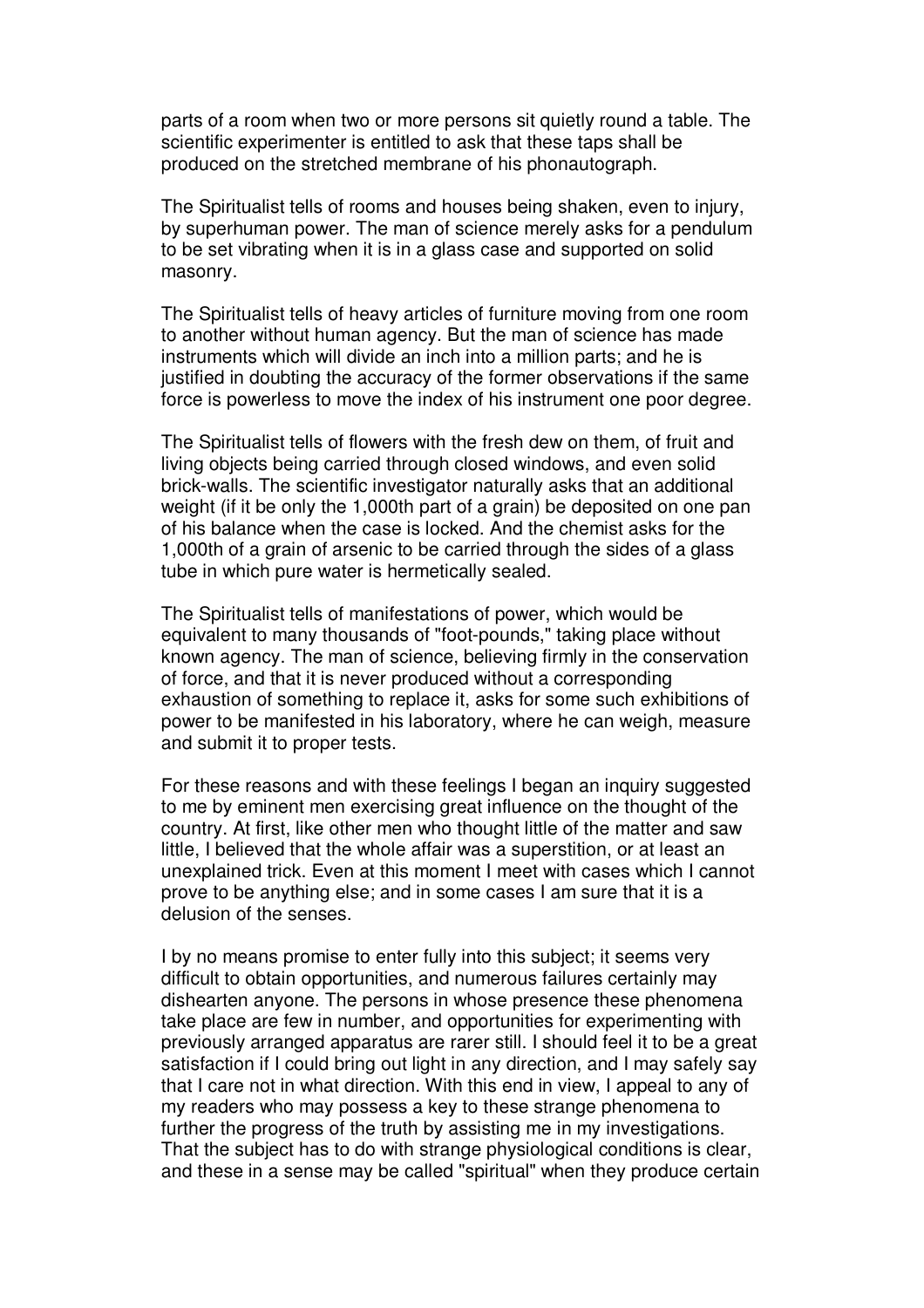parts of a room when two or more persons sit quietly round a table. The scientific experimenter is entitled to ask that these taps shall be produced on the stretched membrane of his phonautograph.

The Spiritualist tells of rooms and houses being shaken, even to injury, by superhuman power. The man of science merely asks for a pendulum to be set vibrating when it is in a glass case and supported on solid masonry.

The Spiritualist tells of heavy articles of furniture moving from one room to another without human agency. But the man of science has made instruments which will divide an inch into a million parts; and he is justified in doubting the accuracy of the former observations if the same force is powerless to move the index of his instrument one poor degree.

The Spiritualist tells of flowers with the fresh dew on them, of fruit and living objects being carried through closed windows, and even solid brick-walls. The scientific investigator naturally asks that an additional weight (if it be only the 1,000th part of a grain) be deposited on one pan of his balance when the case is locked. And the chemist asks for the 1,000th of a grain of arsenic to be carried through the sides of a glass tube in which pure water is hermetically sealed.

The Spiritualist tells of manifestations of power, which would be equivalent to many thousands of "foot-pounds," taking place without known agency. The man of science, believing firmly in the conservation of force, and that it is never produced without a corresponding exhaustion of something to replace it, asks for some such exhibitions of power to be manifested in his laboratory, where he can weigh, measure and submit it to proper tests.

For these reasons and with these feelings I began an inquiry suggested to me by eminent men exercising great influence on the thought of the country. At first, like other men who thought little of the matter and saw little, I believed that the whole affair was a superstition, or at least an unexplained trick. Even at this moment I meet with cases which I cannot prove to be anything else; and in some cases I am sure that it is a delusion of the senses.

I by no means promise to enter fully into this subject; it seems very difficult to obtain opportunities, and numerous failures certainly may dishearten anyone. The persons in whose presence these phenomena take place are few in number, and opportunities for experimenting with previously arranged apparatus are rarer still. I should feel it to be a great satisfaction if I could bring out light in any direction, and I may safely say that I care not in what direction. With this end in view, I appeal to any of my readers who may possess a key to these strange phenomena to further the progress of the truth by assisting me in my investigations. That the subject has to do with strange physiological conditions is clear, and these in a sense may be called "spiritual" when they produce certain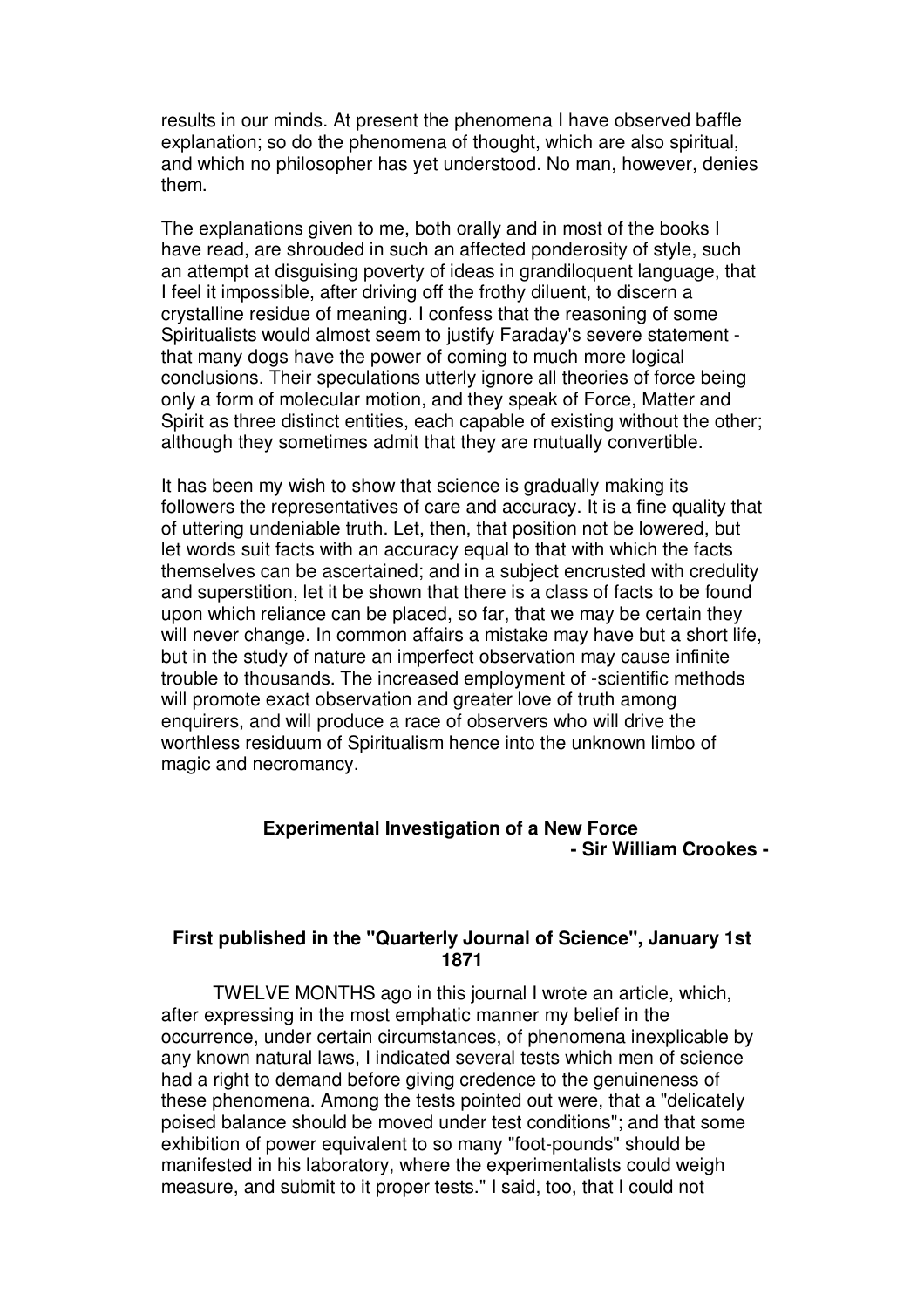results in our minds. At present the phenomena I have observed baffle explanation; so do the phenomena of thought, which are also spiritual, and which no philosopher has yet understood. No man, however, denies them.

The explanations given to me, both orally and in most of the books I have read, are shrouded in such an affected ponderosity of style, such an attempt at disguising poverty of ideas in grandiloquent language, that I feel it impossible, after driving off the frothy diluent, to discern a crystalline residue of meaning. I confess that the reasoning of some Spiritualists would almost seem to justify Faraday's severe statement that many dogs have the power of coming to much more logical conclusions. Their speculations utterly ignore all theories of force being only a form of molecular motion, and they speak of Force, Matter and Spirit as three distinct entities, each capable of existing without the other; although they sometimes admit that they are mutually convertible.

It has been my wish to show that science is gradually making its followers the representatives of care and accuracy. It is a fine quality that of uttering undeniable truth. Let, then, that position not be lowered, but let words suit facts with an accuracy equal to that with which the facts themselves can be ascertained; and in a subject encrusted with credulity and superstition, let it be shown that there is a class of facts to be found upon which reliance can be placed, so far, that we may be certain they will never change. In common affairs a mistake may have but a short life, but in the study of nature an imperfect observation may cause infinite trouble to thousands. The increased employment of -scientific methods will promote exact observation and greater love of truth among enquirers, and will produce a race of observers who will drive the worthless residuum of Spiritualism hence into the unknown limbo of magic and necromancy.

### **Experimental Investigation of a New Force - Sir William Crookes -**

#### **First published in the "Quarterly Journal of Science", January 1st 1871**

TWELVE MONTHS ago in this journal I wrote an article, which, after expressing in the most emphatic manner my belief in the occurrence, under certain circumstances, of phenomena inexplicable by any known natural laws, I indicated several tests which men of science had a right to demand before giving credence to the genuineness of these phenomena. Among the tests pointed out were, that a "delicately poised balance should be moved under test conditions"; and that some exhibition of power equivalent to so many "foot-pounds" should be manifested in his laboratory, where the experimentalists could weigh measure, and submit to it proper tests." I said, too, that I could not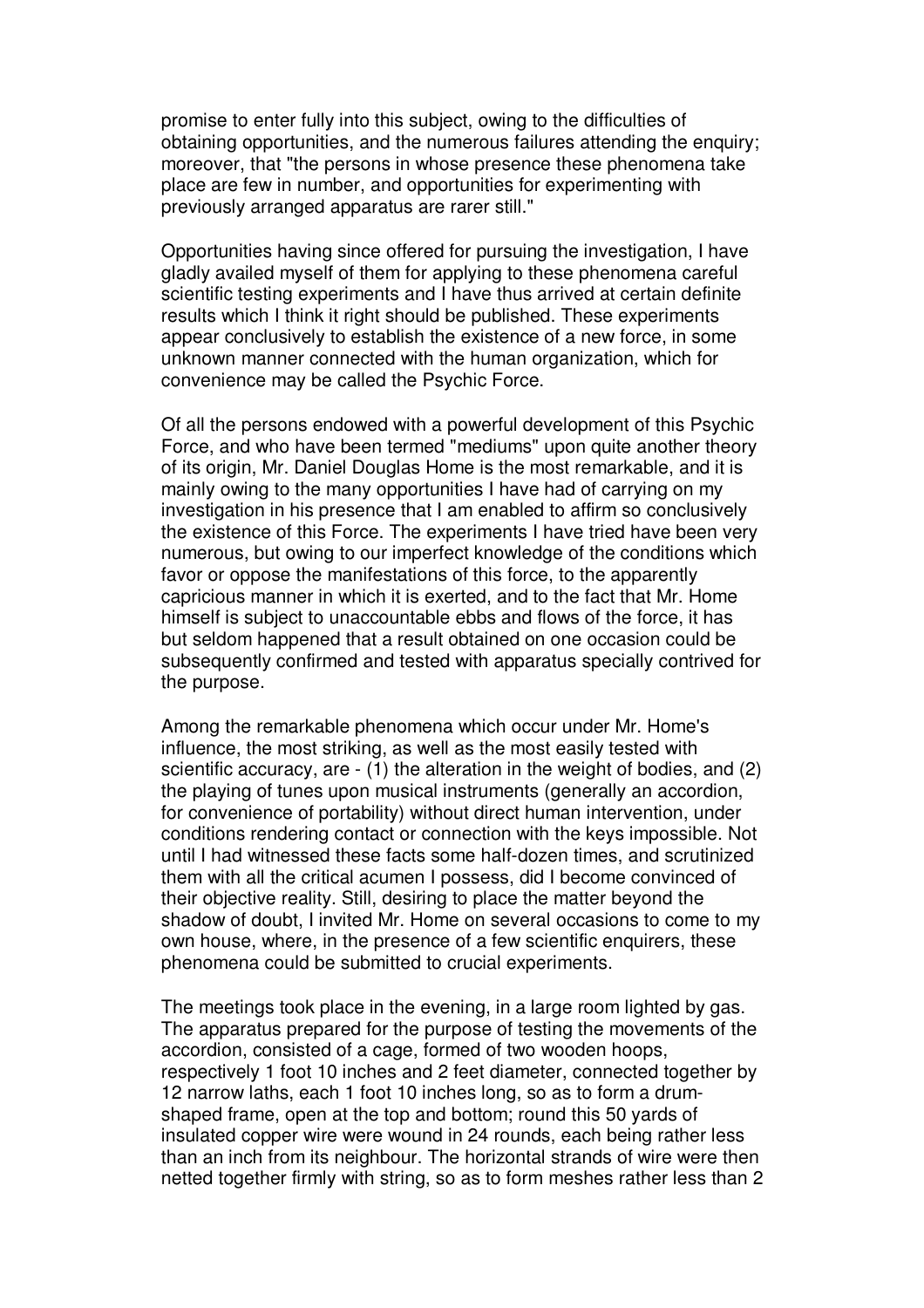promise to enter fully into this subject, owing to the difficulties of obtaining opportunities, and the numerous failures attending the enquiry; moreover, that "the persons in whose presence these phenomena take place are few in number, and opportunities for experimenting with previously arranged apparatus are rarer still."

Opportunities having since offered for pursuing the investigation, I have gladly availed myself of them for applying to these phenomena careful scientific testing experiments and I have thus arrived at certain definite results which I think it right should be published. These experiments appear conclusively to establish the existence of a new force, in some unknown manner connected with the human organization, which for convenience may be called the Psychic Force.

Of all the persons endowed with a powerful development of this Psychic Force, and who have been termed "mediums" upon quite another theory of its origin, Mr. Daniel Douglas Home is the most remarkable, and it is mainly owing to the many opportunities I have had of carrying on my investigation in his presence that I am enabled to affirm so conclusively the existence of this Force. The experiments I have tried have been very numerous, but owing to our imperfect knowledge of the conditions which favor or oppose the manifestations of this force, to the apparently capricious manner in which it is exerted, and to the fact that Mr. Home himself is subject to unaccountable ebbs and flows of the force, it has but seldom happened that a result obtained on one occasion could be subsequently confirmed and tested with apparatus specially contrived for the purpose.

Among the remarkable phenomena which occur under Mr. Home's influence, the most striking, as well as the most easily tested with scientific accuracy, are - (1) the alteration in the weight of bodies, and (2) the playing of tunes upon musical instruments (generally an accordion, for convenience of portability) without direct human intervention, under conditions rendering contact or connection with the keys impossible. Not until I had witnessed these facts some half-dozen times, and scrutinized them with all the critical acumen I possess, did I become convinced of their objective reality. Still, desiring to place the matter beyond the shadow of doubt, I invited Mr. Home on several occasions to come to my own house, where, in the presence of a few scientific enquirers, these phenomena could be submitted to crucial experiments.

The meetings took place in the evening, in a large room lighted by gas. The apparatus prepared for the purpose of testing the movements of the accordion, consisted of a cage, formed of two wooden hoops, respectively 1 foot 10 inches and 2 feet diameter, connected together by 12 narrow laths, each 1 foot 10 inches long, so as to form a drumshaped frame, open at the top and bottom; round this 50 yards of insulated copper wire were wound in 24 rounds, each being rather less than an inch from its neighbour. The horizontal strands of wire were then netted together firmly with string, so as to form meshes rather less than 2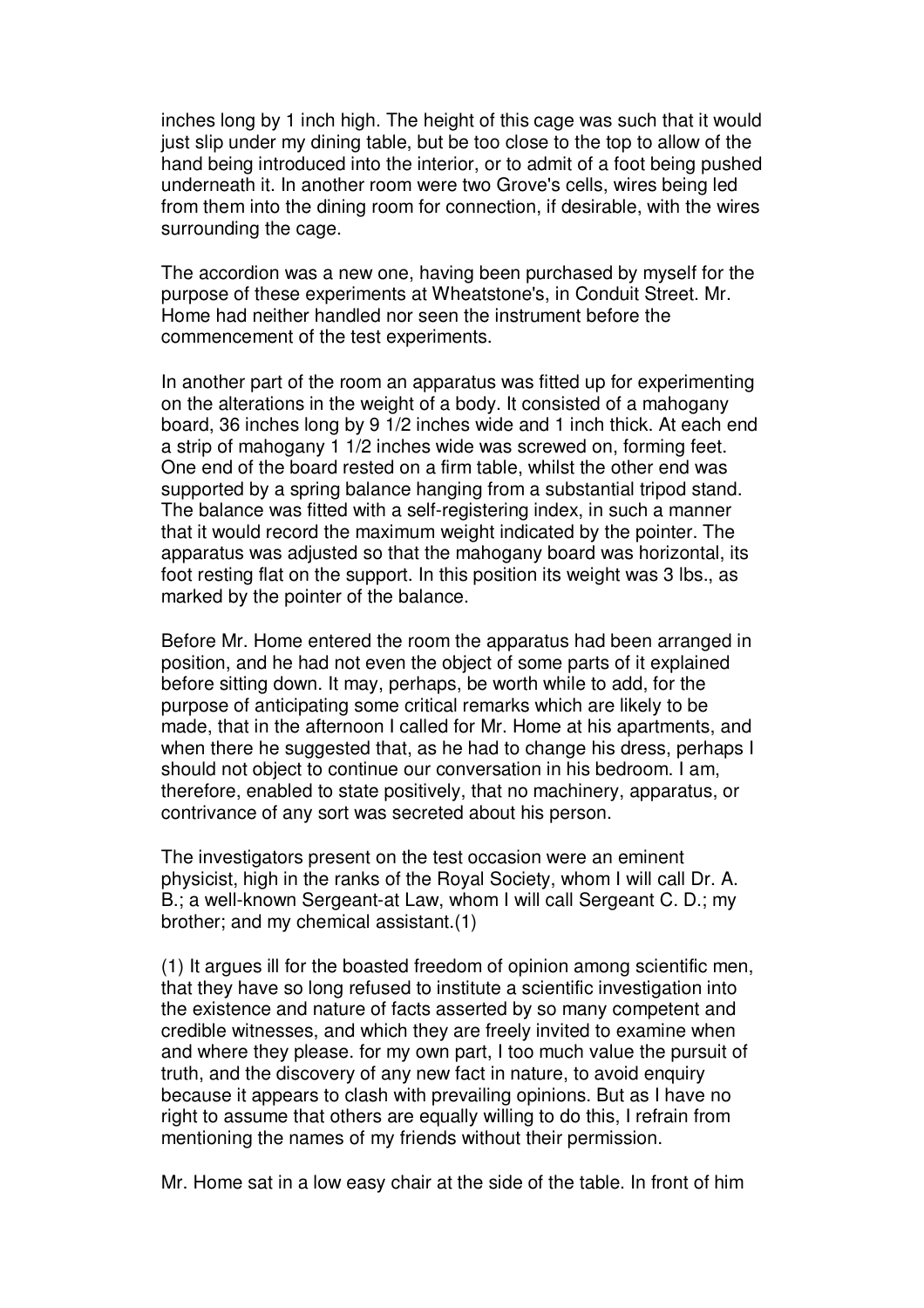inches long by 1 inch high. The height of this cage was such that it would just slip under my dining table, but be too close to the top to allow of the hand being introduced into the interior, or to admit of a foot being pushed underneath it. In another room were two Grove's cells, wires being led from them into the dining room for connection, if desirable, with the wires surrounding the cage.

The accordion was a new one, having been purchased by myself for the purpose of these experiments at Wheatstone's, in Conduit Street. Mr. Home had neither handled nor seen the instrument before the commencement of the test experiments.

In another part of the room an apparatus was fitted up for experimenting on the alterations in the weight of a body. It consisted of a mahogany board, 36 inches long by 9 1/2 inches wide and 1 inch thick. At each end a strip of mahogany 1 1/2 inches wide was screwed on, forming feet. One end of the board rested on a firm table, whilst the other end was supported by a spring balance hanging from a substantial tripod stand. The balance was fitted with a self-registering index, in such a manner that it would record the maximum weight indicated by the pointer. The apparatus was adjusted so that the mahogany board was horizontal, its foot resting flat on the support. In this position its weight was 3 lbs., as marked by the pointer of the balance.

Before Mr. Home entered the room the apparatus had been arranged in position, and he had not even the object of some parts of it explained before sitting down. It may, perhaps, be worth while to add, for the purpose of anticipating some critical remarks which are likely to be made, that in the afternoon I called for Mr. Home at his apartments, and when there he suggested that, as he had to change his dress, perhaps I should not object to continue our conversation in his bedroom. I am, therefore, enabled to state positively, that no machinery, apparatus, or contrivance of any sort was secreted about his person.

The investigators present on the test occasion were an eminent physicist, high in the ranks of the Royal Society, whom I will call Dr. A. B.; a well-known Sergeant-at Law, whom I will call Sergeant C. D.; my brother; and my chemical assistant.(1)

(1) It argues ill for the boasted freedom of opinion among scientific men, that they have so long refused to institute a scientific investigation into the existence and nature of facts asserted by so many competent and credible witnesses, and which they are freely invited to examine when and where they please. for my own part, I too much value the pursuit of truth, and the discovery of any new fact in nature, to avoid enquiry because it appears to clash with prevailing opinions. But as I have no right to assume that others are equally willing to do this, I refrain from mentioning the names of my friends without their permission.

Mr. Home sat in a low easy chair at the side of the table. In front of him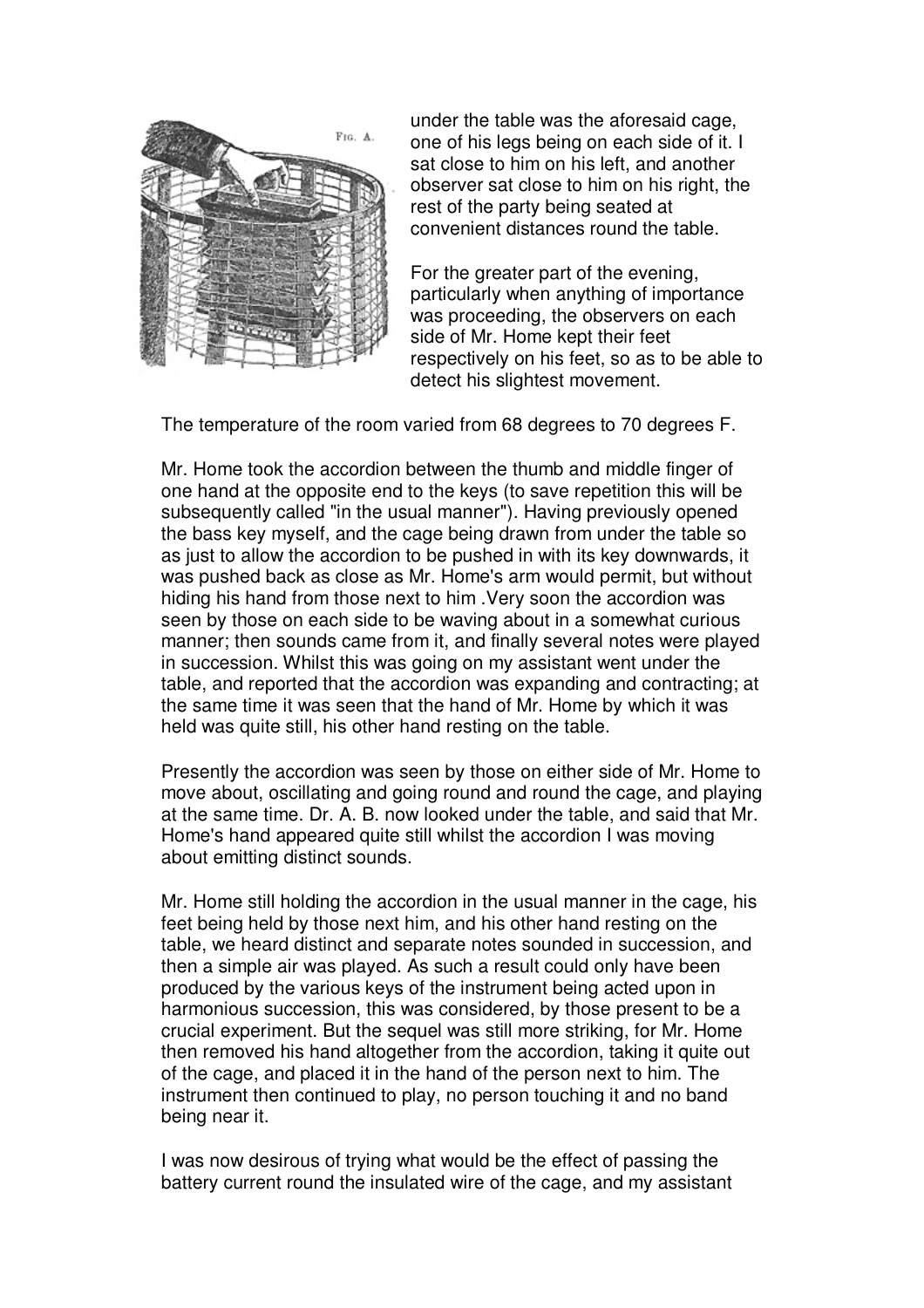

under the table was the aforesaid cage, one of his legs being on each side of it. I sat close to him on his left, and another observer sat close to him on his right, the rest of the party being seated at convenient distances round the table.

For the greater part of the evening, particularly when anything of importance was proceeding, the observers on each side of Mr. Home kept their feet respectively on his feet, so as to be able to detect his slightest movement.

The temperature of the room varied from 68 degrees to 70 degrees F.

Mr. Home took the accordion between the thumb and middle finger of one hand at the opposite end to the keys (to save repetition this will be subsequently called "in the usual manner"). Having previously opened the bass key myself, and the cage being drawn from under the table so as just to allow the accordion to be pushed in with its key downwards, it was pushed back as close as Mr. Home's arm would permit, but without hiding his hand from those next to him .Very soon the accordion was seen by those on each side to be waving about in a somewhat curious manner; then sounds came from it, and finally several notes were played in succession. Whilst this was going on my assistant went under the table, and reported that the accordion was expanding and contracting; at the same time it was seen that the hand of Mr. Home by which it was held was quite still, his other hand resting on the table.

Presently the accordion was seen by those on either side of Mr. Home to move about, oscillating and going round and round the cage, and playing at the same time. Dr. A. B. now looked under the table, and said that Mr. Home's hand appeared quite still whilst the accordion I was moving about emitting distinct sounds.

Mr. Home still holding the accordion in the usual manner in the cage, his feet being held by those next him, and his other hand resting on the table, we heard distinct and separate notes sounded in succession, and then a simple air was played. As such a result could only have been produced by the various keys of the instrument being acted upon in harmonious succession, this was considered, by those present to be a crucial experiment. But the sequel was still more striking, for Mr. Home then removed his hand altogether from the accordion, taking it quite out of the cage, and placed it in the hand of the person next to him. The instrument then continued to play, no person touching it and no band being near it.

I was now desirous of trying what would be the effect of passing the battery current round the insulated wire of the cage, and my assistant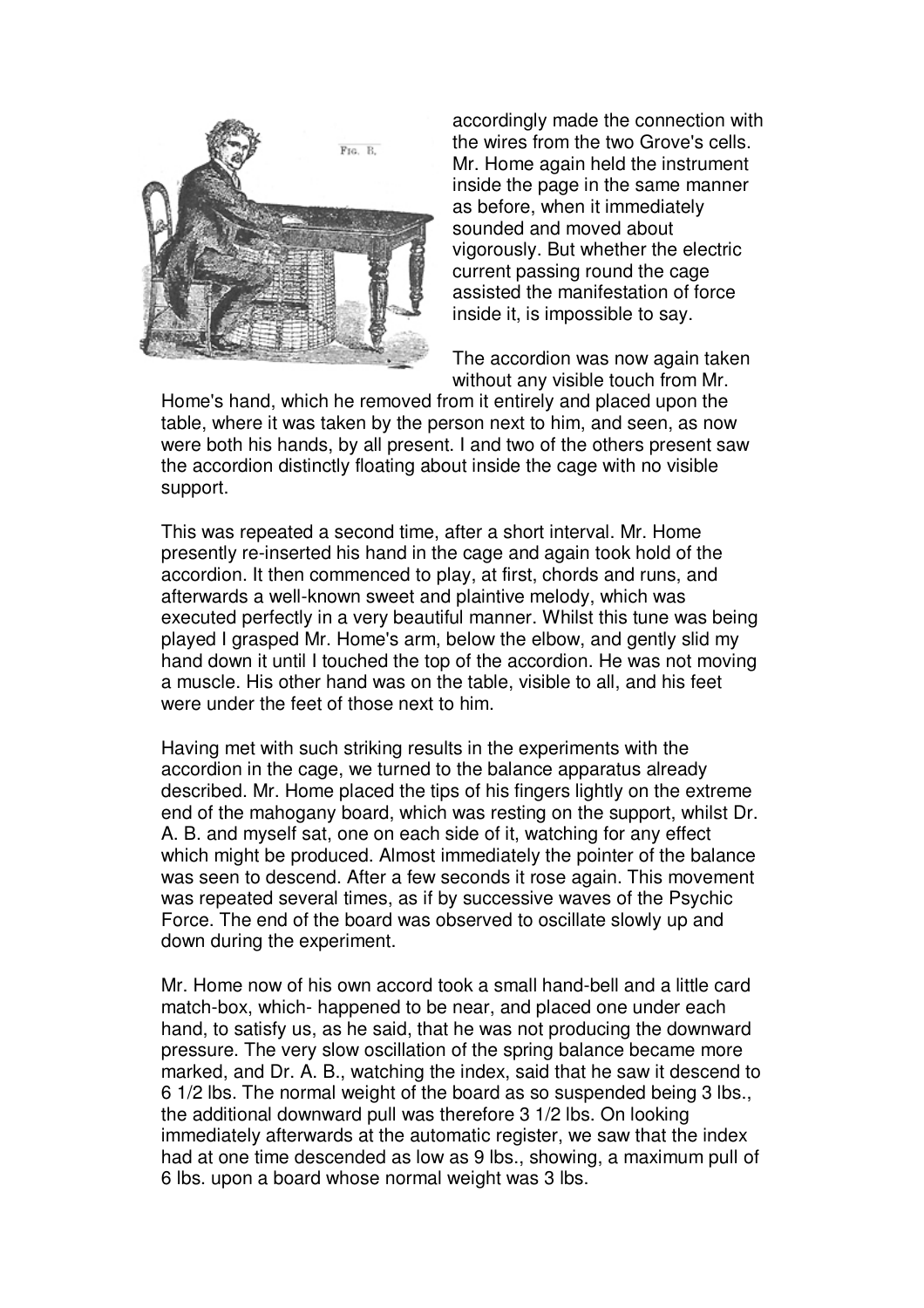

accordingly made the connection with the wires from the two Grove's cells. Mr. Home again held the instrument inside the page in the same manner as before, when it immediately sounded and moved about vigorously. But whether the electric current passing round the cage assisted the manifestation of force inside it, is impossible to say.

The accordion was now again taken without any visible touch from Mr.

Home's hand, which he removed from it entirely and placed upon the table, where it was taken by the person next to him, and seen, as now were both his hands, by all present. I and two of the others present saw the accordion distinctly floating about inside the cage with no visible support.

This was repeated a second time, after a short interval. Mr. Home presently re-inserted his hand in the cage and again took hold of the accordion. It then commenced to play, at first, chords and runs, and afterwards a well-known sweet and plaintive melody, which was executed perfectly in a very beautiful manner. Whilst this tune was being played I grasped Mr. Home's arm, below the elbow, and gently slid my hand down it until I touched the top of the accordion. He was not moving a muscle. His other hand was on the table, visible to all, and his feet were under the feet of those next to him.

Having met with such striking results in the experiments with the accordion in the cage, we turned to the balance apparatus already described. Mr. Home placed the tips of his fingers lightly on the extreme end of the mahogany board, which was resting on the support, whilst Dr. A. B. and myself sat, one on each side of it, watching for any effect which might be produced. Almost immediately the pointer of the balance was seen to descend. After a few seconds it rose again. This movement was repeated several times, as if by successive waves of the Psychic Force. The end of the board was observed to oscillate slowly up and down during the experiment.

Mr. Home now of his own accord took a small hand-bell and a little card match-box, which- happened to be near, and placed one under each hand, to satisfy us, as he said, that he was not producing the downward pressure. The very slow oscillation of the spring balance became more marked, and Dr. A. B., watching the index, said that he saw it descend to 6 1/2 lbs. The normal weight of the board as so suspended being 3 lbs., the additional downward pull was therefore 3 1/2 lbs. On looking immediately afterwards at the automatic register, we saw that the index had at one time descended as low as 9 lbs., showing, a maximum pull of 6 lbs. upon a board whose normal weight was 3 lbs.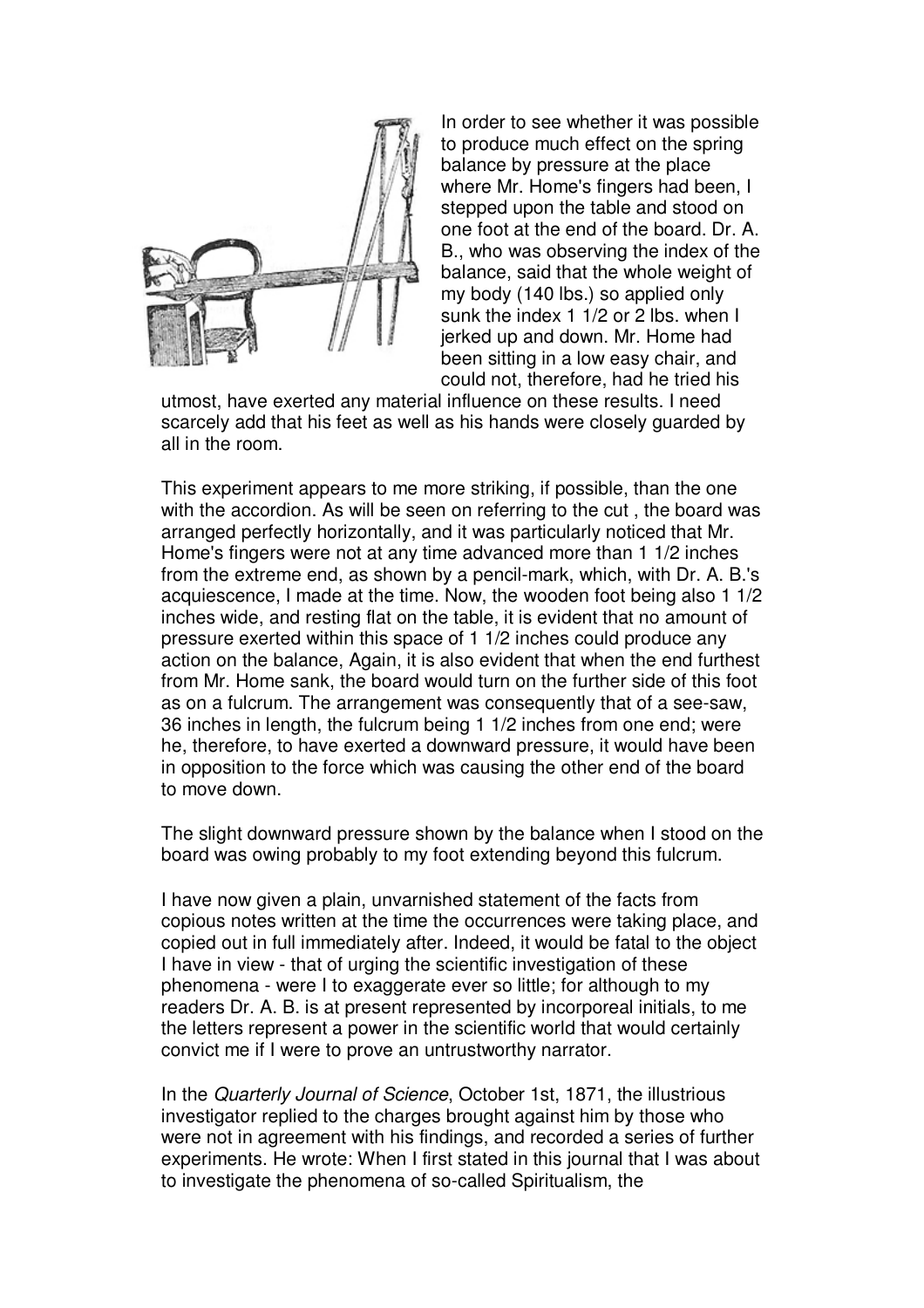

In order to see whether it was possible to produce much effect on the spring balance by pressure at the place where Mr. Home's fingers had been. I stepped upon the table and stood on one foot at the end of the board. Dr. A. B., who was observing the index of the balance, said that the whole weight of my body (140 lbs.) so applied only sunk the index 1 1/2 or 2 lbs. when I jerked up and down. Mr. Home had been sitting in a low easy chair, and could not, therefore, had he tried his

utmost, have exerted any material influence on these results. I need scarcely add that his feet as well as his hands were closely guarded by all in the room.

This experiment appears to me more striking, if possible, than the one with the accordion. As will be seen on referring to the cut , the board was arranged perfectly horizontally, and it was particularly noticed that Mr. Home's fingers were not at any time advanced more than 1 1/2 inches from the extreme end, as shown by a pencil-mark, which, with Dr. A. B.'s acquiescence, I made at the time. Now, the wooden foot being also 1 1/2 inches wide, and resting flat on the table, it is evident that no amount of pressure exerted within this space of 1 1/2 inches could produce any action on the balance, Again, it is also evident that when the end furthest from Mr. Home sank, the board would turn on the further side of this foot as on a fulcrum. The arrangement was consequently that of a see-saw, 36 inches in length, the fulcrum being 1 1/2 inches from one end; were he, therefore, to have exerted a downward pressure, it would have been in opposition to the force which was causing the other end of the board to move down.

The slight downward pressure shown by the balance when I stood on the board was owing probably to my foot extending beyond this fulcrum.

I have now given a plain, unvarnished statement of the facts from copious notes written at the time the occurrences were taking place, and copied out in full immediately after. Indeed, it would be fatal to the object I have in view - that of urging the scientific investigation of these phenomena - were I to exaggerate ever so little; for although to my readers Dr. A. B. is at present represented by incorporeal initials, to me the letters represent a power in the scientific world that would certainly convict me if I were to prove an untrustworthy narrator.

In the *Quarterly Journal of Science*, October 1st, 1871, the illustrious investigator replied to the charges brought against him by those who were not in agreement with his findings, and recorded a series of further experiments. He wrote: When I first stated in this journal that I was about to investigate the phenomena of so-called Spiritualism, the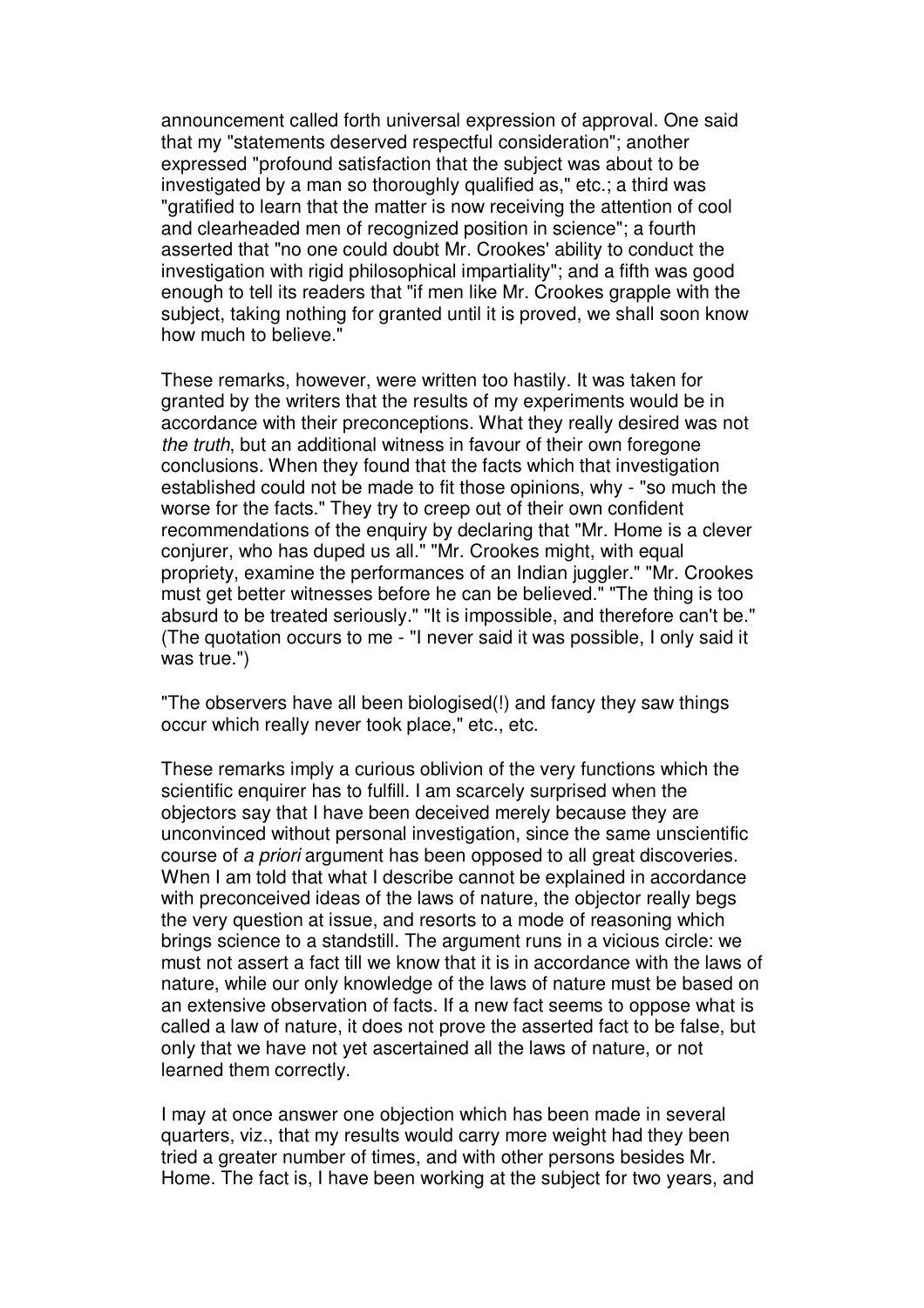announcement called forth universal expression of approval. One said that my "statements deserved respectful consideration"; another expressed "profound satisfaction that the subject was about to be investigated by a man so thoroughly qualified as," etc.; a third was "gratified to learn that the matter is now receiving the attention of cool and clearheaded men of recognized position in science"; a fourth asserted that "no one could doubt Mr. Crookes' ability to conduct the investigation with rigid philosophical impartiality"; and a fifth was good enough to tell its readers that "if men like Mr. Crookes grapple with the subject, taking nothing for granted until it is proved, we shall soon know how much to believe."

These remarks, however, were written too hastily. It was taken for granted by the writers that the results of my experiments would be in accordance with their preconceptions. What they really desired was not *the truth*, but an additional witness in favour of their own foregone conclusions. When they found that the facts which that investigation established could not be made to fit those opinions, why - "so much the worse for the facts." They try to creep out of their own confident recommendations of the enquiry by declaring that "Mr. Home is a clever conjurer, who has duped us all." "Mr. Crookes might, with equal propriety, examine the performances of an Indian juggler." "Mr. Crookes must get better witnesses before he can be believed." "The thing is too absurd to be treated seriously." "It is impossible, and therefore can't be." (The quotation occurs to me - "I never said it was possible, I only said it was true.")

"The observers have all been biologised(!) and fancy they saw things occur which really never took place," etc., etc.

These remarks imply a curious oblivion of the very functions which the scientific enquirer has to fulfill. I am scarcely surprised when the objectors say that I have been deceived merely because they are unconvinced without personal investigation, since the same unscientific course of *a priori* argument has been opposed to all great discoveries. When I am told that what I describe cannot be explained in accordance with preconceived ideas of the laws of nature, the objector really begs the very question at issue, and resorts to a mode of reasoning which brings science to a standstill. The argument runs in a vicious circle: we must not assert a fact till we know that it is in accordance with the laws of nature, while our only knowledge of the laws of nature must be based on an extensive observation of facts. If a new fact seems to oppose what is called a law of nature, it does not prove the asserted fact to be false, but only that we have not yet ascertained all the laws of nature, or not learned them correctly.

I may at once answer one objection which has been made in several quarters, viz., that my results would carry more weight had they been tried a greater number of times, and with other persons besides Mr. Home. The fact is, I have been working at the subject for two years, and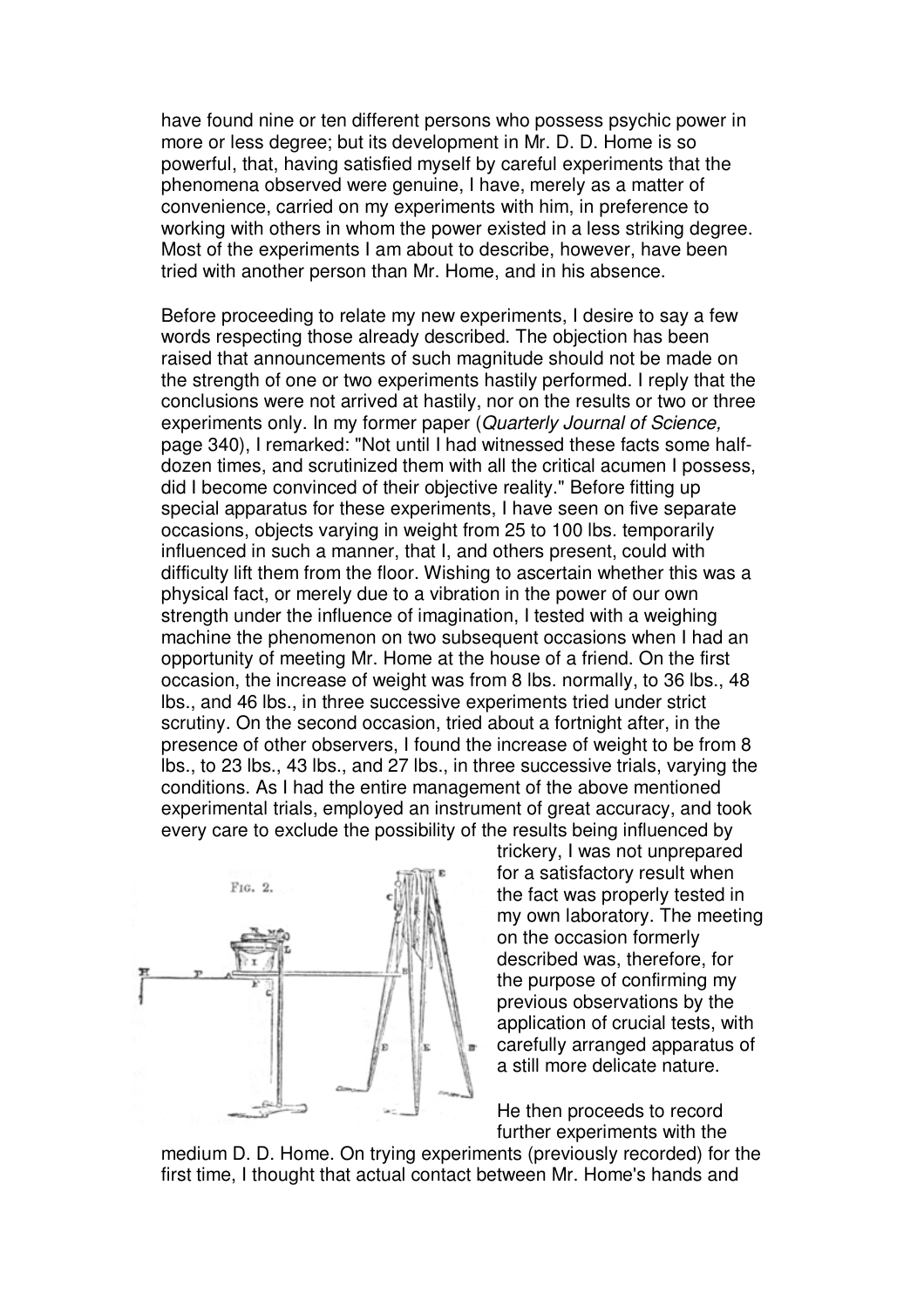have found nine or ten different persons who possess psychic power in more or less degree; but its development in Mr. D. D. Home is so powerful, that, having satisfied myself by careful experiments that the phenomena observed were genuine, I have, merely as a matter of convenience, carried on my experiments with him, in preference to working with others in whom the power existed in a less striking degree. Most of the experiments I am about to describe, however, have been tried with another person than Mr. Home, and in his absence.

Before proceeding to relate my new experiments, I desire to say a few words respecting those already described. The objection has been raised that announcements of such magnitude should not be made on the strength of one or two experiments hastily performed. I reply that the conclusions were not arrived at hastily, nor on the results or two or three experiments only. In my former paper (*Quarterly Journal of Science,* page 340), I remarked: "Not until I had witnessed these facts some halfdozen times, and scrutinized them with all the critical acumen I possess, did I become convinced of their objective reality." Before fitting up special apparatus for these experiments, I have seen on five separate occasions, objects varying in weight from 25 to 100 lbs. temporarily influenced in such a manner, that I, and others present, could with difficulty lift them from the floor. Wishing to ascertain whether this was a physical fact, or merely due to a vibration in the power of our own strength under the influence of imagination, I tested with a weighing machine the phenomenon on two subsequent occasions when I had an opportunity of meeting Mr. Home at the house of a friend. On the first occasion, the increase of weight was from 8 lbs. normally, to 36 lbs., 48 lbs., and 46 lbs., in three successive experiments tried under strict scrutiny. On the second occasion, tried about a fortnight after, in the presence of other observers, I found the increase of weight to be from 8 lbs., to 23 lbs., 43 lbs., and 27 lbs., in three successive trials, varying the conditions. As I had the entire management of the above mentioned experimental trials, employed an instrument of great accuracy, and took every care to exclude the possibility of the results being influenced by



trickery, I was not unprepared for a satisfactory result when the fact was properly tested in my own laboratory. The meeting on the occasion formerly described was, therefore, for the purpose of confirming my previous observations by the application of crucial tests, with carefully arranged apparatus of a still more delicate nature.

He then proceeds to record further experiments with the

medium D. D. Home. On trying experiments (previously recorded) for the first time, I thought that actual contact between Mr. Home's hands and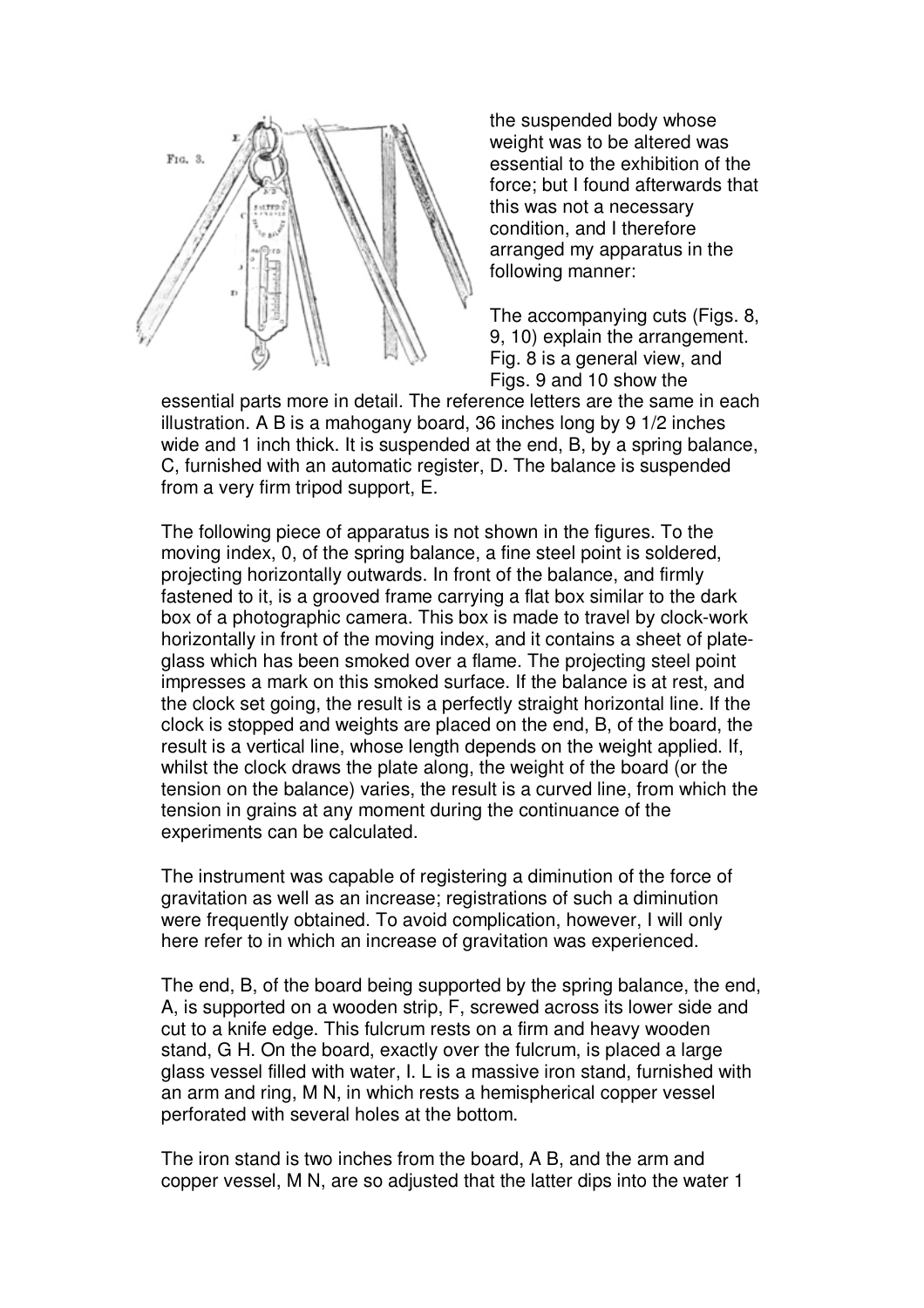

the suspended body whose weight was to be altered was essential to the exhibition of the force; but I found afterwards that this was not a necessary condition, and I therefore arranged my apparatus in the following manner:

The accompanying cuts (Figs. 8, 9, 10) explain the arrangement. Fig. 8 is a general view, and Figs. 9 and 10 show the

essential parts more in detail. The reference letters are the same in each illustration. A B is a mahogany board, 36 inches long by 9 1/2 inches wide and 1 inch thick. It is suspended at the end, B, by a spring balance, C, furnished with an automatic register, D. The balance is suspended from a very firm tripod support, E.

The following piece of apparatus is not shown in the figures. To the moving index, 0, of the spring balance, a fine steel point is soldered, projecting horizontally outwards. In front of the balance, and firmly fastened to it, is a grooved frame carrying a flat box similar to the dark box of a photographic camera. This box is made to travel by clock-work horizontally in front of the moving index, and it contains a sheet of plateglass which has been smoked over a flame. The projecting steel point impresses a mark on this smoked surface. If the balance is at rest, and the clock set going, the result is a perfectly straight horizontal line. If the clock is stopped and weights are placed on the end, B, of the board, the result is a vertical line, whose length depends on the weight applied. If, whilst the clock draws the plate along, the weight of the board (or the tension on the balance) varies, the result is a curved line, from which the tension in grains at any moment during the continuance of the experiments can be calculated.

The instrument was capable of registering a diminution of the force of gravitation as well as an increase; registrations of such a diminution were frequently obtained. To avoid complication, however, I will only here refer to in which an increase of gravitation was experienced.

The end, B, of the board being supported by the spring balance, the end, A, is supported on a wooden strip, F, screwed across its lower side and cut to a knife edge. This fulcrum rests on a firm and heavy wooden stand, G H. On the board, exactly over the fulcrum, is placed a large glass vessel filled with water, I. L is a massive iron stand, furnished with an arm and ring, M N, in which rests a hemispherical copper vessel perforated with several holes at the bottom.

The iron stand is two inches from the board, A B, and the arm and copper vessel, M N, are so adjusted that the latter dips into the water 1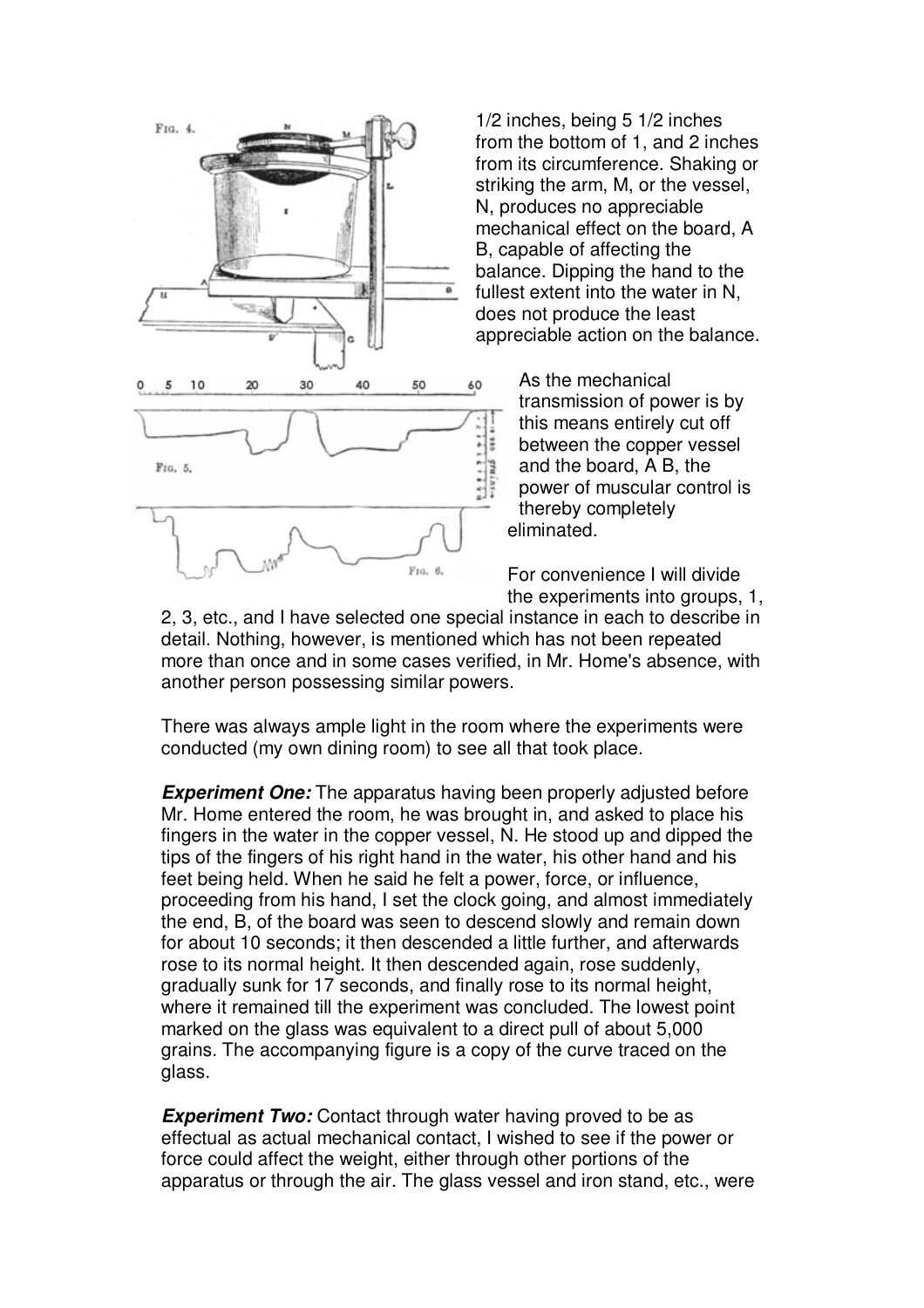

1/2 inches, being 5 1/2 inches from the bottom of 1, and 2 inches from its circumference. Shaking or striking the arm, M, or the vessel, N, produces no appreciable mechanical effect on the board, A B, capable of affecting the balance. Dipping the hand to the fullest extent into the water in N, does not produce the least appreciable action on the balance.

> As the mechanical transmission of power is by this means entirely cut off between the copper vessel and the board, A B, the power of muscular control is thereby completely eliminated.

For convenience I will divide the experiments into groups, 1,

2, 3, etc., and I have selected one special instance in each to describe in detail. Nothing, however, is mentioned which has not been repeated more than once and in some cases verified, in Mr. Home's absence, with another person possessing similar powers.

There was always ample light in the room where the experiments were conducted (my own dining room) to see all that took place.

*Experiment One:* The apparatus having been properly adjusted before Mr. Home entered the room, he was brought in, and asked to place his fingers in the water in the copper vessel, N. He stood up and dipped the tips of the fingers of his right hand in the water, his other hand and his feet being held. When he said he felt a power, force, or influence, proceeding from his hand, I set the clock going, and almost immediately the end, B, of the board was seen to descend slowly and remain down for about 10 seconds; it then descended a little further, and afterwards rose to its normal height. It then descended again, rose suddenly, gradually sunk for 17 seconds, and finally rose to its normal height, where it remained till the experiment was concluded. The lowest point marked on the glass was equivalent to a direct pull of about 5,000 grains. The accompanying figure is a copy of the curve traced on the glass.

**Experiment** *Two:* Contact through water having proved to be as effectual as actual mechanical contact, I wished to see if the power or force could affect the weight, either through other portions of the apparatus or through the air. The glass vessel and iron stand, etc., were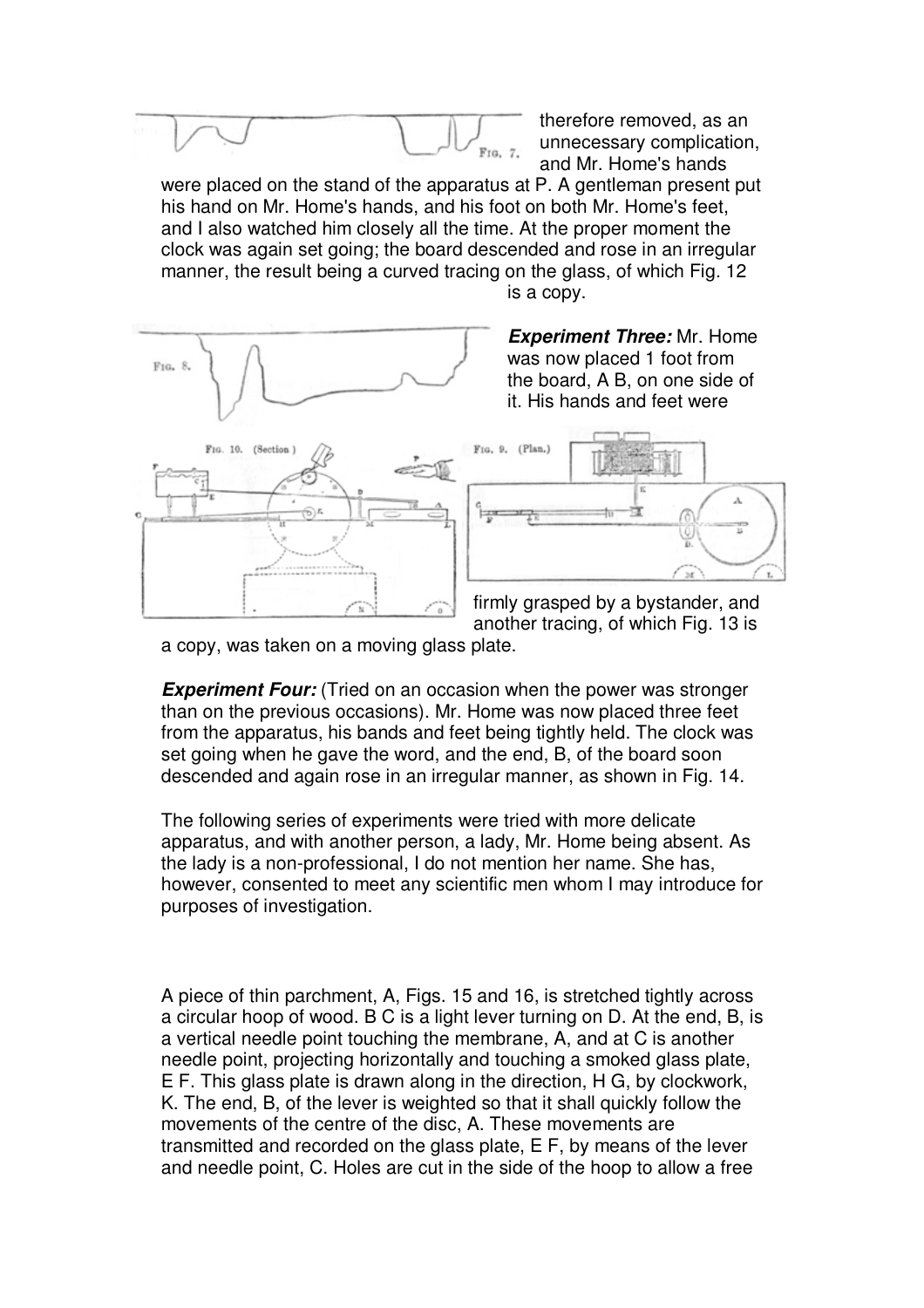

therefore removed, as an unnecessary complication, and Mr. Home's hands

were placed on the stand of the apparatus at P. A gentleman present put his hand on Mr. Home's hands, and his foot on both Mr. Home's feet, and I also watched him closely all the time. At the proper moment the clock was again set going; the board descended and rose in an irregular manner, the result being a curved tracing on the glass, of which Fig. 12 is a copy.



another tracing, of which Fig. 13 is

a copy, was taken on a moving glass plate.

**Experiment Four:** (Tried on an occasion when the power was stronger than on the previous occasions). Mr. Home was now placed three feet from the apparatus, his bands and feet being tightly held. The clock was set going when he gave the word, and the end, B, of the board soon descended and again rose in an irregular manner, as shown in Fig. 14.

The following series of experiments were tried with more delicate apparatus, and with another person, a lady, Mr. Home being absent. As the lady is a non-professional, I do not mention her name. She has, however, consented to meet any scientific men whom I may introduce for purposes of investigation.

A piece of thin parchment, A, Figs. 15 and 16, is stretched tightly across a circular hoop of wood. B C is a light lever turning on D. At the end, B, is a vertical needle point touching the membrane, A, and at C is another needle point, projecting horizontally and touching a smoked glass plate, E F. This glass plate is drawn along in the direction, H G, by clockwork, K. The end, B, of the lever is weighted so that it shall quickly follow the movements of the centre of the disc, A. These movements are transmitted and recorded on the glass plate, E F, by means of the lever and needle point, C. Holes are cut in the side of the hoop to allow a free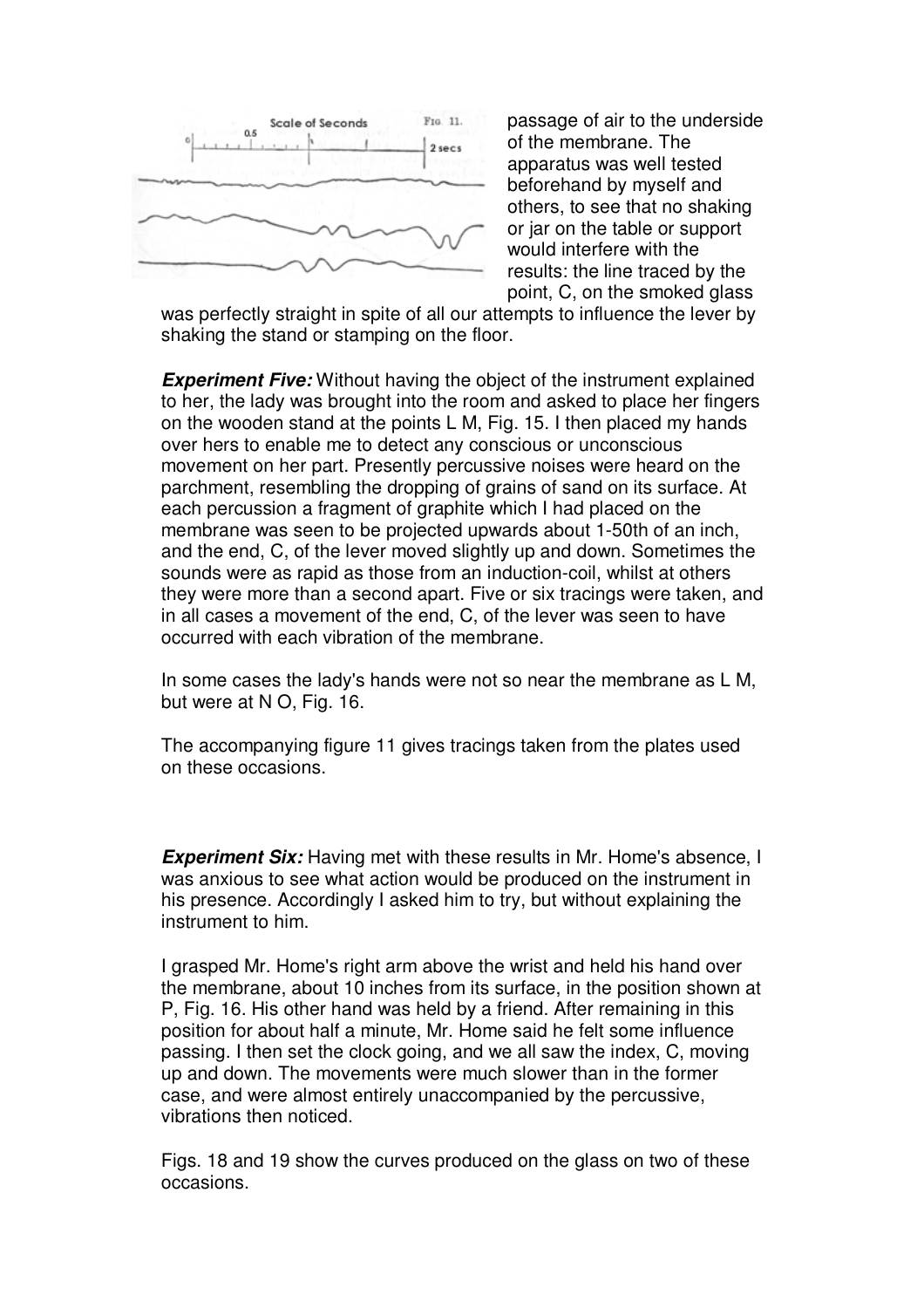

passage of air to the underside of the membrane. The apparatus was well tested beforehand by myself and others, to see that no shaking or jar on the table or support would interfere with the results: the line traced by the point, C, on the smoked glass

was perfectly straight in spite of all our attempts to influence the lever by shaking the stand or stamping on the floor.

**Experiment Five:** Without having the object of the instrument explained to her, the lady was brought into the room and asked to place her fingers on the wooden stand at the points L M, Fig. 15. I then placed my hands over hers to enable me to detect any conscious or unconscious movement on her part. Presently percussive noises were heard on the parchment, resembling the dropping of grains of sand on its surface. At each percussion a fragment of graphite which I had placed on the membrane was seen to be projected upwards about 1-50th of an inch, and the end, C, of the lever moved slightly up and down. Sometimes the sounds were as rapid as those from an induction-coil, whilst at others they were more than a second apart. Five or six tracings were taken, and in all cases a movement of the end, C, of the lever was seen to have occurred with each vibration of the membrane.

In some cases the lady's hands were not so near the membrane as L M, but were at N O, Fig. 16.

The accompanying figure 11 gives tracings taken from the plates used on these occasions.

**Experiment Six:** Having met with these results in Mr. Home's absence, I was anxious to see what action would be produced on the instrument in his presence. Accordingly I asked him to try, but without explaining the instrument to him.

I grasped Mr. Home's right arm above the wrist and held his hand over the membrane, about 10 inches from its surface, in the position shown at P, Fig. 16. His other hand was held by a friend. After remaining in this position for about half a minute, Mr. Home said he felt some influence passing. I then set the clock going, and we all saw the index, C, moving up and down. The movements were much slower than in the former case, and were almost entirely unaccompanied by the percussive, vibrations then noticed.

Figs. 18 and 19 show the curves produced on the glass on two of these occasions.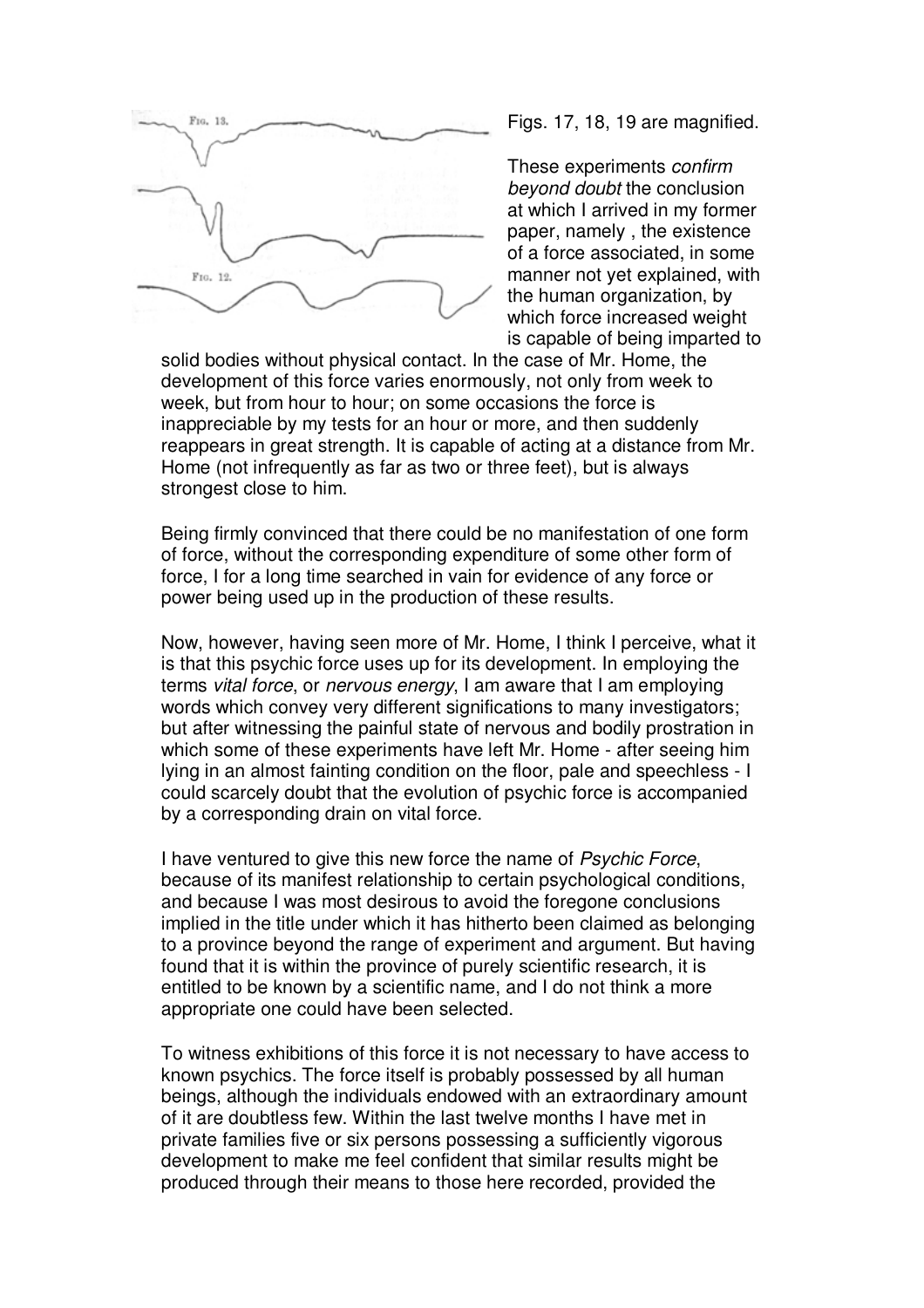

Figs. 17, 18, 19 are magnified.

These experiments *confirm beyond doubt* the conclusion at which I arrived in my former paper, namely , the existence of a force associated, in some manner not yet explained, with the human organization, by which force increased weight is capable of being imparted to

solid bodies without physical contact. In the case of Mr. Home, the development of this force varies enormously, not only from week to week, but from hour to hour; on some occasions the force is inappreciable by my tests for an hour or more, and then suddenly reappears in great strength. It is capable of acting at a distance from Mr. Home (not infrequently as far as two or three feet), but is always strongest close to him.

Being firmly convinced that there could be no manifestation of one form of force, without the corresponding expenditure of some other form of force, I for a long time searched in vain for evidence of any force or power being used up in the production of these results.

Now, however, having seen more of Mr. Home, I think I perceive, what it is that this psychic force uses up for its development. In employing the terms *vital force*, or *nervous energy*, I am aware that I am employing words which convey very different significations to many investigators; but after witnessing the painful state of nervous and bodily prostration in which some of these experiments have left Mr. Home - after seeing him lying in an almost fainting condition on the floor, pale and speechless - I could scarcely doubt that the evolution of psychic force is accompanied by a corresponding drain on vital force.

I have ventured to give this new force the name of *Psychic Force*, because of its manifest relationship to certain psychological conditions, and because I was most desirous to avoid the foregone conclusions implied in the title under which it has hitherto been claimed as belonging to a province beyond the range of experiment and argument. But having found that it is within the province of purely scientific research, it is entitled to be known by a scientific name, and I do not think a more appropriate one could have been selected.

To witness exhibitions of this force it is not necessary to have access to known psychics. The force itself is probably possessed by all human beings, although the individuals endowed with an extraordinary amount of it are doubtless few. Within the last twelve months I have met in private families five or six persons possessing a sufficiently vigorous development to make me feel confident that similar results might be produced through their means to those here recorded, provided the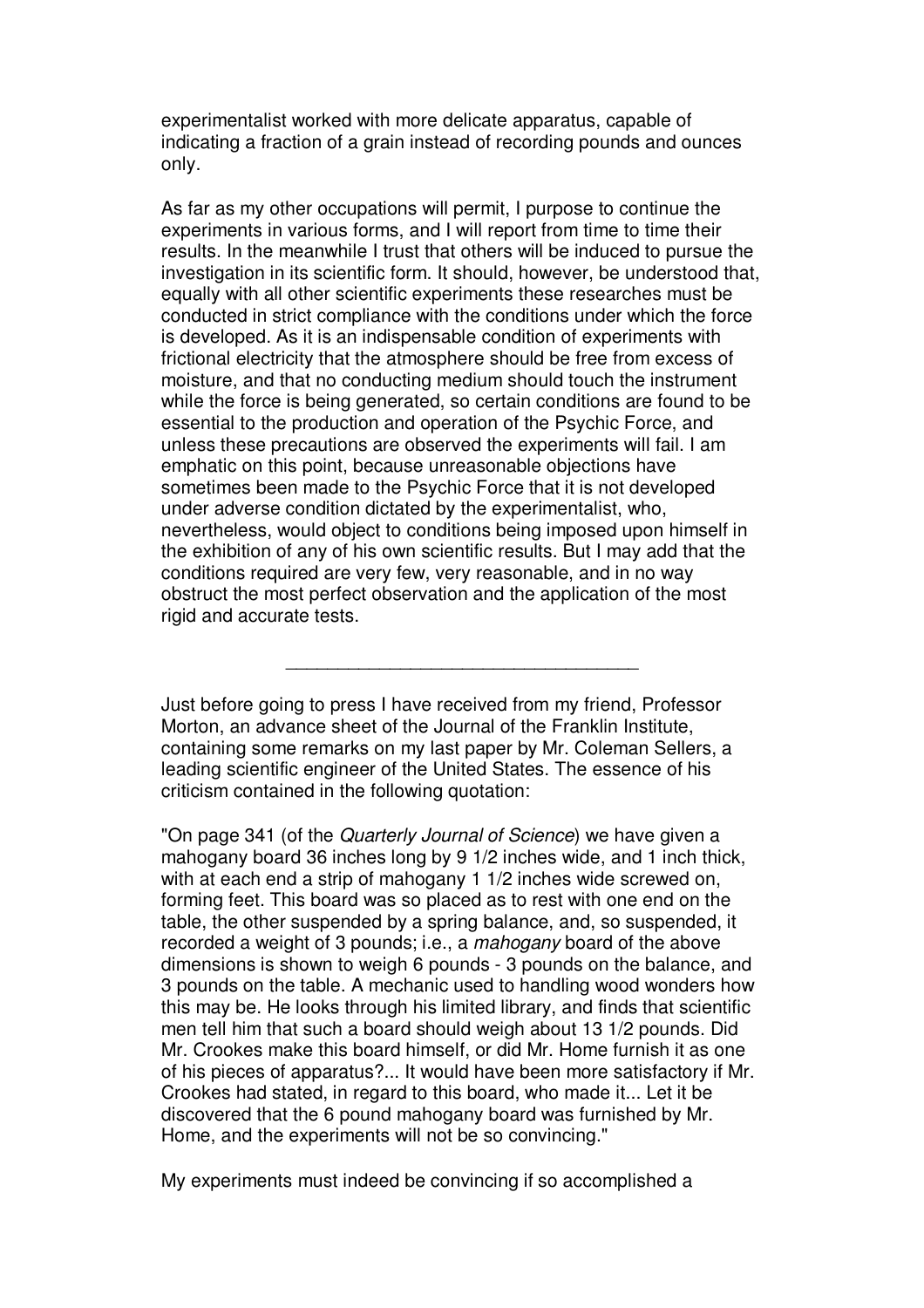experimentalist worked with more delicate apparatus, capable of indicating a fraction of a grain instead of recording pounds and ounces only.

As far as my other occupations will permit, I purpose to continue the experiments in various forms, and I will report from time to time their results. In the meanwhile I trust that others will be induced to pursue the investigation in its scientific form. It should, however, be understood that, equally with all other scientific experiments these researches must be conducted in strict compliance with the conditions under which the force is developed. As it is an indispensable condition of experiments with frictional electricity that the atmosphere should be free from excess of moisture, and that no conducting medium should touch the instrument while the force is being generated, so certain conditions are found to be essential to the production and operation of the Psychic Force, and unless these precautions are observed the experiments will fail. I am emphatic on this point, because unreasonable objections have sometimes been made to the Psychic Force that it is not developed under adverse condition dictated by the experimentalist, who, nevertheless, would object to conditions being imposed upon himself in the exhibition of any of his own scientific results. But I may add that the conditions required are very few, very reasonable, and in no way obstruct the most perfect observation and the application of the most rigid and accurate tests.

Just before going to press I have received from my friend, Professor Morton, an advance sheet of the Journal of the Franklin Institute, containing some remarks on my last paper by Mr. Coleman Sellers, a leading scientific engineer of the United States. The essence of his criticism contained in the following quotation:

\_\_\_\_\_\_\_\_\_\_\_\_\_\_\_\_\_\_\_\_\_\_\_\_\_\_\_\_\_\_\_\_\_\_

"On page 341 (of the *Quarterly Journal of Science*) we have given a mahogany board 36 inches long by 9 1/2 inches wide, and 1 inch thick, with at each end a strip of mahogany 1 1/2 inches wide screwed on, forming feet. This board was so placed as to rest with one end on the table, the other suspended by a spring balance, and, so suspended, it recorded a weight of 3 pounds; i.e., a *mahogany* board of the above dimensions is shown to weigh 6 pounds - 3 pounds on the balance, and 3 pounds on the table. A mechanic used to handling wood wonders how this may be. He looks through his limited library, and finds that scientific men tell him that such a board should weigh about 13 1/2 pounds. Did Mr. Crookes make this board himself, or did Mr. Home furnish it as one of his pieces of apparatus?... It would have been more satisfactory if Mr. Crookes had stated, in regard to this board, who made it... Let it be discovered that the 6 pound mahogany board was furnished by Mr. Home, and the experiments will not be so convincing."

My experiments must indeed be convincing if so accomplished a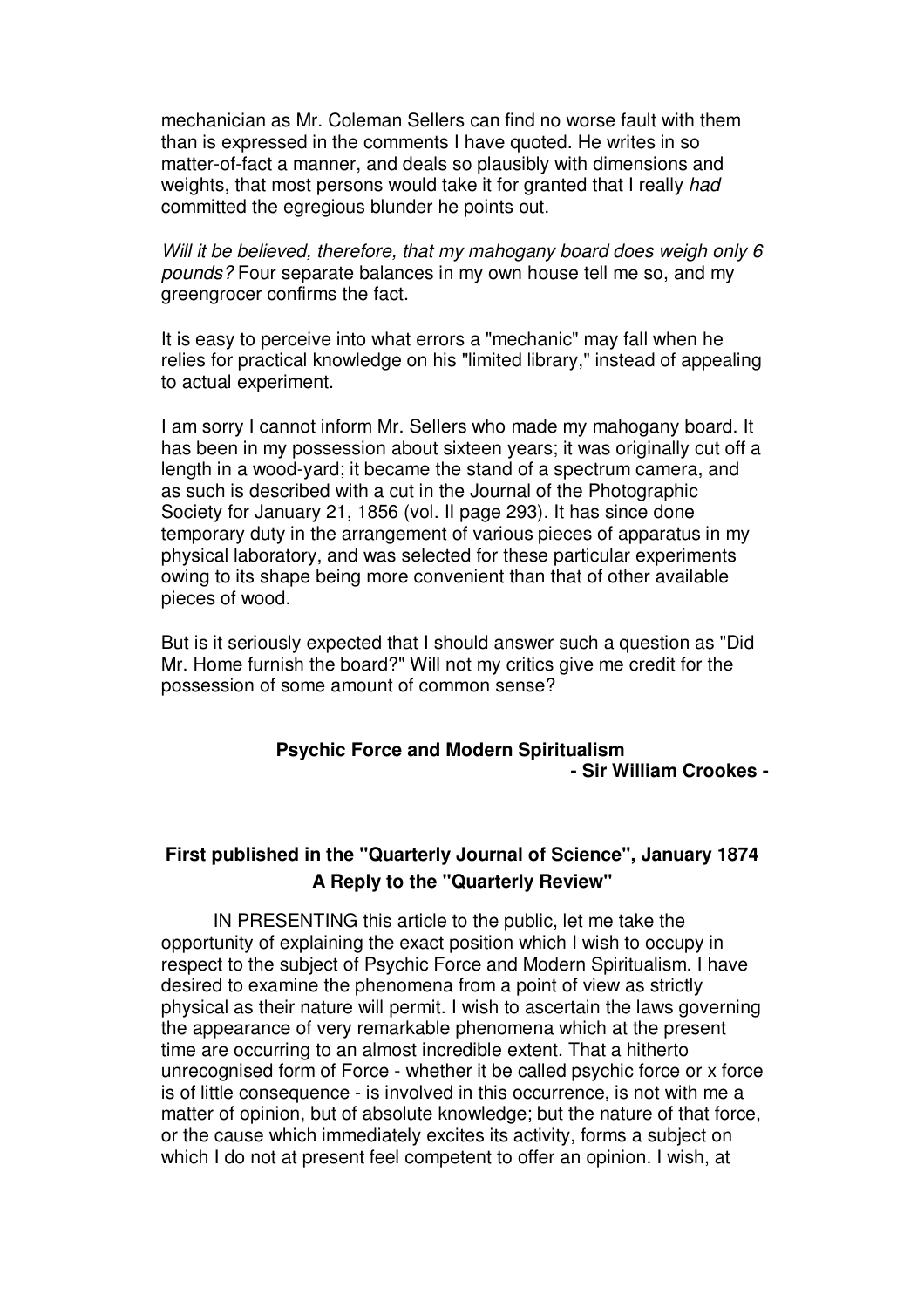mechanician as Mr. Coleman Sellers can find no worse fault with them than is expressed in the comments I have quoted. He writes in so matter-of-fact a manner, and deals so plausibly with dimensions and weights, that most persons would take it for granted that I really *had* committed the egregious blunder he points out.

*Will it be believed, therefore, that my mahogany board does weigh only 6 pounds?* Four separate balances in my own house tell me so, and my greengrocer confirms the fact.

It is easy to perceive into what errors a "mechanic" may fall when he relies for practical knowledge on his "limited library," instead of appealing to actual experiment.

I am sorry I cannot inform Mr. Sellers who made my mahogany board. It has been in my possession about sixteen years; it was originally cut off a length in a wood-yard; it became the stand of a spectrum camera, and as such is described with a cut in the Journal of the Photographic Society for January 21, 1856 (vol. II page 293). It has since done temporary duty in the arrangement of various pieces of apparatus in my physical laboratory, and was selected for these particular experiments owing to its shape being more convenient than that of other available pieces of wood.

But is it seriously expected that I should answer such a question as "Did Mr. Home furnish the board?" Will not my critics give me credit for the possession of some amount of common sense?

### **Psychic Force and Modern Spiritualism - Sir William Crookes -**

# **First published in the "Quarterly Journal of Science", January 1874 A Reply to the "Quarterly Review"**

IN PRESENTING this article to the public, let me take the opportunity of explaining the exact position which I wish to occupy in respect to the subject of Psychic Force and Modern Spiritualism. I have desired to examine the phenomena from a point of view as strictly physical as their nature will permit. I wish to ascertain the laws governing the appearance of very remarkable phenomena which at the present time are occurring to an almost incredible extent. That a hitherto unrecognised form of Force - whether it be called psychic force or x force is of little consequence - is involved in this occurrence, is not with me a matter of opinion, but of absolute knowledge; but the nature of that force, or the cause which immediately excites its activity, forms a subject on which I do not at present feel competent to offer an opinion. I wish, at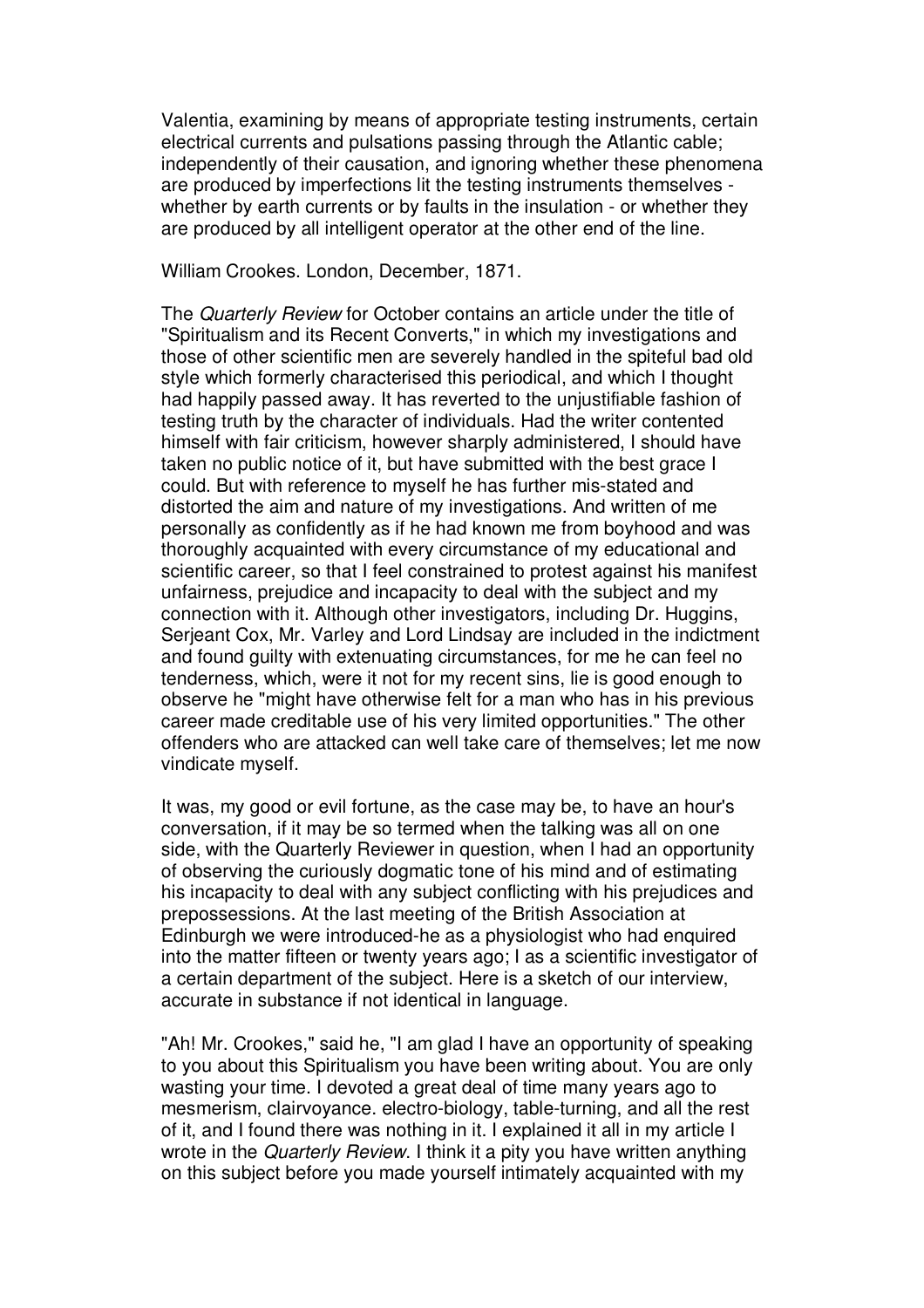Valentia, examining by means of appropriate testing instruments, certain electrical currents and pulsations passing through the Atlantic cable; independently of their causation, and ignoring whether these phenomena are produced by imperfections lit the testing instruments themselves whether by earth currents or by faults in the insulation - or whether they are produced by all intelligent operator at the other end of the line.

William Crookes. London, December, 1871.

The *Quarterly Review* for October contains an article under the title of "Spiritualism and its Recent Converts," in which my investigations and those of other scientific men are severely handled in the spiteful bad old style which formerly characterised this periodical, and which I thought had happily passed away. It has reverted to the unjustifiable fashion of testing truth by the character of individuals. Had the writer contented himself with fair criticism, however sharply administered, I should have taken no public notice of it, but have submitted with the best grace I could. But with reference to myself he has further mis-stated and distorted the aim and nature of my investigations. And written of me personally as confidently as if he had known me from boyhood and was thoroughly acquainted with every circumstance of my educational and scientific career, so that I feel constrained to protest against his manifest unfairness, prejudice and incapacity to deal with the subject and my connection with it. Although other investigators, including Dr. Huggins, Serieant Cox, Mr. Varley and Lord Lindsay are included in the indictment and found guilty with extenuating circumstances, for me he can feel no tenderness, which, were it not for my recent sins, lie is good enough to observe he "might have otherwise felt for a man who has in his previous career made creditable use of his very limited opportunities." The other offenders who are attacked can well take care of themselves; let me now vindicate myself.

It was, my good or evil fortune, as the case may be, to have an hour's conversation, if it may be so termed when the talking was all on one side, with the Quarterly Reviewer in question, when I had an opportunity of observing the curiously dogmatic tone of his mind and of estimating his incapacity to deal with any subject conflicting with his prejudices and prepossessions. At the last meeting of the British Association at Edinburgh we were introduced-he as a physiologist who had enquired into the matter fifteen or twenty years ago; I as a scientific investigator of a certain department of the subject. Here is a sketch of our interview, accurate in substance if not identical in language.

"Ah! Mr. Crookes," said he, "I am glad I have an opportunity of speaking to you about this Spiritualism you have been writing about. You are only wasting your time. I devoted a great deal of time many years ago to mesmerism, clairvoyance. electro-biology, table-turning, and all the rest of it, and I found there was nothing in it. I explained it all in my article I wrote in the *Quarterly Review*. I think it a pity you have written anything on this subject before you made yourself intimately acquainted with my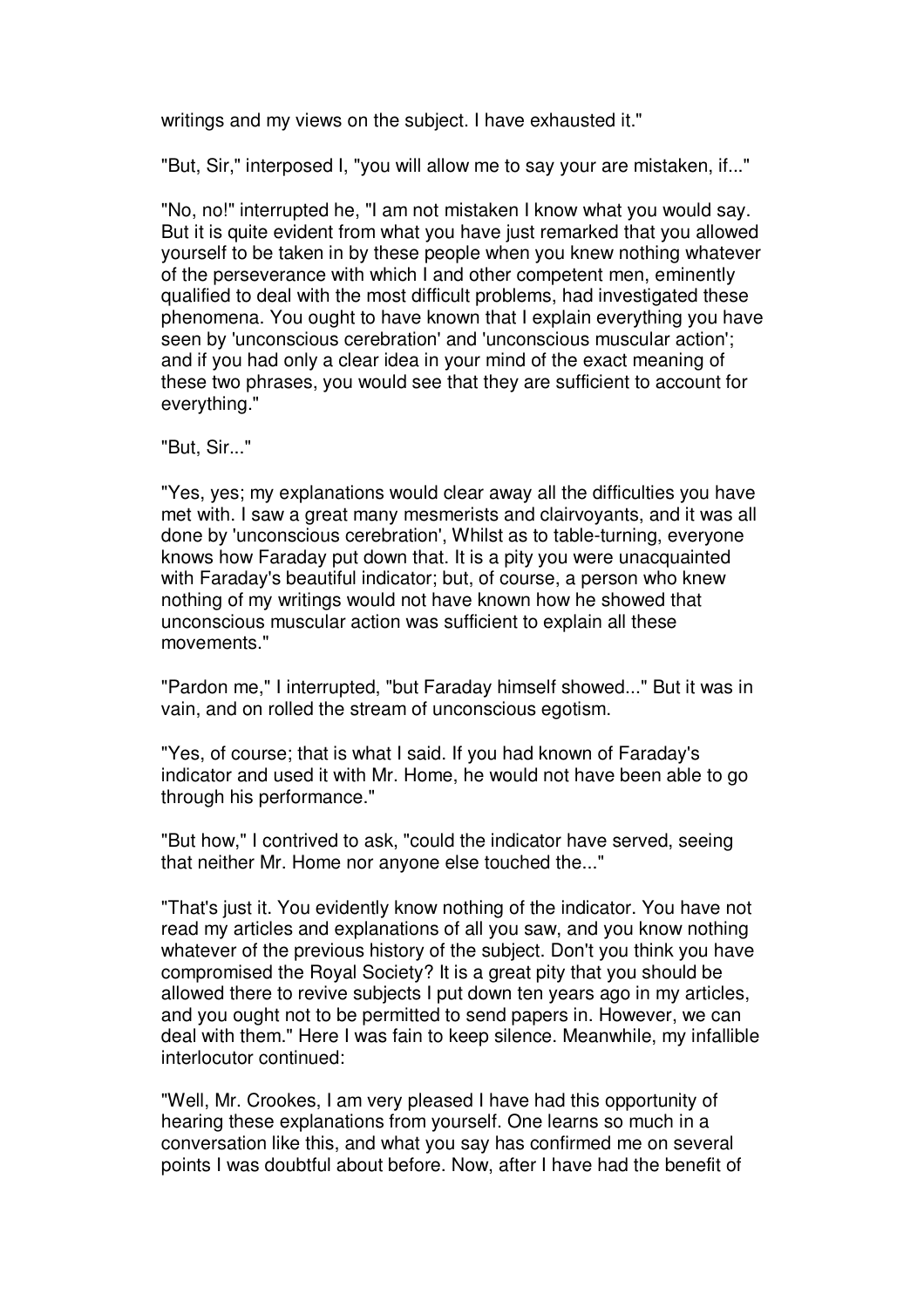writings and my views on the subject. I have exhausted it."

"But, Sir," interposed I, "you will allow me to say your are mistaken, if..."

"No, no!" interrupted he, "I am not mistaken I know what you would say. But it is quite evident from what you have just remarked that you allowed yourself to be taken in by these people when you knew nothing whatever of the perseverance with which I and other competent men, eminently qualified to deal with the most difficult problems, had investigated these phenomena. You ought to have known that I explain everything you have seen by 'unconscious cerebration' and 'unconscious muscular action'; and if you had only a clear idea in your mind of the exact meaning of these two phrases, you would see that they are sufficient to account for everything."

"But, Sir..."

"Yes, yes; my explanations would clear away all the difficulties you have met with. I saw a great many mesmerists and clairvoyants, and it was all done by 'unconscious cerebration', Whilst as to table-turning, everyone knows how Faraday put down that. It is a pity you were unacquainted with Faraday's beautiful indicator; but, of course, a person who knew nothing of my writings would not have known how he showed that unconscious muscular action was sufficient to explain all these movements."

"Pardon me," I interrupted, "but Faraday himself showed..." But it was in vain, and on rolled the stream of unconscious egotism.

"Yes, of course; that is what I said. If you had known of Faraday's indicator and used it with Mr. Home, he would not have been able to go through his performance."

"But how," I contrived to ask, "could the indicator have served, seeing that neither Mr. Home nor anyone else touched the..."

"That's just it. You evidently know nothing of the indicator. You have not read my articles and explanations of all you saw, and you know nothing whatever of the previous history of the subject. Don't you think you have compromised the Royal Society? It is a great pity that you should be allowed there to revive subjects I put down ten years ago in my articles, and you ought not to be permitted to send papers in. However, we can deal with them." Here I was fain to keep silence. Meanwhile, my infallible interlocutor continued:

"Well, Mr. Crookes, I am very pleased I have had this opportunity of hearing these explanations from yourself. One learns so much in a conversation like this, and what you say has confirmed me on several points I was doubtful about before. Now, after I have had the benefit of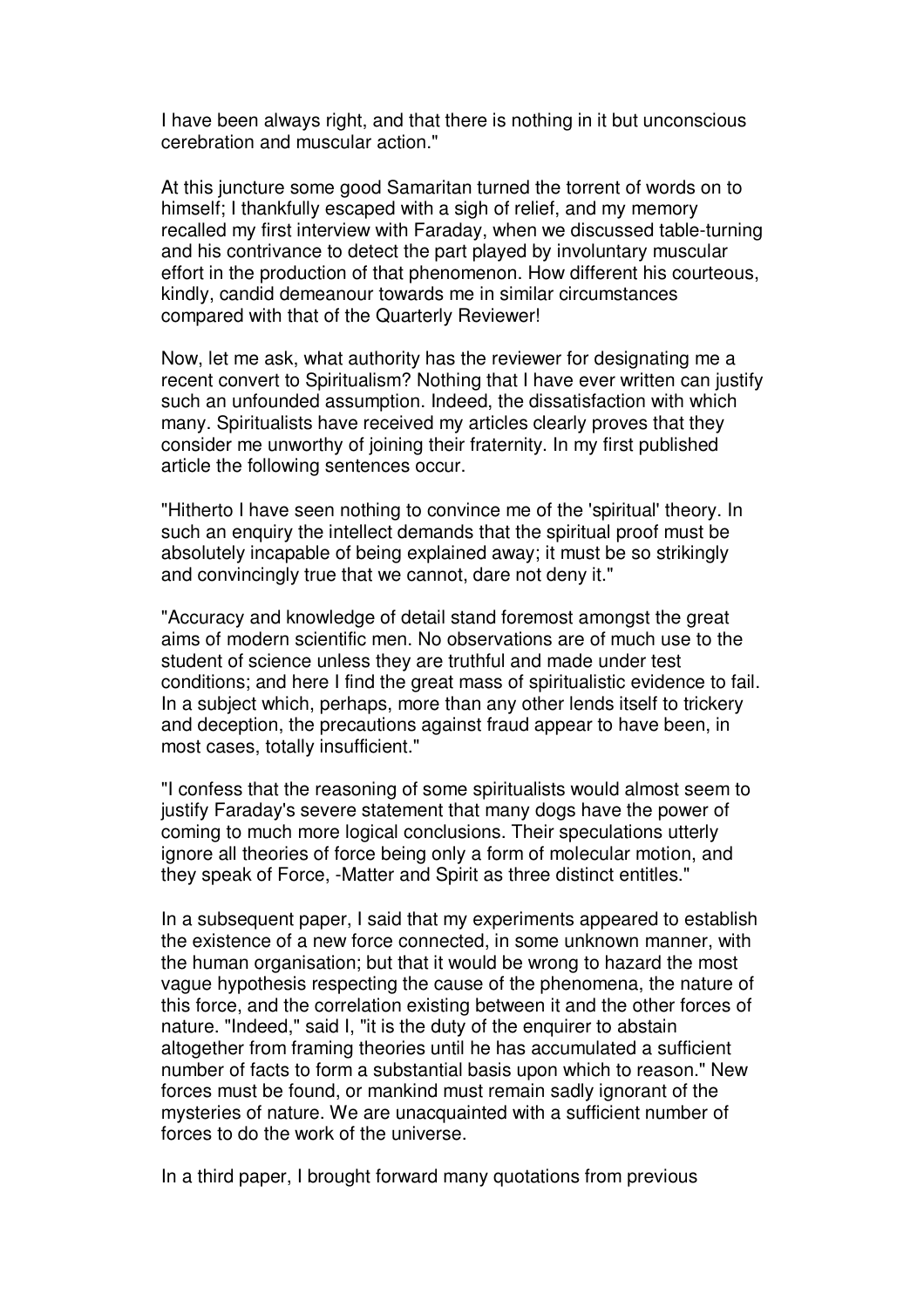I have been always right, and that there is nothing in it but unconscious cerebration and muscular action."

At this juncture some good Samaritan turned the torrent of words on to himself; I thankfully escaped with a sigh of relief, and my memory recalled my first interview with Faraday, when we discussed table-turning and his contrivance to detect the part played by involuntary muscular effort in the production of that phenomenon. How different his courteous, kindly, candid demeanour towards me in similar circumstances compared with that of the Quarterly Reviewer!

Now, let me ask, what authority has the reviewer for designating me a recent convert to Spiritualism? Nothing that I have ever written can justify such an unfounded assumption. Indeed, the dissatisfaction with which many. Spiritualists have received my articles clearly proves that they consider me unworthy of joining their fraternity. In my first published article the following sentences occur.

"Hitherto I have seen nothing to convince me of the 'spiritual' theory. In such an enquiry the intellect demands that the spiritual proof must be absolutely incapable of being explained away; it must be so strikingly and convincingly true that we cannot, dare not deny it."

"Accuracy and knowledge of detail stand foremost amongst the great aims of modern scientific men. No observations are of much use to the student of science unless they are truthful and made under test conditions; and here I find the great mass of spiritualistic evidence to fail. In a subject which, perhaps, more than any other lends itself to trickery and deception, the precautions against fraud appear to have been, in most cases, totally insufficient."

"I confess that the reasoning of some spiritualists would almost seem to justify Faraday's severe statement that many dogs have the power of coming to much more logical conclusions. Their speculations utterly ignore all theories of force being only a form of molecular motion, and they speak of Force, -Matter and Spirit as three distinct entitles."

In a subsequent paper, I said that my experiments appeared to establish the existence of a new force connected, in some unknown manner, with the human organisation; but that it would be wrong to hazard the most vague hypothesis respecting the cause of the phenomena, the nature of this force, and the correlation existing between it and the other forces of nature. "Indeed," said I, "it is the duty of the enquirer to abstain altogether from framing theories until he has accumulated a sufficient number of facts to form a substantial basis upon which to reason." New forces must be found, or mankind must remain sadly ignorant of the mysteries of nature. We are unacquainted with a sufficient number of forces to do the work of the universe.

In a third paper, I brought forward many quotations from previous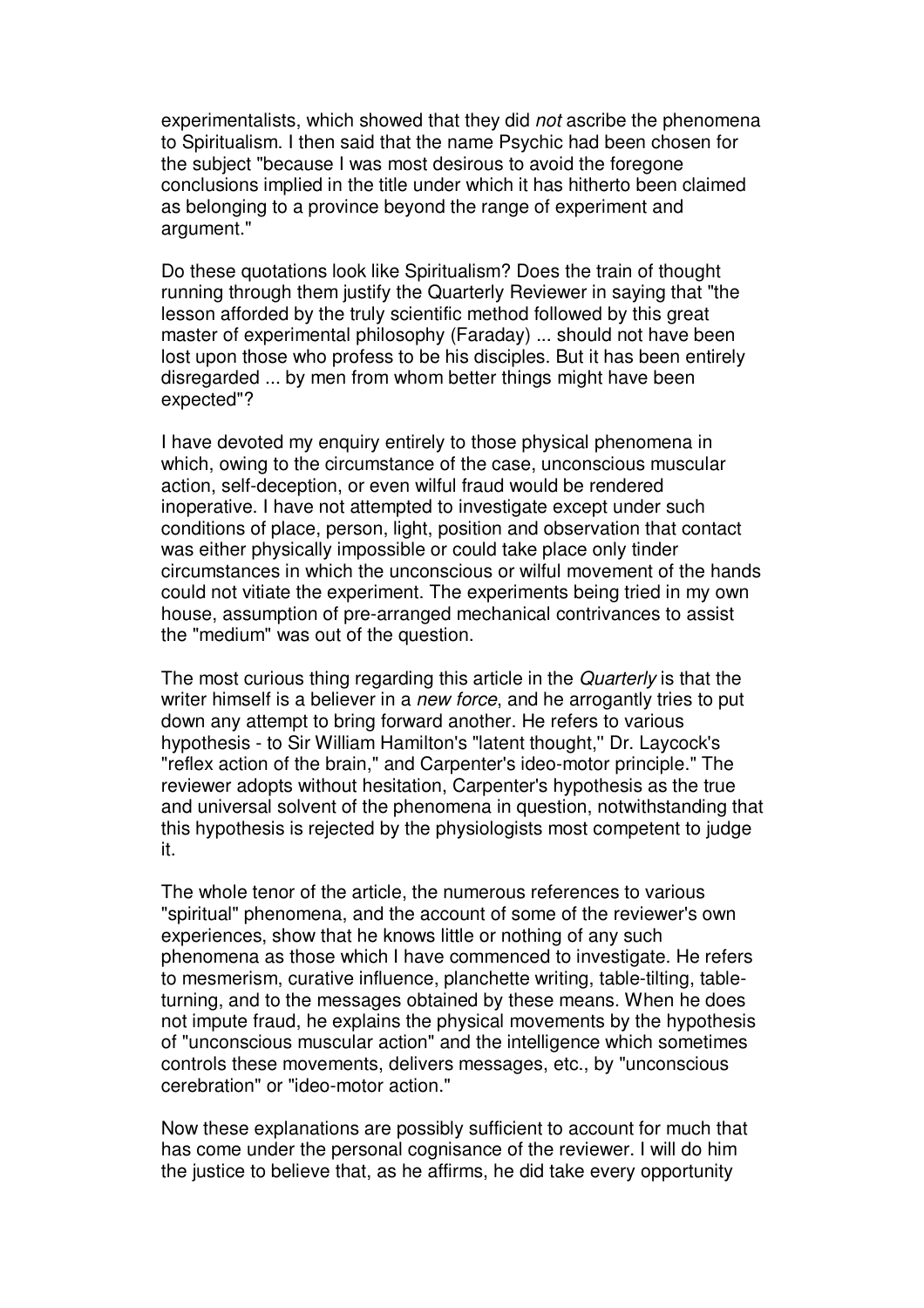experimentalists, which showed that they did *not* ascribe the phenomena to Spiritualism. I then said that the name Psychic had been chosen for the subject "because I was most desirous to avoid the foregone conclusions implied in the title under which it has hitherto been claimed as belonging to a province beyond the range of experiment and argument."

Do these quotations look like Spiritualism? Does the train of thought running through them justify the Quarterly Reviewer in saying that "the lesson afforded by the truly scientific method followed by this great master of experimental philosophy (Faraday) ... should not have been lost upon those who profess to be his disciples. But it has been entirely disregarded ... by men from whom better things might have been expected"?

I have devoted my enquiry entirely to those physical phenomena in which, owing to the circumstance of the case, unconscious muscular action, self-deception, or even wilful fraud would be rendered inoperative. I have not attempted to investigate except under such conditions of place, person, light, position and observation that contact was either physically impossible or could take place only tinder circumstances in which the unconscious or wilful movement of the hands could not vitiate the experiment. The experiments being tried in my own house, assumption of pre-arranged mechanical contrivances to assist the "medium" was out of the question.

The most curious thing regarding this article in the *Quarterly* is that the writer himself is a believer in a *new force*, and he arrogantly tries to put down any attempt to bring forward another. He refers to various hypothesis - to Sir William Hamilton's "latent thought,'' Dr. Laycock's "reflex action of the brain," and Carpenter's ideo-motor principle." The reviewer adopts without hesitation, Carpenter's hypothesis as the true and universal solvent of the phenomena in question, notwithstanding that this hypothesis is rejected by the physiologists most competent to judge it.

The whole tenor of the article, the numerous references to various "spiritual" phenomena, and the account of some of the reviewer's own experiences, show that he knows little or nothing of any such phenomena as those which I have commenced to investigate. He refers to mesmerism, curative influence, planchette writing, table-tilting, tableturning, and to the messages obtained by these means. When he does not impute fraud, he explains the physical movements by the hypothesis of "unconscious muscular action" and the intelligence which sometimes controls these movements, delivers messages, etc., by "unconscious cerebration" or "ideo-motor action."

Now these explanations are possibly sufficient to account for much that has come under the personal cognisance of the reviewer. I will do him the justice to believe that, as he affirms, he did take every opportunity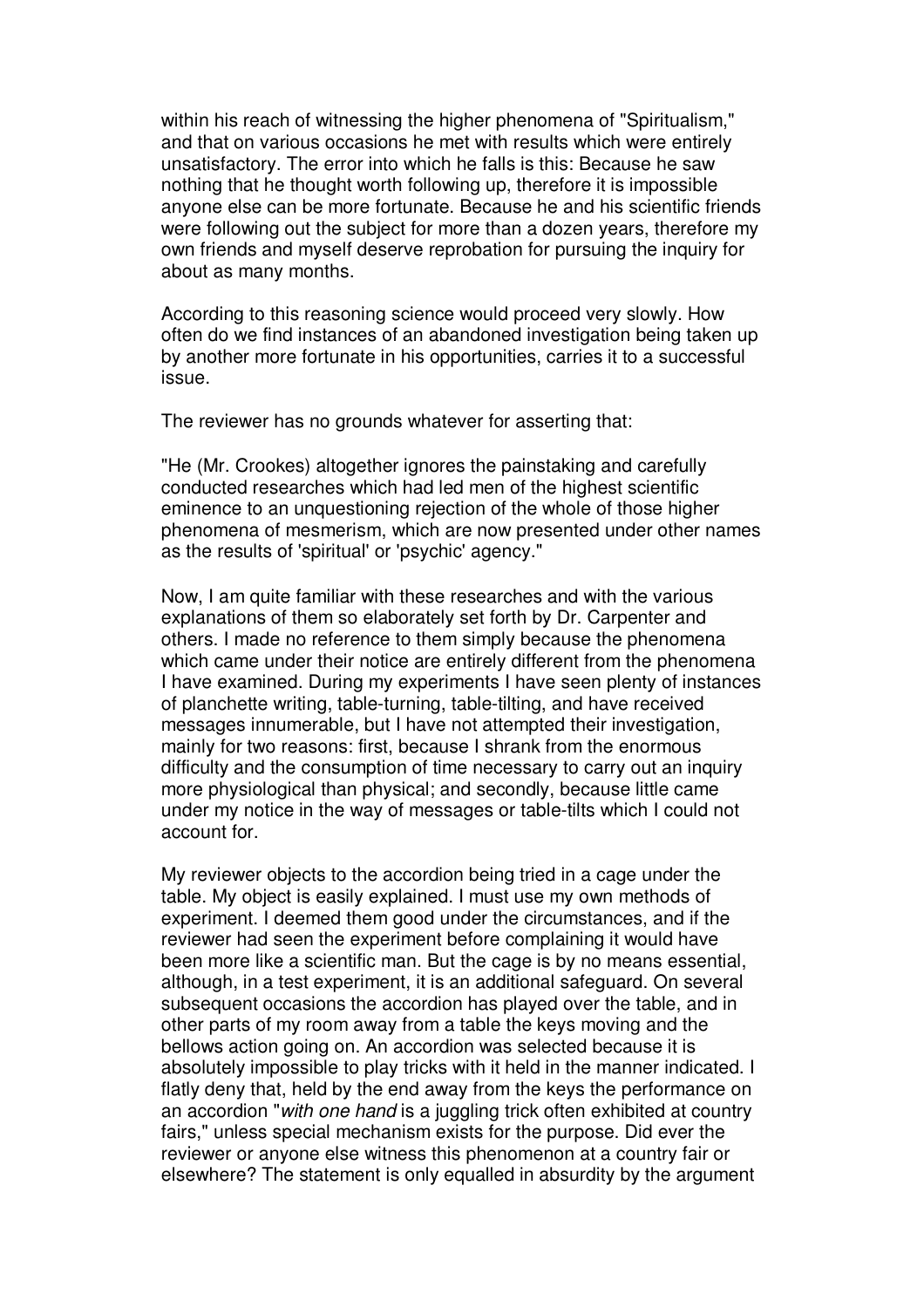within his reach of witnessing the higher phenomena of "Spiritualism," and that on various occasions he met with results which were entirely unsatisfactory. The error into which he falls is this: Because he saw nothing that he thought worth following up, therefore it is impossible anyone else can be more fortunate. Because he and his scientific friends were following out the subject for more than a dozen years, therefore my own friends and myself deserve reprobation for pursuing the inquiry for about as many months.

According to this reasoning science would proceed very slowly. How often do we find instances of an abandoned investigation being taken up by another more fortunate in his opportunities, carries it to a successful issue.

The reviewer has no grounds whatever for asserting that:

"He (Mr. Crookes) altogether ignores the painstaking and carefully conducted researches which had led men of the highest scientific eminence to an unquestioning rejection of the whole of those higher phenomena of mesmerism, which are now presented under other names as the results of 'spiritual' or 'psychic' agency."

Now, I am quite familiar with these researches and with the various explanations of them so elaborately set forth by Dr. Carpenter and others. I made no reference to them simply because the phenomena which came under their notice are entirely different from the phenomena I have examined. During my experiments I have seen plenty of instances of planchette writing, table-turning, table-tilting, and have received messages innumerable, but I have not attempted their investigation, mainly for two reasons: first, because I shrank from the enormous difficulty and the consumption of time necessary to carry out an inquiry more physiological than physical; and secondly, because little came under my notice in the way of messages or table-tilts which I could not account for.

My reviewer objects to the accordion being tried in a cage under the table. My object is easily explained. I must use my own methods of experiment. I deemed them good under the circumstances, and if the reviewer had seen the experiment before complaining it would have been more like a scientific man. But the cage is by no means essential, although, in a test experiment, it is an additional safeguard. On several subsequent occasions the accordion has played over the table, and in other parts of my room away from a table the keys moving and the bellows action going on. An accordion was selected because it is absolutely impossible to play tricks with it held in the manner indicated. I flatly deny that, held by the end away from the keys the performance on an accordion "*with one hand* is a juggling trick often exhibited at country fairs," unless special mechanism exists for the purpose. Did ever the reviewer or anyone else witness this phenomenon at a country fair or elsewhere? The statement is only equalled in absurdity by the argument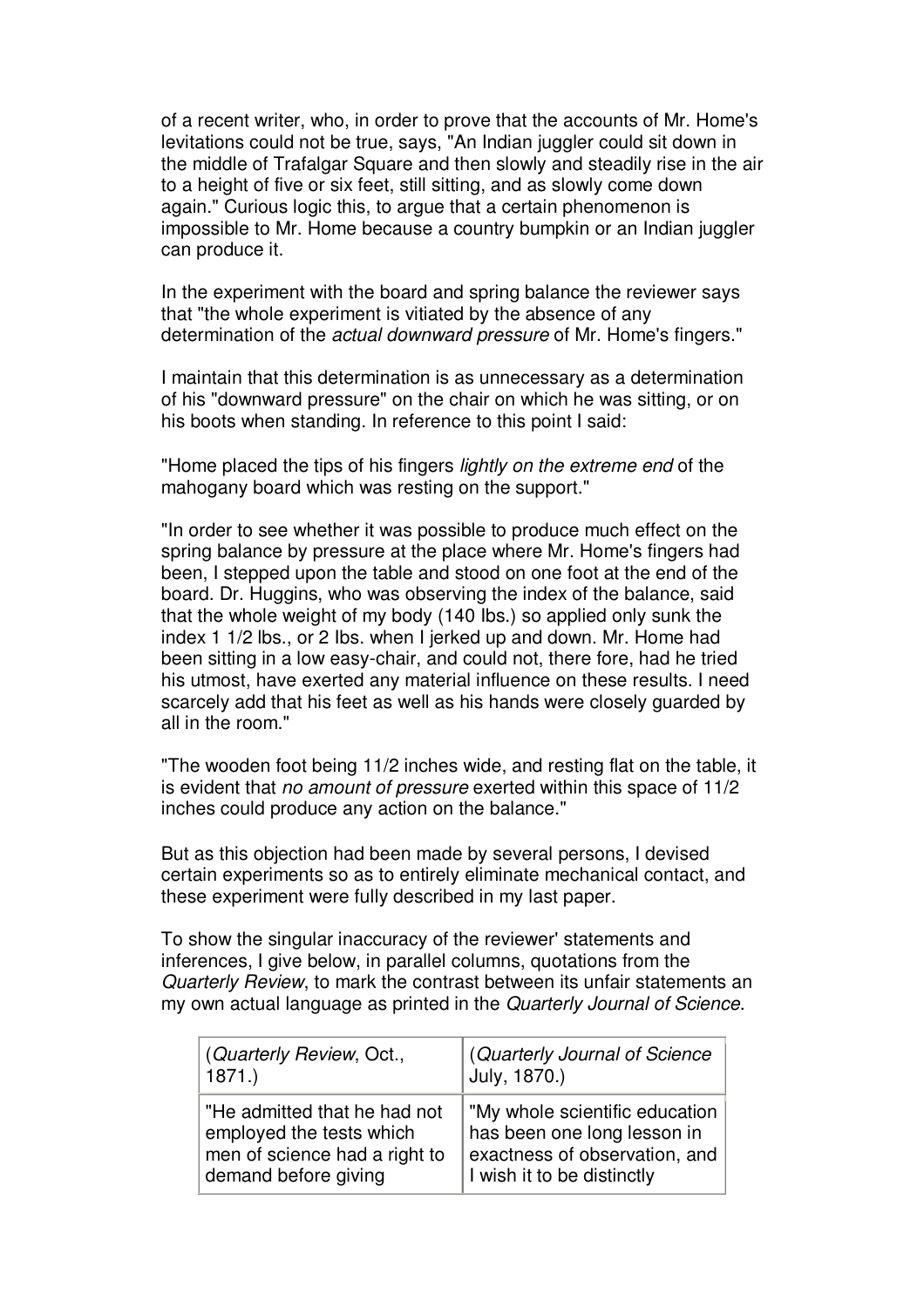of a recent writer, who, in order to prove that the accounts of Mr. Home's levitations could not be true, says, "An Indian juggler could sit down in the middle of Trafalgar Square and then slowly and steadily rise in the air to a height of five or six feet, still sitting, and as slowly come down again." Curious logic this, to argue that a certain phenomenon is impossible to Mr. Home because a country bumpkin or an Indian juggler can produce it.

In the experiment with the board and spring balance the reviewer says that "the whole experiment is vitiated by the absence of any determination of the *actual downward pressure* of Mr. Home's fingers."

I maintain that this determination is as unnecessary as a determination of his "downward pressure" on the chair on which he was sitting, or on his boots when standing. In reference to this point I said:

"Home placed the tips of his fingers *lightly on the extreme end* of the mahogany board which was resting on the support."

"In order to see whether it was possible to produce much effect on the spring balance by pressure at the place where Mr. Home's fingers had been, I stepped upon the table and stood on one foot at the end of the board. Dr. Huggins, who was observing the index of the balance, said that the whole weight of my body (140 Ibs.) so applied only sunk the index 1 1/2 lbs., or 2 Ibs. when I jerked up and down. Mr. Home had been sitting in a low easy-chair, and could not, there fore, had he tried his utmost, have exerted any material influence on these results. I need scarcely add that his feet as well as his hands were closely guarded by all in the room."

"The wooden foot being 11/2 inches wide, and resting flat on the table, it is evident that *no amount of pressure* exerted within this space of 11/2 inches could produce any action on the balance."

But as this objection had been made by several persons, I devised certain experiments so as to entirely eliminate mechanical contact, and these experiment were fully described in my last paper.

To show the singular inaccuracy of the reviewer' statements and inferences, I give below, in parallel columns, quotations from the *Quarterly Review*, to mark the contrast between its unfair statements an my own actual language as printed in the *Quarterly Journal of Science*.

| (Quarterly Review, Oct.,      | (Quarterly Journal of Science  |
|-------------------------------|--------------------------------|
| 1871.                         | July, 1870.)                   |
| "He admitted that he had not  | "My whole scientific education |
| employed the tests which      | has been one long lesson in    |
| men of science had a right to | exactness of observation, and  |
| demand before giving          | I wish it to be distinctly     |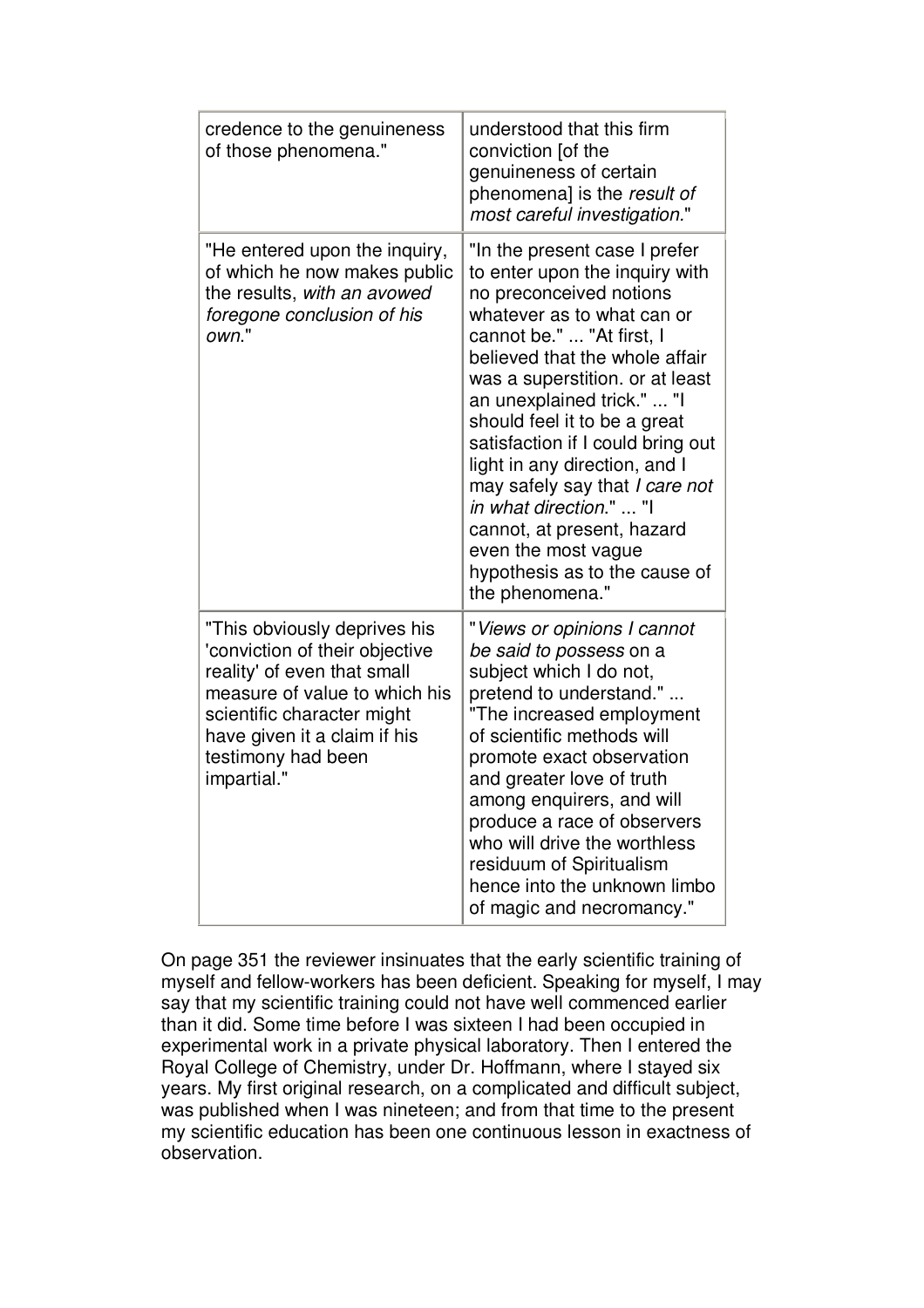| credence to the genuineness<br>of those phenomena."                                                                                                                                                                               | understood that this firm<br>conviction [of the<br>genuineness of certain<br>phenomena] is the result of<br>most careful investigation."                                                                                                                                                                                                                                                                                                                                                                                                     |
|-----------------------------------------------------------------------------------------------------------------------------------------------------------------------------------------------------------------------------------|----------------------------------------------------------------------------------------------------------------------------------------------------------------------------------------------------------------------------------------------------------------------------------------------------------------------------------------------------------------------------------------------------------------------------------------------------------------------------------------------------------------------------------------------|
| "He entered upon the inquiry,<br>of which he now makes public<br>the results, with an avowed<br>foregone conclusion of his<br>own."                                                                                               | "In the present case I prefer<br>to enter upon the inquiry with<br>no preconceived notions<br>whatever as to what can or<br>cannot be."  "At first, I<br>believed that the whole affair<br>was a superstition. or at least<br>an unexplained trick."  "I<br>should feel it to be a great<br>satisfaction if I could bring out<br>light in any direction, and I<br>may safely say that I care not<br><i>in what direction.</i> "  "I<br>cannot, at present, hazard<br>even the most vague<br>hypothesis as to the cause of<br>the phenomena." |
| "This obviously deprives his<br>'conviction of their objective<br>reality' of even that small<br>measure of value to which his<br>scientific character might<br>have given it a claim if his<br>testimony had been<br>impartial." | "Views or opinions I cannot<br>be said to possess on a<br>subject which I do not,<br>pretend to understand."<br>"The increased employment<br>of scientific methods will<br>promote exact observation<br>and greater love of truth<br>among enquirers, and will<br>produce a race of observers<br>who will drive the worthless<br>residuum of Spiritualism<br>hence into the unknown limbo<br>of magic and necromancy."                                                                                                                       |

On page 351 the reviewer insinuates that the early scientific training of myself and fellow-workers has been deficient. Speaking for myself, I may say that my scientific training could not have well commenced earlier than it did. Some time before I was sixteen I had been occupied in experimental work in a private physical laboratory. Then I entered the Royal College of Chemistry, under Dr. Hoffmann, where I stayed six years. My first original research, on a complicated and difficult subject, was published when I was nineteen; and from that time to the present my scientific education has been one continuous lesson in exactness of observation.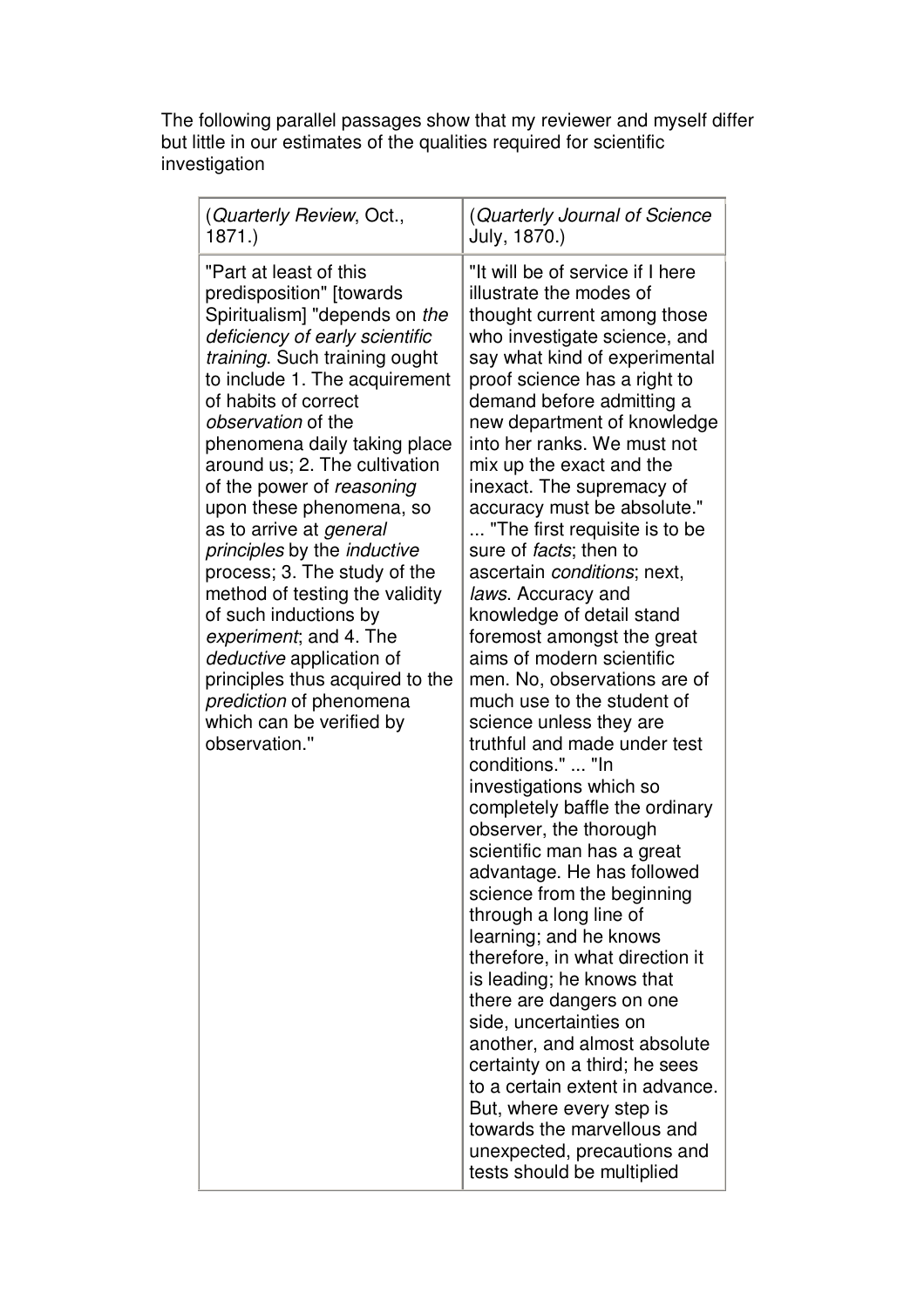The following parallel passages show that my reviewer and myself differ but little in our estimates of the qualities required for scientific investigation

| (Quarterly Review, Oct.,                                                                                                                                                                                                                                                                                                                                                                                                                                                                                                                                                                                                                                                                            | (Quarterly Journal of Science                                                                                                                                                                                                                                                                                                                                                                                                                                                                                                                                                                                                                                                                                                                                                                                                                                                                                                                                                                                                                                                                                                                                                                                                                                                                                                      |
|-----------------------------------------------------------------------------------------------------------------------------------------------------------------------------------------------------------------------------------------------------------------------------------------------------------------------------------------------------------------------------------------------------------------------------------------------------------------------------------------------------------------------------------------------------------------------------------------------------------------------------------------------------------------------------------------------------|------------------------------------------------------------------------------------------------------------------------------------------------------------------------------------------------------------------------------------------------------------------------------------------------------------------------------------------------------------------------------------------------------------------------------------------------------------------------------------------------------------------------------------------------------------------------------------------------------------------------------------------------------------------------------------------------------------------------------------------------------------------------------------------------------------------------------------------------------------------------------------------------------------------------------------------------------------------------------------------------------------------------------------------------------------------------------------------------------------------------------------------------------------------------------------------------------------------------------------------------------------------------------------------------------------------------------------|
| 1871.                                                                                                                                                                                                                                                                                                                                                                                                                                                                                                                                                                                                                                                                                               | July, 1870.)                                                                                                                                                                                                                                                                                                                                                                                                                                                                                                                                                                                                                                                                                                                                                                                                                                                                                                                                                                                                                                                                                                                                                                                                                                                                                                                       |
| "Part at least of this<br>predisposition" [towards<br>Spiritualism] "depends on the<br>deficiency of early scientific<br>training. Such training ought<br>to include 1. The acquirement<br>of habits of correct<br>observation of the<br>phenomena daily taking place<br>around us; 2. The cultivation<br>of the power of reasoning<br>upon these phenomena, so<br>as to arrive at <i>general</i><br>principles by the <i>inductive</i><br>process; 3. The study of the<br>method of testing the validity<br>of such inductions by<br>experiment; and 4. The<br>deductive application of<br>principles thus acquired to the<br>prediction of phenomena<br>which can be verified by<br>observation." | "It will be of service if I here<br>illustrate the modes of<br>thought current among those<br>who investigate science, and<br>say what kind of experimental<br>proof science has a right to<br>demand before admitting a<br>new department of knowledge<br>into her ranks. We must not<br>mix up the exact and the<br>inexact. The supremacy of<br>accuracy must be absolute."<br>"The first requisite is to be<br>sure of <i>facts</i> ; then to<br>ascertain conditions; next,<br>laws. Accuracy and<br>knowledge of detail stand<br>foremost amongst the great<br>aims of modern scientific<br>men. No, observations are of<br>much use to the student of<br>science unless they are<br>truthful and made under test<br>conditions."  "In<br>investigations which so<br>completely baffle the ordinary<br>observer, the thorough<br>scientific man has a great<br>advantage. He has followed<br>science from the beginning<br>through a long line of<br>learning; and he knows<br>therefore, in what direction it<br>is leading; he knows that<br>there are dangers on one<br>side, uncertainties on<br>another, and almost absolute<br>certainty on a third; he sees<br>to a certain extent in advance.<br>But, where every step is<br>towards the marvellous and<br>unexpected, precautions and<br>tests should be multiplied |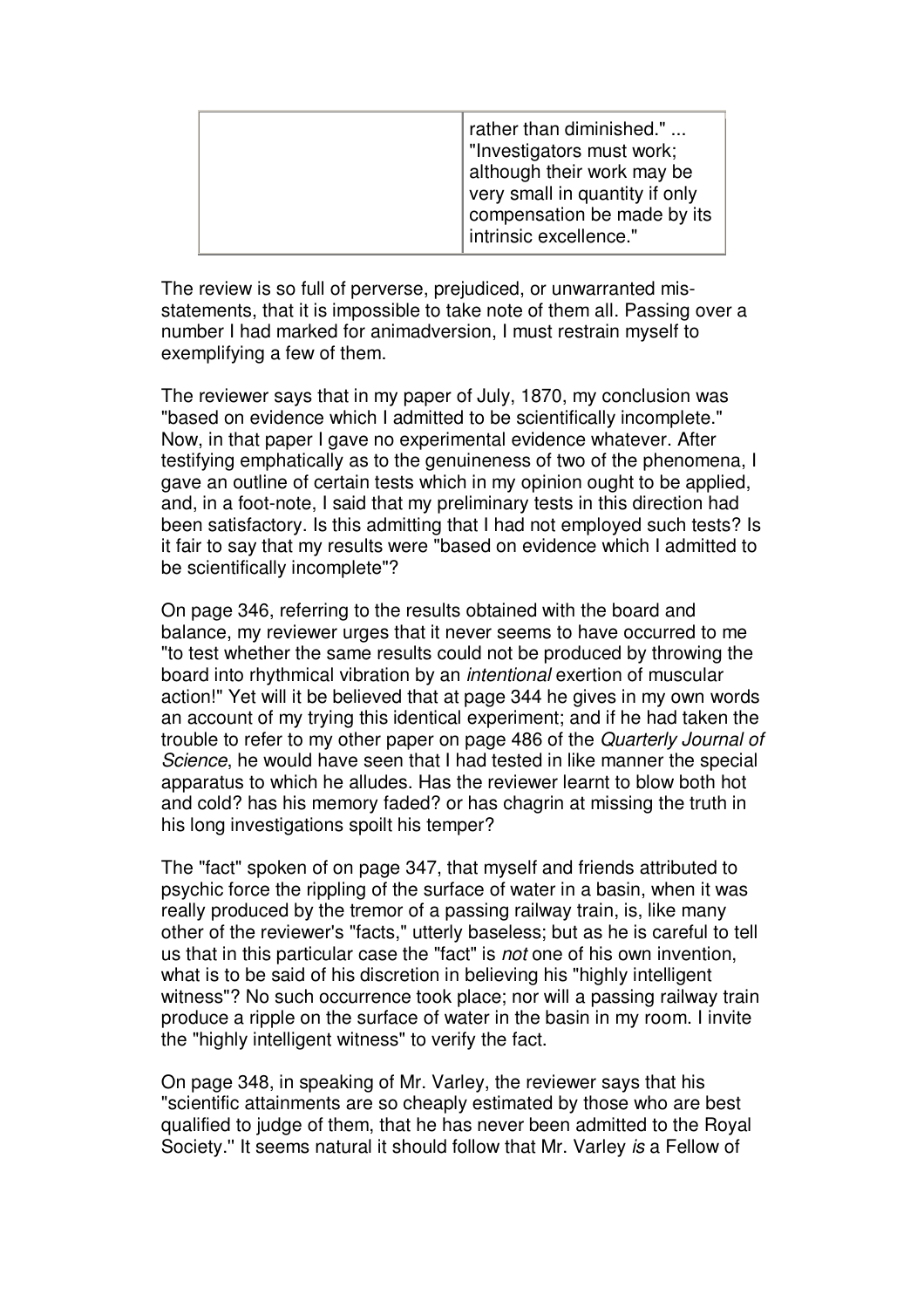|  | rather than diminished."<br>"Investigators must work;<br>although their work may be<br>very small in quantity if only<br>compensation be made by its<br>intrinsic excellence." |
|--|--------------------------------------------------------------------------------------------------------------------------------------------------------------------------------|
|--|--------------------------------------------------------------------------------------------------------------------------------------------------------------------------------|

The review is so full of perverse, prejudiced, or unwarranted misstatements, that it is impossible to take note of them all. Passing over a number I had marked for animadversion, I must restrain myself to exemplifying a few of them.

The reviewer says that in my paper of July, 1870, my conclusion was "based on evidence which I admitted to be scientifically incomplete." Now, in that paper I gave no experimental evidence whatever. After testifying emphatically as to the genuineness of two of the phenomena, I gave an outline of certain tests which in my opinion ought to be applied, and, in a foot-note, I said that my preliminary tests in this direction had been satisfactory. Is this admitting that I had not employed such tests? Is it fair to say that my results were "based on evidence which I admitted to be scientifically incomplete"?

On page 346, referring to the results obtained with the board and balance, my reviewer urges that it never seems to have occurred to me "to test whether the same results could not be produced by throwing the board into rhythmical vibration by an *intentional* exertion of muscular action!" Yet will it be believed that at page 344 he gives in my own words an account of my trying this identical experiment; and if he had taken the trouble to refer to my other paper on page 486 of the *Quarterly Journal of Science*, he would have seen that I had tested in like manner the special apparatus to which he alludes. Has the reviewer learnt to blow both hot and cold? has his memory faded? or has chagrin at missing the truth in his long investigations spoilt his temper?

The "fact" spoken of on page 347, that myself and friends attributed to psychic force the rippling of the surface of water in a basin, when it was really produced by the tremor of a passing railway train, is, like many other of the reviewer's "facts," utterly baseless; but as he is careful to tell us that in this particular case the "fact" is *not* one of his own invention, what is to be said of his discretion in believing his "highly intelligent witness"? No such occurrence took place; nor will a passing railway train produce a ripple on the surface of water in the basin in my room. I invite the "highly intelligent witness" to verify the fact.

On page 348, in speaking of Mr. Varley, the reviewer says that his "scientific attainments are so cheaply estimated by those who are best qualified to judge of them, that he has never been admitted to the Royal Society.'' It seems natural it should follow that Mr. Varley *is* a Fellow of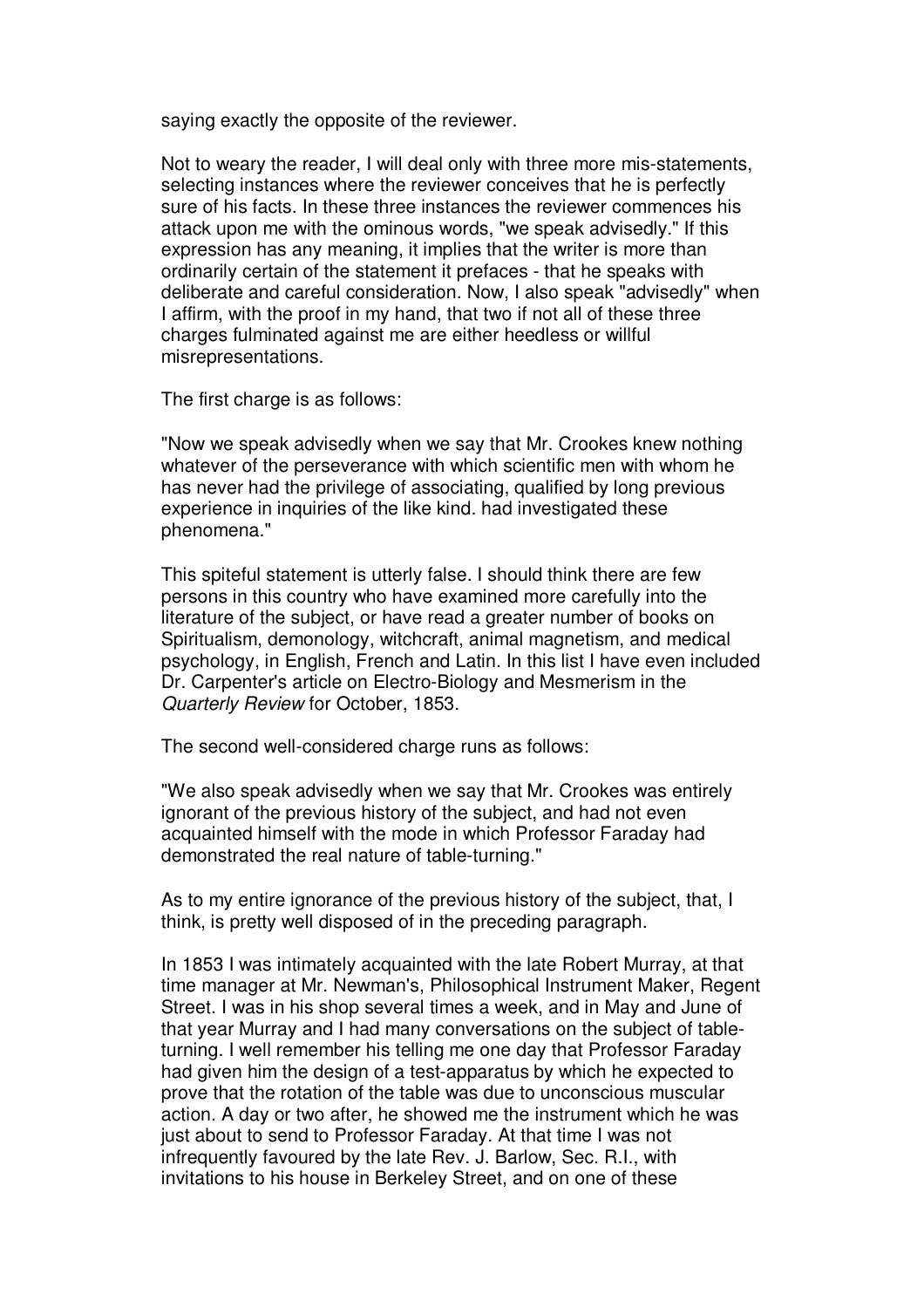saying exactly the opposite of the reviewer.

Not to weary the reader, I will deal only with three more mis-statements, selecting instances where the reviewer conceives that he is perfectly sure of his facts. In these three instances the reviewer commences his attack upon me with the ominous words, "we speak advisedly." If this expression has any meaning, it implies that the writer is more than ordinarily certain of the statement it prefaces - that he speaks with deliberate and careful consideration. Now, I also speak "advisedly" when I affirm, with the proof in my hand, that two if not all of these three charges fulminated against me are either heedless or willful misrepresentations.

The first charge is as follows:

"Now we speak advisedly when we say that Mr. Crookes knew nothing whatever of the perseverance with which scientific men with whom he has never had the privilege of associating, qualified by long previous experience in inquiries of the like kind. had investigated these phenomena."

This spiteful statement is utterly false. I should think there are few persons in this country who have examined more carefully into the literature of the subject, or have read a greater number of books on Spiritualism, demonology, witchcraft, animal magnetism, and medical psychology, in English, French and Latin. In this list I have even included Dr. Carpenter's article on Electro-Biology and Mesmerism in the *Quarterly Review* for October, 1853.

The second well-considered charge runs as follows:

"We also speak advisedly when we say that Mr. Crookes was entirely ignorant of the previous history of the subject, and had not even acquainted himself with the mode in which Professor Faraday had demonstrated the real nature of table-turning."

As to my entire ignorance of the previous history of the subject, that, I think, is pretty well disposed of in the preceding paragraph.

In 1853 I was intimately acquainted with the late Robert Murray, at that time manager at Mr. Newman's, Philosophical Instrument Maker, Regent Street. I was in his shop several times a week, and in May and June of that year Murray and I had many conversations on the subject of tableturning. I well remember his telling me one day that Professor Faraday had given him the design of a test-apparatus by which he expected to prove that the rotation of the table was due to unconscious muscular action. A day or two after, he showed me the instrument which he was just about to send to Professor Faraday. At that time I was not infrequently favoured by the late Rev. J. Barlow, Sec. R.I., with invitations to his house in Berkeley Street, and on one of these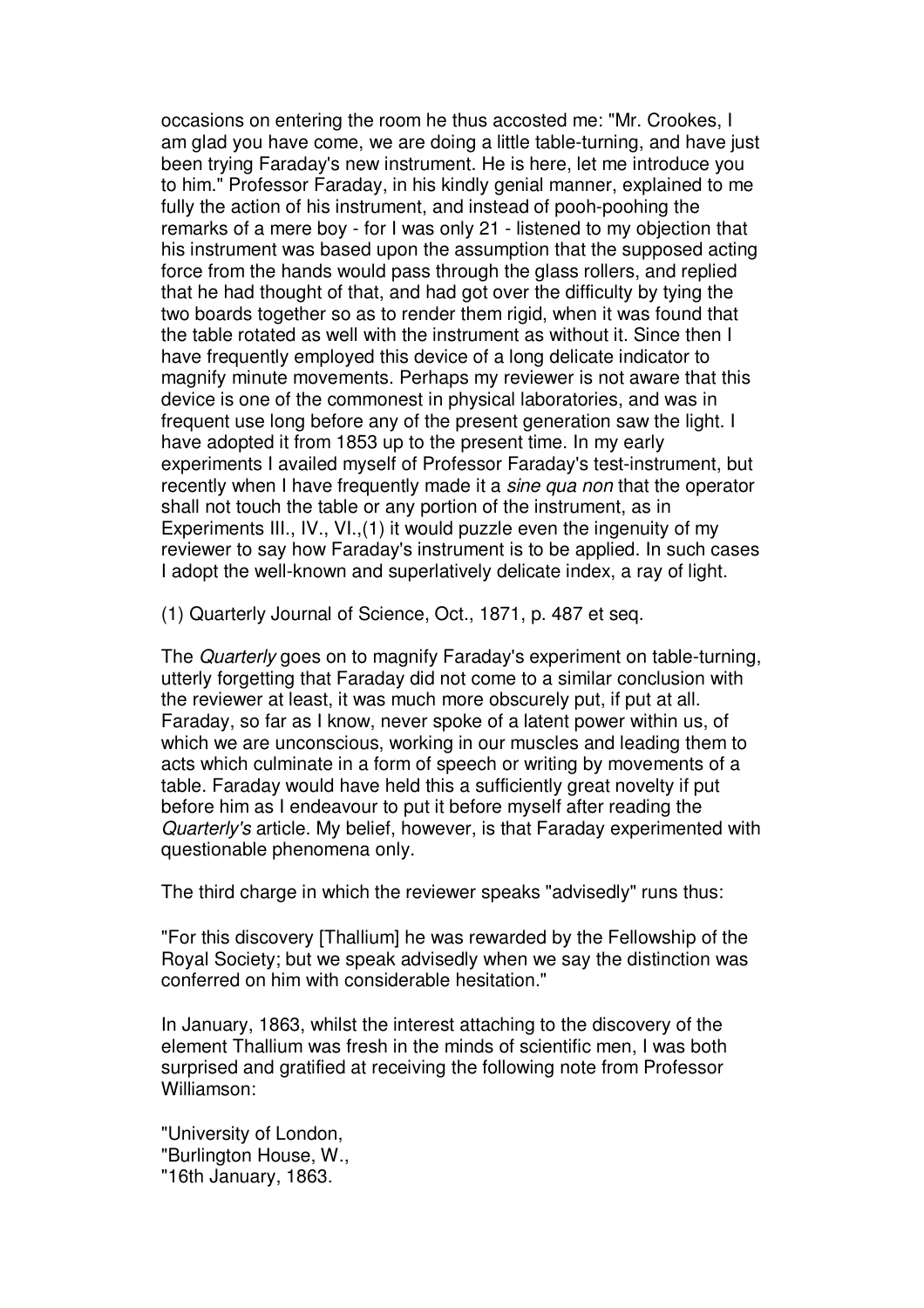occasions on entering the room he thus accosted me: "Mr. Crookes, I am glad you have come, we are doing a little table-turning, and have just been trying Faraday's new instrument. He is here, let me introduce you to him." Professor Faraday, in his kindly genial manner, explained to me fully the action of his instrument, and instead of pooh-poohing the remarks of a mere boy - for I was only 21 - listened to my objection that his instrument was based upon the assumption that the supposed acting force from the hands would pass through the glass rollers, and replied that he had thought of that, and had got over the difficulty by tying the two boards together so as to render them rigid, when it was found that the table rotated as well with the instrument as without it. Since then I have frequently employed this device of a long delicate indicator to magnify minute movements. Perhaps my reviewer is not aware that this device is one of the commonest in physical laboratories, and was in frequent use long before any of the present generation saw the light. I have adopted it from 1853 up to the present time. In my early experiments I availed myself of Professor Faraday's test-instrument, but recently when I have frequently made it a *sine qua non* that the operator shall not touch the table or any portion of the instrument, as in Experiments III., IV., VI.,(1) it would puzzle even the ingenuity of my reviewer to say how Faraday's instrument is to be applied. In such cases I adopt the well-known and superlatively delicate index, a ray of light.

(1) Quarterly Journal of Science, Oct., 1871, p. 487 et seq.

The *Quarterly* goes on to magnify Faraday's experiment on table-turning, utterly forgetting that Faraday did not come to a similar conclusion with the reviewer at least, it was much more obscurely put, if put at all. Faraday, so far as I know, never spoke of a latent power within us, of which we are unconscious, working in our muscles and leading them to acts which culminate in a form of speech or writing by movements of a table. Faraday would have held this a sufficiently great novelty if put before him as I endeavour to put it before myself after reading the *Quarterly's* article. My belief, however, is that Faraday experimented with questionable phenomena only.

The third charge in which the reviewer speaks "advisedly" runs thus:

"For this discovery [Thallium] he was rewarded by the Fellowship of the Royal Society; but we speak advisedly when we say the distinction was conferred on him with considerable hesitation."

In January, 1863, whilst the interest attaching to the discovery of the element Thallium was fresh in the minds of scientific men, I was both surprised and gratified at receiving the following note from Professor Williamson:

"University of London, "Burlington House, W., "16th January, 1863.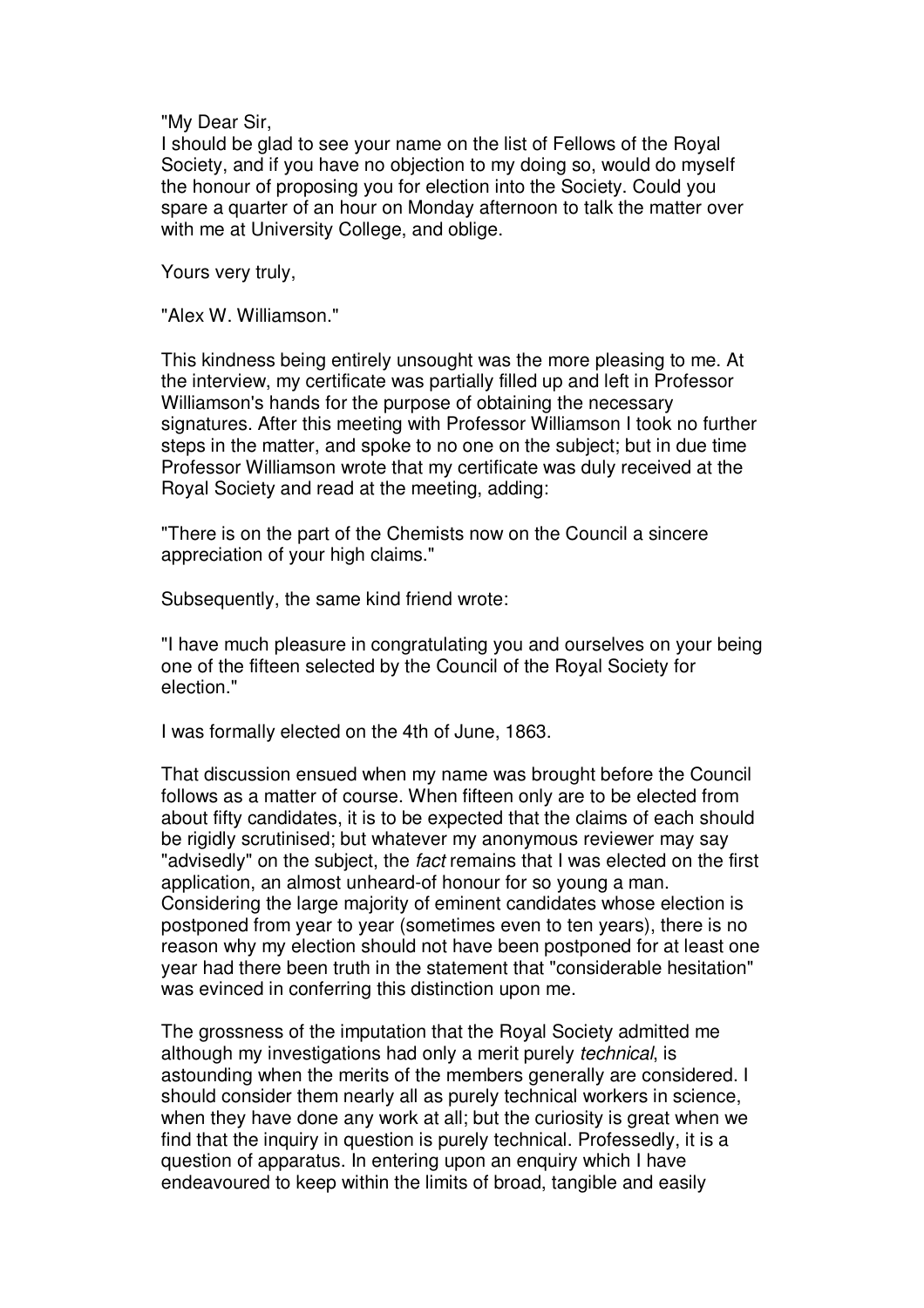"My Dear Sir,

I should be glad to see your name on the list of Fellows of the Royal Society, and if you have no objection to my doing so, would do myself the honour of proposing you for election into the Society. Could you spare a quarter of an hour on Monday afternoon to talk the matter over with me at University College, and oblige.

Yours very truly,

"Alex W. Williamson."

This kindness being entirely unsought was the more pleasing to me. At the interview, my certificate was partially filled up and left in Professor Williamson's hands for the purpose of obtaining the necessary signatures. After this meeting with Professor Williamson I took no further steps in the matter, and spoke to no one on the subject; but in due time Professor Williamson wrote that my certificate was duly received at the Royal Society and read at the meeting, adding:

"There is on the part of the Chemists now on the Council a sincere appreciation of your high claims."

Subsequently, the same kind friend wrote:

"I have much pleasure in congratulating you and ourselves on your being one of the fifteen selected by the Council of the Royal Society for election."

I was formally elected on the 4th of June, 1863.

That discussion ensued when my name was brought before the Council follows as a matter of course. When fifteen only are to be elected from about fifty candidates, it is to be expected that the claims of each should be rigidly scrutinised; but whatever my anonymous reviewer may say "advisedly" on the subject, the *fact* remains that I was elected on the first application, an almost unheard-of honour for so young a man. Considering the large majority of eminent candidates whose election is postponed from year to year (sometimes even to ten years), there is no reason why my election should not have been postponed for at least one year had there been truth in the statement that "considerable hesitation" was evinced in conferring this distinction upon me.

The grossness of the imputation that the Royal Society admitted me although my investigations had only a merit purely *technical*, is astounding when the merits of the members generally are considered. I should consider them nearly all as purely technical workers in science, when they have done any work at all; but the curiosity is great when we find that the inquiry in question is purely technical. Professedly, it is a question of apparatus. In entering upon an enquiry which I have endeavoured to keep within the limits of broad, tangible and easily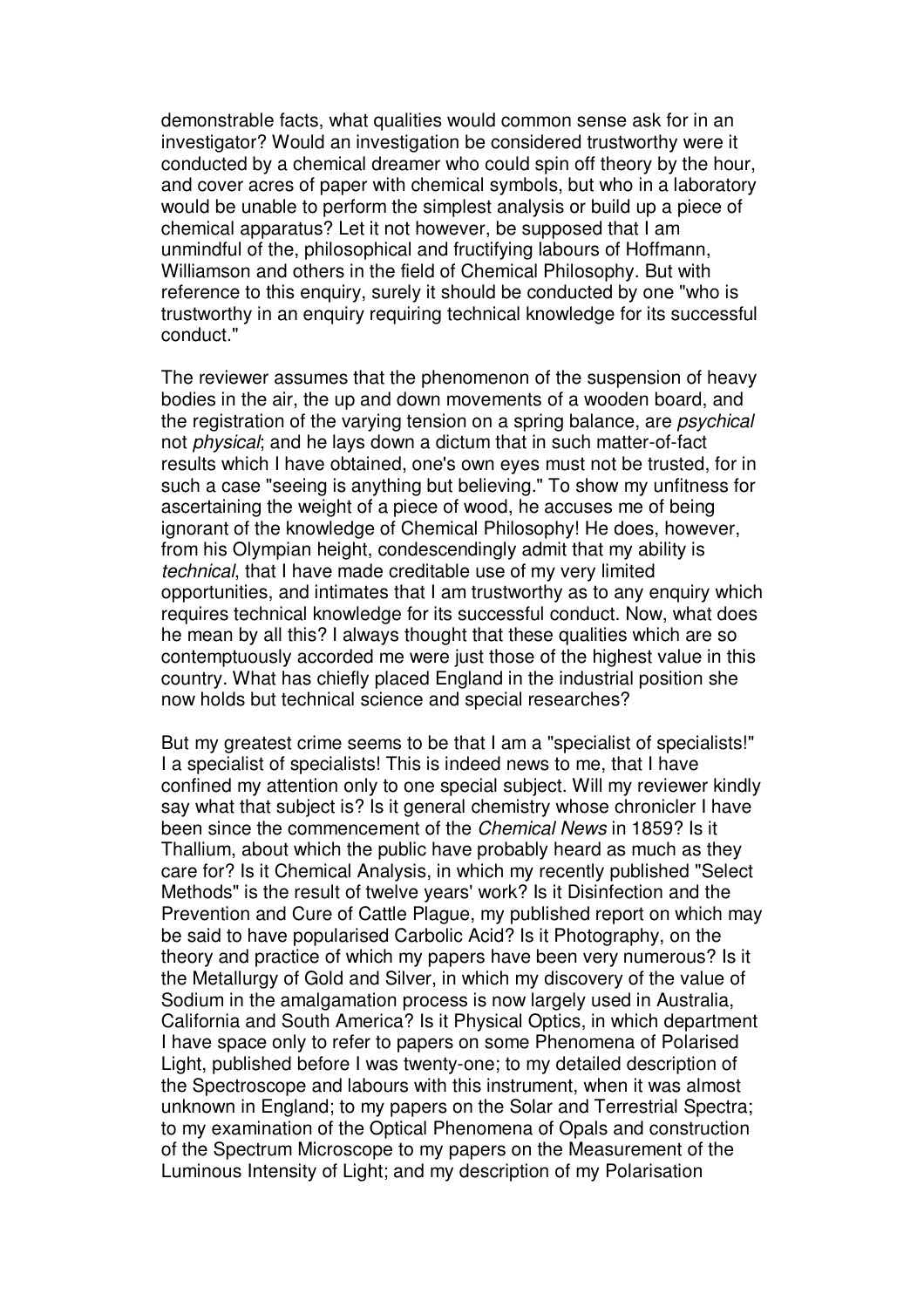demonstrable facts, what qualities would common sense ask for in an investigator? Would an investigation be considered trustworthy were it conducted by a chemical dreamer who could spin off theory by the hour, and cover acres of paper with chemical symbols, but who in a laboratory would be unable to perform the simplest analysis or build up a piece of chemical apparatus? Let it not however, be supposed that I am unmindful of the, philosophical and fructifying labours of Hoffmann, Williamson and others in the field of Chemical Philosophy. But with reference to this enquiry, surely it should be conducted by one "who is trustworthy in an enquiry requiring technical knowledge for its successful conduct."

The reviewer assumes that the phenomenon of the suspension of heavy bodies in the air, the up and down movements of a wooden board, and the registration of the varying tension on a spring balance, are *psychical* not *physical*; and he lays down a dictum that in such matter-of-fact results which I have obtained, one's own eyes must not be trusted, for in such a case "seeing is anything but believing." To show my unfitness for ascertaining the weight of a piece of wood, he accuses me of being ignorant of the knowledge of Chemical Philosophy! He does, however, from his Olympian height, condescendingly admit that my ability is *technical*, that I have made creditable use of my very limited opportunities, and intimates that I am trustworthy as to any enquiry which requires technical knowledge for its successful conduct. Now, what does he mean by all this? I always thought that these qualities which are so contemptuously accorded me were just those of the highest value in this country. What has chiefly placed England in the industrial position she now holds but technical science and special researches?

But my greatest crime seems to be that I am a "specialist of specialists!" I a specialist of specialists! This is indeed news to me, that I have confined my attention only to one special subject. Will my reviewer kindly say what that subject is? Is it general chemistry whose chronicler I have been since the commencement of the *Chemical News* in 1859? Is it Thallium, about which the public have probably heard as much as they care for? Is it Chemical Analysis, in which my recently published "Select Methods" is the result of twelve years' work? Is it Disinfection and the Prevention and Cure of Cattle Plague, my published report on which may be said to have popularised Carbolic Acid? Is it Photography, on the theory and practice of which my papers have been very numerous? Is it the Metallurgy of Gold and Silver, in which my discovery of the value of Sodium in the amalgamation process is now largely used in Australia, California and South America? Is it Physical Optics, in which department I have space only to refer to papers on some Phenomena of Polarised Light, published before I was twenty-one; to my detailed description of the Spectroscope and labours with this instrument, when it was almost unknown in England; to my papers on the Solar and Terrestrial Spectra; to my examination of the Optical Phenomena of Opals and construction of the Spectrum Microscope to my papers on the Measurement of the Luminous Intensity of Light; and my description of my Polarisation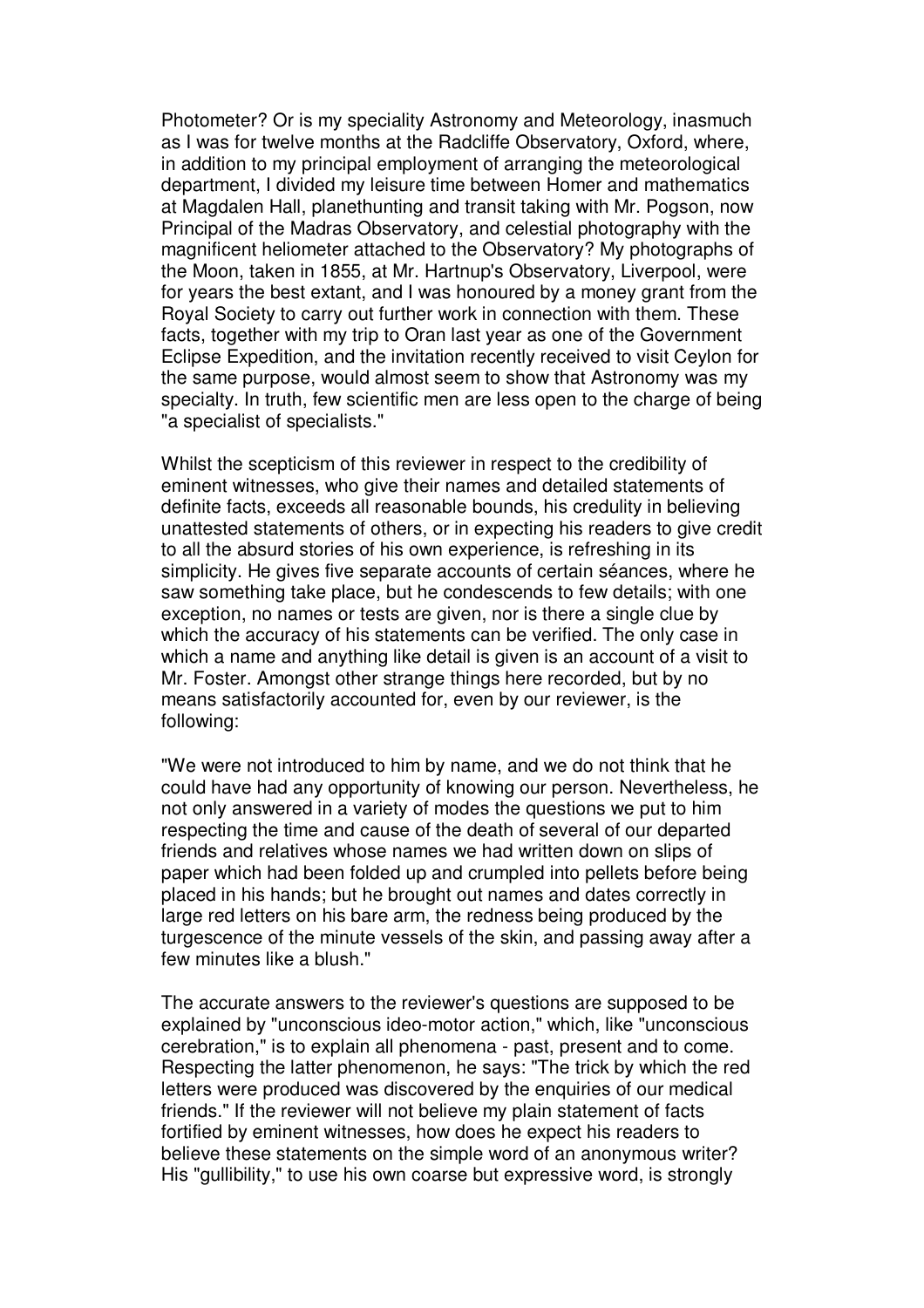Photometer? Or is my speciality Astronomy and Meteorology, inasmuch as I was for twelve months at the Radcliffe Observatory, Oxford, where, in addition to my principal employment of arranging the meteorological department, I divided my leisure time between Homer and mathematics at Magdalen Hall, planethunting and transit taking with Mr. Pogson, now Principal of the Madras Observatory, and celestial photography with the magnificent heliometer attached to the Observatory? My photographs of the Moon, taken in 1855, at Mr. Hartnup's Observatory, Liverpool, were for years the best extant, and I was honoured by a money grant from the Royal Society to carry out further work in connection with them. These facts, together with my trip to Oran last year as one of the Government Eclipse Expedition, and the invitation recently received to visit Ceylon for the same purpose, would almost seem to show that Astronomy was my specialty. In truth, few scientific men are less open to the charge of being "a specialist of specialists."

Whilst the scepticism of this reviewer in respect to the credibility of eminent witnesses, who give their names and detailed statements of definite facts, exceeds all reasonable bounds, his credulity in believing unattested statements of others, or in expecting his readers to give credit to all the absurd stories of his own experience, is refreshing in its simplicity. He gives five separate accounts of certain séances, where he saw something take place, but he condescends to few details; with one exception, no names or tests are given, nor is there a single clue by which the accuracy of his statements can be verified. The only case in which a name and anything like detail is given is an account of a visit to Mr. Foster. Amongst other strange things here recorded, but by no means satisfactorily accounted for, even by our reviewer, is the following:

"We were not introduced to him by name, and we do not think that he could have had any opportunity of knowing our person. Nevertheless, he not only answered in a variety of modes the questions we put to him respecting the time and cause of the death of several of our departed friends and relatives whose names we had written down on slips of paper which had been folded up and crumpled into pellets before being placed in his hands; but he brought out names and dates correctly in large red letters on his bare arm, the redness being produced by the turgescence of the minute vessels of the skin, and passing away after a few minutes like a blush."

The accurate answers to the reviewer's questions are supposed to be explained by "unconscious ideo-motor action," which, like "unconscious cerebration," is to explain all phenomena - past, present and to come. Respecting the latter phenomenon, he says: "The trick by which the red letters were produced was discovered by the enquiries of our medical friends." If the reviewer will not believe my plain statement of facts fortified by eminent witnesses, how does he expect his readers to believe these statements on the simple word of an anonymous writer? His "gullibility," to use his own coarse but expressive word, is strongly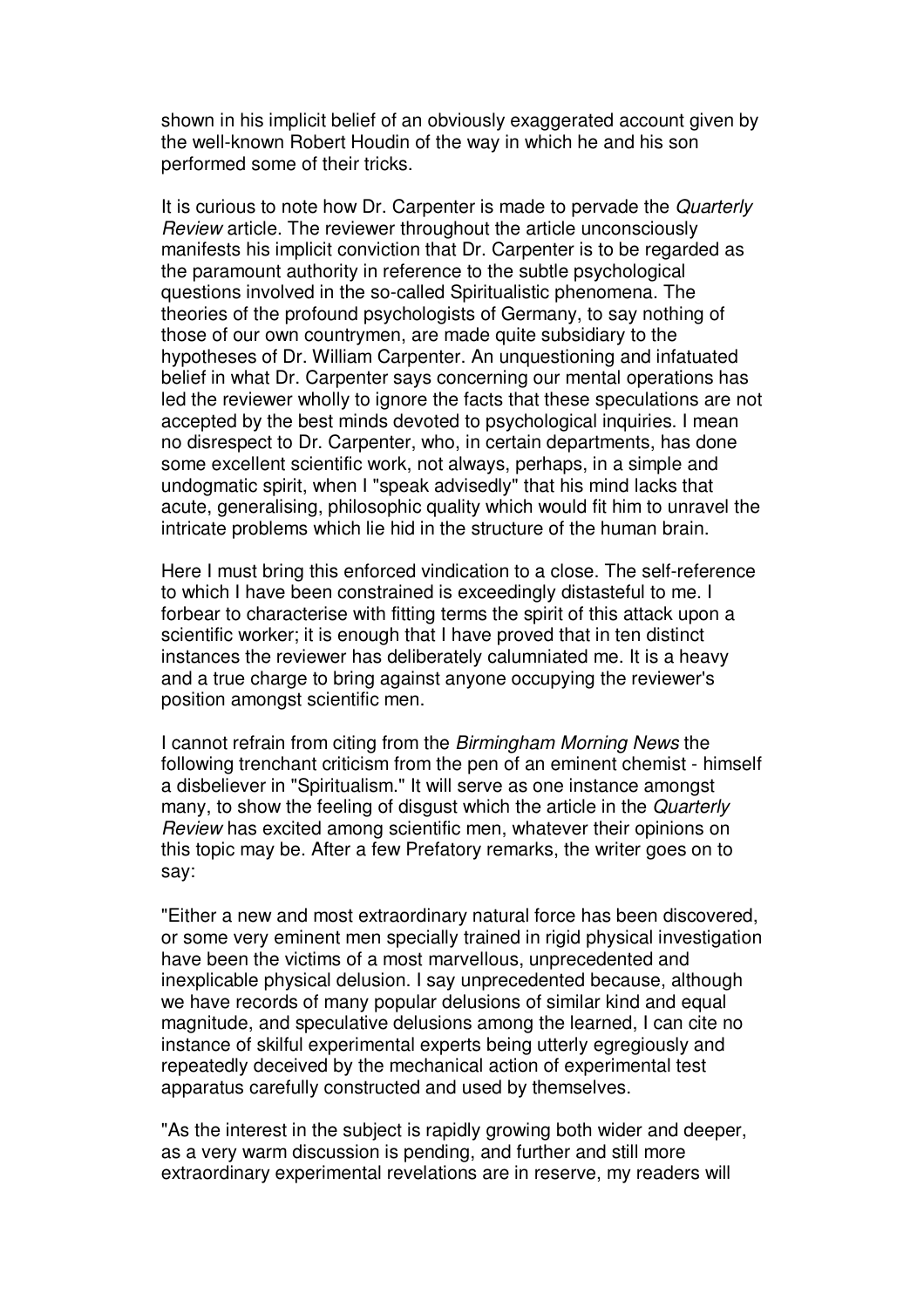shown in his implicit belief of an obviously exaggerated account given by the well-known Robert Houdin of the way in which he and his son performed some of their tricks.

It is curious to note how Dr. Carpenter is made to pervade the *Quarterly Review* article. The reviewer throughout the article unconsciously manifests his implicit conviction that Dr. Carpenter is to be regarded as the paramount authority in reference to the subtle psychological questions involved in the so-called Spiritualistic phenomena. The theories of the profound psychologists of Germany, to say nothing of those of our own countrymen, are made quite subsidiary to the hypotheses of Dr. William Carpenter. An unquestioning and infatuated belief in what Dr. Carpenter says concerning our mental operations has led the reviewer wholly to ignore the facts that these speculations are not accepted by the best minds devoted to psychological inquiries. I mean no disrespect to Dr. Carpenter, who, in certain departments, has done some excellent scientific work, not always, perhaps, in a simple and undogmatic spirit, when I "speak advisedly" that his mind lacks that acute, generalising, philosophic quality which would fit him to unravel the intricate problems which lie hid in the structure of the human brain.

Here I must bring this enforced vindication to a close. The self-reference to which I have been constrained is exceedingly distasteful to me. I forbear to characterise with fitting terms the spirit of this attack upon a scientific worker; it is enough that I have proved that in ten distinct instances the reviewer has deliberately calumniated me. It is a heavy and a true charge to bring against anyone occupying the reviewer's position amongst scientific men.

I cannot refrain from citing from the *Birmingham Morning News* the following trenchant criticism from the pen of an eminent chemist - himself a disbeliever in "Spiritualism." It will serve as one instance amongst many, to show the feeling of disgust which the article in the *Quarterly Review* has excited among scientific men, whatever their opinions on this topic may be. After a few Prefatory remarks, the writer goes on to say:

"Either a new and most extraordinary natural force has been discovered, or some very eminent men specially trained in rigid physical investigation have been the victims of a most marvellous, unprecedented and inexplicable physical delusion. I say unprecedented because, although we have records of many popular delusions of similar kind and equal magnitude, and speculative delusions among the learned, I can cite no instance of skilful experimental experts being utterly egregiously and repeatedly deceived by the mechanical action of experimental test apparatus carefully constructed and used by themselves.

"As the interest in the subject is rapidly growing both wider and deeper, as a very warm discussion is pending, and further and still more extraordinary experimental revelations are in reserve, my readers will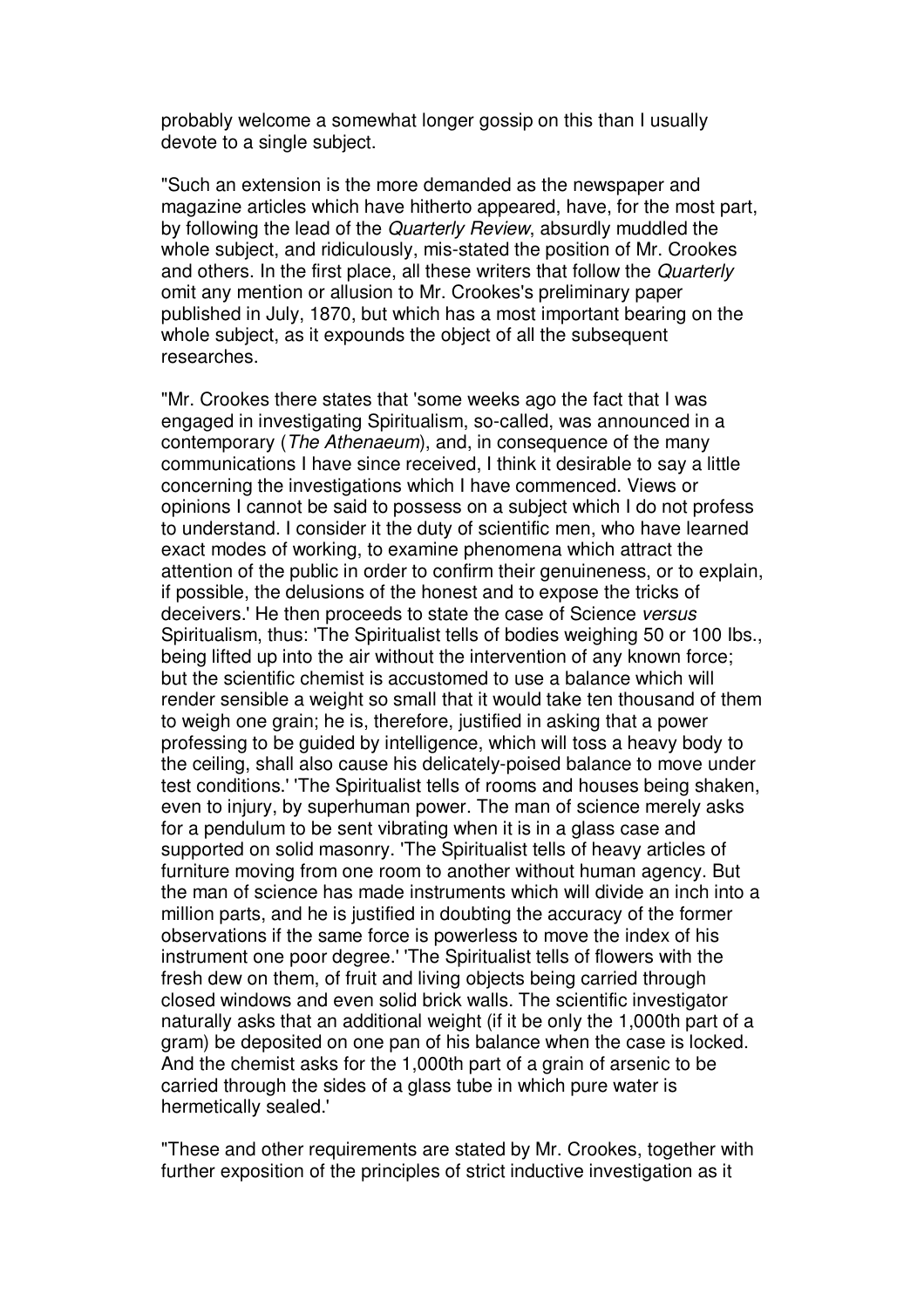probably welcome a somewhat longer gossip on this than I usually devote to a single subject.

"Such an extension is the more demanded as the newspaper and magazine articles which have hitherto appeared, have, for the most part, by following the lead of the *Quarterly Review*, absurdly muddled the whole subject, and ridiculously, mis-stated the position of Mr. Crookes and others. In the first place, all these writers that follow the *Quarterly* omit any mention or allusion to Mr. Crookes's preliminary paper published in July, 1870, but which has a most important bearing on the whole subject, as it expounds the object of all the subsequent researches.

"Mr. Crookes there states that 'some weeks ago the fact that I was engaged in investigating Spiritualism, so-called, was announced in a contemporary (*The Athenaeum*), and, in consequence of the many communications I have since received, I think it desirable to say a little concerning the investigations which I have commenced. Views or opinions I cannot be said to possess on a subject which I do not profess to understand. I consider it the duty of scientific men, who have learned exact modes of working, to examine phenomena which attract the attention of the public in order to confirm their genuineness, or to explain, if possible, the delusions of the honest and to expose the tricks of deceivers.' He then proceeds to state the case of Science *versus* Spiritualism, thus: 'The Spiritualist tells of bodies weighing 50 or 100 Ibs., being lifted up into the air without the intervention of any known force; but the scientific chemist is accustomed to use a balance which will render sensible a weight so small that it would take ten thousand of them to weigh one grain; he is, therefore, justified in asking that a power professing to be guided by intelligence, which will toss a heavy body to the ceiling, shall also cause his delicately-poised balance to move under test conditions.' 'The Spiritualist tells of rooms and houses being shaken, even to injury, by superhuman power. The man of science merely asks for a pendulum to be sent vibrating when it is in a glass case and supported on solid masonry. 'The Spiritualist tells of heavy articles of furniture moving from one room to another without human agency. But the man of science has made instruments which will divide an inch into a million parts, and he is justified in doubting the accuracy of the former observations if the same force is powerless to move the index of his instrument one poor degree.' 'The Spiritualist tells of flowers with the fresh dew on them, of fruit and living objects being carried through closed windows and even solid brick walls. The scientific investigator naturally asks that an additional weight (if it be only the 1,000th part of a gram) be deposited on one pan of his balance when the case is locked. And the chemist asks for the 1,000th part of a grain of arsenic to be carried through the sides of a glass tube in which pure water is hermetically sealed.'

"These and other requirements are stated by Mr. Crookes, together with further exposition of the principles of strict inductive investigation as it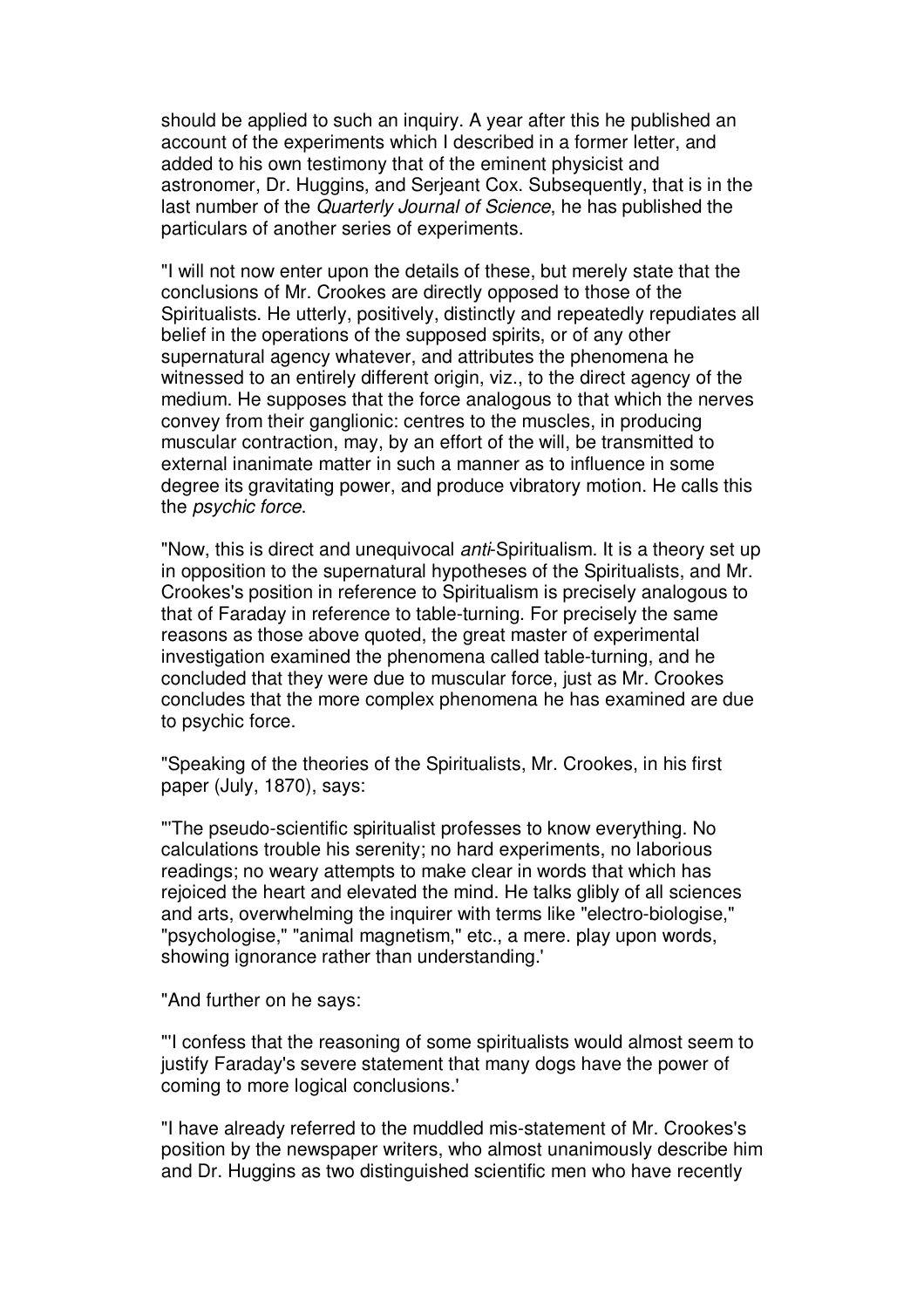should be applied to such an inquiry. A year after this he published an account of the experiments which I described in a former letter, and added to his own testimony that of the eminent physicist and astronomer, Dr. Huggins, and Serjeant Cox. Subsequently, that is in the last number of the *Quarterly Journal of Science*, he has published the particulars of another series of experiments.

"I will not now enter upon the details of these, but merely state that the conclusions of Mr. Crookes are directly opposed to those of the Spiritualists. He utterly, positively, distinctly and repeatedly repudiates all belief in the operations of the supposed spirits, or of any other supernatural agency whatever, and attributes the phenomena he witnessed to an entirely different origin, viz., to the direct agency of the medium. He supposes that the force analogous to that which the nerves convey from their ganglionic: centres to the muscles, in producing muscular contraction, may, by an effort of the will, be transmitted to external inanimate matter in such a manner as to influence in some degree its gravitating power, and produce vibratory motion. He calls this the *psychic force*.

"Now, this is direct and unequivocal *anti*-Spiritualism. It is a theory set up in opposition to the supernatural hypotheses of the Spiritualists, and Mr. Crookes's position in reference to Spiritualism is precisely analogous to that of Faraday in reference to table-turning. For precisely the same reasons as those above quoted, the great master of experimental investigation examined the phenomena called table-turning, and he concluded that they were due to muscular force, just as Mr. Crookes concludes that the more complex phenomena he has examined are due to psychic force.

"Speaking of the theories of the Spiritualists, Mr. Crookes, in his first paper (July, 1870), says:

"'The pseudo-scientific spiritualist professes to know everything. No calculations trouble his serenity; no hard experiments, no laborious readings; no weary attempts to make clear in words that which has rejoiced the heart and elevated the mind. He talks glibly of all sciences and arts, overwhelming the inquirer with terms like "electro-biologise," "psychologise," "animal magnetism," etc., a mere. play upon words, showing ignorance rather than understanding.'

"And further on he says:

"'I confess that the reasoning of some spiritualists would almost seem to justify Faraday's severe statement that many dogs have the power of coming to more logical conclusions.'

"I have already referred to the muddled mis-statement of Mr. Crookes's position by the newspaper writers, who almost unanimously describe him and Dr. Huggins as two distinguished scientific men who have recently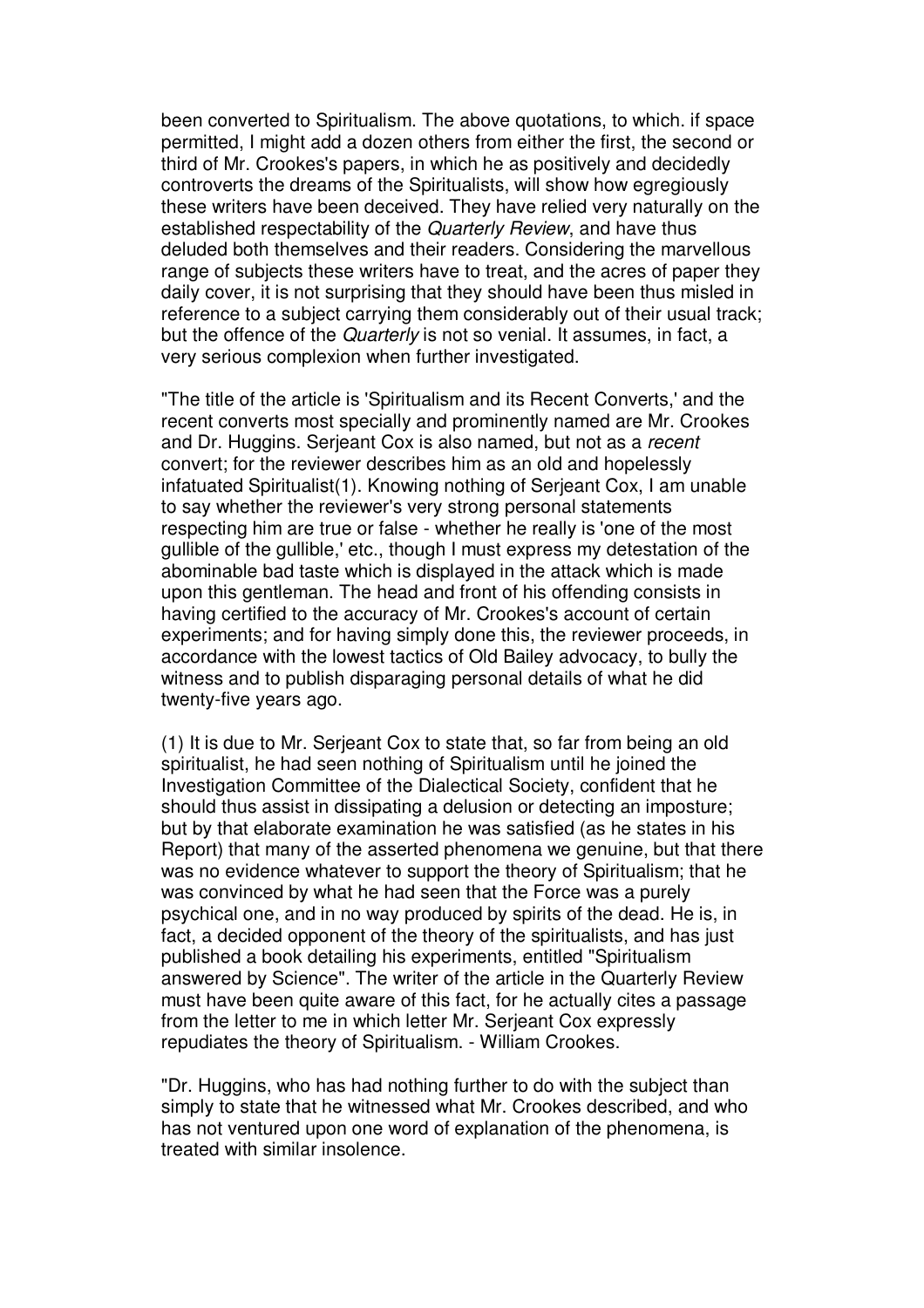been converted to Spiritualism. The above quotations, to which. if space permitted, I might add a dozen others from either the first, the second or third of Mr. Crookes's papers, in which he as positively and decidedly controverts the dreams of the Spiritualists, will show how egregiously these writers have been deceived. They have relied very naturally on the established respectability of the *Quarterly Review*, and have thus deluded both themselves and their readers. Considering the marvellous range of subjects these writers have to treat, and the acres of paper they daily cover, it is not surprising that they should have been thus misled in reference to a subject carrying them considerably out of their usual track; but the offence of the *Quarterly* is not so venial. It assumes, in fact, a very serious complexion when further investigated.

"The title of the article is 'Spiritualism and its Recent Converts,' and the recent converts most specially and prominently named are Mr. Crookes and Dr. Huggins. Serjeant Cox is also named, but not as a *recent* convert; for the reviewer describes him as an old and hopelessly infatuated Spiritualist(1). Knowing nothing of Serjeant Cox, I am unable to say whether the reviewer's very strong personal statements respecting him are true or false - whether he really is 'one of the most gullible of the gullible,' etc., though I must express my detestation of the abominable bad taste which is displayed in the attack which is made upon this gentleman. The head and front of his offending consists in having certified to the accuracy of Mr. Crookes's account of certain experiments; and for having simply done this, the reviewer proceeds, in accordance with the lowest tactics of Old Bailey advocacy, to bully the witness and to publish disparaging personal details of what he did twenty-five years ago.

(1) It is due to Mr. Serjeant Cox to state that, so far from being an old spiritualist, he had seen nothing of Spiritualism until he joined the Investigation Committee of the Dialectical Society, confident that he should thus assist in dissipating a delusion or detecting an imposture; but by that elaborate examination he was satisfied (as he states in his Report) that many of the asserted phenomena we genuine, but that there was no evidence whatever to support the theory of Spiritualism; that he was convinced by what he had seen that the Force was a purely psychical one, and in no way produced by spirits of the dead. He is, in fact, a decided opponent of the theory of the spiritualists, and has just published a book detailing his experiments, entitled "Spiritualism answered by Science". The writer of the article in the Quarterly Review must have been quite aware of this fact, for he actually cites a passage from the letter to me in which letter Mr. Serjeant Cox expressly repudiates the theory of Spiritualism. - William Crookes.

"Dr. Huggins, who has had nothing further to do with the subject than simply to state that he witnessed what Mr. Crookes described, and who has not ventured upon one word of explanation of the phenomena, is treated with similar insolence.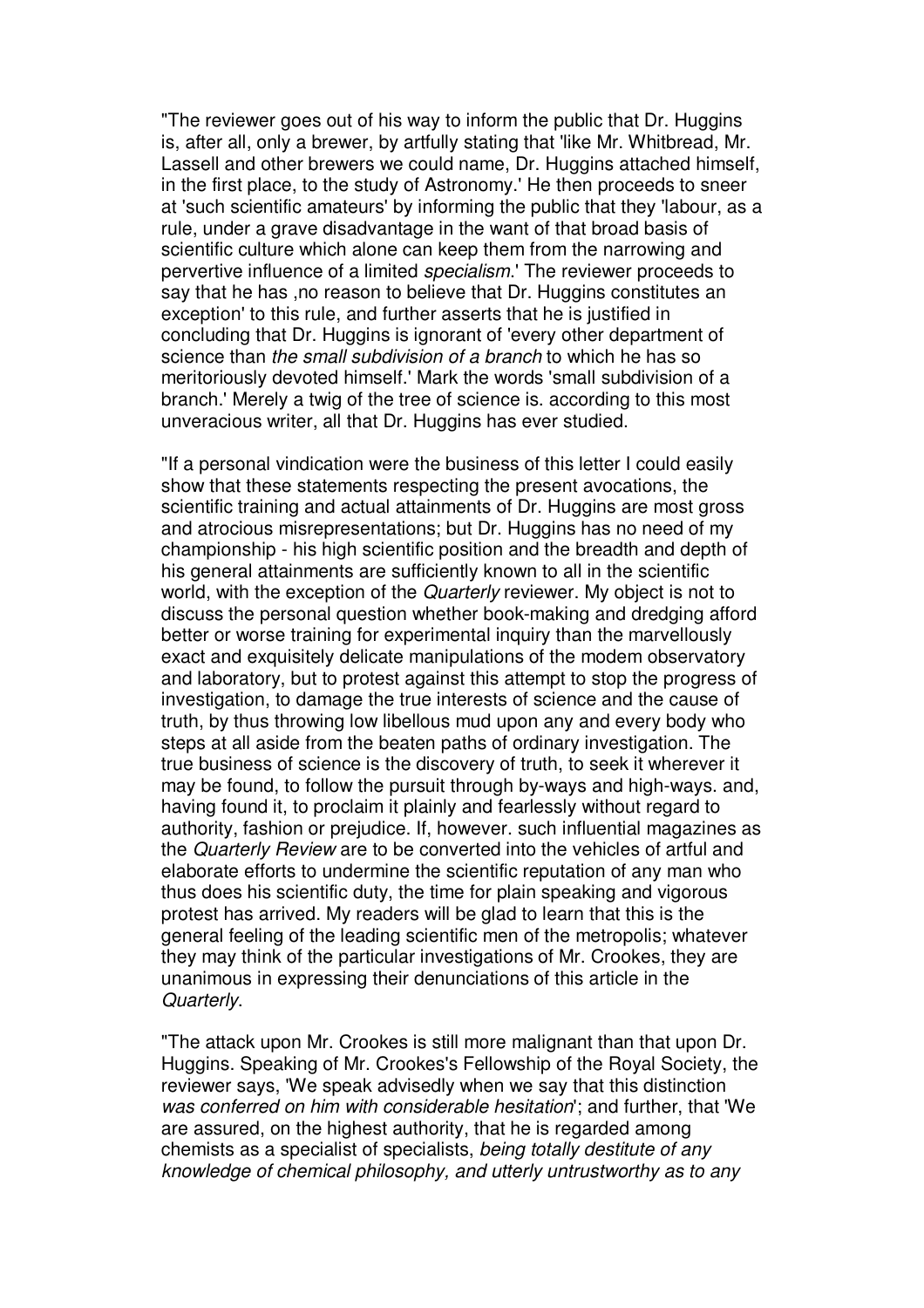"The reviewer goes out of his way to inform the public that Dr. Huggins is, after all, only a brewer, by artfully stating that 'like Mr. Whitbread, Mr. Lassell and other brewers we could name, Dr. Huggins attached himself, in the first place, to the study of Astronomy.' He then proceeds to sneer at 'such scientific amateurs' by informing the public that they 'labour, as a rule, under a grave disadvantage in the want of that broad basis of scientific culture which alone can keep them from the narrowing and pervertive influence of a limited *specialism*.' The reviewer proceeds to say that he has ,no reason to believe that Dr. Huggins constitutes an exception' to this rule, and further asserts that he is justified in concluding that Dr. Huggins is ignorant of 'every other department of science than *the small subdivision of a branch* to which he has so meritoriously devoted himself.' Mark the words 'small subdivision of a branch.' Merely a twig of the tree of science is. according to this most unveracious writer, all that Dr. Huggins has ever studied.

"If a personal vindication were the business of this letter I could easily show that these statements respecting the present avocations, the scientific training and actual attainments of Dr. Huggins are most gross and atrocious misrepresentations; but Dr. Huggins has no need of my championship - his high scientific position and the breadth and depth of his general attainments are sufficiently known to all in the scientific world, with the exception of the *Quarterly* reviewer. My object is not to discuss the personal question whether book-making and dredging afford better or worse training for experimental inquiry than the marvellously exact and exquisitely delicate manipulations of the modem observatory and laboratory, but to protest against this attempt to stop the progress of investigation, to damage the true interests of science and the cause of truth, by thus throwing low libellous mud upon any and every body who steps at all aside from the beaten paths of ordinary investigation. The true business of science is the discovery of truth, to seek it wherever it may be found, to follow the pursuit through by-ways and high-ways. and, having found it, to proclaim it plainly and fearlessly without regard to authority, fashion or prejudice. If, however. such influential magazines as the *Quarterly Review* are to be converted into the vehicles of artful and elaborate efforts to undermine the scientific reputation of any man who thus does his scientific duty, the time for plain speaking and vigorous protest has arrived. My readers will be glad to learn that this is the general feeling of the leading scientific men of the metropolis; whatever they may think of the particular investigations of Mr. Crookes, they are unanimous in expressing their denunciations of this article in the *Quarterly*.

"The attack upon Mr. Crookes is still more malignant than that upon Dr. Huggins. Speaking of Mr. Crookes's Fellowship of the Royal Society, the reviewer says, 'We speak advisedly when we say that this distinction *was conferred on him with considerable hesitation*'; and further, that 'We are assured, on the highest authority, that he is regarded among chemists as a specialist of specialists, *being totally destitute of any knowledge of chemical philosophy, and utterly untrustworthy as to any*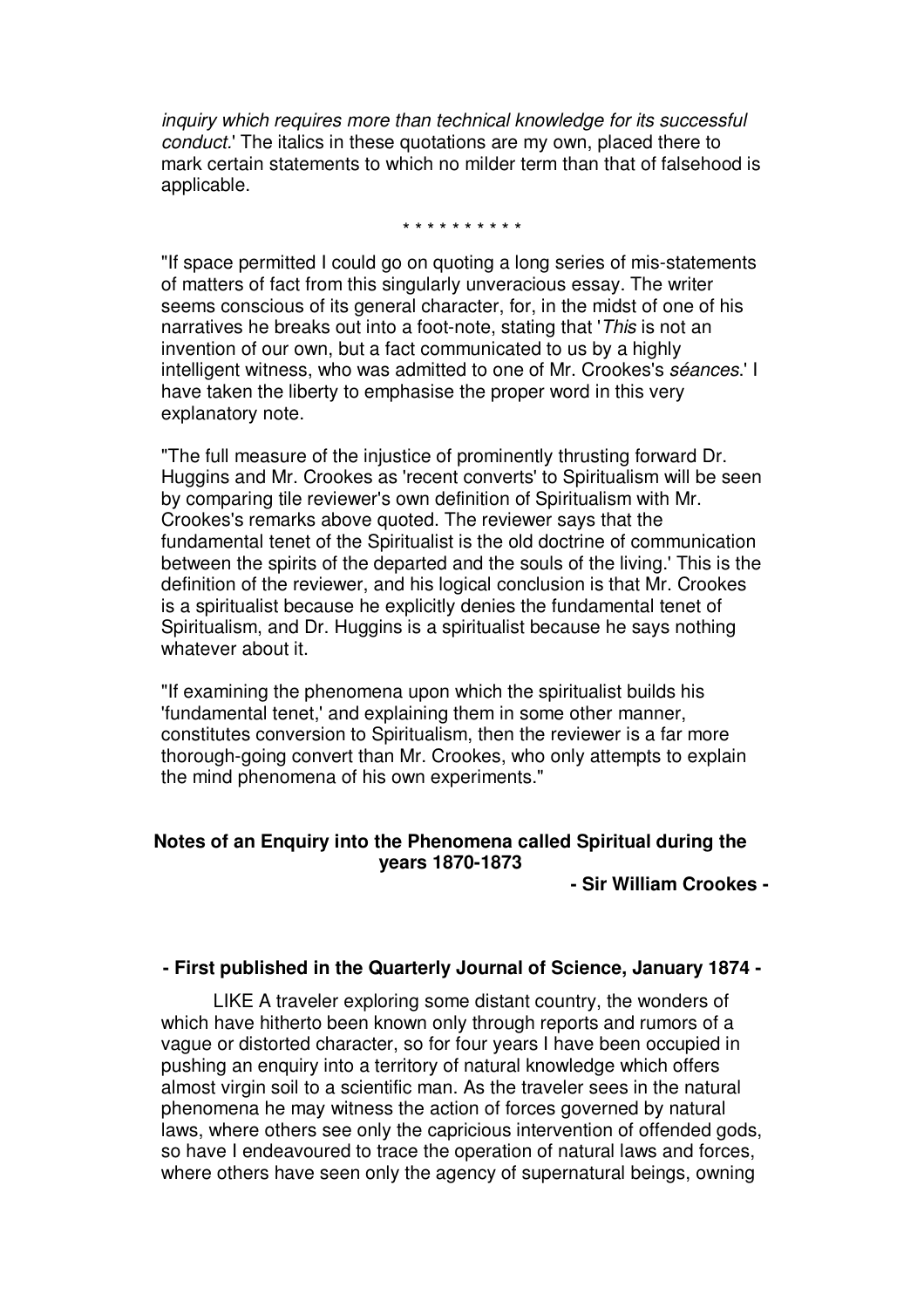*inquiry which requires more than technical knowledge for its successful conduct.*' The italics in these quotations are my own, placed there to mark certain statements to which no milder term than that of falsehood is applicable.

\* \* \* \* \* \* \* \* \* \*

"If space permitted I could go on quoting a long series of mis-statements of matters of fact from this singularly unveracious essay. The writer seems conscious of its general character, for, in the midst of one of his narratives he breaks out into a foot-note, stating that '*This* is not an invention of our own, but a fact communicated to us by a highly intelligent witness, who was admitted to one of Mr. Crookes's *séances*.' I have taken the liberty to emphasise the proper word in this very explanatory note.

"The full measure of the injustice of prominently thrusting forward Dr. Huggins and Mr. Crookes as 'recent converts' to Spiritualism will be seen by comparing tile reviewer's own definition of Spiritualism with Mr. Crookes's remarks above quoted. The reviewer says that the fundamental tenet of the Spiritualist is the old doctrine of communication between the spirits of the departed and the souls of the living.' This is the definition of the reviewer, and his logical conclusion is that Mr. Crookes is a spiritualist because he explicitly denies the fundamental tenet of Spiritualism, and Dr. Huggins is a spiritualist because he says nothing whatever about it.

"If examining the phenomena upon which the spiritualist builds his 'fundamental tenet,' and explaining them in some other manner, constitutes conversion to Spiritualism, then the reviewer is a far more thorough-going convert than Mr. Crookes, who only attempts to explain the mind phenomena of his own experiments."

# **Notes of an Enquiry into the Phenomena called Spiritual during the years 1870-1873**

**- Sir William Crookes -**

#### **- First published in the Quarterly Journal of Science, January 1874 -**

LIKE A traveler exploring some distant country, the wonders of which have hitherto been known only through reports and rumors of a vague or distorted character, so for four years I have been occupied in pushing an enquiry into a territory of natural knowledge which offers almost virgin soil to a scientific man. As the traveler sees in the natural phenomena he may witness the action of forces governed by natural laws, where others see only the capricious intervention of offended gods, so have I endeavoured to trace the operation of natural laws and forces, where others have seen only the agency of supernatural beings, owning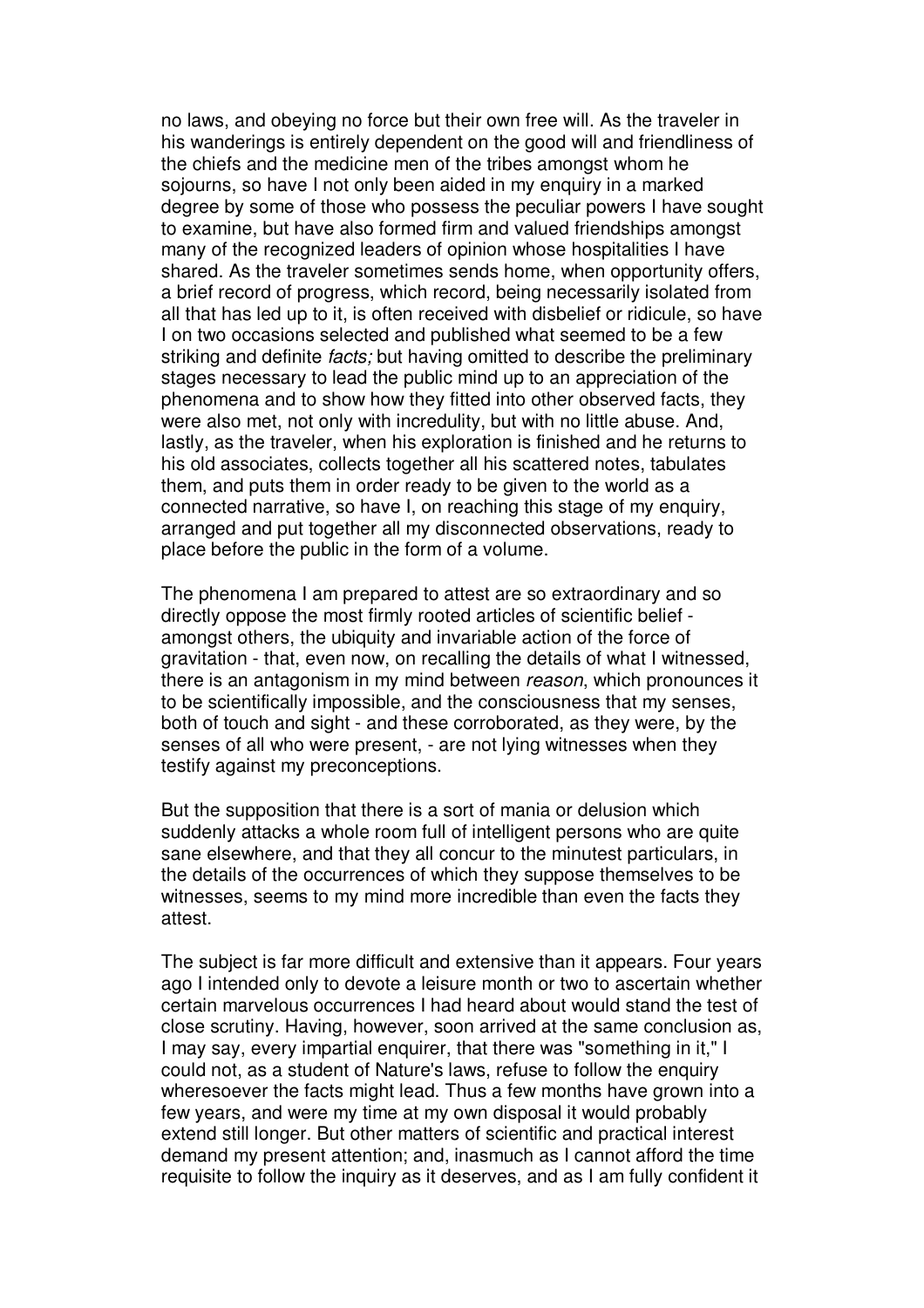no laws, and obeying no force but their own free will. As the traveler in his wanderings is entirely dependent on the good will and friendliness of the chiefs and the medicine men of the tribes amongst whom he sojourns, so have I not only been aided in my enquiry in a marked degree by some of those who possess the peculiar powers I have sought to examine, but have also formed firm and valued friendships amongst many of the recognized leaders of opinion whose hospitalities I have shared. As the traveler sometimes sends home, when opportunity offers, a brief record of progress, which record, being necessarily isolated from all that has led up to it, is often received with disbelief or ridicule, so have I on two occasions selected and published what seemed to be a few striking and definite *facts;* but having omitted to describe the preliminary stages necessary to lead the public mind up to an appreciation of the phenomena and to show how they fitted into other observed facts, they were also met, not only with incredulity, but with no little abuse. And, lastly, as the traveler, when his exploration is finished and he returns to his old associates, collects together all his scattered notes, tabulates them, and puts them in order ready to be given to the world as a connected narrative, so have I, on reaching this stage of my enquiry, arranged and put together all my disconnected observations, ready to place before the public in the form of a volume.

The phenomena I am prepared to attest are so extraordinary and so directly oppose the most firmly rooted articles of scientific belief amongst others, the ubiquity and invariable action of the force of gravitation - that, even now, on recalling the details of what I witnessed, there is an antagonism in my mind between *reason*, which pronounces it to be scientifically impossible, and the consciousness that my senses, both of touch and sight - and these corroborated, as they were, by the senses of all who were present, - are not lying witnesses when they testify against my preconceptions.

But the supposition that there is a sort of mania or delusion which suddenly attacks a whole room full of intelligent persons who are quite sane elsewhere, and that they all concur to the minutest particulars, in the details of the occurrences of which they suppose themselves to be witnesses, seems to my mind more incredible than even the facts they attest.

The subject is far more difficult and extensive than it appears. Four years ago I intended only to devote a leisure month or two to ascertain whether certain marvelous occurrences I had heard about would stand the test of close scrutiny. Having, however, soon arrived at the same conclusion as, I may say, every impartial enquirer, that there was "something in it," I could not, as a student of Nature's laws, refuse to follow the enquiry wheresoever the facts might lead. Thus a few months have grown into a few years, and were my time at my own disposal it would probably extend still longer. But other matters of scientific and practical interest demand my present attention; and, inasmuch as I cannot afford the time requisite to follow the inquiry as it deserves, and as I am fully confident it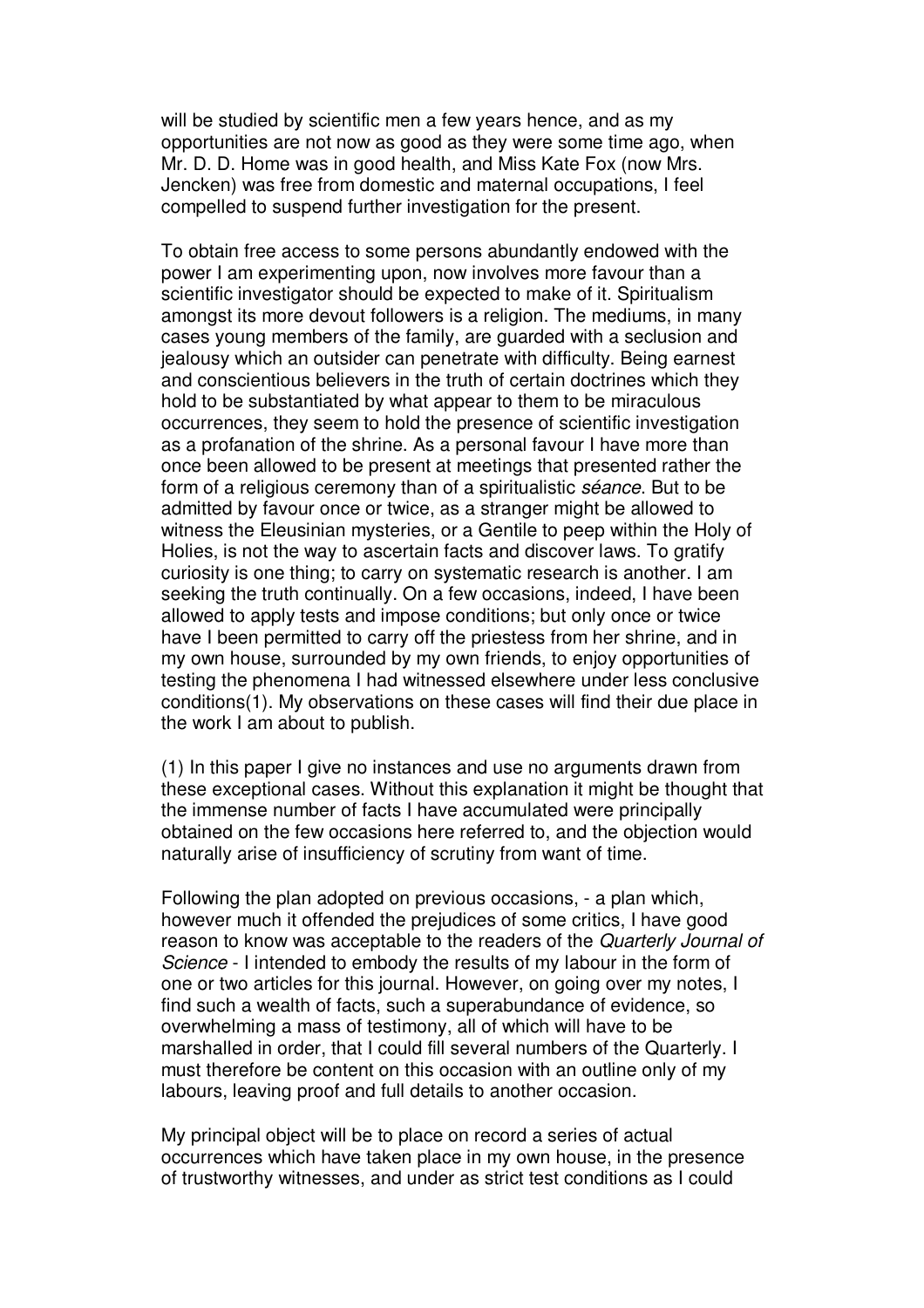will be studied by scientific men a few years hence, and as my opportunities are not now as good as they were some time ago, when Mr. D. D. Home was in good health, and Miss Kate Fox (now Mrs. Jencken) was free from domestic and maternal occupations, I feel compelled to suspend further investigation for the present.

To obtain free access to some persons abundantly endowed with the power I am experimenting upon, now involves more favour than a scientific investigator should be expected to make of it. Spiritualism amongst its more devout followers is a religion. The mediums, in many cases young members of the family, are guarded with a seclusion and jealousy which an outsider can penetrate with difficulty. Being earnest and conscientious believers in the truth of certain doctrines which they hold to be substantiated by what appear to them to be miraculous occurrences, they seem to hold the presence of scientific investigation as a profanation of the shrine. As a personal favour I have more than once been allowed to be present at meetings that presented rather the form of a religious ceremony than of a spiritualistic *séance*. But to be admitted by favour once or twice, as a stranger might be allowed to witness the Eleusinian mysteries, or a Gentile to peep within the Holy of Holies, is not the way to ascertain facts and discover laws. To gratify curiosity is one thing; to carry on systematic research is another. I am seeking the truth continually. On a few occasions, indeed, I have been allowed to apply tests and impose conditions; but only once or twice have I been permitted to carry off the priestess from her shrine, and in my own house, surrounded by my own friends, to enjoy opportunities of testing the phenomena I had witnessed elsewhere under less conclusive conditions(1). My observations on these cases will find their due place in the work I am about to publish.

(1) In this paper I give no instances and use no arguments drawn from these exceptional cases. Without this explanation it might be thought that the immense number of facts I have accumulated were principally obtained on the few occasions here referred to, and the objection would naturally arise of insufficiency of scrutiny from want of time.

Following the plan adopted on previous occasions, - a plan which, however much it offended the prejudices of some critics, I have good reason to know was acceptable to the readers of the *Quarterly Journal of Science* - I intended to embody the results of my labour in the form of one or two articles for this journal. However, on going over my notes, I find such a wealth of facts, such a superabundance of evidence, so overwhelming a mass of testimony, all of which will have to be marshalled in order, that I could fill several numbers of the Quarterly. I must therefore be content on this occasion with an outline only of my labours, leaving proof and full details to another occasion.

My principal object will be to place on record a series of actual occurrences which have taken place in my own house, in the presence of trustworthy witnesses, and under as strict test conditions as I could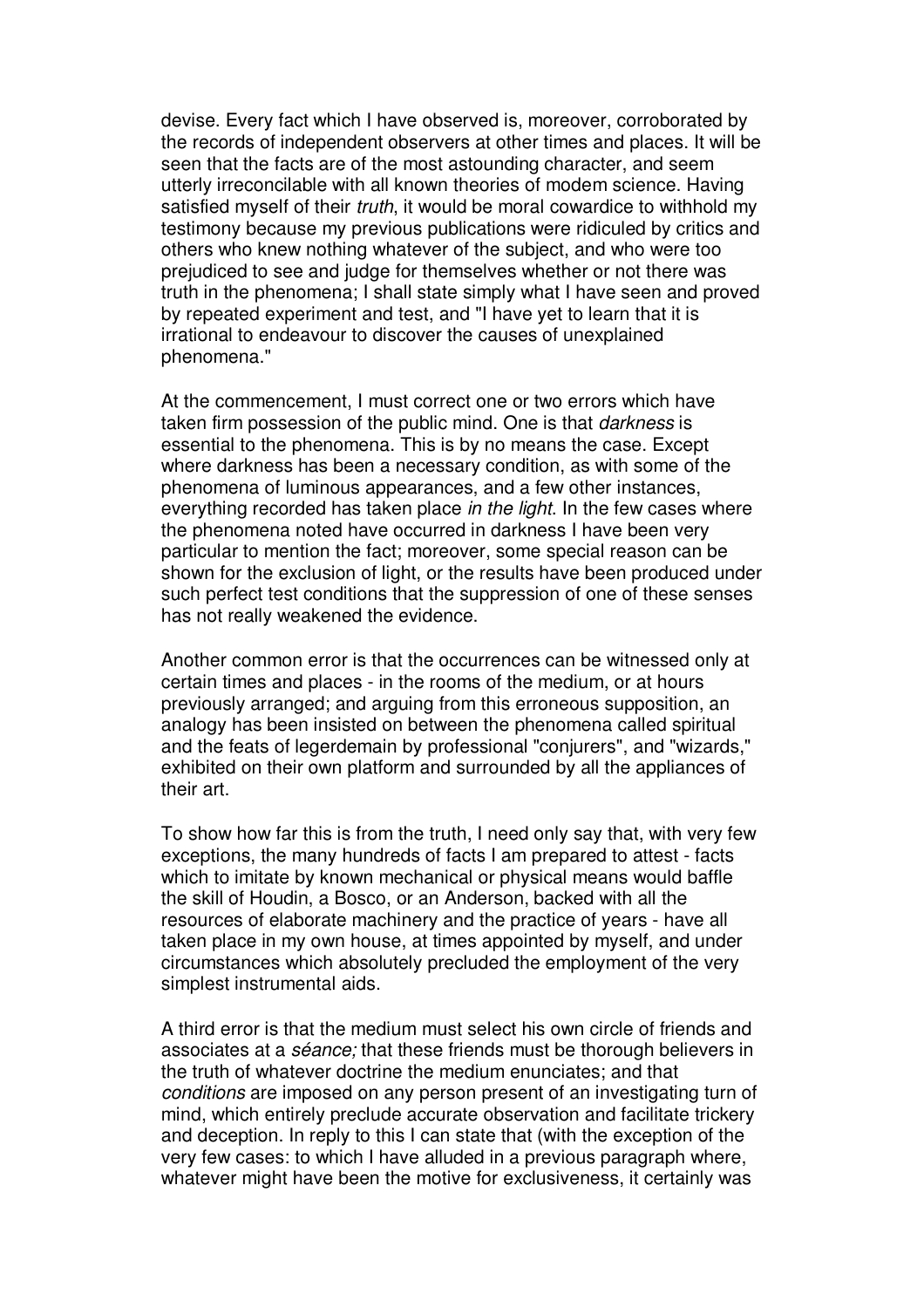devise. Every fact which I have observed is, moreover, corroborated by the records of independent observers at other times and places. It will be seen that the facts are of the most astounding character, and seem utterly irreconcilable with all known theories of modem science. Having satisfied myself of their *truth*, it would be moral cowardice to withhold my testimony because my previous publications were ridiculed by critics and others who knew nothing whatever of the subject, and who were too prejudiced to see and judge for themselves whether or not there was truth in the phenomena; I shall state simply what I have seen and proved by repeated experiment and test, and "I have yet to learn that it is irrational to endeavour to discover the causes of unexplained phenomena."

At the commencement, I must correct one or two errors which have taken firm possession of the public mind. One is that *darkness* is essential to the phenomena. This is by no means the case. Except where darkness has been a necessary condition, as with some of the phenomena of luminous appearances, and a few other instances, everything recorded has taken place *in the light*. In the few cases where the phenomena noted have occurred in darkness I have been very particular to mention the fact; moreover, some special reason can be shown for the exclusion of light, or the results have been produced under such perfect test conditions that the suppression of one of these senses has not really weakened the evidence.

Another common error is that the occurrences can be witnessed only at certain times and places - in the rooms of the medium, or at hours previously arranged; and arguing from this erroneous supposition, an analogy has been insisted on between the phenomena called spiritual and the feats of legerdemain by professional "conjurers", and "wizards," exhibited on their own platform and surrounded by all the appliances of their art.

To show how far this is from the truth, I need only say that, with very few exceptions, the many hundreds of facts I am prepared to attest - facts which to imitate by known mechanical or physical means would baffle the skill of Houdin, a Bosco, or an Anderson, backed with all the resources of elaborate machinery and the practice of years - have all taken place in my own house, at times appointed by myself, and under circumstances which absolutely precluded the employment of the very simplest instrumental aids.

A third error is that the medium must select his own circle of friends and associates at a *séance;* that these friends must be thorough believers in the truth of whatever doctrine the medium enunciates; and that *conditions* are imposed on any person present of an investigating turn of mind, which entirely preclude accurate observation and facilitate trickery and deception. In reply to this I can state that (with the exception of the very few cases: to which I have alluded in a previous paragraph where, whatever might have been the motive for exclusiveness, it certainly was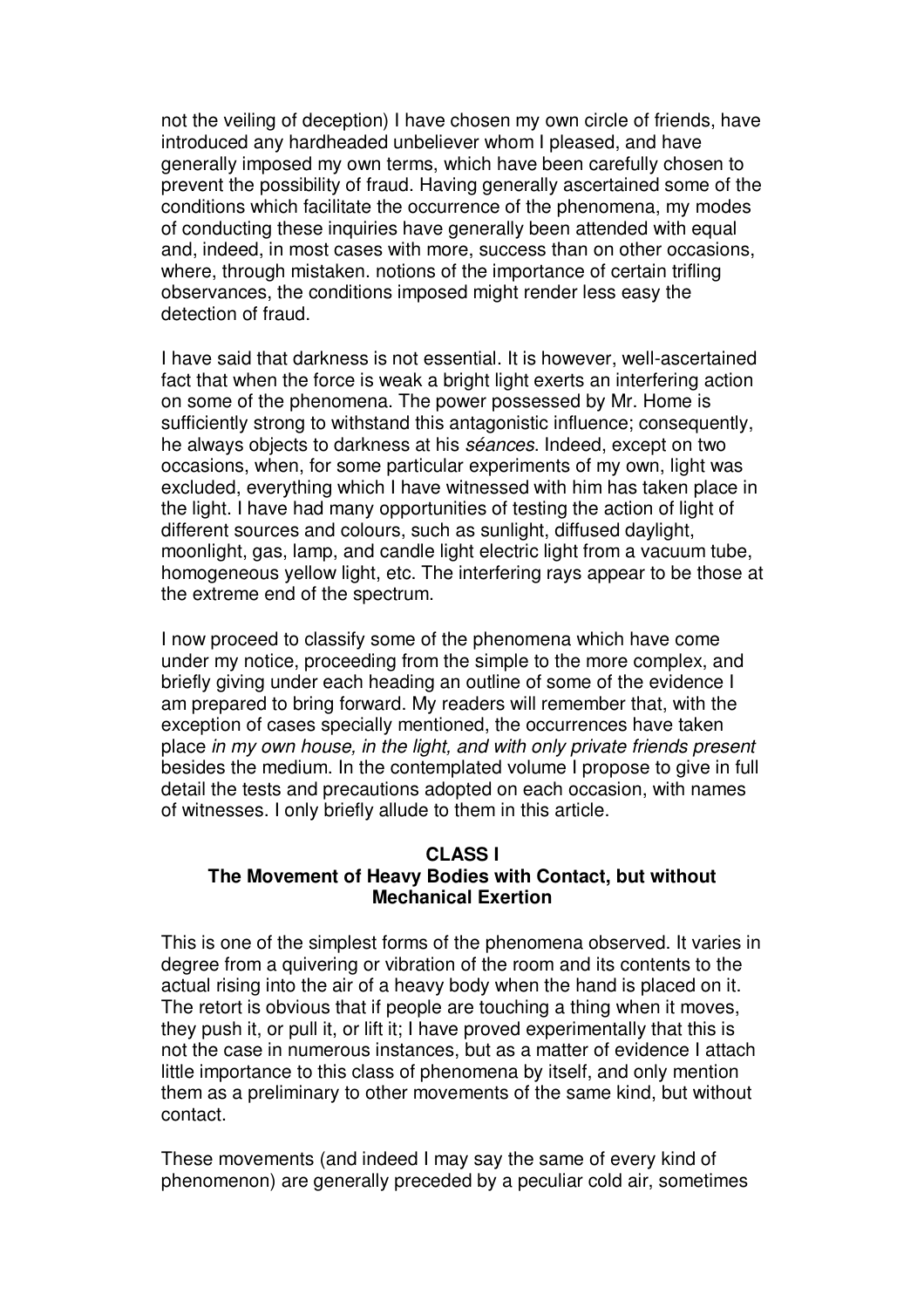not the veiling of deception) I have chosen my own circle of friends, have introduced any hardheaded unbeliever whom I pleased, and have generally imposed my own terms, which have been carefully chosen to prevent the possibility of fraud. Having generally ascertained some of the conditions which facilitate the occurrence of the phenomena, my modes of conducting these inquiries have generally been attended with equal and, indeed, in most cases with more, success than on other occasions, where, through mistaken, notions of the importance of certain trifling observances, the conditions imposed might render less easy the detection of fraud.

I have said that darkness is not essential. It is however, well-ascertained fact that when the force is weak a bright light exerts an interfering action on some of the phenomena. The power possessed by Mr. Home is sufficiently strong to withstand this antagonistic influence; consequently, he always objects to darkness at his *séances*. Indeed, except on two occasions, when, for some particular experiments of my own, light was excluded, everything which I have witnessed with him has taken place in the light. I have had many opportunities of testing the action of light of different sources and colours, such as sunlight, diffused daylight, moonlight, gas, lamp, and candle light electric light from a vacuum tube, homogeneous yellow light, etc. The interfering rays appear to be those at the extreme end of the spectrum.

I now proceed to classify some of the phenomena which have come under my notice, proceeding from the simple to the more complex, and briefly giving under each heading an outline of some of the evidence I am prepared to bring forward. My readers will remember that, with the exception of cases specially mentioned, the occurrences have taken place *in my own house, in the light, and with only private friends present* besides the medium. In the contemplated volume I propose to give in full detail the tests and precautions adopted on each occasion, with names of witnesses. I only briefly allude to them in this article.

# **CLASS I The Movement of Heavy Bodies with Contact, but without Mechanical Exertion**

This is one of the simplest forms of the phenomena observed. It varies in degree from a quivering or vibration of the room and its contents to the actual rising into the air of a heavy body when the hand is placed on it. The retort is obvious that if people are touching a thing when it moves, they push it, or pull it, or lift it; I have proved experimentally that this is not the case in numerous instances, but as a matter of evidence I attach little importance to this class of phenomena by itself, and only mention them as a preliminary to other movements of the same kind, but without contact.

These movements (and indeed I may say the same of every kind of phenomenon) are generally preceded by a peculiar cold air, sometimes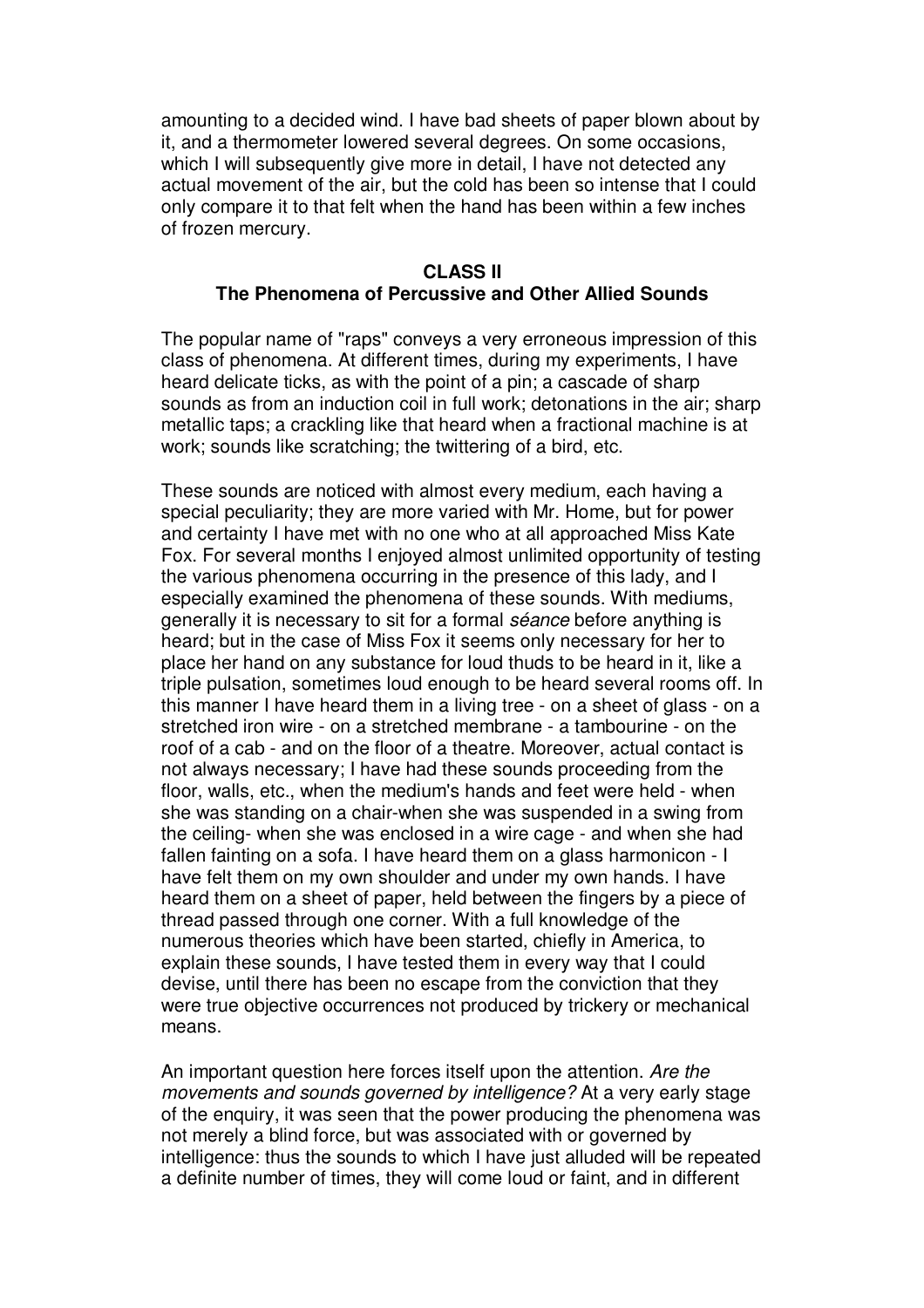amounting to a decided wind. I have bad sheets of paper blown about by it, and a thermometer lowered several degrees. On some occasions, which I will subsequently give more in detail, I have not detected any actual movement of the air, but the cold has been so intense that I could only compare it to that felt when the hand has been within a few inches of frozen mercury.

#### **CLASS II The Phenomena of Percussive and Other Allied Sounds**

The popular name of "raps" conveys a very erroneous impression of this class of phenomena. At different times, during my experiments, I have heard delicate ticks, as with the point of a pin; a cascade of sharp sounds as from an induction coil in full work; detonations in the air; sharp metallic taps; a crackling like that heard when a fractional machine is at work; sounds like scratching; the twittering of a bird, etc.

These sounds are noticed with almost every medium, each having a special peculiarity; they are more varied with Mr. Home, but for power and certainty I have met with no one who at all approached Miss Kate Fox. For several months I enjoyed almost unlimited opportunity of testing the various phenomena occurring in the presence of this lady, and I especially examined the phenomena of these sounds. With mediums, generally it is necessary to sit for a formal *séance* before anything is heard; but in the case of Miss Fox it seems only necessary for her to place her hand on any substance for loud thuds to be heard in it, like a triple pulsation, sometimes loud enough to be heard several rooms off. In this manner I have heard them in a living tree - on a sheet of glass - on a stretched iron wire - on a stretched membrane - a tambourine - on the roof of a cab - and on the floor of a theatre. Moreover, actual contact is not always necessary; I have had these sounds proceeding from the floor, walls, etc., when the medium's hands and feet were held - when she was standing on a chair-when she was suspended in a swing from the ceiling- when she was enclosed in a wire cage - and when she had fallen fainting on a sofa. I have heard them on a glass harmonicon - I have felt them on my own shoulder and under my own hands. I have heard them on a sheet of paper, held between the fingers by a piece of thread passed through one corner. With a full knowledge of the numerous theories which have been started, chiefly in America, to explain these sounds, I have tested them in every way that I could devise, until there has been no escape from the conviction that they were true objective occurrences not produced by trickery or mechanical means.

An important question here forces itself upon the attention. *Are the movements and sounds governed by intelligence?* At a very early stage of the enquiry, it was seen that the power producing the phenomena was not merely a blind force, but was associated with or governed by intelligence: thus the sounds to which I have just alluded will be repeated a definite number of times, they will come loud or faint, and in different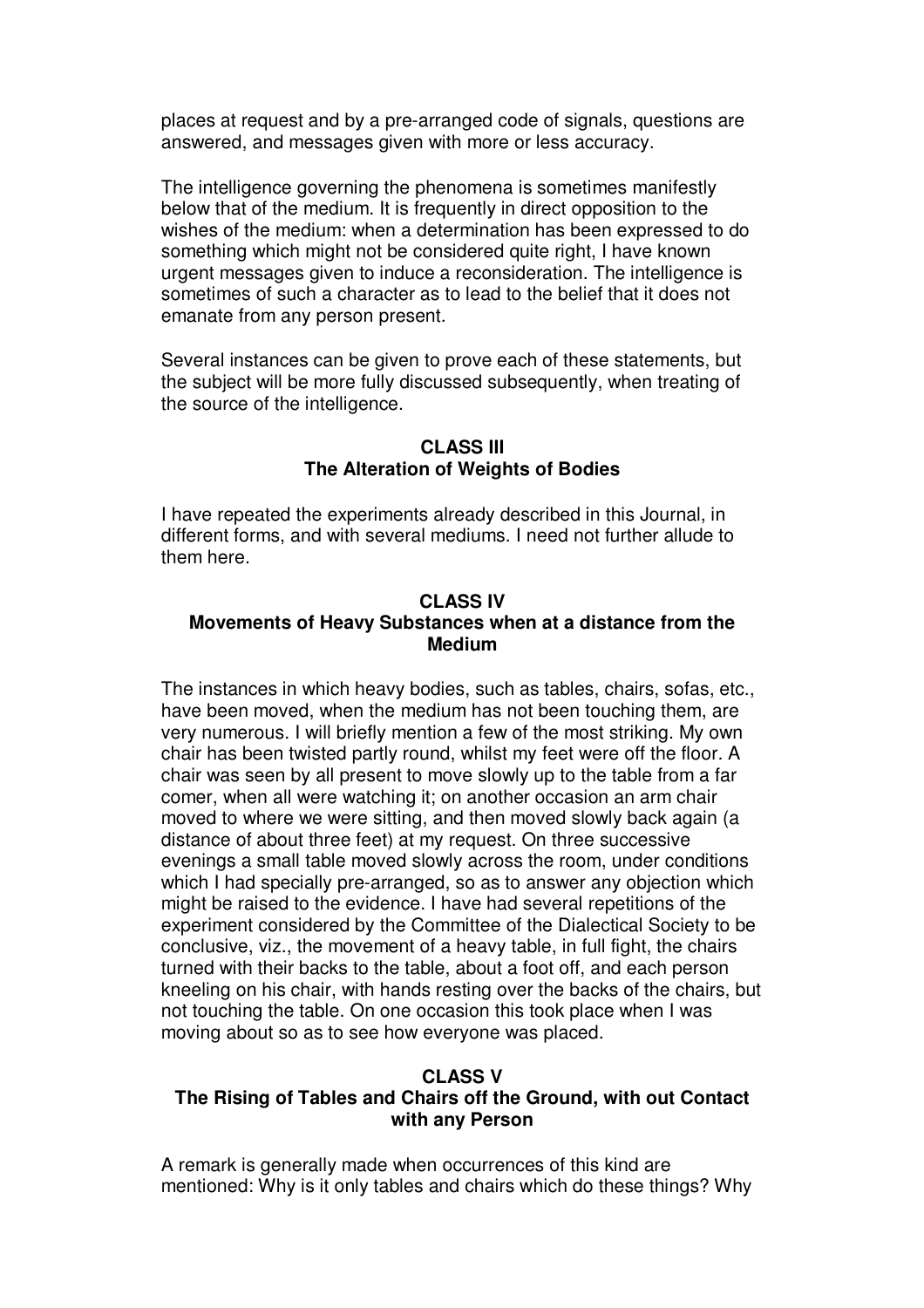places at request and by a pre-arranged code of signals, questions are answered, and messages given with more or less accuracy.

The intelligence governing the phenomena is sometimes manifestly below that of the medium. It is frequently in direct opposition to the wishes of the medium: when a determination has been expressed to do something which might not be considered quite right. I have known urgent messages given to induce a reconsideration. The intelligence is sometimes of such a character as to lead to the belief that it does not emanate from any person present.

Several instances can be given to prove each of these statements, but the subject will be more fully discussed subsequently, when treating of the source of the intelligence.

#### **CLASS III The Alteration of Weights of Bodies**

I have repeated the experiments already described in this Journal, in different forms, and with several mediums. I need not further allude to them here.

# **CLASS IV Movements of Heavy Substances when at a distance from the Medium**

The instances in which heavy bodies, such as tables, chairs, sofas, etc., have been moved, when the medium has not been touching them, are very numerous. I will briefly mention a few of the most striking. My own chair has been twisted partly round, whilst my feet were off the floor. A chair was seen by all present to move slowly up to the table from a far comer, when all were watching it; on another occasion an arm chair moved to where we were sitting, and then moved slowly back again (a distance of about three feet) at my request. On three successive evenings a small table moved slowly across the room, under conditions which I had specially pre-arranged, so as to answer any objection which might be raised to the evidence. I have had several repetitions of the experiment considered by the Committee of the Dialectical Society to be conclusive, viz., the movement of a heavy table, in full fight, the chairs turned with their backs to the table, about a foot off, and each person kneeling on his chair, with hands resting over the backs of the chairs, but not touching the table. On one occasion this took place when I was moving about so as to see how everyone was placed.

# **CLASS V**

### **The Rising of Tables and Chairs off the Ground, with out Contact with any Person**

A remark is generally made when occurrences of this kind are mentioned: Why is it only tables and chairs which do these things? Why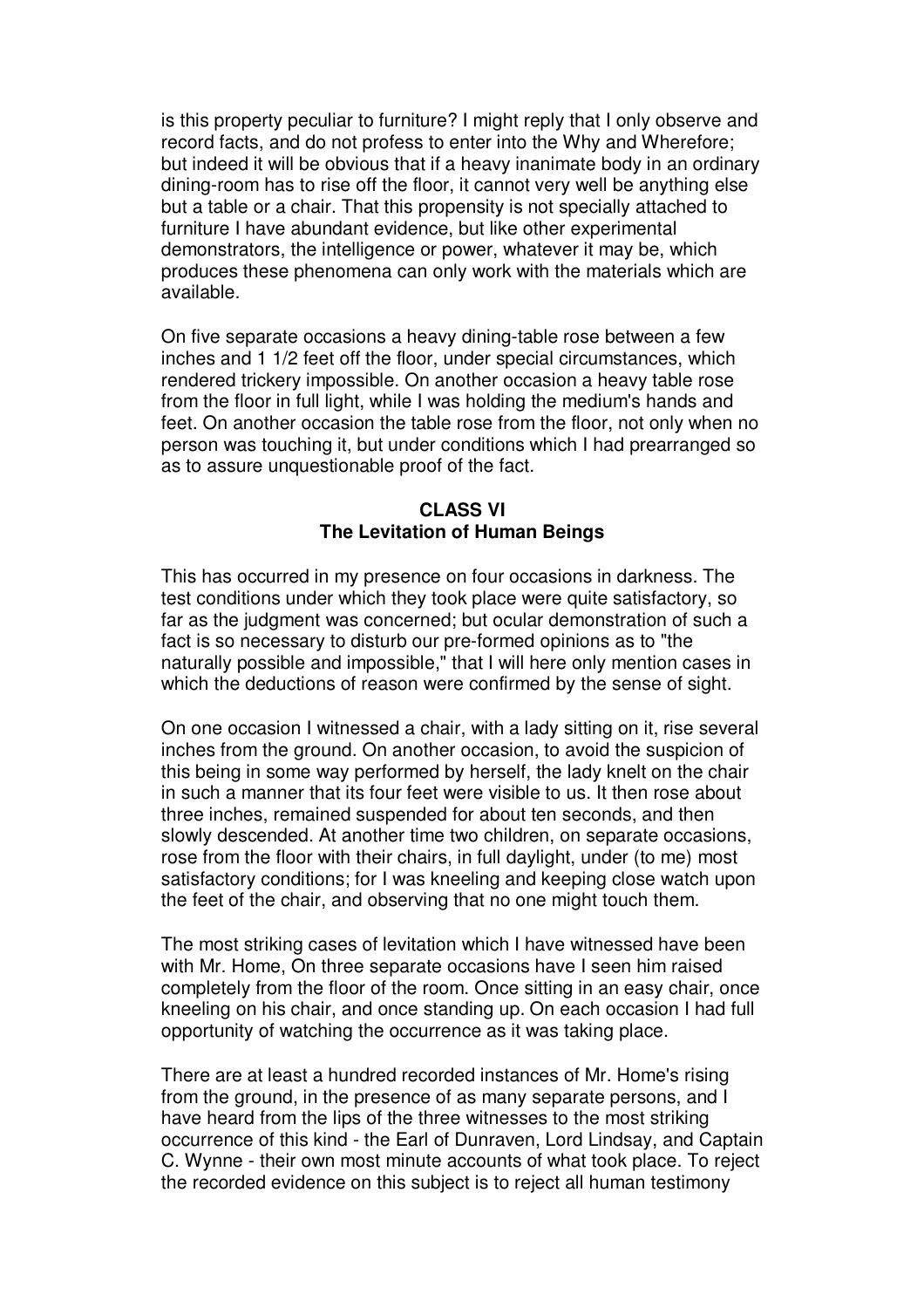is this property peculiar to furniture? I might reply that I only observe and record facts, and do not profess to enter into the Why and Wherefore; but indeed it will be obvious that if a heavy inanimate body in an ordinary dining-room has to rise off the floor, it cannot very well be anything else but a table or a chair. That this propensity is not specially attached to furniture I have abundant evidence, but like other experimental demonstrators, the intelligence or power, whatever it may be, which produces these phenomena can only work with the materials which are available.

On five separate occasions a heavy dining-table rose between a few inches and 1 1/2 feet off the floor, under special circumstances, which rendered trickery impossible. On another occasion a heavy table rose from the floor in full light, while I was holding the medium's hands and feet. On another occasion the table rose from the floor, not only when no person was touching it, but under conditions which I had prearranged so as to assure unquestionable proof of the fact.

# **CLASS VI The Levitation of Human Beings**

This has occurred in my presence on four occasions in darkness. The test conditions under which they took place were quite satisfactory, so far as the judgment was concerned; but ocular demonstration of such a fact is so necessary to disturb our pre-formed opinions as to "the naturally possible and impossible," that I will here only mention cases in which the deductions of reason were confirmed by the sense of sight.

On one occasion I witnessed a chair, with a lady sitting on it, rise several inches from the ground. On another occasion, to avoid the suspicion of this being in some way performed by herself, the lady knelt on the chair in such a manner that its four feet were visible to us. It then rose about three inches, remained suspended for about ten seconds, and then slowly descended. At another time two children, on separate occasions, rose from the floor with their chairs, in full daylight, under (to me) most satisfactory conditions; for I was kneeling and keeping close watch upon the feet of the chair, and observing that no one might touch them.

The most striking cases of levitation which I have witnessed have been with Mr. Home, On three separate occasions have I seen him raised completely from the floor of the room. Once sitting in an easy chair, once kneeling on his chair, and once standing up. On each occasion I had full opportunity of watching the occurrence as it was taking place.

There are at least a hundred recorded instances of Mr. Home's rising from the ground, in the presence of as many separate persons, and I have heard from the lips of the three witnesses to the most striking occurrence of this kind - the Earl of Dunraven, Lord Lindsay, and Captain C. Wynne - their own most minute accounts of what took place. To reject the recorded evidence on this subject is to reject all human testimony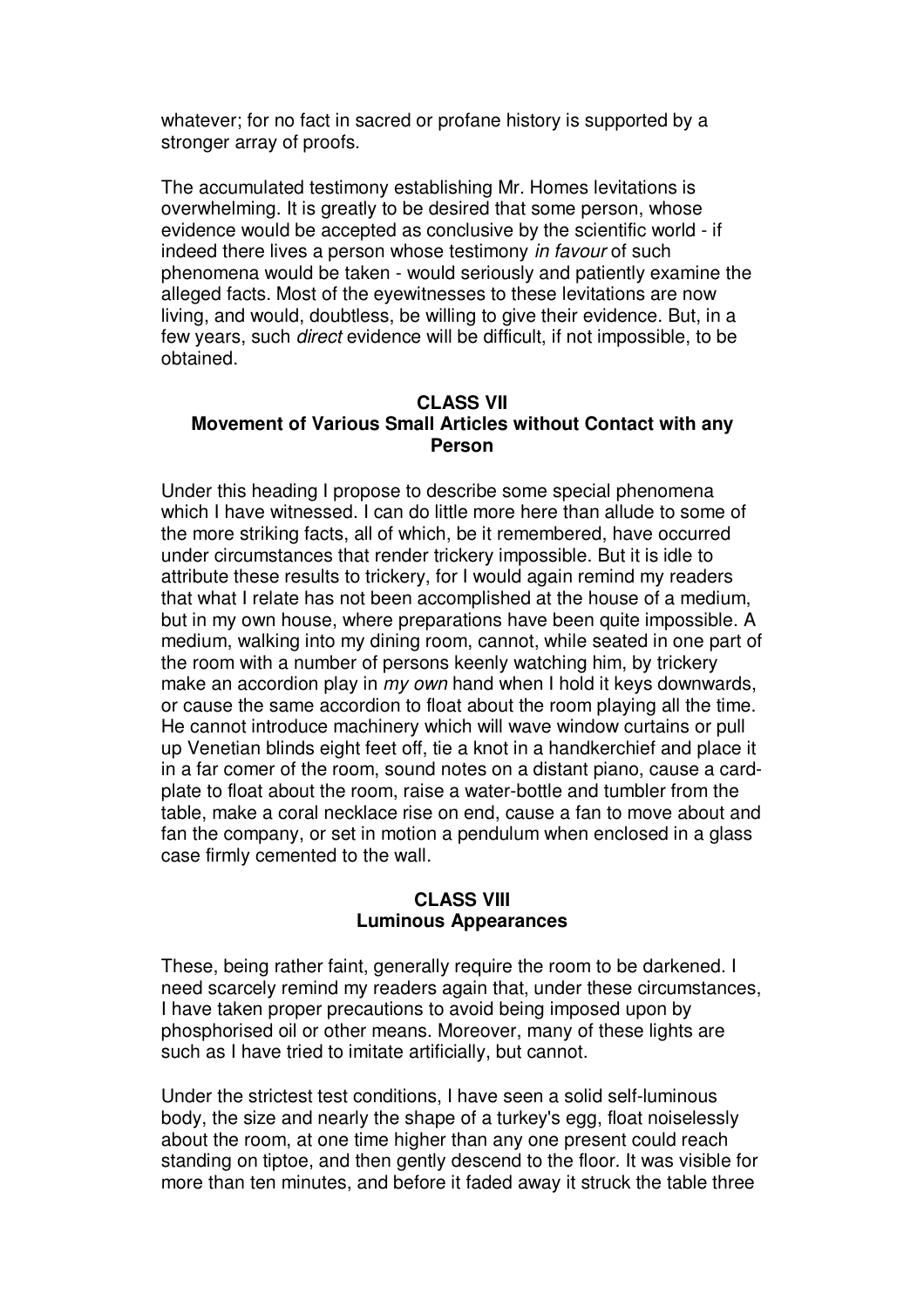whatever; for no fact in sacred or profane history is supported by a stronger array of proofs.

The accumulated testimony establishing Mr. Homes levitations is overwhelming. It is greatly to be desired that some person, whose evidence would be accepted as conclusive by the scientific world - if indeed there lives a person whose testimony *in favour* of such phenomena would be taken - would seriously and patiently examine the alleged facts. Most of the eyewitnesses to these levitations are now living, and would, doubtless, be willing to give their evidence. But, in a few years, such *direct* evidence will be difficult, if not impossible, to be obtained.

# **CLASS VII Movement of Various Small Articles without Contact with any Person**

Under this heading I propose to describe some special phenomena which I have witnessed. I can do little more here than allude to some of the more striking facts, all of which, be it remembered, have occurred under circumstances that render trickery impossible. But it is idle to attribute these results to trickery, for I would again remind my readers that what I relate has not been accomplished at the house of a medium, but in my own house, where preparations have been quite impossible. A medium, walking into my dining room, cannot, while seated in one part of the room with a number of persons keenly watching him, by trickery make an accordion play in *my own* hand when I hold it keys downwards, or cause the same accordion to float about the room playing all the time. He cannot introduce machinery which will wave window curtains or pull up Venetian blinds eight feet off, tie a knot in a handkerchief and place it in a far comer of the room, sound notes on a distant piano, cause a cardplate to float about the room, raise a water-bottle and tumbler from the table, make a coral necklace rise on end, cause a fan to move about and fan the company, or set in motion a pendulum when enclosed in a glass case firmly cemented to the wall.

# **CLASS VIII Luminous Appearances**

These, being rather faint, generally require the room to be darkened. I need scarcely remind my readers again that, under these circumstances, I have taken proper precautions to avoid being imposed upon by phosphorised oil or other means. Moreover, many of these lights are such as I have tried to imitate artificially, but cannot.

Under the strictest test conditions, I have seen a solid self-luminous body, the size and nearly the shape of a turkey's egg, float noiselessly about the room, at one time higher than any one present could reach standing on tiptoe, and then gently descend to the floor. It was visible for more than ten minutes, and before it faded away it struck the table three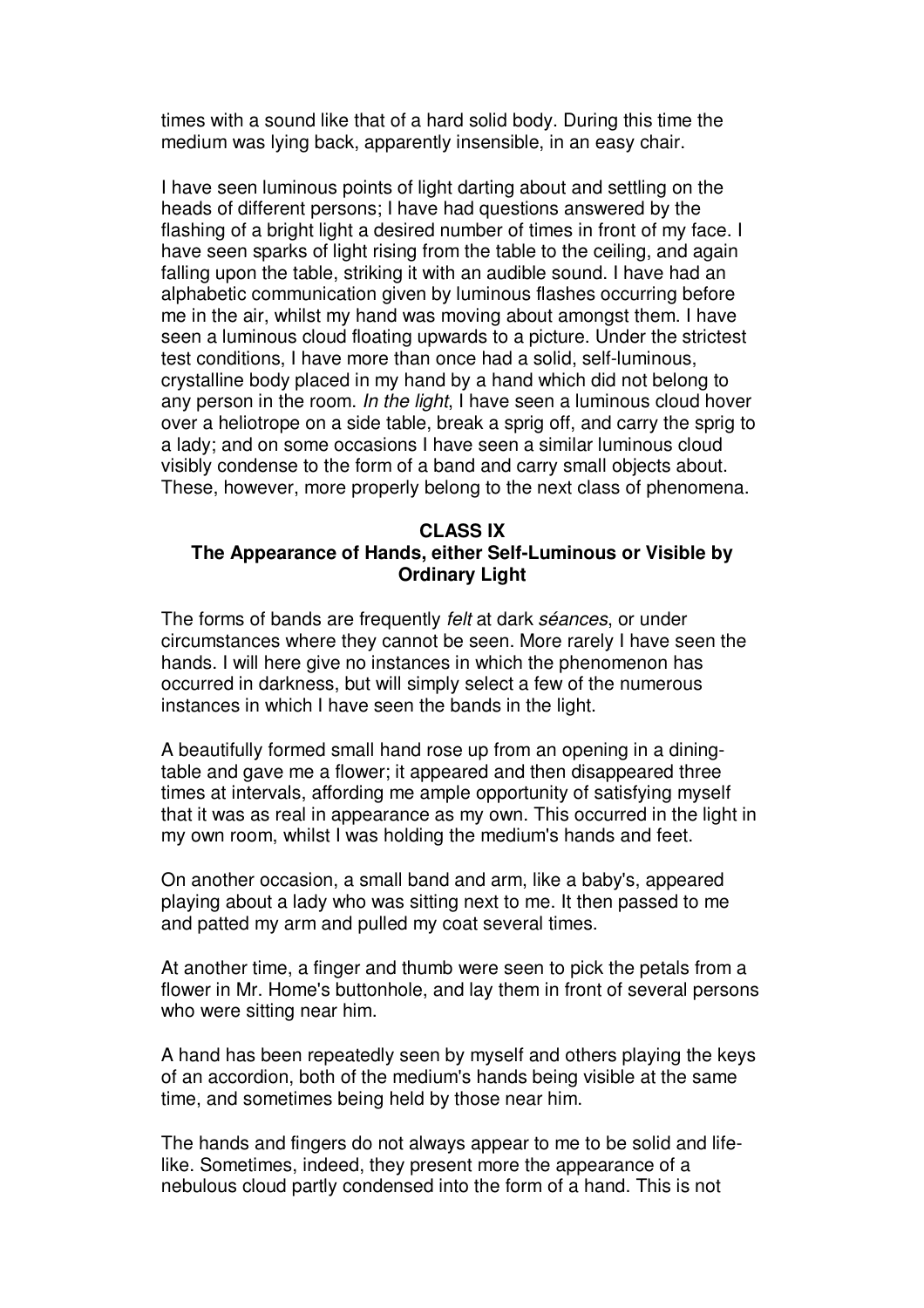times with a sound like that of a hard solid body. During this time the medium was lying back, apparently insensible, in an easy chair.

I have seen luminous points of light darting about and settling on the heads of different persons; I have had questions answered by the flashing of a bright light a desired number of times in front of my face. I have seen sparks of light rising from the table to the ceiling, and again falling upon the table, striking it with an audible sound. I have had an alphabetic communication given by luminous flashes occurring before me in the air, whilst my hand was moving about amongst them. I have seen a luminous cloud floating upwards to a picture. Under the strictest test conditions, I have more than once had a solid, self-luminous, crystalline body placed in my hand by a hand which did not belong to any person in the room. *In the light*, I have seen a luminous cloud hover over a heliotrope on a side table, break a sprig off, and carry the sprig to a lady; and on some occasions I have seen a similar luminous cloud visibly condense to the form of a band and carry small objects about. These, however, more properly belong to the next class of phenomena.

# **CLASS IX The Appearance of Hands, either Self-Luminous or Visible by Ordinary Light**

The forms of bands are frequently *felt* at dark *séances*, or under circumstances where they cannot be seen. More rarely I have seen the hands. I will here give no instances in which the phenomenon has occurred in darkness, but will simply select a few of the numerous instances in which I have seen the bands in the light.

A beautifully formed small hand rose up from an opening in a diningtable and gave me a flower; it appeared and then disappeared three times at intervals, affording me ample opportunity of satisfying myself that it was as real in appearance as my own. This occurred in the light in my own room, whilst I was holding the medium's hands and feet.

On another occasion, a small band and arm, like a baby's, appeared playing about a lady who was sitting next to me. It then passed to me and patted my arm and pulled my coat several times.

At another time, a finger and thumb were seen to pick the petals from a flower in Mr. Home's buttonhole, and lay them in front of several persons who were sitting near him.

A hand has been repeatedly seen by myself and others playing the keys of an accordion, both of the medium's hands being visible at the same time, and sometimes being held by those near him.

The hands and fingers do not always appear to me to be solid and lifelike. Sometimes, indeed, they present more the appearance of a nebulous cloud partly condensed into the form of a hand. This is not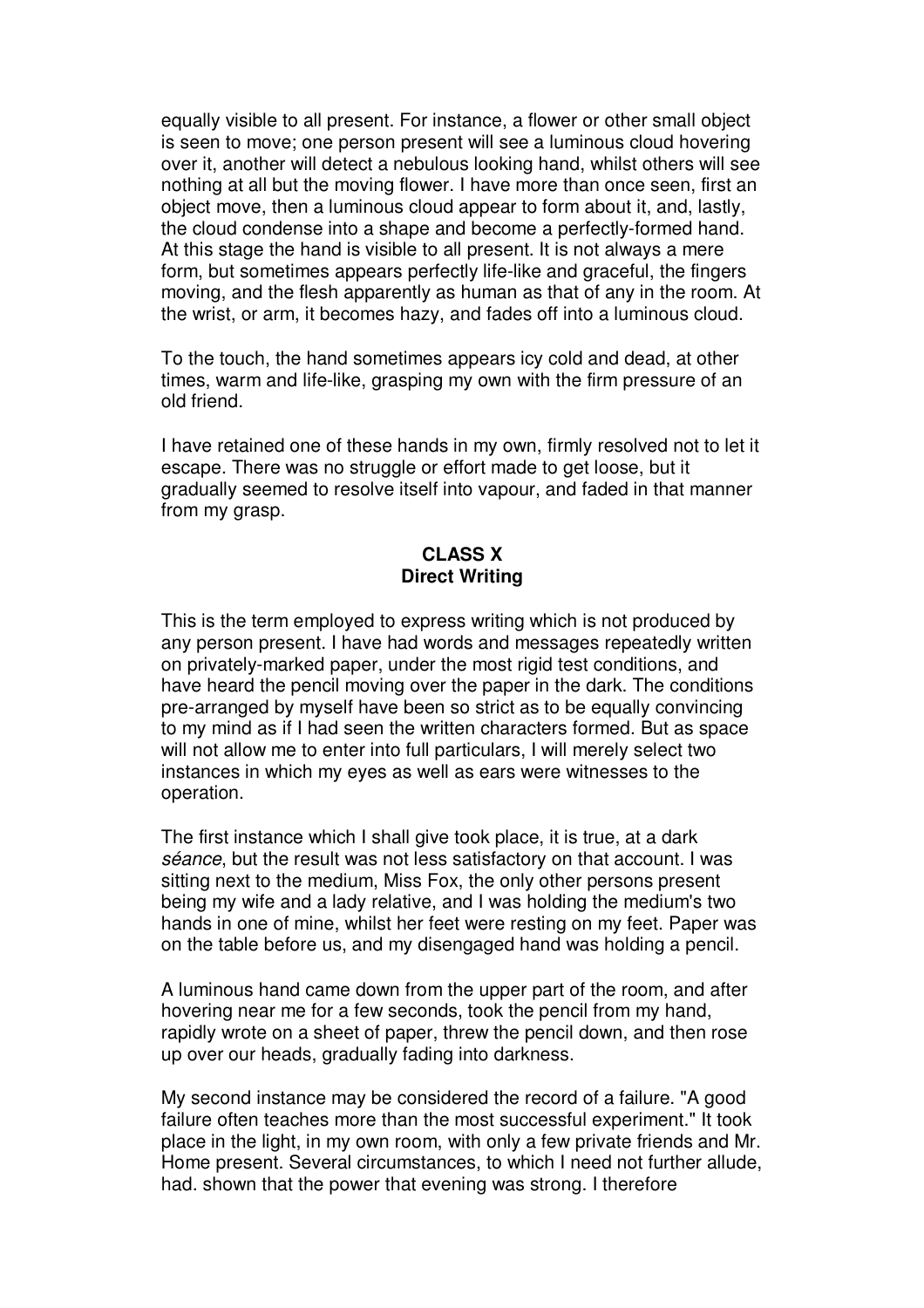equally visible to all present. For instance, a flower or other small object is seen to move; one person present will see a luminous cloud hovering over it, another will detect a nebulous looking hand, whilst others will see nothing at all but the moving flower. I have more than once seen, first an object move, then a luminous cloud appear to form about it, and, lastly, the cloud condense into a shape and become a perfectly-formed hand. At this stage the hand is visible to all present. It is not always a mere form, but sometimes appears perfectly life-like and graceful, the fingers moving, and the flesh apparently as human as that of any in the room. At the wrist, or arm, it becomes hazy, and fades off into a luminous cloud.

To the touch, the hand sometimes appears icy cold and dead, at other times, warm and life-like, grasping my own with the firm pressure of an old friend.

I have retained one of these hands in my own, firmly resolved not to let it escape. There was no struggle or effort made to get loose, but it gradually seemed to resolve itself into vapour, and faded in that manner from my grasp.

# **CLASS X Direct Writing**

This is the term employed to express writing which is not produced by any person present. I have had words and messages repeatedly written on privately-marked paper, under the most rigid test conditions, and have heard the pencil moving over the paper in the dark. The conditions pre-arranged by myself have been so strict as to be equally convincing to my mind as if I had seen the written characters formed. But as space will not allow me to enter into full particulars, I will merely select two instances in which my eyes as well as ears were witnesses to the operation.

The first instance which I shall give took place, it is true, at a dark *séance*, but the result was not less satisfactory on that account. I was sitting next to the medium, Miss Fox, the only other persons present being my wife and a lady relative, and I was holding the medium's two hands in one of mine, whilst her feet were resting on my feet. Paper was on the table before us, and my disengaged hand was holding a pencil.

A luminous hand came down from the upper part of the room, and after hovering near me for a few seconds, took the pencil from my hand, rapidly wrote on a sheet of paper, threw the pencil down, and then rose up over our heads, gradually fading into darkness.

My second instance may be considered the record of a failure. "A good failure often teaches more than the most successful experiment." It took place in the light, in my own room, with only a few private friends and Mr. Home present. Several circumstances, to which I need not further allude, had. shown that the power that evening was strong. I therefore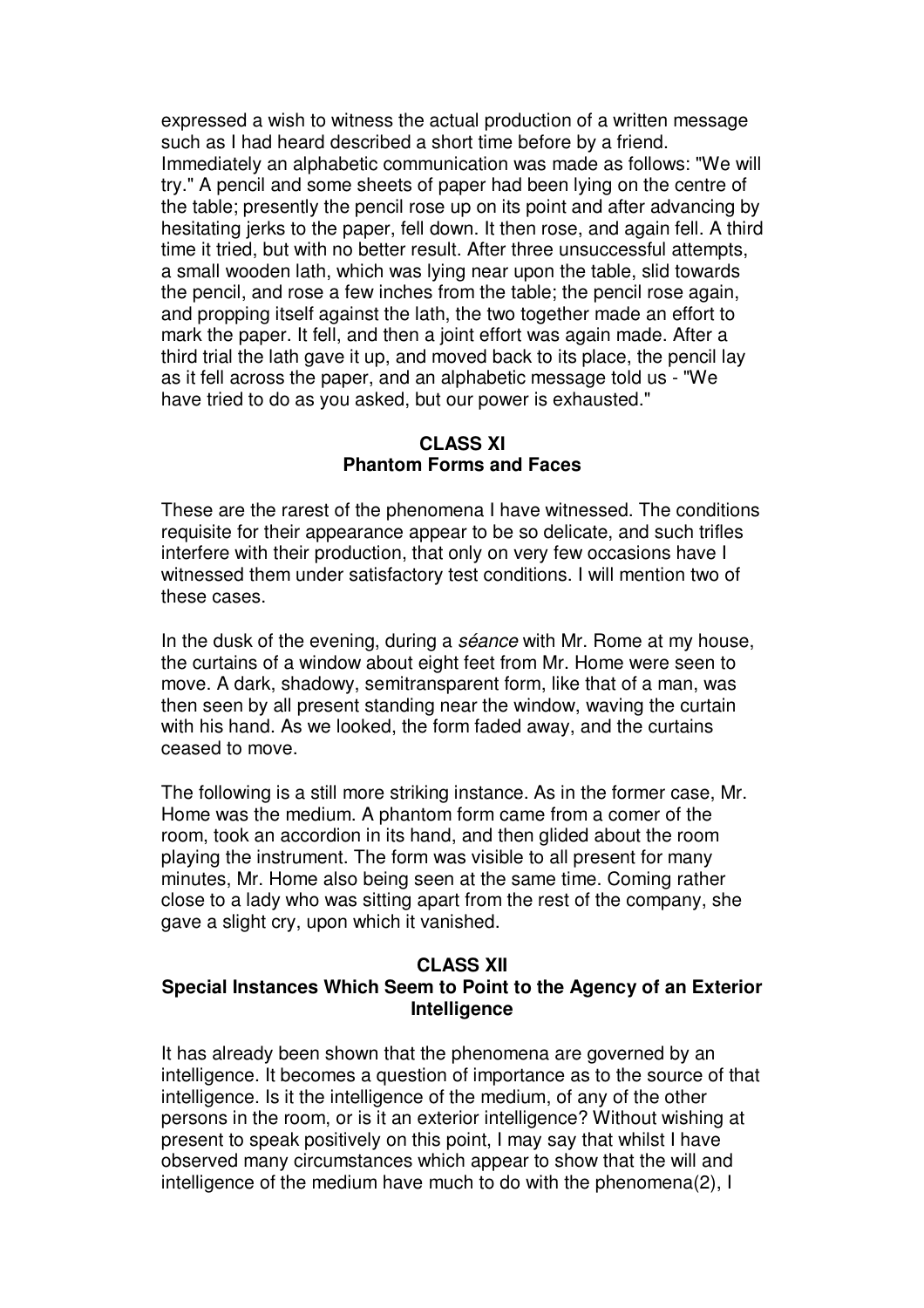expressed a wish to witness the actual production of a written message such as I had heard described a short time before by a friend. Immediately an alphabetic communication was made as follows: "We will try." A pencil and some sheets of paper had been lying on the centre of the table; presently the pencil rose up on its point and after advancing by hesitating jerks to the paper, fell down. It then rose, and again fell. A third time it tried, but with no better result. After three unsuccessful attempts, a small wooden lath, which was lying near upon the table, slid towards the pencil, and rose a few inches from the table; the pencil rose again, and propping itself against the lath, the two together made an effort to mark the paper. It fell, and then a joint effort was again made. After a third trial the lath gave it up, and moved back to its place, the pencil lay as it fell across the paper, and an alphabetic message told us - "We have tried to do as you asked, but our power is exhausted."

# **CLASS XI Phantom Forms and Faces**

These are the rarest of the phenomena I have witnessed. The conditions requisite for their appearance appear to be so delicate, and such trifles interfere with their production, that only on very few occasions have I witnessed them under satisfactory test conditions. I will mention two of these cases.

In the dusk of the evening, during a *séance* with Mr. Rome at my house, the curtains of a window about eight feet from Mr. Home were seen to move. A dark, shadowy, semitransparent form, like that of a man, was then seen by all present standing near the window, waving the curtain with his hand. As we looked, the form faded away, and the curtains ceased to move.

The following is a still more striking instance. As in the former case, Mr. Home was the medium. A phantom form came from a comer of the room, took an accordion in its hand, and then glided about the room playing the instrument. The form was visible to all present for many minutes, Mr. Home also being seen at the same time. Coming rather close to a lady who was sitting apart from the rest of the company, she gave a slight cry, upon which it vanished.

#### **CLASS XII Special Instances Which Seem to Point to the Agency of an Exterior Intelligence**

It has already been shown that the phenomena are governed by an intelligence. It becomes a question of importance as to the source of that intelligence. Is it the intelligence of the medium, of any of the other persons in the room, or is it an exterior intelligence? Without wishing at present to speak positively on this point, I may say that whilst I have observed many circumstances which appear to show that the will and intelligence of the medium have much to do with the phenomena(2), I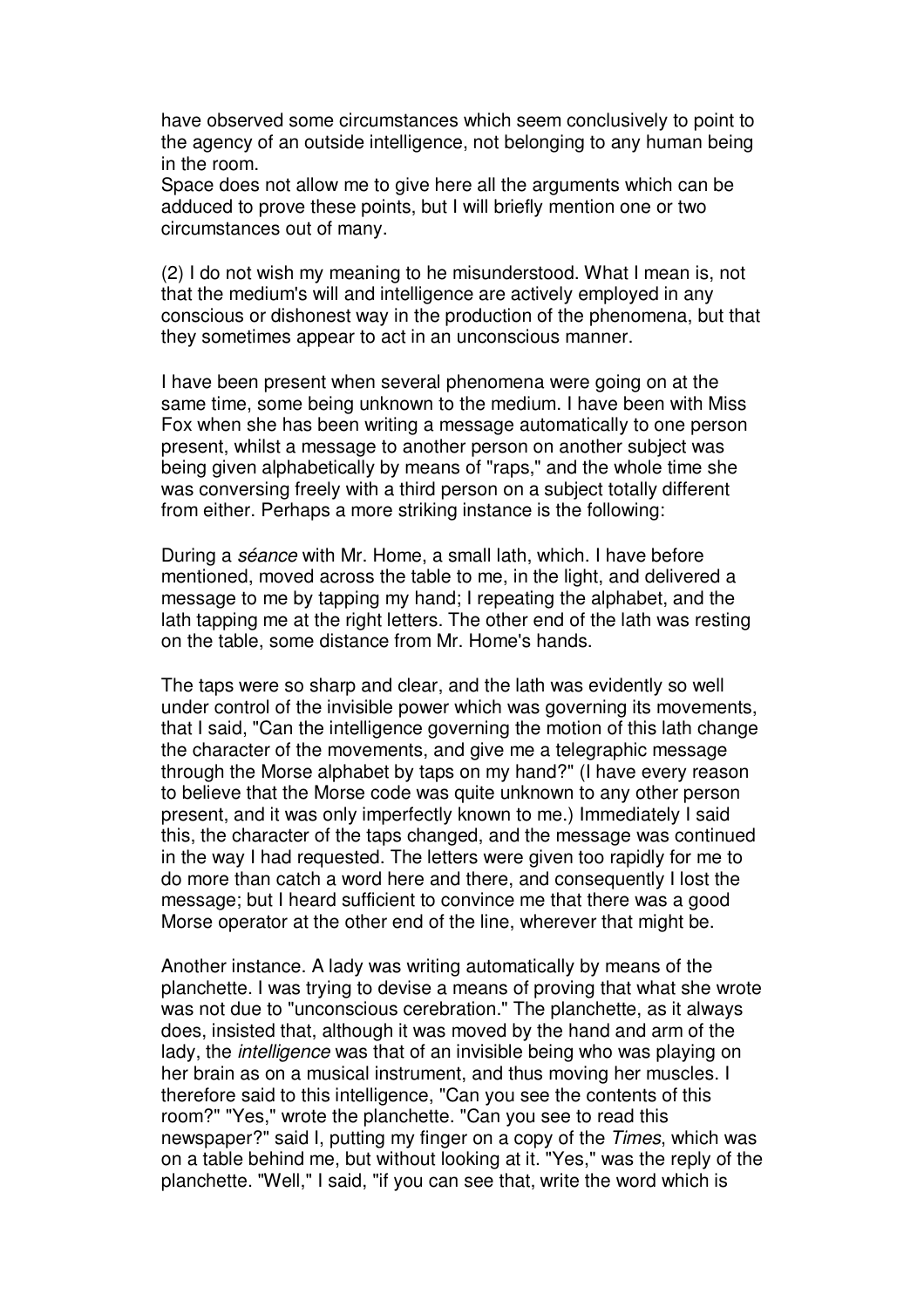have observed some circumstances which seem conclusively to point to the agency of an outside intelligence, not belonging to any human being in the room.

Space does not allow me to give here all the arguments which can be adduced to prove these points, but I will briefly mention one or two circumstances out of many.

(2) I do not wish my meaning to he misunderstood. What I mean is, not that the medium's will and intelligence are actively employed in any conscious or dishonest way in the production of the phenomena, but that they sometimes appear to act in an unconscious manner.

I have been present when several phenomena were going on at the same time, some being unknown to the medium. I have been with Miss Fox when she has been writing a message automatically to one person present, whilst a message to another person on another subject was being given alphabetically by means of "raps," and the whole time she was conversing freely with a third person on a subject totally different from either. Perhaps a more striking instance is the following:

During a *séance* with Mr. Home, a small lath, which. I have before mentioned, moved across the table to me, in the light, and delivered a message to me by tapping my hand; I repeating the alphabet, and the lath tapping me at the right letters. The other end of the lath was resting on the table, some distance from Mr. Home's hands.

The taps were so sharp and clear, and the lath was evidently so well under control of the invisible power which was governing its movements, that I said, "Can the intelligence governing the motion of this lath change the character of the movements, and give me a telegraphic message through the Morse alphabet by taps on my hand?" (I have every reason to believe that the Morse code was quite unknown to any other person present, and it was only imperfectly known to me.) Immediately I said this, the character of the taps changed, and the message was continued in the way I had requested. The letters were given too rapidly for me to do more than catch a word here and there, and consequently I lost the message; but I heard sufficient to convince me that there was a good Morse operator at the other end of the line, wherever that might be.

Another instance. A lady was writing automatically by means of the planchette. I was trying to devise a means of proving that what she wrote was not due to "unconscious cerebration." The planchette, as it always does, insisted that, although it was moved by the hand and arm of the lady, the *intelligence* was that of an invisible being who was playing on her brain as on a musical instrument, and thus moving her muscles. I therefore said to this intelligence, "Can you see the contents of this room?" "Yes," wrote the planchette. "Can you see to read this newspaper?" said I, putting my finger on a copy of the *Times*, which was on a table behind me, but without looking at it. "Yes," was the reply of the planchette. "Well," I said, "if you can see that, write the word which is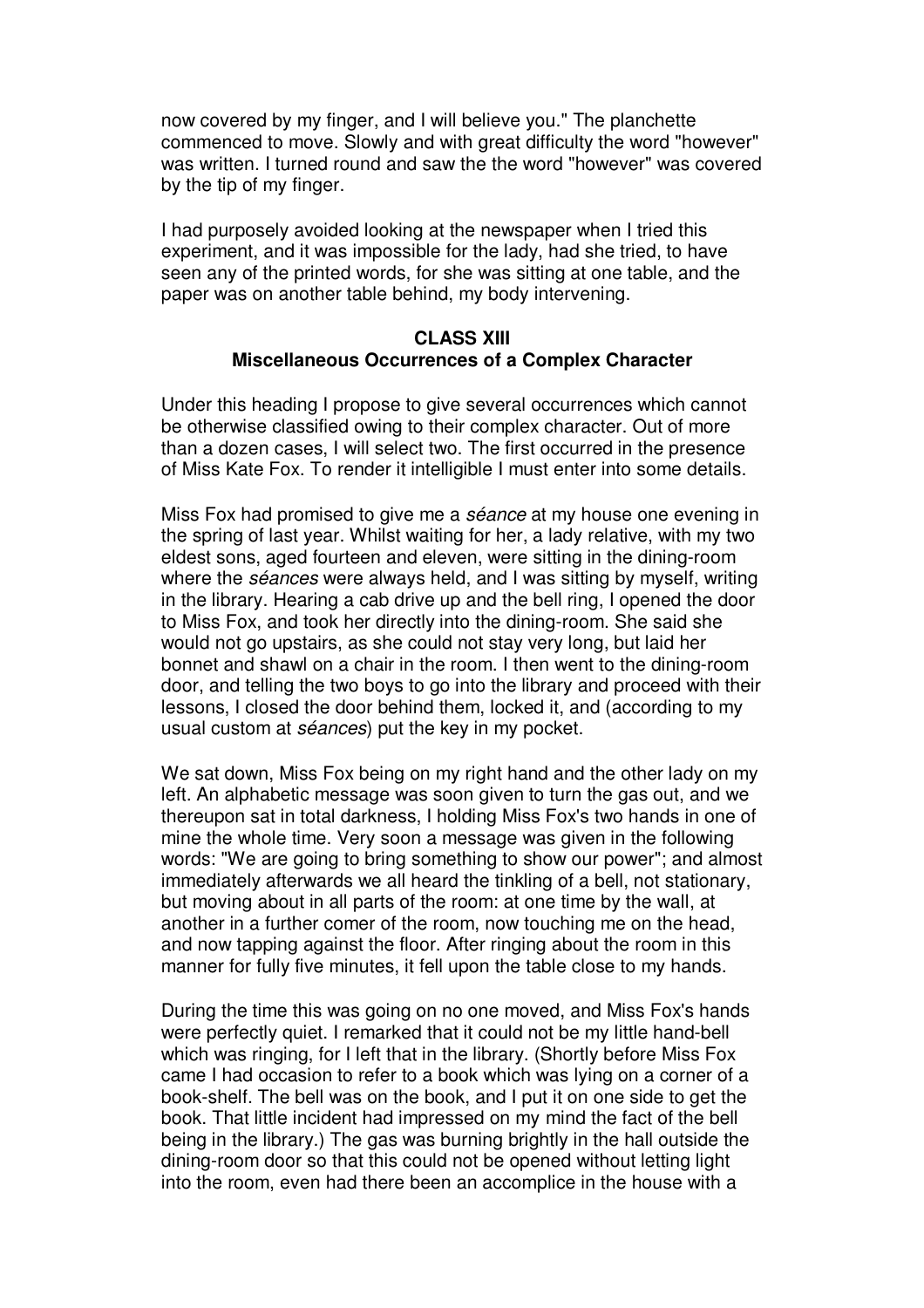now covered by my finger, and I will believe you." The planchette commenced to move. Slowly and with great difficulty the word "however" was written. I turned round and saw the the word "however" was covered by the tip of my finger.

I had purposely avoided looking at the newspaper when I tried this experiment, and it was impossible for the lady, had she tried, to have seen any of the printed words, for she was sitting at one table, and the paper was on another table behind, my body intervening.

# **CLASS XIII Miscellaneous Occurrences of a Complex Character**

Under this heading I propose to give several occurrences which cannot be otherwise classified owing to their complex character. Out of more than a dozen cases, I will select two. The first occurred in the presence of Miss Kate Fox. To render it intelligible I must enter into some details.

Miss Fox had promised to give me a *séance* at my house one evening in the spring of last year. Whilst waiting for her, a lady relative, with my two eldest sons, aged fourteen and eleven, were sitting in the dining-room where the *séances* were always held, and I was sitting by myself, writing in the library. Hearing a cab drive up and the bell ring, I opened the door to Miss Fox, and took her directly into the dining-room. She said she would not go upstairs, as she could not stay very long, but laid her bonnet and shawl on a chair in the room. I then went to the dining-room door, and telling the two boys to go into the library and proceed with their lessons, I closed the door behind them, locked it, and (according to my usual custom at *séances*) put the key in my pocket.

We sat down, Miss Fox being on my right hand and the other lady on my left. An alphabetic message was soon given to turn the gas out, and we thereupon sat in total darkness, I holding Miss Fox's two hands in one of mine the whole time. Very soon a message was given in the following words: "We are going to bring something to show our power"; and almost immediately afterwards we all heard the tinkling of a bell, not stationary, but moving about in all parts of the room: at one time by the wall, at another in a further comer of the room, now touching me on the head, and now tapping against the floor. After ringing about the room in this manner for fully five minutes, it fell upon the table close to my hands.

During the time this was going on no one moved, and Miss Fox's hands were perfectly quiet. I remarked that it could not be my little hand-bell which was ringing, for I left that in the library. (Shortly before Miss Fox came I had occasion to refer to a book which was lying on a corner of a book-shelf. The bell was on the book, and I put it on one side to get the book. That little incident had impressed on my mind the fact of the bell being in the library.) The gas was burning brightly in the hall outside the dining-room door so that this could not be opened without letting light into the room, even had there been an accomplice in the house with a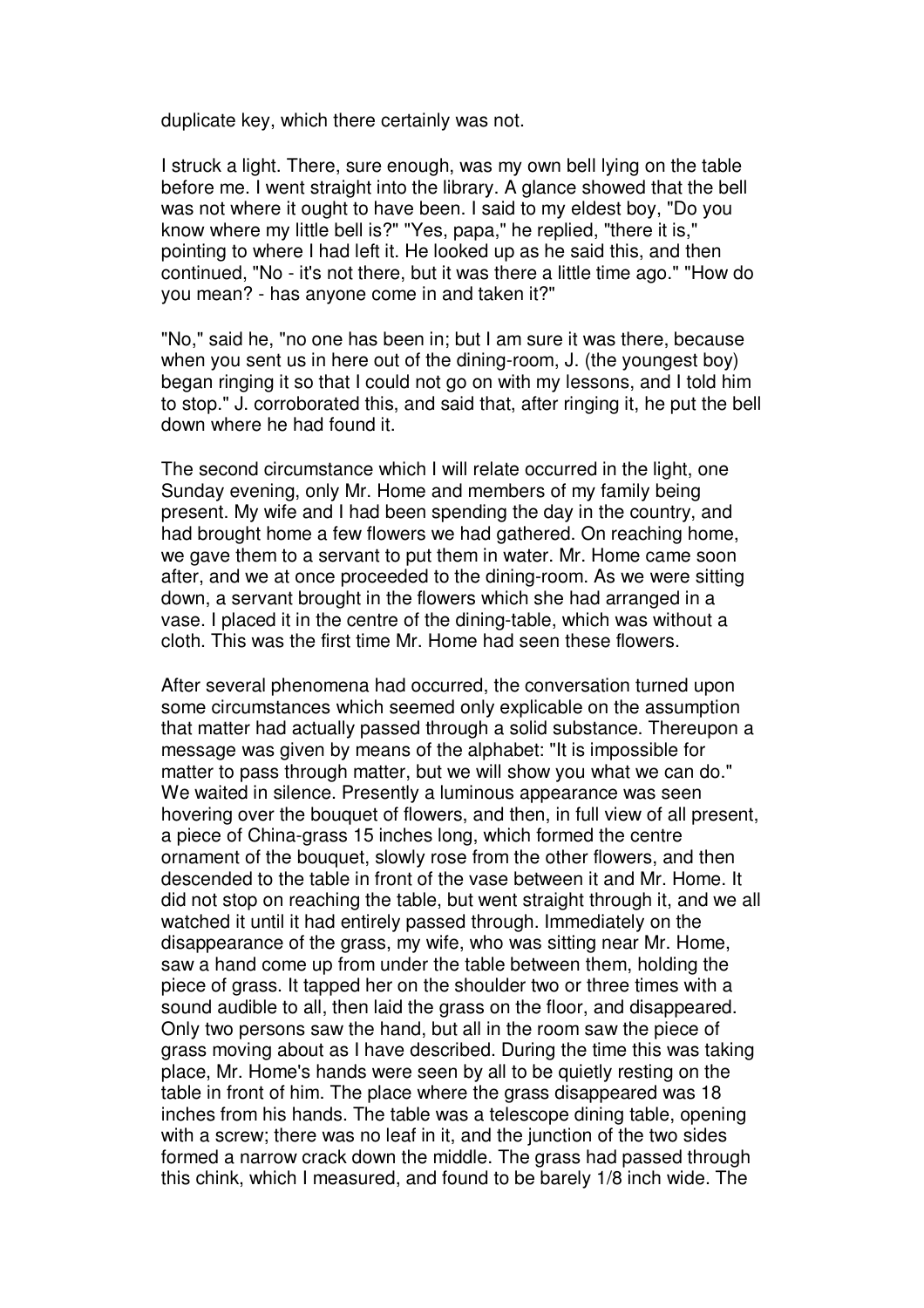duplicate key, which there certainly was not.

I struck a light. There, sure enough, was my own bell lying on the table before me. I went straight into the library. A glance showed that the bell was not where it ought to have been. I said to my eldest boy, "Do you know where my little bell is?" "Yes, papa," he replied, "there it is," pointing to where I had left it. He looked up as he said this, and then continued, "No - it's not there, but it was there a little time ago." "How do you mean? - has anyone come in and taken it?"

"No," said he, "no one has been in; but I am sure it was there, because when you sent us in here out of the dining-room, J. (the youngest boy) began ringing it so that I could not go on with my lessons, and I told him to stop." J. corroborated this, and said that, after ringing it, he put the bell down where he had found it.

The second circumstance which I will relate occurred in the light, one Sunday evening, only Mr. Home and members of my family being present. My wife and I had been spending the day in the country, and had brought home a few flowers we had gathered. On reaching home, we gave them to a servant to put them in water. Mr. Home came soon after, and we at once proceeded to the dining-room. As we were sitting down, a servant brought in the flowers which she had arranged in a vase. I placed it in the centre of the dining-table, which was without a cloth. This was the first time Mr. Home had seen these flowers.

After several phenomena had occurred, the conversation turned upon some circumstances which seemed only explicable on the assumption that matter had actually passed through a solid substance. Thereupon a message was given by means of the alphabet: "It is impossible for matter to pass through matter, but we will show you what we can do." We waited in silence. Presently a luminous appearance was seen hovering over the bouquet of flowers, and then, in full view of all present, a piece of China-grass 15 inches long, which formed the centre ornament of the bouquet, slowly rose from the other flowers, and then descended to the table in front of the vase between it and Mr. Home. It did not stop on reaching the table, but went straight through it, and we all watched it until it had entirely passed through. Immediately on the disappearance of the grass, my wife, who was sitting near Mr. Home, saw a hand come up from under the table between them, holding the piece of grass. It tapped her on the shoulder two or three times with a sound audible to all, then laid the grass on the floor, and disappeared. Only two persons saw the hand, but all in the room saw the piece of grass moving about as I have described. During the time this was taking place, Mr. Home's hands were seen by all to be quietly resting on the table in front of him. The place where the grass disappeared was 18 inches from his hands. The table was a telescope dining table, opening with a screw; there was no leaf in it, and the junction of the two sides formed a narrow crack down the middle. The grass had passed through this chink, which I measured, and found to be barely 1/8 inch wide. The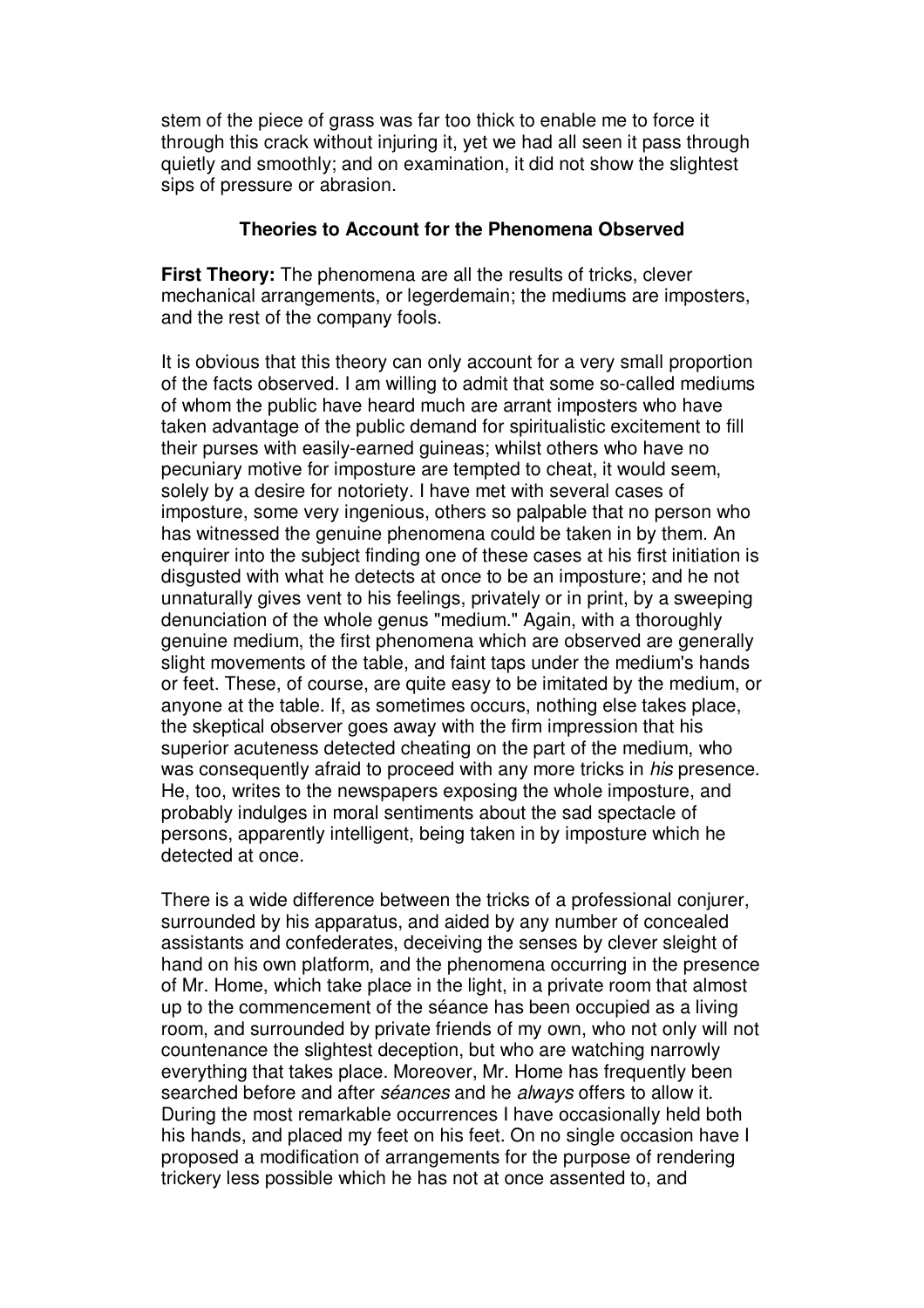stem of the piece of grass was far too thick to enable me to force it through this crack without injuring it, yet we had all seen it pass through quietly and smoothly; and on examination, it did not show the slightest sips of pressure or abrasion.

# **Theories to Account for the Phenomena Observed**

**First Theory:** The phenomena are all the results of tricks, clever mechanical arrangements, or legerdemain; the mediums are imposters, and the rest of the company fools.

It is obvious that this theory can only account for a very small proportion of the facts observed. I am willing to admit that some so-called mediums of whom the public have heard much are arrant imposters who have taken advantage of the public demand for spiritualistic excitement to fill their purses with easily-earned guineas; whilst others who have no pecuniary motive for imposture are tempted to cheat, it would seem, solely by a desire for notoriety. I have met with several cases of imposture, some very ingenious, others so palpable that no person who has witnessed the genuine phenomena could be taken in by them. An enquirer into the subject finding one of these cases at his first initiation is disgusted with what he detects at once to be an imposture; and he not unnaturally gives vent to his feelings, privately or in print, by a sweeping denunciation of the whole genus "medium." Again, with a thoroughly genuine medium, the first phenomena which are observed are generally slight movements of the table, and faint taps under the medium's hands or feet. These, of course, are quite easy to be imitated by the medium, or anyone at the table. If, as sometimes occurs, nothing else takes place, the skeptical observer goes away with the firm impression that his superior acuteness detected cheating on the part of the medium, who was consequently afraid to proceed with any more tricks in *his* presence. He, too, writes to the newspapers exposing the whole imposture, and probably indulges in moral sentiments about the sad spectacle of persons, apparently intelligent, being taken in by imposture which he detected at once.

There is a wide difference between the tricks of a professional conjurer, surrounded by his apparatus, and aided by any number of concealed assistants and confederates, deceiving the senses by clever sleight of hand on his own platform, and the phenomena occurring in the presence of Mr. Home, which take place in the light, in a private room that almost up to the commencement of the séance has been occupied as a living room, and surrounded by private friends of my own, who not only will not countenance the slightest deception, but who are watching narrowly everything that takes place. Moreover, Mr. Home has frequently been searched before and after *séances* and he *always* offers to allow it. During the most remarkable occurrences I have occasionally held both his hands, and placed my feet on his feet. On no single occasion have I proposed a modification of arrangements for the purpose of rendering trickery less possible which he has not at once assented to, and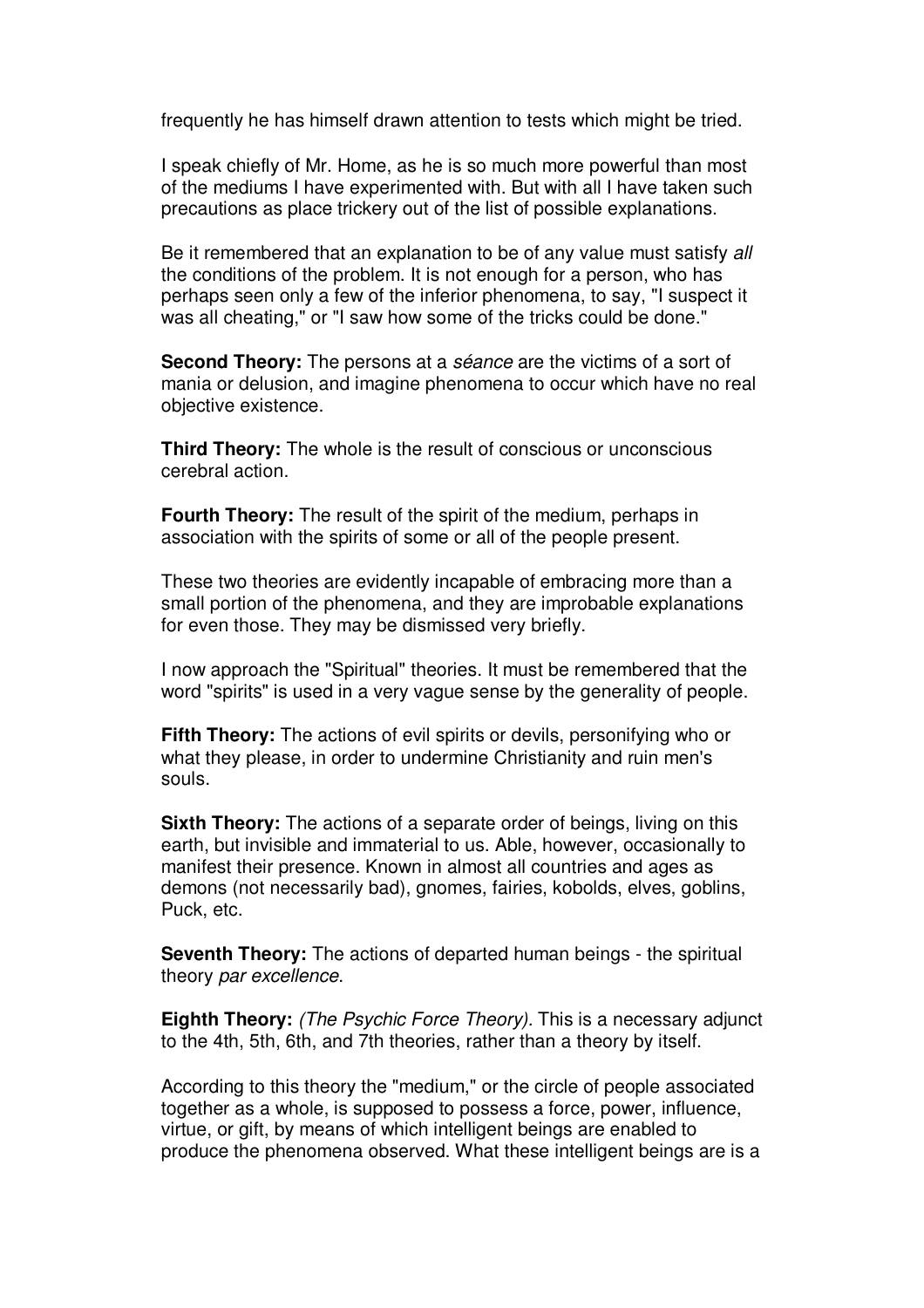frequently he has himself drawn attention to tests which might be tried.

I speak chiefly of Mr. Home, as he is so much more powerful than most of the mediums I have experimented with. But with all I have taken such precautions as place trickery out of the list of possible explanations.

Be it remembered that an explanation to be of any value must satisfy *all* the conditions of the problem. It is not enough for a person, who has perhaps seen only a few of the inferior phenomena, to say, "I suspect it was all cheating," or "I saw how some of the tricks could be done."

**Second Theory:** The persons at a *séance* are the victims of a sort of mania or delusion, and imagine phenomena to occur which have no real objective existence.

**Third Theory:** The whole is the result of conscious or unconscious cerebral action.

**Fourth Theory:** The result of the spirit of the medium, perhaps in association with the spirits of some or all of the people present.

These two theories are evidently incapable of embracing more than a small portion of the phenomena, and they are improbable explanations for even those. They may be dismissed very briefly.

I now approach the "Spiritual" theories. It must be remembered that the word "spirits" is used in a very vague sense by the generality of people.

**Fifth Theory:** The actions of evil spirits or devils, personifying who or what they please, in order to undermine Christianity and ruin men's souls.

**Sixth Theory:** The actions of a separate order of beings, living on this earth, but invisible and immaterial to us. Able, however, occasionally to manifest their presence. Known in almost all countries and ages as demons (not necessarily bad), gnomes, fairies, kobolds, elves, goblins, Puck, etc.

**Seventh Theory:** The actions of departed human beings - the spiritual theory *par excellence*.

**Eighth Theory:** *(The Psychic Force Theory).* This is a necessary adjunct to the 4th, 5th, 6th, and 7th theories, rather than a theory by itself.

According to this theory the "medium," or the circle of people associated together as a whole, is supposed to possess a force, power, influence, virtue, or gift, by means of which intelligent beings are enabled to produce the phenomena observed. What these intelligent beings are is a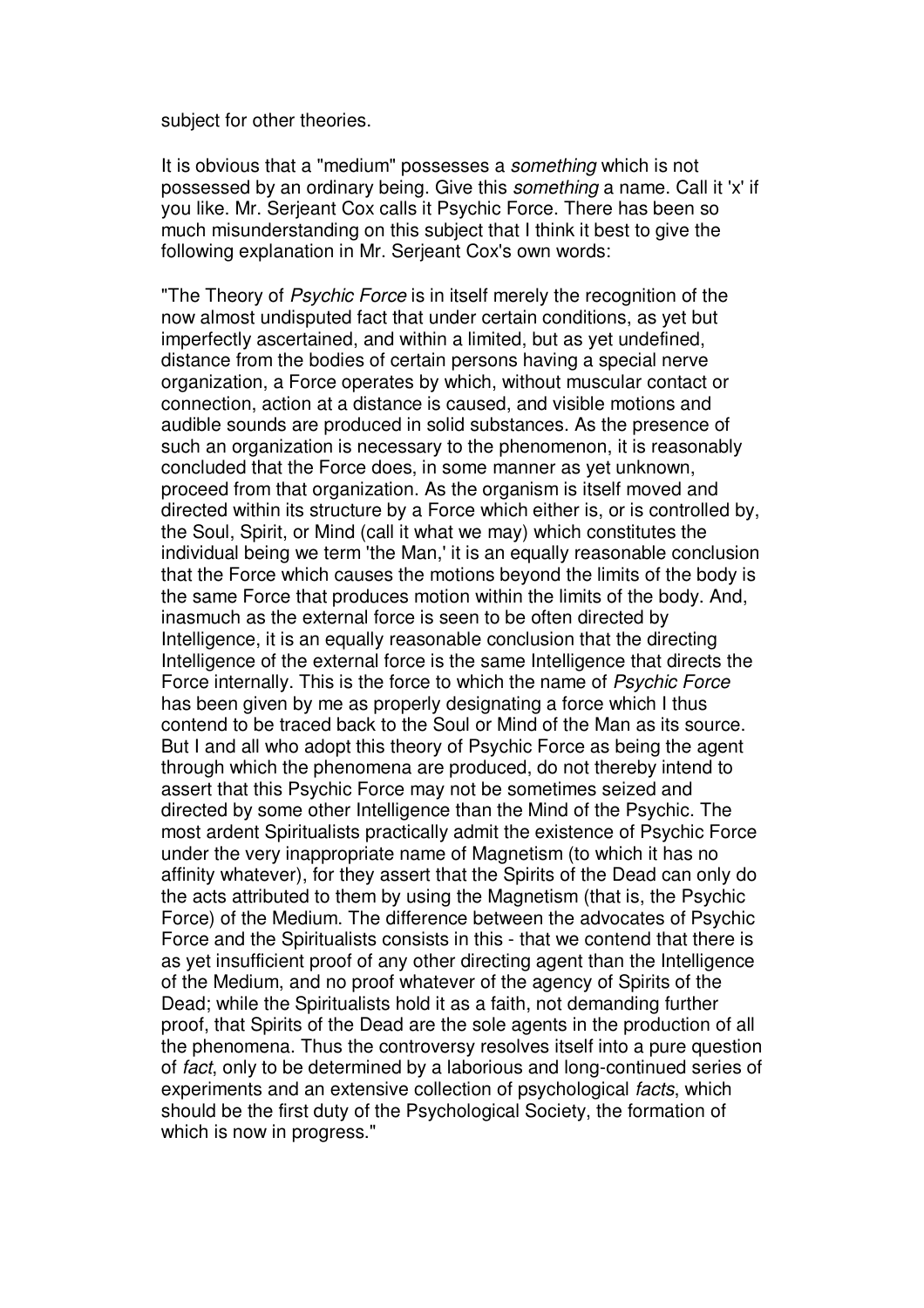subject for other theories.

It is obvious that a "medium" possesses a *something* which is not possessed by an ordinary being. Give this *something* a name. Call it 'x' if you like. Mr. Serjeant Cox calls it Psychic Force. There has been so much misunderstanding on this subject that I think it best to give the following explanation in Mr. Serjeant Cox's own words:

"The Theory of *Psychic Force* is in itself merely the recognition of the now almost undisputed fact that under certain conditions, as yet but imperfectly ascertained, and within a limited, but as yet undefined, distance from the bodies of certain persons having a special nerve organization, a Force operates by which, without muscular contact or connection, action at a distance is caused, and visible motions and audible sounds are produced in solid substances. As the presence of such an organization is necessary to the phenomenon, it is reasonably concluded that the Force does, in some manner as yet unknown, proceed from that organization. As the organism is itself moved and directed within its structure by a Force which either is, or is controlled by, the Soul, Spirit, or Mind (call it what we may) which constitutes the individual being we term 'the Man,' it is an equally reasonable conclusion that the Force which causes the motions beyond the limits of the body is the same Force that produces motion within the limits of the body. And, inasmuch as the external force is seen to be often directed by Intelligence, it is an equally reasonable conclusion that the directing Intelligence of the external force is the same Intelligence that directs the Force internally. This is the force to which the name of *Psychic Force* has been given by me as properly designating a force which I thus contend to be traced back to the Soul or Mind of the Man as its source. But I and all who adopt this theory of Psychic Force as being the agent through which the phenomena are produced, do not thereby intend to assert that this Psychic Force may not be sometimes seized and directed by some other Intelligence than the Mind of the Psychic. The most ardent Spiritualists practically admit the existence of Psychic Force under the very inappropriate name of Magnetism (to which it has no affinity whatever), for they assert that the Spirits of the Dead can only do the acts attributed to them by using the Magnetism (that is, the Psychic Force) of the Medium. The difference between the advocates of Psychic Force and the Spiritualists consists in this - that we contend that there is as yet insufficient proof of any other directing agent than the Intelligence of the Medium, and no proof whatever of the agency of Spirits of the Dead; while the Spiritualists hold it as a faith, not demanding further proof, that Spirits of the Dead are the sole agents in the production of all the phenomena. Thus the controversy resolves itself into a pure question of *fact*, only to be determined by a laborious and long-continued series of experiments and an extensive collection of psychological *facts*, which should be the first duty of the Psychological Society, the formation of which is now in progress."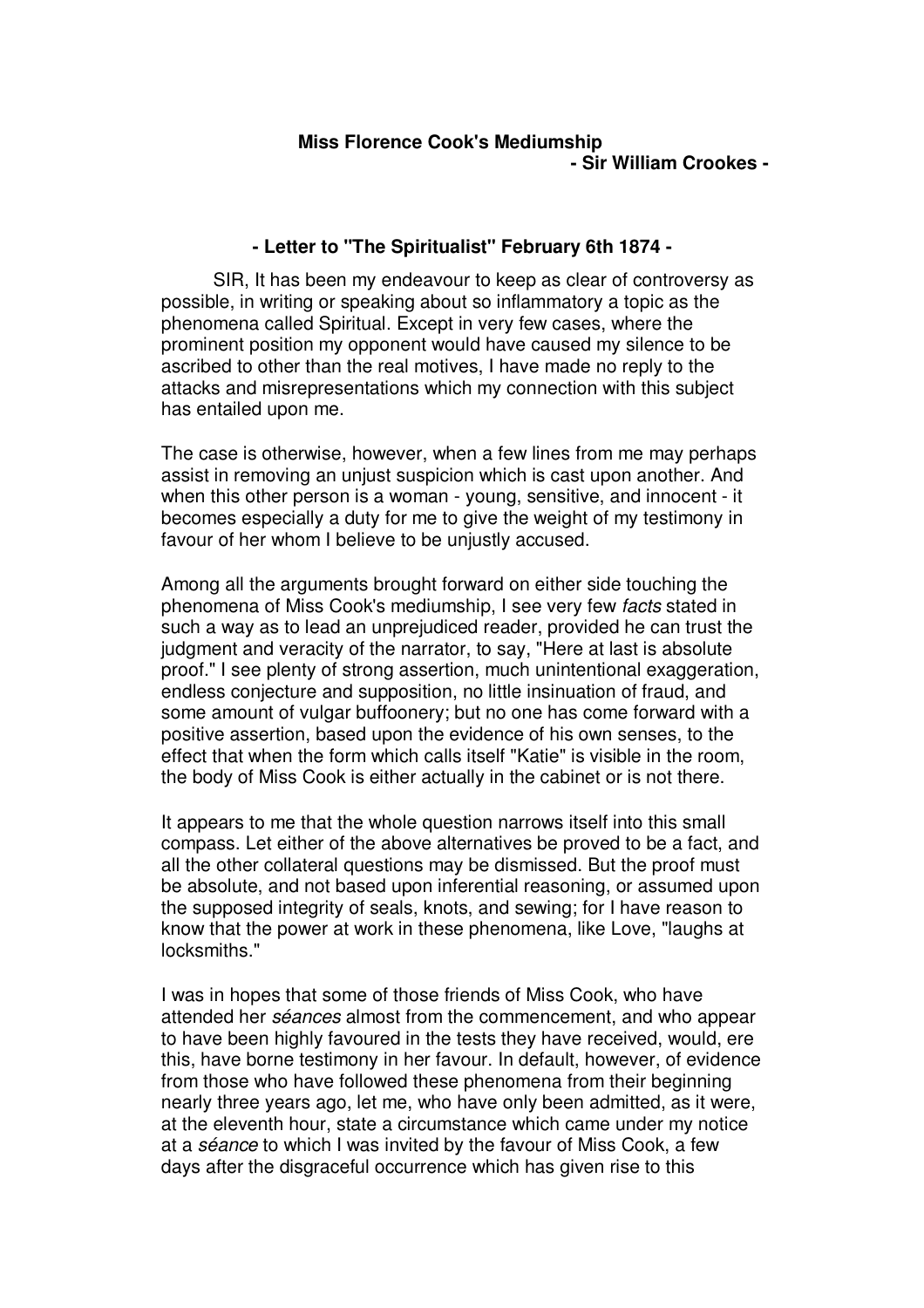**Miss Florence Cook's Mediumship - Sir William Crookes -**

### **- Letter to "The Spiritualist" February 6th 1874 -**

SIR, It has been my endeavour to keep as clear of controversy as possible, in writing or speaking about so inflammatory a topic as the phenomena called Spiritual. Except in very few cases, where the prominent position my opponent would have caused my silence to be ascribed to other than the real motives, I have made no reply to the attacks and misrepresentations which my connection with this subject has entailed upon me.

The case is otherwise, however, when a few lines from me may perhaps assist in removing an unjust suspicion which is cast upon another. And when this other person is a woman - young, sensitive, and innocent - it becomes especially a duty for me to give the weight of my testimony in favour of her whom I believe to be unjustly accused.

Among all the arguments brought forward on either side touching the phenomena of Miss Cook's mediumship, I see very few *facts* stated in such a way as to lead an unprejudiced reader, provided he can trust the iudament and veracity of the narrator, to say, "Here at last is absolute proof." I see plenty of strong assertion, much unintentional exaggeration, endless conjecture and supposition, no little insinuation of fraud, and some amount of vulgar buffoonery; but no one has come forward with a positive assertion, based upon the evidence of his own senses, to the effect that when the form which calls itself "Katie" is visible in the room, the body of Miss Cook is either actually in the cabinet or is not there.

It appears to me that the whole question narrows itself into this small compass. Let either of the above alternatives be proved to be a fact, and all the other collateral questions may be dismissed. But the proof must be absolute, and not based upon inferential reasoning, or assumed upon the supposed integrity of seals, knots, and sewing; for I have reason to know that the power at work in these phenomena, like Love, "laughs at locksmiths."

I was in hopes that some of those friends of Miss Cook, who have attended her *séances* almost from the commencement, and who appear to have been highly favoured in the tests they have received, would, ere this, have borne testimony in her favour. In default, however, of evidence from those who have followed these phenomena from their beginning nearly three years ago, let me, who have only been admitted, as it were, at the eleventh hour, state a circumstance which came under my notice at a *séance* to which I was invited by the favour of Miss Cook, a few days after the disgraceful occurrence which has given rise to this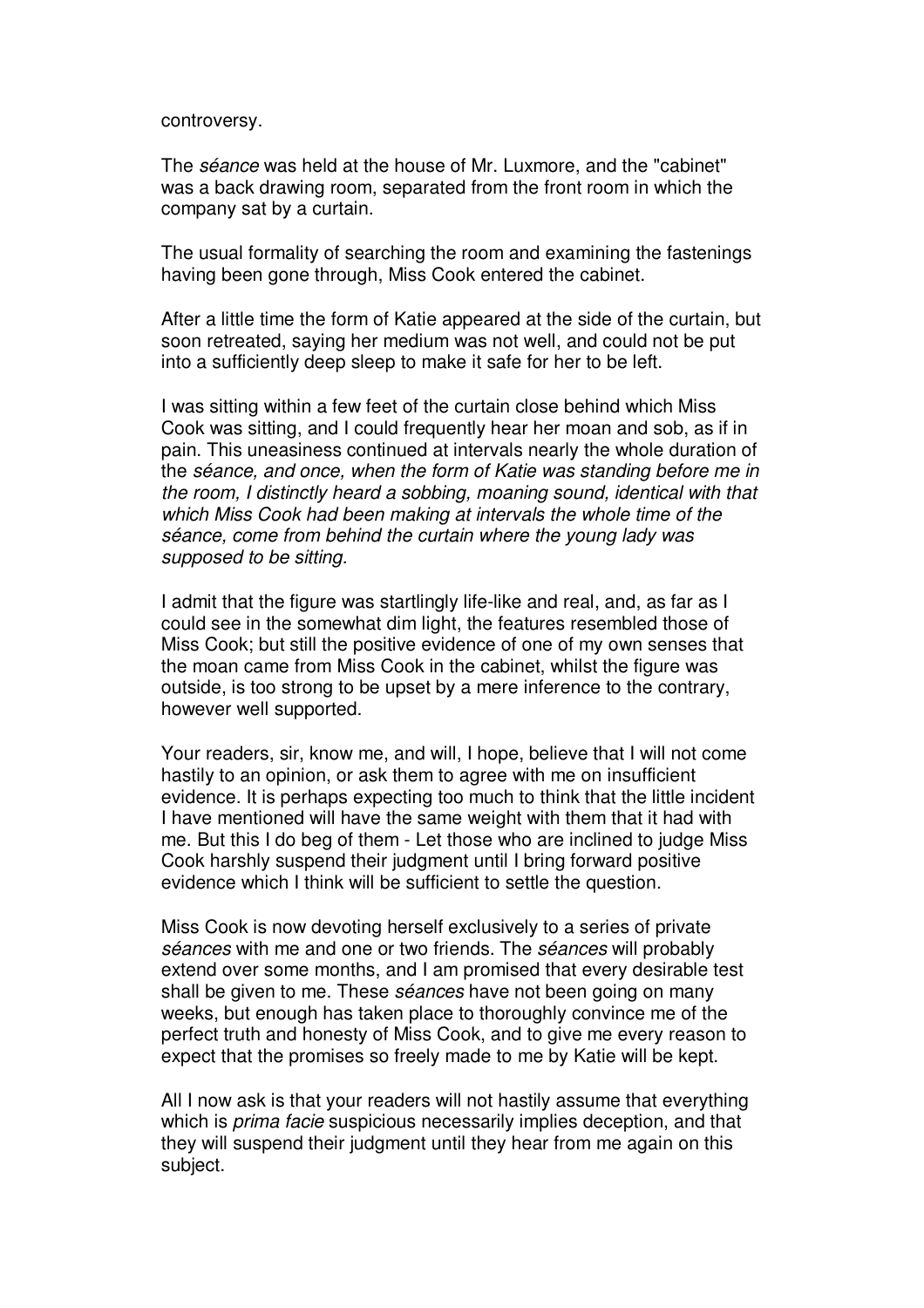controversy.

The *séance* was held at the house of Mr. Luxmore, and the "cabinet" was a back drawing room, separated from the front room in which the company sat by a curtain.

The usual formality of searching the room and examining the fastenings having been gone through, Miss Cook entered the cabinet.

After a little time the form of Katie appeared at the side of the curtain, but soon retreated, saying her medium was not well, and could not be put into a sufficiently deep sleep to make it safe for her to be left.

I was sitting within a few feet of the curtain close behind which Miss Cook was sitting, and I could frequently hear her moan and sob, as if in pain. This uneasiness continued at intervals nearly the whole duration of the *séance, and once, when the form of Katie was standing before me in the room, I distinctly heard a sobbing, moaning sound, identical with that which Miss Cook had been making at intervals the whole time of the séance, come from behind the curtain where the young lady was supposed to be sitting.*

I admit that the figure was startlingly life-like and real, and, as far as I could see in the somewhat dim light, the features resembled those of Miss Cook; but still the positive evidence of one of my own senses that the moan came from Miss Cook in the cabinet, whilst the figure was outside, is too strong to be upset by a mere inference to the contrary, however well supported.

Your readers, sir, know me, and will, I hope, believe that I will not come hastily to an opinion, or ask them to agree with me on insufficient evidence. It is perhaps expecting too much to think that the little incident I have mentioned will have the same weight with them that it had with me. But this I do beg of them - Let those who are inclined to judge Miss Cook harshly suspend their judgment until I bring forward positive evidence which I think will be sufficient to settle the question.

Miss Cook is now devoting herself exclusively to a series of private *séances* with me and one or two friends. The *séances* will probably extend over some months, and I am promised that every desirable test shall be given to me. These *séances* have not been going on many weeks, but enough has taken place to thoroughly convince me of the perfect truth and honesty of Miss Cook, and to give me every reason to expect that the promises so freely made to me by Katie will be kept.

All I now ask is that your readers will not hastily assume that everything which is *prima facie* suspicious necessarily implies deception, and that they will suspend their judgment until they hear from me again on this subject.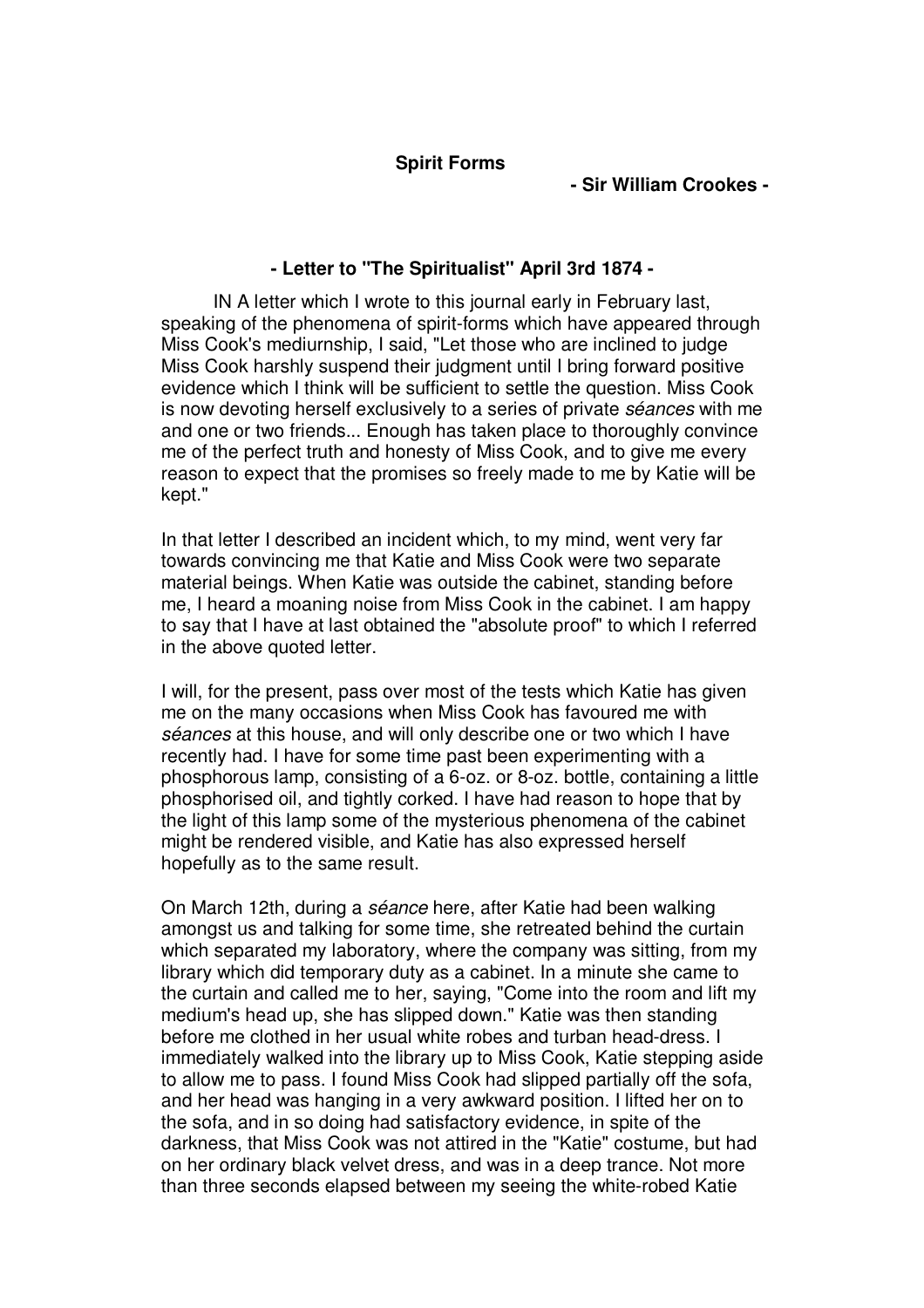#### **Spirit Forms**

**- Sir William Crookes -**

#### **- Letter to "The Spiritualist" April 3rd 1874 -**

IN A letter which I wrote to this journal early in February last, speaking of the phenomena of spirit-forms which have appeared through Miss Cook's mediurnship, I said, "Let those who are inclined to judge Miss Cook harshly suspend their judgment until I bring forward positive evidence which I think will be sufficient to settle the question. Miss Cook is now devoting herself exclusively to a series of private *séances* with me and one or two friends... Enough has taken place to thoroughly convince me of the perfect truth and honesty of Miss Cook, and to give me every reason to expect that the promises so freely made to me by Katie will be kept."

In that letter I described an incident which, to my mind, went very far towards convincing me that Katie and Miss Cook were two separate material beings. When Katie was outside the cabinet, standing before me, I heard a moaning noise from Miss Cook in the cabinet. I am happy to say that I have at last obtained the "absolute proof" to which I referred in the above quoted letter.

I will, for the present, pass over most of the tests which Katie has given me on the many occasions when Miss Cook has favoured me with *séances* at this house, and will only describe one or two which I have recently had. I have for some time past been experimenting with a phosphorous lamp, consisting of a 6-oz. or 8-oz. bottle, containing a little phosphorised oil, and tightly corked. I have had reason to hope that by the light of this lamp some of the mysterious phenomena of the cabinet might be rendered visible, and Katie has also expressed herself hopefully as to the same result.

On March 12th, during a *séance* here, after Katie had been walking amongst us and talking for some time, she retreated behind the curtain which separated my laboratory, where the company was sitting, from my library which did temporary duty as a cabinet. In a minute she came to the curtain and called me to her, saying, "Come into the room and lift my medium's head up, she has slipped down." Katie was then standing before me clothed in her usual white robes and turban head-dress. I immediately walked into the library up to Miss Cook, Katie stepping aside to allow me to pass. I found Miss Cook had slipped partially off the sofa, and her head was hanging in a very awkward position. I lifted her on to the sofa, and in so doing had satisfactory evidence, in spite of the darkness, that Miss Cook was not attired in the "Katie" costume, but had on her ordinary black velvet dress, and was in a deep trance. Not more than three seconds elapsed between my seeing the white-robed Katie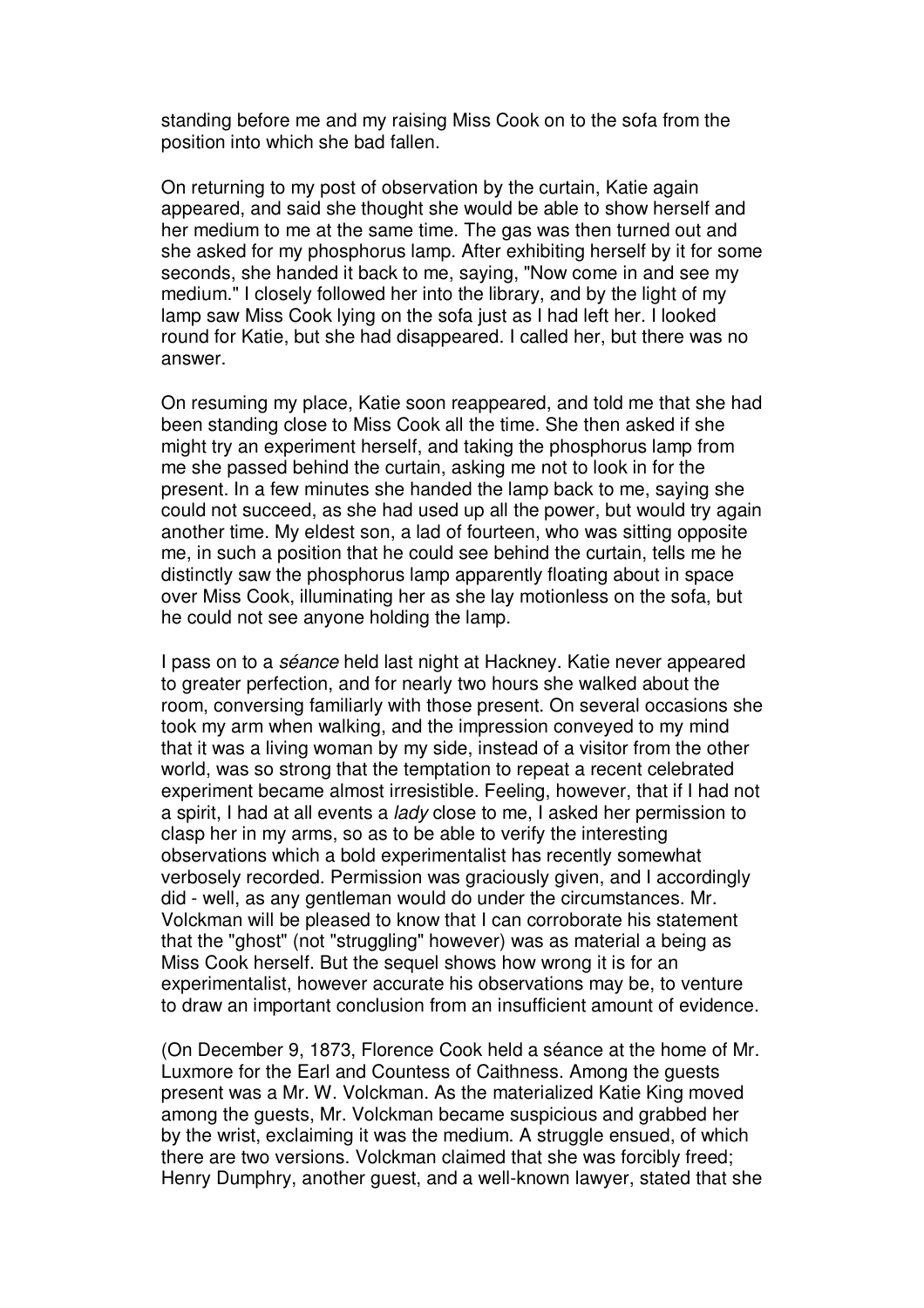standing before me and my raising Miss Cook on to the sofa from the position into which she bad fallen.

On returning to my post of observation by the curtain, Katie again appeared, and said she thought she would be able to show herself and her medium to me at the same time. The gas was then turned out and she asked for my phosphorus lamp. After exhibiting herself by it for some seconds, she handed it back to me, saying, "Now come in and see my medium." I closely followed her into the library, and by the light of my lamp saw Miss Cook lying on the sofa just as I had left her. I looked round for Katie, but she had disappeared. I called her, but there was no answer.

On resuming my place, Katie soon reappeared, and told me that she had been standing close to Miss Cook all the time. She then asked if she might try an experiment herself, and taking the phosphorus lamp from me she passed behind the curtain, asking me not to look in for the present. In a few minutes she handed the lamp back to me, saying she could not succeed, as she had used up all the power, but would try again another time. My eldest son, a lad of fourteen, who was sitting opposite me, in such a position that he could see behind the curtain, tells me he distinctly saw the phosphorus lamp apparently floating about in space over Miss Cook, illuminating her as she lay motionless on the sofa, but he could not see anyone holding the lamp.

I pass on to a *séance* held last night at Hackney. Katie never appeared to greater perfection, and for nearly two hours she walked about the room, conversing familiarly with those present. On several occasions she took my arm when walking, and the impression conveyed to my mind that it was a living woman by my side, instead of a visitor from the other world, was so strong that the temptation to repeat a recent celebrated experiment became almost irresistible. Feeling, however, that if I had not a spirit, I had at all events a *lady* close to me, I asked her permission to clasp her in my arms, so as to be able to verify the interesting observations which a bold experimentalist has recently somewhat verbosely recorded. Permission was graciously given, and I accordingly did - well, as any gentleman would do under the circumstances. Mr. Volckman will be pleased to know that I can corroborate his statement that the "ghost" (not "struggling" however) was as material a being as Miss Cook herself. But the sequel shows how wrong it is for an experimentalist, however accurate his observations may be, to venture to draw an important conclusion from an insufficient amount of evidence.

(On December 9, 1873, Florence Cook held a séance at the home of Mr. Luxmore for the Earl and Countess of Caithness. Among the guests present was a Mr. W. Volckman. As the materialized Katie King moved among the guests, Mr. Volckman became suspicious and grabbed her by the wrist, exclaiming it was the medium. A struggle ensued, of which there are two versions. Volckman claimed that she was forcibly freed; Henry Dumphry, another guest, and a well-known lawyer, stated that she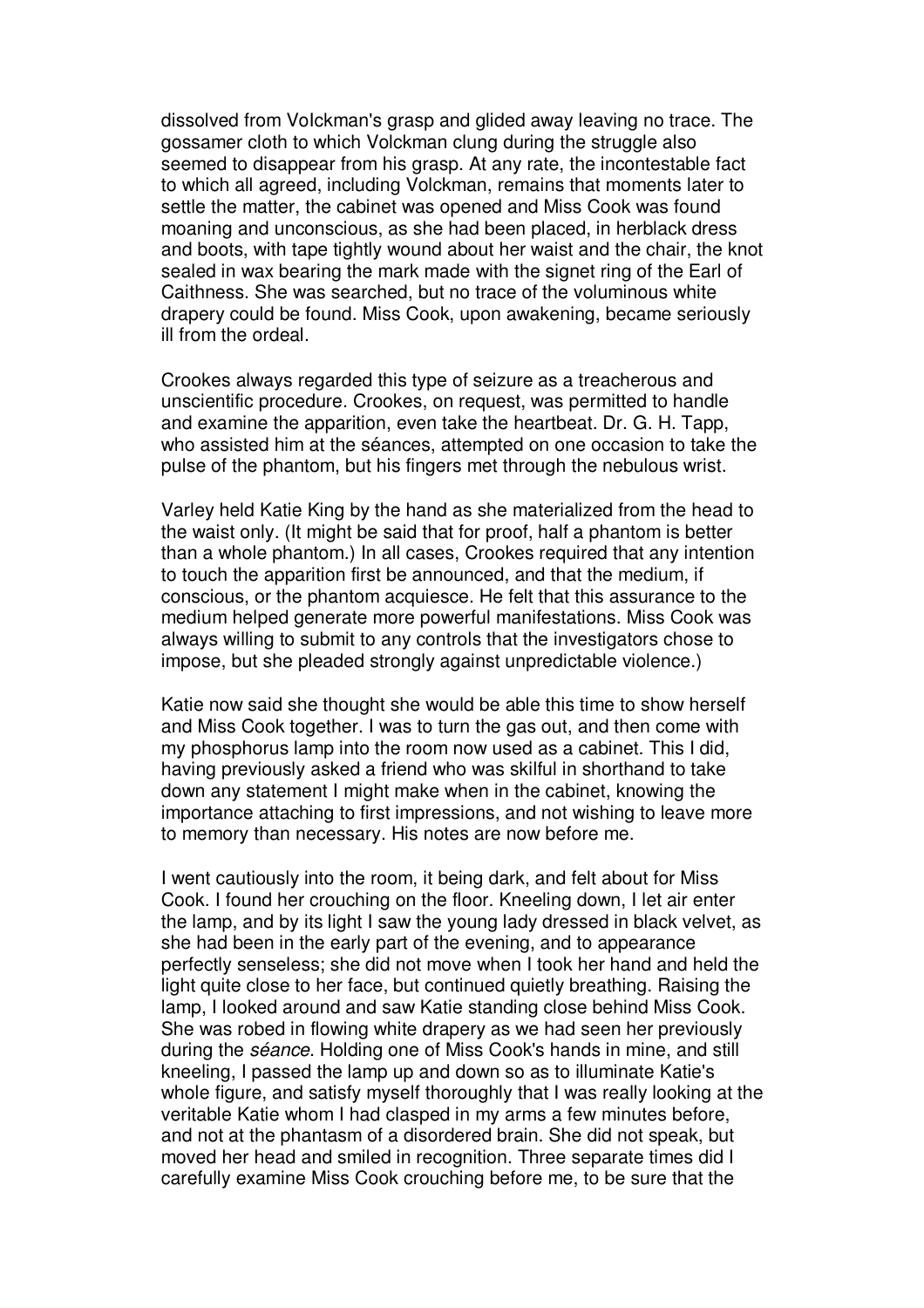dissolved from VoIckman's grasp and glided away leaving no trace. The gossamer cloth to which Volckman clung during the struggle also seemed to disappear from his grasp. At any rate, the incontestable fact to which all agreed, including Volckman, remains that moments later to settle the matter, the cabinet was opened and Miss Cook was found moaning and unconscious, as she had been placed, in herblack dress and boots, with tape tightly wound about her waist and the chair, the knot sealed in wax bearing the mark made with the signet ring of the Earl of Caithness. She was searched, but no trace of the voluminous white drapery could be found. Miss Cook, upon awakening, became seriously ill from the ordeal.

Crookes always regarded this type of seizure as a treacherous and unscientific procedure. Crookes, on request, was permitted to handle and examine the apparition, even take the heartbeat. Dr. G. H. Tapp, who assisted him at the séances, attempted on one occasion to take the pulse of the phantom, but his fingers met through the nebulous wrist.

Varley held Katie King by the hand as she materialized from the head to the waist only. (It might be said that for proof, half a phantom is better than a whole phantom.) In all cases, Crookes required that any intention to touch the apparition first be announced, and that the medium, if conscious, or the phantom acquiesce. He felt that this assurance to the medium helped generate more powerful manifestations. Miss Cook was always willing to submit to any controls that the investigators chose to impose, but she pleaded strongly against unpredictable violence.)

Katie now said she thought she would be able this time to show herself and Miss Cook together. I was to turn the gas out, and then come with my phosphorus lamp into the room now used as a cabinet. This I did, having previously asked a friend who was skilful in shorthand to take down any statement I might make when in the cabinet, knowing the importance attaching to first impressions, and not wishing to leave more to memory than necessary. His notes are now before me.

I went cautiously into the room, it being dark, and felt about for Miss Cook. I found her crouching on the floor. Kneeling down, I let air enter the lamp, and by its light I saw the young lady dressed in black velvet, as she had been in the early part of the evening, and to appearance perfectly senseless; she did not move when I took her hand and held the light quite close to her face, but continued quietly breathing. Raising the lamp, I looked around and saw Katie standing close behind Miss Cook. She was robed in flowing white drapery as we had seen her previously during the *séance*. Holding one of Miss Cook's hands in mine, and still kneeling, I passed the lamp up and down so as to illuminate Katie's whole figure, and satisfy myself thoroughly that I was really looking at the veritable Katie whom I had clasped in my arms a few minutes before, and not at the phantasm of a disordered brain. She did not speak, but moved her head and smiled in recognition. Three separate times did I carefully examine Miss Cook crouching before me, to be sure that the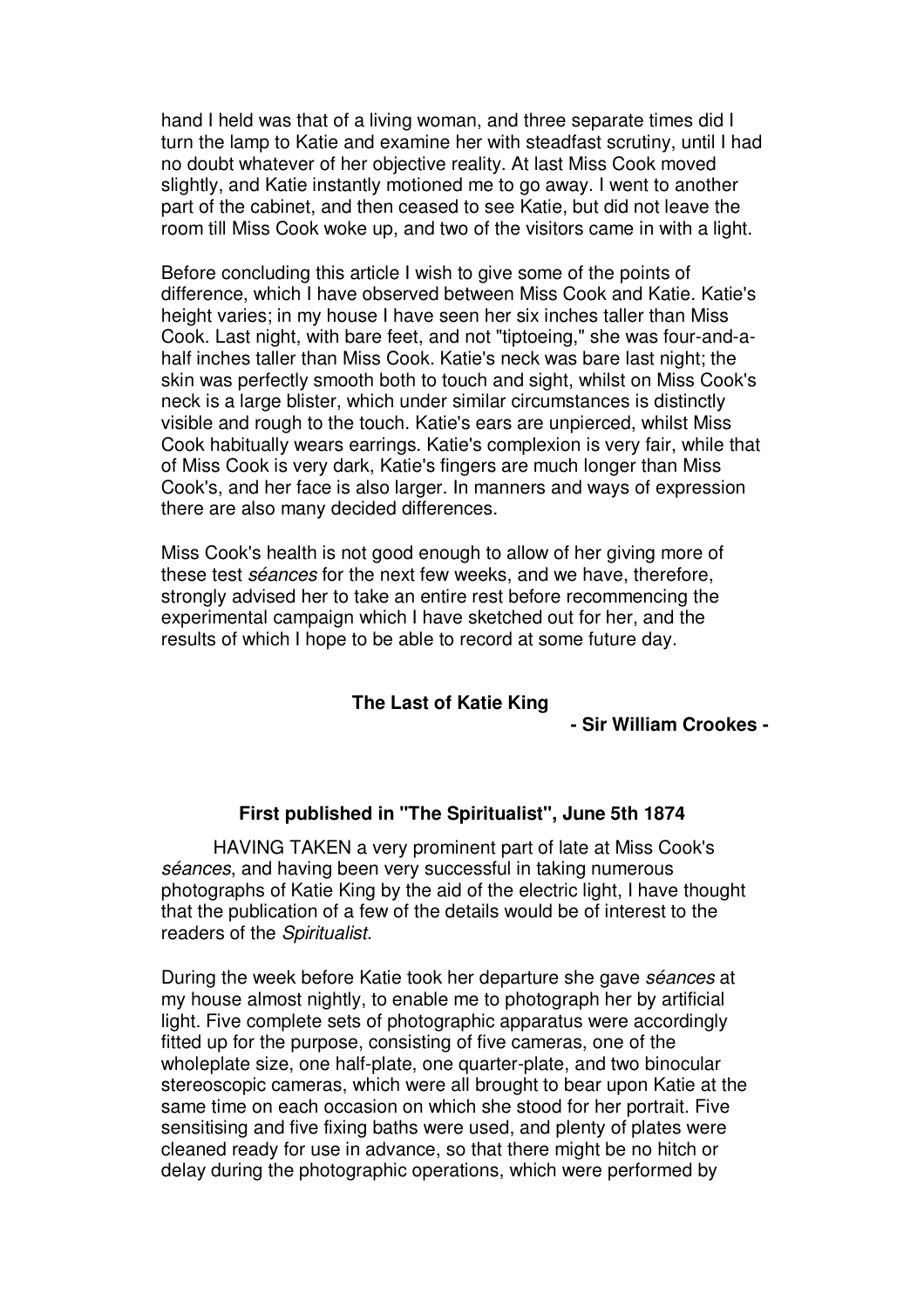hand I held was that of a living woman, and three separate times did I turn the lamp to Katie and examine her with steadfast scrutiny, until I had no doubt whatever of her objective reality. At last Miss Cook moved slightly, and Katie instantly motioned me to go away. I went to another part of the cabinet, and then ceased to see Katie, but did not leave the room till Miss Cook woke up, and two of the visitors came in with a light.

Before concluding this article I wish to give some of the points of difference, which I have observed between Miss Cook and Katie. Katie's height varies; in my house I have seen her six inches taller than Miss Cook. Last night, with bare feet, and not "tiptoeing," she was four-and-ahalf inches taller than Miss Cook. Katie's neck was bare last night; the skin was perfectly smooth both to touch and sight, whilst on Miss Cook's neck is a large blister, which under similar circumstances is distinctly visible and rough to the touch. Katie's ears are unpierced, whilst Miss Cook habitually wears earrings. Katie's complexion is very fair, while that of Miss Cook is very dark, Katie's fingers are much longer than Miss Cook's, and her face is also larger. In manners and ways of expression there are also many decided differences.

Miss Cook's health is not good enough to allow of her giving more of these test *séances* for the next few weeks, and we have, therefore, strongly advised her to take an entire rest before recommencing the experimental campaign which I have sketched out for her, and the results of which I hope to be able to record at some future day.

# **The Last of Katie King**

**- Sir William Crookes -**

# **First published in "The Spiritualist", June 5th 1874**

HAVING TAKEN a very prominent part of late at Miss Cook's *séances*, and having been very successful in taking numerous photographs of Katie King by the aid of the electric light, I have thought that the publication of a few of the details would be of interest to the readers of the *Spiritualist.*

During the week before Katie took her departure she gave *séances* at my house almost nightly, to enable me to photograph her by artificial light. Five complete sets of photographic apparatus were accordingly fitted up for the purpose, consisting of five cameras, one of the wholeplate size, one half-plate, one quarter-plate, and two binocular stereoscopic cameras, which were all brought to bear upon Katie at the same time on each occasion on which she stood for her portrait. Five sensitising and five fixing baths were used, and plenty of plates were cleaned ready for use in advance, so that there might be no hitch or delay during the photographic operations, which were performed by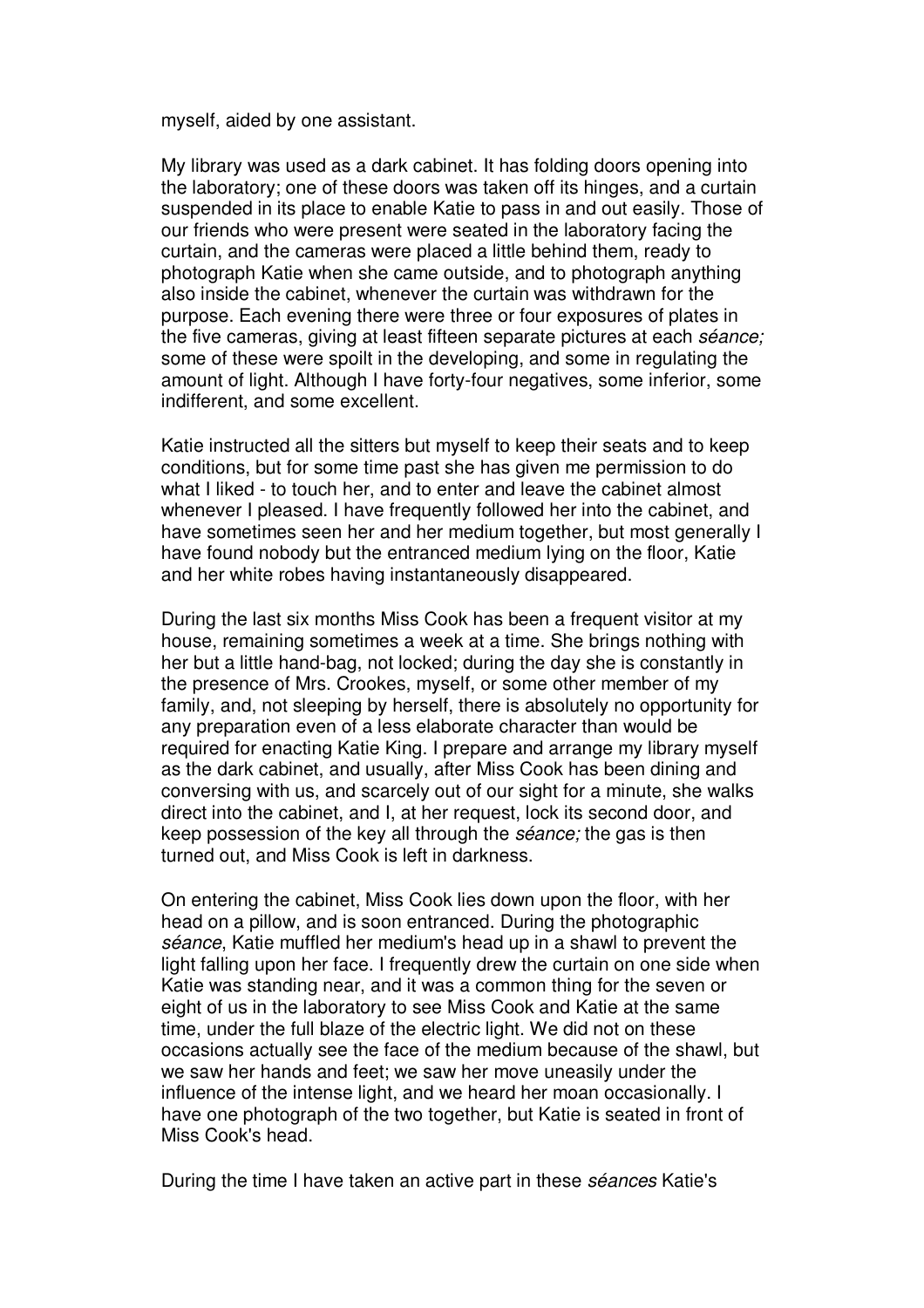myself, aided by one assistant.

My library was used as a dark cabinet. It has folding doors opening into the laboratory; one of these doors was taken off its hinges, and a curtain suspended in its place to enable Katie to pass in and out easily. Those of our friends who were present were seated in the laboratory facing the curtain, and the cameras were placed a little behind them, ready to photograph Katie when she came outside, and to photograph anything also inside the cabinet, whenever the curtain was withdrawn for the purpose. Each evening there were three or four exposures of plates in the five cameras, giving at least fifteen separate pictures at each *séance;* some of these were spoilt in the developing, and some in regulating the amount of light. Although I have forty-four negatives, some inferior, some indifferent, and some excellent.

Katie instructed all the sitters but myself to keep their seats and to keep conditions, but for some time past she has given me permission to do what I liked - to touch her, and to enter and leave the cabinet almost whenever I pleased. I have frequently followed her into the cabinet, and have sometimes seen her and her medium together, but most generally I have found nobody but the entranced medium lying on the floor, Katie and her white robes having instantaneously disappeared.

During the last six months Miss Cook has been a frequent visitor at my house, remaining sometimes a week at a time. She brings nothing with her but a little hand-bag, not locked; during the day she is constantly in the presence of Mrs. Crookes, myself, or some other member of my family, and, not sleeping by herself, there is absolutely no opportunity for any preparation even of a less elaborate character than would be required for enacting Katie King. I prepare and arrange my library myself as the dark cabinet, and usually, after Miss Cook has been dining and conversing with us, and scarcely out of our sight for a minute, she walks direct into the cabinet, and I, at her request, lock its second door, and keep possession of the key all through the *séance;* the gas is then turned out, and Miss Cook is left in darkness.

On entering the cabinet, Miss Cook lies down upon the floor, with her head on a pillow, and is soon entranced. During the photographic *séance*, Katie muffled her medium's head up in a shawl to prevent the light falling upon her face. I frequently drew the curtain on one side when Katie was standing near, and it was a common thing for the seven or eight of us in the laboratory to see Miss Cook and Katie at the same time, under the full blaze of the electric light. We did not on these occasions actually see the face of the medium because of the shawl, but we saw her hands and feet; we saw her move uneasily under the influence of the intense light, and we heard her moan occasionally. I have one photograph of the two together, but Katie is seated in front of Miss Cook's head.

During the time I have taken an active part in these *séances* Katie's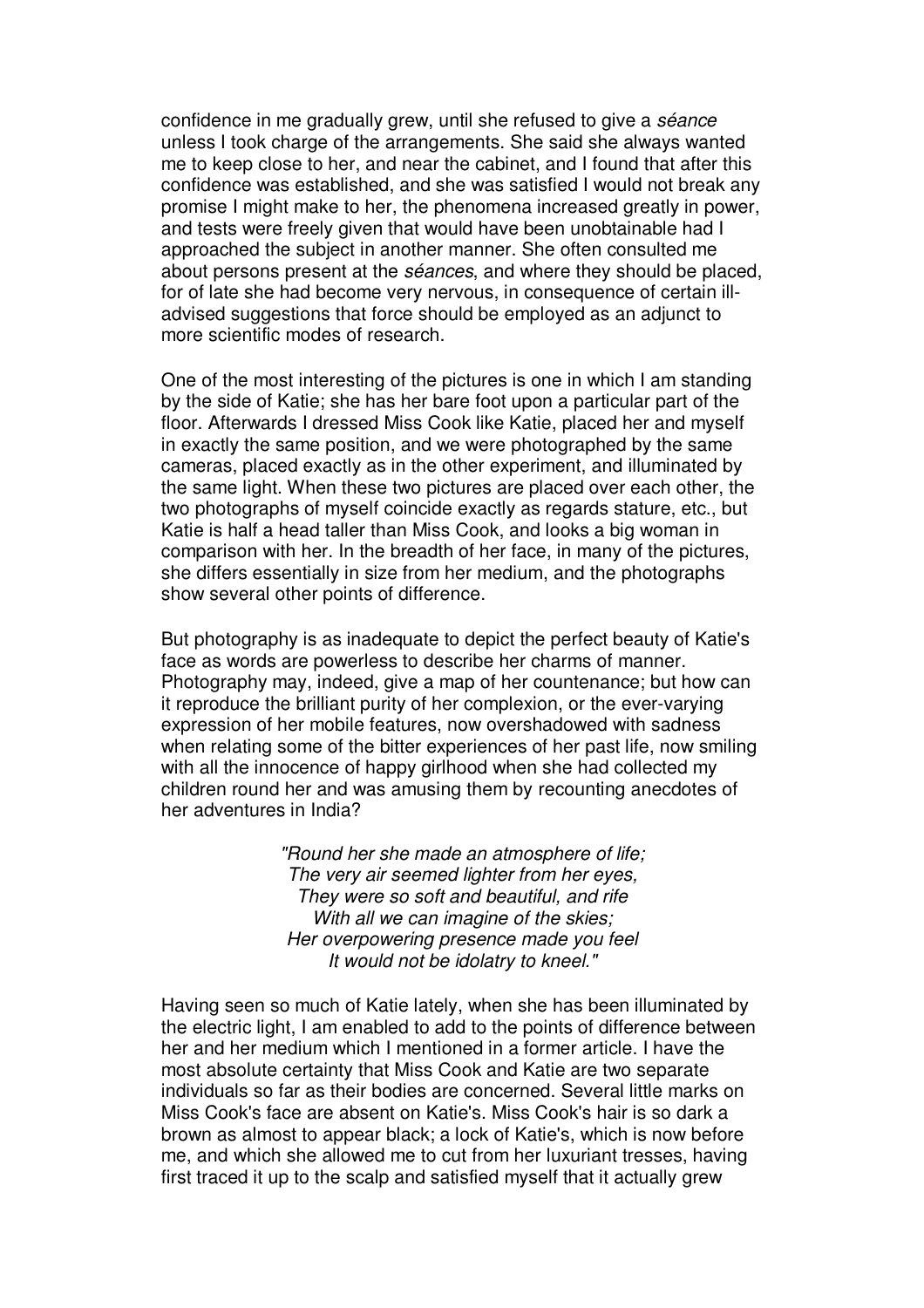confidence in me gradually grew, until she refused to give a *séance* unless I took charge of the arrangements. She said she always wanted me to keep close to her, and near the cabinet, and I found that after this confidence was established, and she was satisfied I would not break any promise I might make to her, the phenomena increased greatly in power, and tests were freely given that would have been unobtainable had I approached the subject in another manner. She often consulted me about persons present at the *séances*, and where they should be placed, for of late she had become very nervous, in consequence of certain illadvised suggestions that force should be employed as an adjunct to more scientific modes of research.

One of the most interesting of the pictures is one in which I am standing by the side of Katie; she has her bare foot upon a particular part of the floor. Afterwards I dressed Miss Cook like Katie, placed her and myself in exactly the same position, and we were photographed by the same cameras, placed exactly as in the other experiment, and illuminated by the same light. When these two pictures are placed over each other, the two photographs of myself coincide exactly as regards stature, etc., but Katie is half a head taller than Miss Cook, and looks a big woman in comparison with her. In the breadth of her face, in many of the pictures, she differs essentially in size from her medium, and the photographs show several other points of difference.

But photography is as inadequate to depict the perfect beauty of Katie's face as words are powerless to describe her charms of manner. Photography may, indeed, give a map of her countenance; but how can it reproduce the brilliant purity of her complexion, or the ever-varying expression of her mobile features, now overshadowed with sadness when relating some of the bitter experiences of her past life, now smiling with all the innocence of happy girlhood when she had collected my children round her and was amusing them by recounting anecdotes of her adventures in India?

> *"Round her she made an atmosphere of life; The very air seemed lighter from her eyes, They were so soft and beautiful, and rife With all we can imagine of the skies; Her overpowering presence made you feel It would not be idolatry to kneel."*

Having seen so much of Katie lately, when she has been illuminated by the electric light, I am enabled to add to the points of difference between her and her medium which I mentioned in a former article. I have the most absolute certainty that Miss Cook and Katie are two separate individuals so far as their bodies are concerned. Several little marks on Miss Cook's face are absent on Katie's. Miss Cook's hair is so dark a brown as almost to appear black; a lock of Katie's, which is now before me, and which she allowed me to cut from her luxuriant tresses, having first traced it up to the scalp and satisfied myself that it actually grew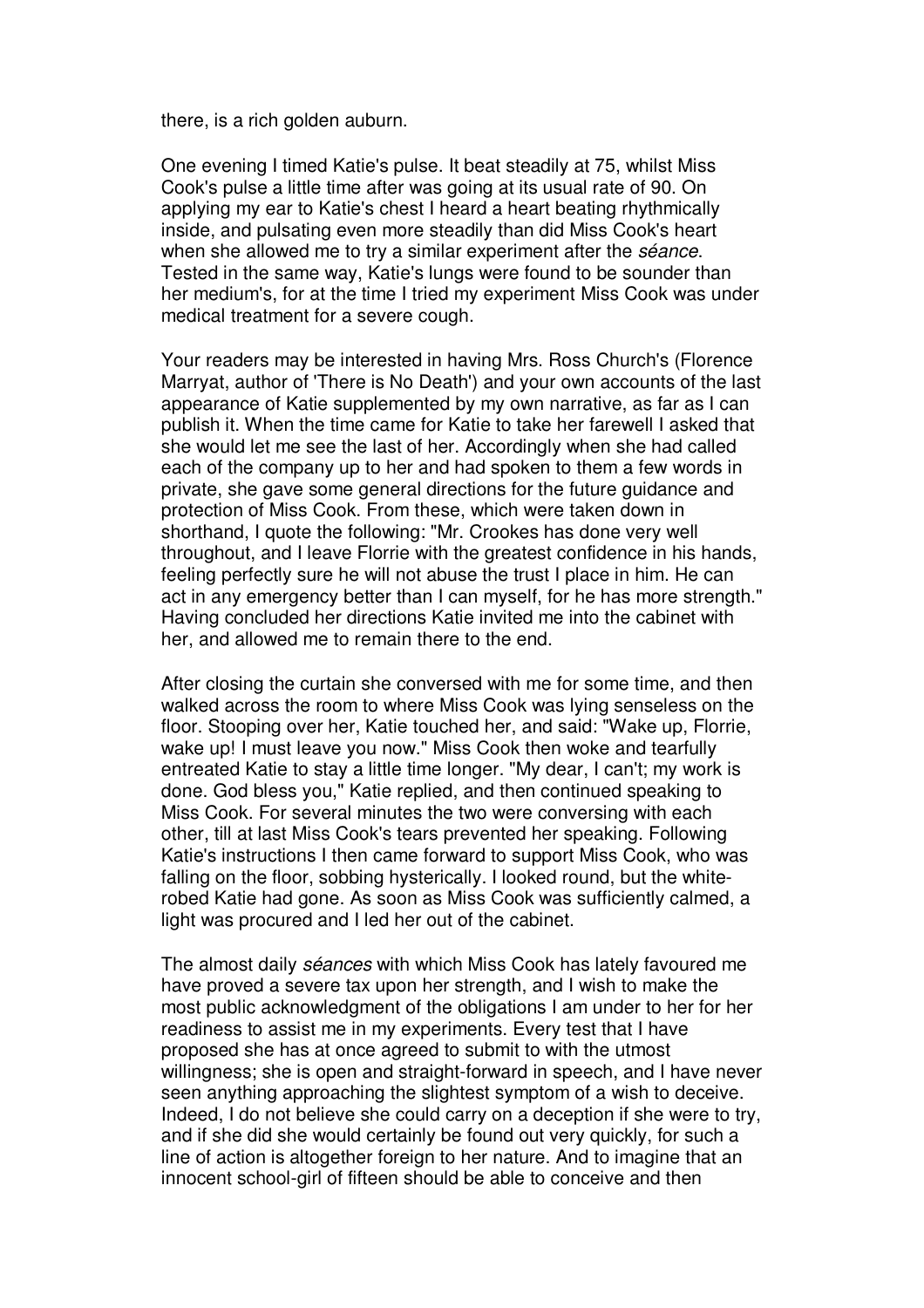there, is a rich golden auburn.

One evening I timed Katie's pulse. It beat steadily at 75, whilst Miss Cook's pulse a little time after was going at its usual rate of 90. On applying my ear to Katie's chest I heard a heart beating rhythmically inside, and pulsating even more steadily than did Miss Cook's heart when she allowed me to try a similar experiment after the *séance*. Tested in the same way, Katie's lungs were found to be sounder than her medium's, for at the time I tried my experiment Miss Cook was under medical treatment for a severe cough.

Your readers may be interested in having Mrs. Ross Church's (Florence Marryat, author of 'There is No Death') and your own accounts of the last appearance of Katie supplemented by my own narrative, as far as I can publish it. When the time came for Katie to take her farewell I asked that she would let me see the last of her. Accordingly when she had called each of the company up to her and had spoken to them a few words in private, she gave some general directions for the future guidance and protection of Miss Cook. From these, which were taken down in shorthand, I quote the following: "Mr. Crookes has done very well throughout, and I leave Florrie with the greatest confidence in his hands, feeling perfectly sure he will not abuse the trust I place in him. He can act in any emergency better than I can myself, for he has more strength." Having concluded her directions Katie invited me into the cabinet with her, and allowed me to remain there to the end.

After closing the curtain she conversed with me for some time, and then walked across the room to where Miss Cook was lying senseless on the floor. Stooping over her, Katie touched her, and said: "Wake up, Florrie, wake up! I must leave you now." Miss Cook then woke and tearfully entreated Katie to stay a little time longer. "My dear, I can't; my work is done. God bless you," Katie replied, and then continued speaking to Miss Cook. For several minutes the two were conversing with each other, till at last Miss Cook's tears prevented her speaking. Following Katie's instructions I then came forward to support Miss Cook, who was falling on the floor, sobbing hysterically. I looked round, but the whiterobed Katie had gone. As soon as Miss Cook was sufficiently calmed, a light was procured and I led her out of the cabinet.

The almost daily *séances* with which Miss Cook has lately favoured me have proved a severe tax upon her strength, and I wish to make the most public acknowledgment of the obligations I am under to her for her readiness to assist me in my experiments. Every test that I have proposed she has at once agreed to submit to with the utmost willingness; she is open and straight-forward in speech, and I have never seen anything approaching the slightest symptom of a wish to deceive. Indeed, I do not believe she could carry on a deception if she were to try, and if she did she would certainly be found out very quickly, for such a line of action is altogether foreign to her nature. And to imagine that an innocent school-girl of fifteen should be able to conceive and then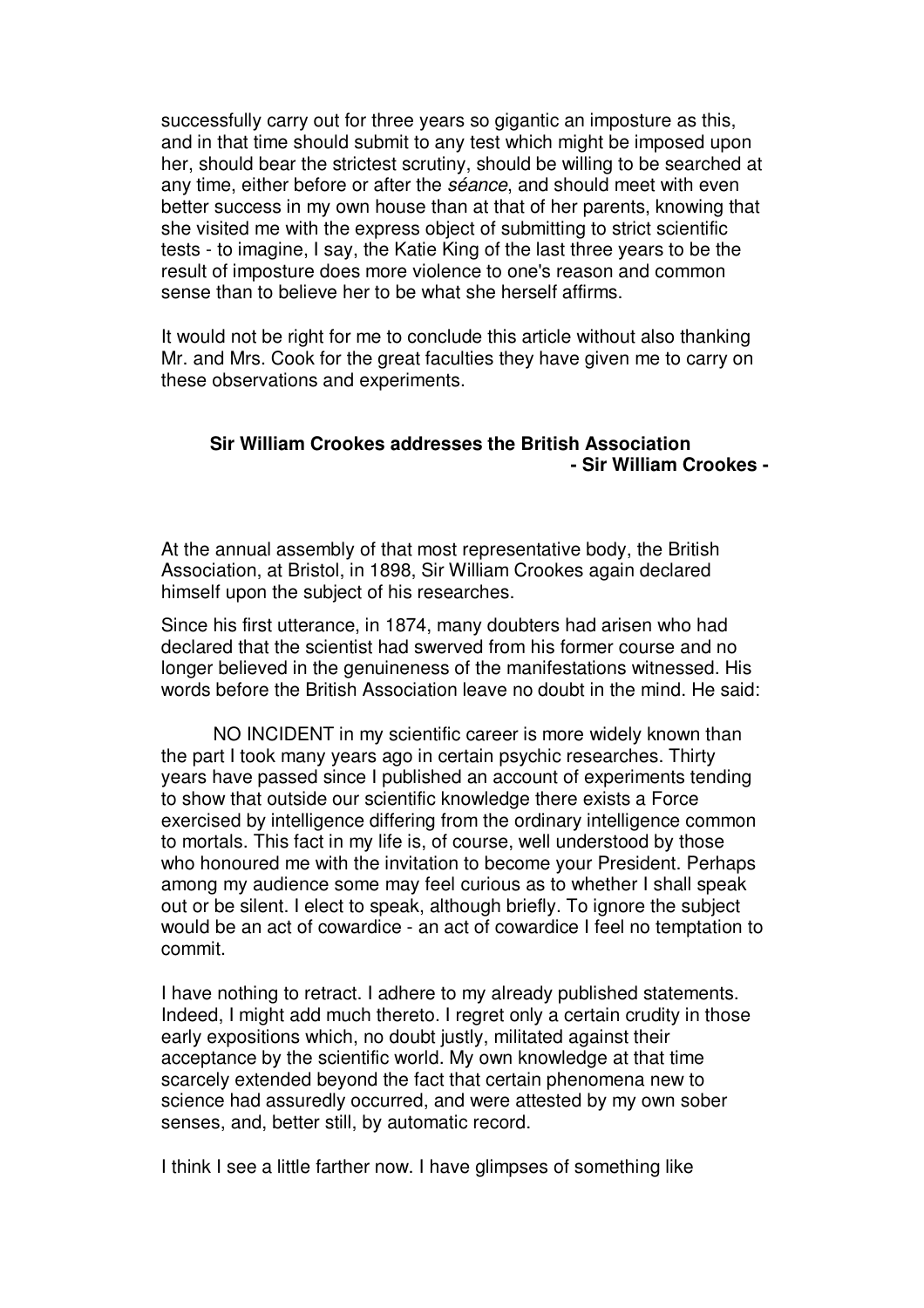successfully carry out for three years so gigantic an imposture as this, and in that time should submit to any test which might be imposed upon her, should bear the strictest scrutiny, should be willing to be searched at any time, either before or after the *séance*, and should meet with even better success in my own house than at that of her parents, knowing that she visited me with the express object of submitting to strict scientific tests - to imagine, I say, the Katie King of the last three years to be the result of imposture does more violence to one's reason and common sense than to believe her to be what she herself affirms.

It would not be right for me to conclude this article without also thanking Mr. and Mrs. Cook for the great faculties they have given me to carry on these observations and experiments.

# **Sir William Crookes addresses the British Association - Sir William Crookes -**

At the annual assembly of that most representative body, the British Association, at Bristol, in 1898, Sir William Crookes again declared himself upon the subject of his researches.

Since his first utterance, in 1874, many doubters had arisen who had declared that the scientist had swerved from his former course and no longer believed in the genuineness of the manifestations witnessed. His words before the British Association leave no doubt in the mind. He said:

NO INCIDENT in my scientific career is more widely known than the part I took many years ago in certain psychic researches. Thirty years have passed since I published an account of experiments tending to show that outside our scientific knowledge there exists a Force exercised by intelligence differing from the ordinary intelligence common to mortals. This fact in my life is, of course, well understood by those who honoured me with the invitation to become your President. Perhaps among my audience some may feel curious as to whether I shall speak out or be silent. I elect to speak, although briefly. To ignore the subject would be an act of cowardice - an act of cowardice I feel no temptation to commit.

I have nothing to retract. I adhere to my already published statements. Indeed, I might add much thereto. I regret only a certain crudity in those early expositions which, no doubt justly, militated against their acceptance by the scientific world. My own knowledge at that time scarcely extended beyond the fact that certain phenomena new to science had assuredly occurred, and were attested by my own sober senses, and, better still, by automatic record.

I think I see a little farther now. I have glimpses of something like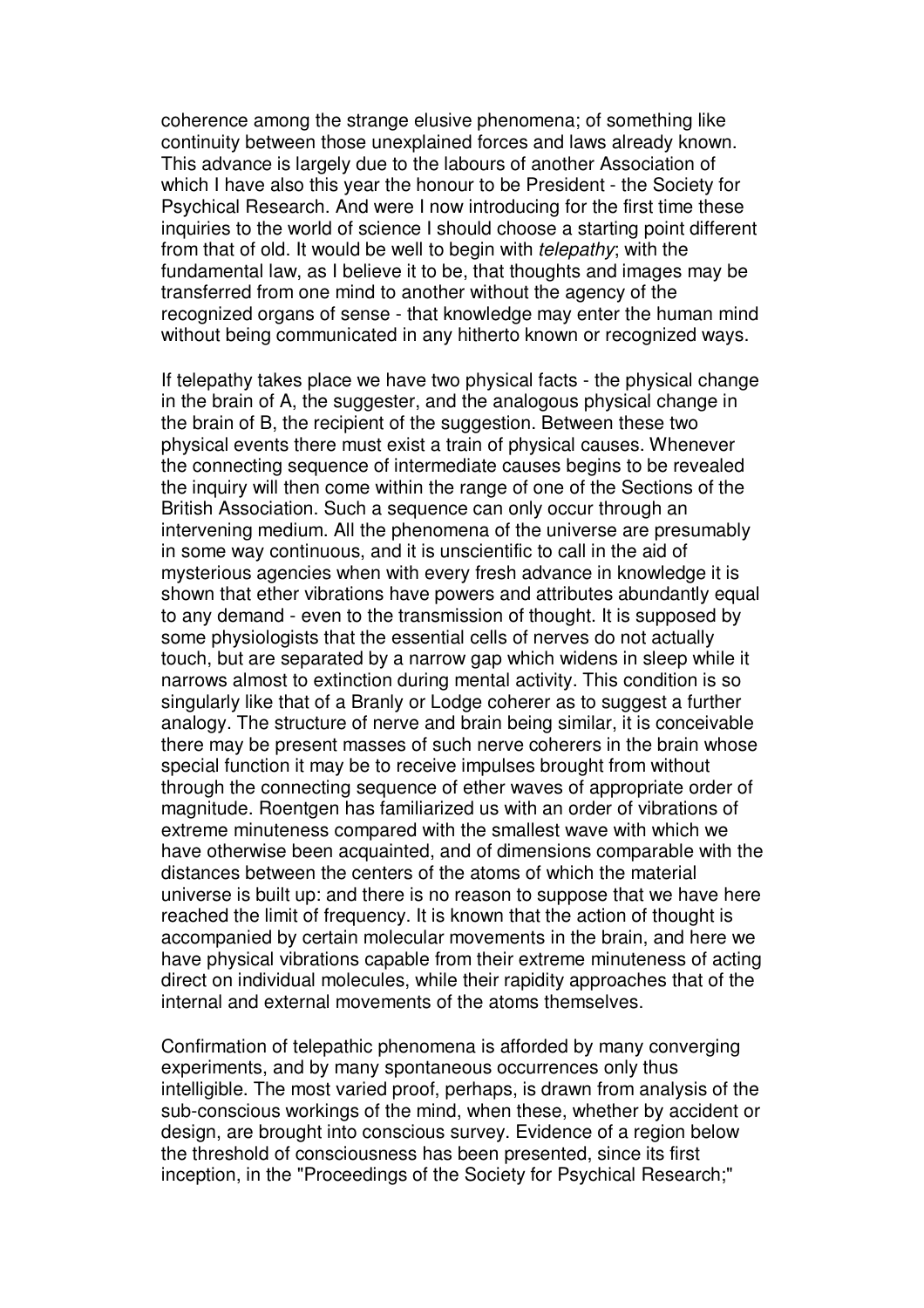coherence among the strange elusive phenomena; of something like continuity between those unexplained forces and laws already known. This advance is largely due to the labours of another Association of which I have also this year the honour to be President - the Society for Psychical Research. And were I now introducing for the first time these inquiries to the world of science I should choose a starting point different from that of old. It would be well to begin with *telepathy*; with the fundamental law, as I believe it to be, that thoughts and images may be transferred from one mind to another without the agency of the recognized organs of sense - that knowledge may enter the human mind without being communicated in any hitherto known or recognized ways.

If telepathy takes place we have two physical facts - the physical change in the brain of A, the suggester, and the analogous physical change in the brain of B, the recipient of the suggestion. Between these two physical events there must exist a train of physical causes. Whenever the connecting sequence of intermediate causes begins to be revealed the inquiry will then come within the range of one of the Sections of the British Association. Such a sequence can only occur through an intervening medium. All the phenomena of the universe are presumably in some way continuous, and it is unscientific to call in the aid of mysterious agencies when with every fresh advance in knowledge it is shown that ether vibrations have powers and attributes abundantly equal to any demand - even to the transmission of thought. It is supposed by some physiologists that the essential cells of nerves do not actually touch, but are separated by a narrow gap which widens in sleep while it narrows almost to extinction during mental activity. This condition is so singularly like that of a Branly or Lodge coherer as to suggest a further analogy. The structure of nerve and brain being similar, it is conceivable there may be present masses of such nerve coherers in the brain whose special function it may be to receive impulses brought from without through the connecting sequence of ether waves of appropriate order of magnitude. Roentgen has familiarized us with an order of vibrations of extreme minuteness compared with the smallest wave with which we have otherwise been acquainted, and of dimensions comparable with the distances between the centers of the atoms of which the material universe is built up: and there is no reason to suppose that we have here reached the limit of frequency. It is known that the action of thought is accompanied by certain molecular movements in the brain, and here we have physical vibrations capable from their extreme minuteness of acting direct on individual molecules, while their rapidity approaches that of the internal and external movements of the atoms themselves.

Confirmation of telepathic phenomena is afforded by many converging experiments, and by many spontaneous occurrences only thus intelligible. The most varied proof, perhaps, is drawn from analysis of the sub-conscious workings of the mind, when these, whether by accident or design, are brought into conscious survey. Evidence of a region below the threshold of consciousness has been presented, since its first inception, in the "Proceedings of the Society for Psychical Research;"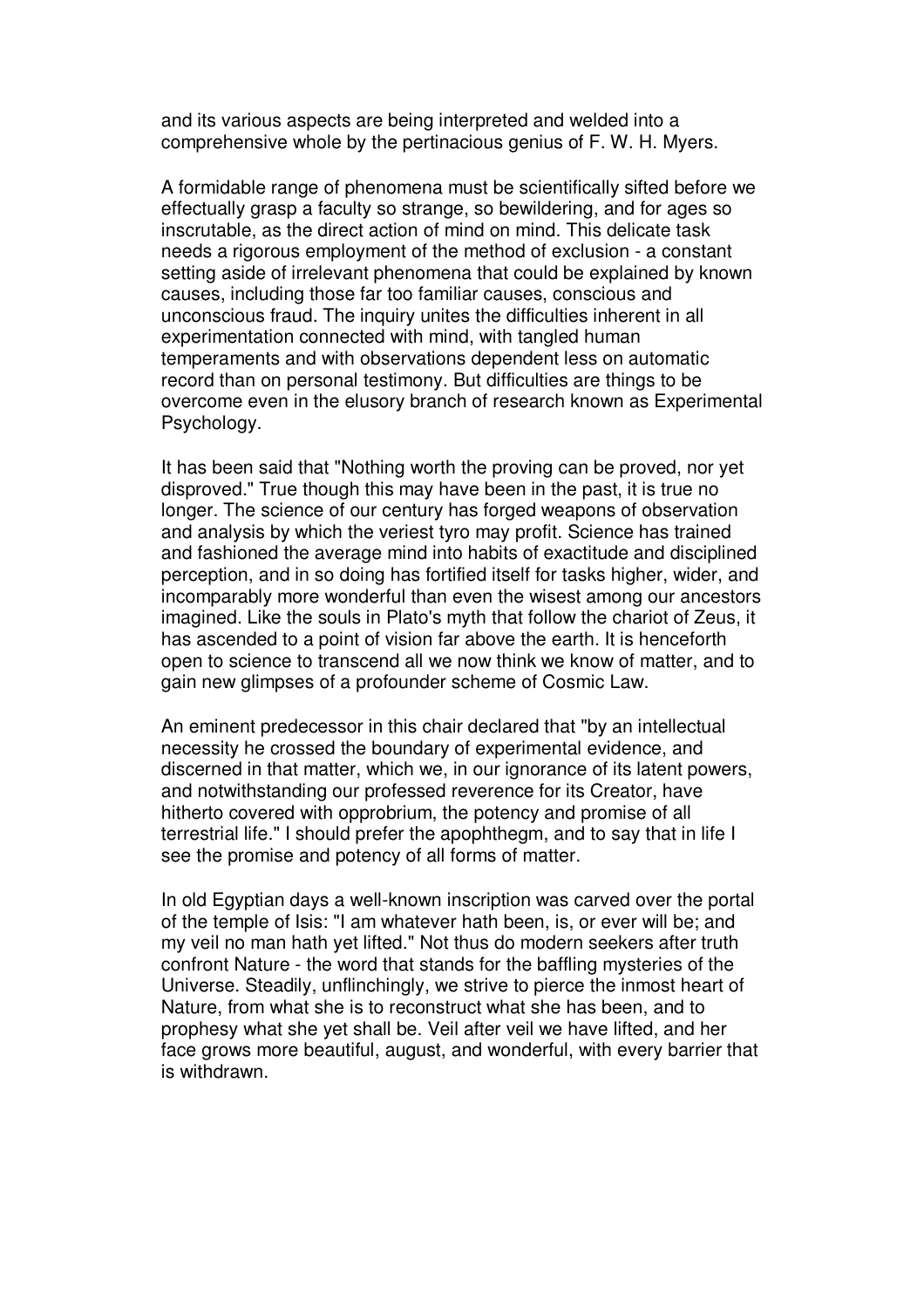and its various aspects are being interpreted and welded into a comprehensive whole by the pertinacious genius of F. W. H. Myers.

A formidable range of phenomena must be scientifically sifted before we effectually grasp a faculty so strange, so bewildering, and for ages so inscrutable, as the direct action of mind on mind. This delicate task needs a rigorous employment of the method of exclusion - a constant setting aside of irrelevant phenomena that could be explained by known causes, including those far too familiar causes, conscious and unconscious fraud. The inquiry unites the difficulties inherent in all experimentation connected with mind, with tangled human temperaments and with observations dependent less on automatic record than on personal testimony. But difficulties are things to be overcome even in the elusory branch of research known as Experimental Psychology.

It has been said that "Nothing worth the proving can be proved, nor yet disproved." True though this may have been in the past, it is true no longer. The science of our century has forged weapons of observation and analysis by which the veriest tyro may profit. Science has trained and fashioned the average mind into habits of exactitude and disciplined perception, and in so doing has fortified itself for tasks higher, wider, and incomparably more wonderful than even the wisest among our ancestors imagined. Like the souls in Plato's myth that follow the chariot of Zeus, it has ascended to a point of vision far above the earth. It is henceforth open to science to transcend all we now think we know of matter, and to gain new glimpses of a profounder scheme of Cosmic Law.

An eminent predecessor in this chair declared that "by an intellectual necessity he crossed the boundary of experimental evidence, and discerned in that matter, which we, in our ignorance of its latent powers, and notwithstanding our professed reverence for its Creator, have hitherto covered with opprobrium, the potency and promise of all terrestrial life." I should prefer the apophthegm, and to say that in life I see the promise and potency of all forms of matter.

In old Egyptian days a well-known inscription was carved over the portal of the temple of Isis: "I am whatever hath been, is, or ever will be; and my veil no man hath yet lifted." Not thus do modern seekers after truth confront Nature - the word that stands for the baffling mysteries of the Universe. Steadily, unflinchingly, we strive to pierce the inmost heart of Nature, from what she is to reconstruct what she has been, and to prophesy what she yet shall be. Veil after veil we have lifted, and her face grows more beautiful, august, and wonderful, with every barrier that is withdrawn.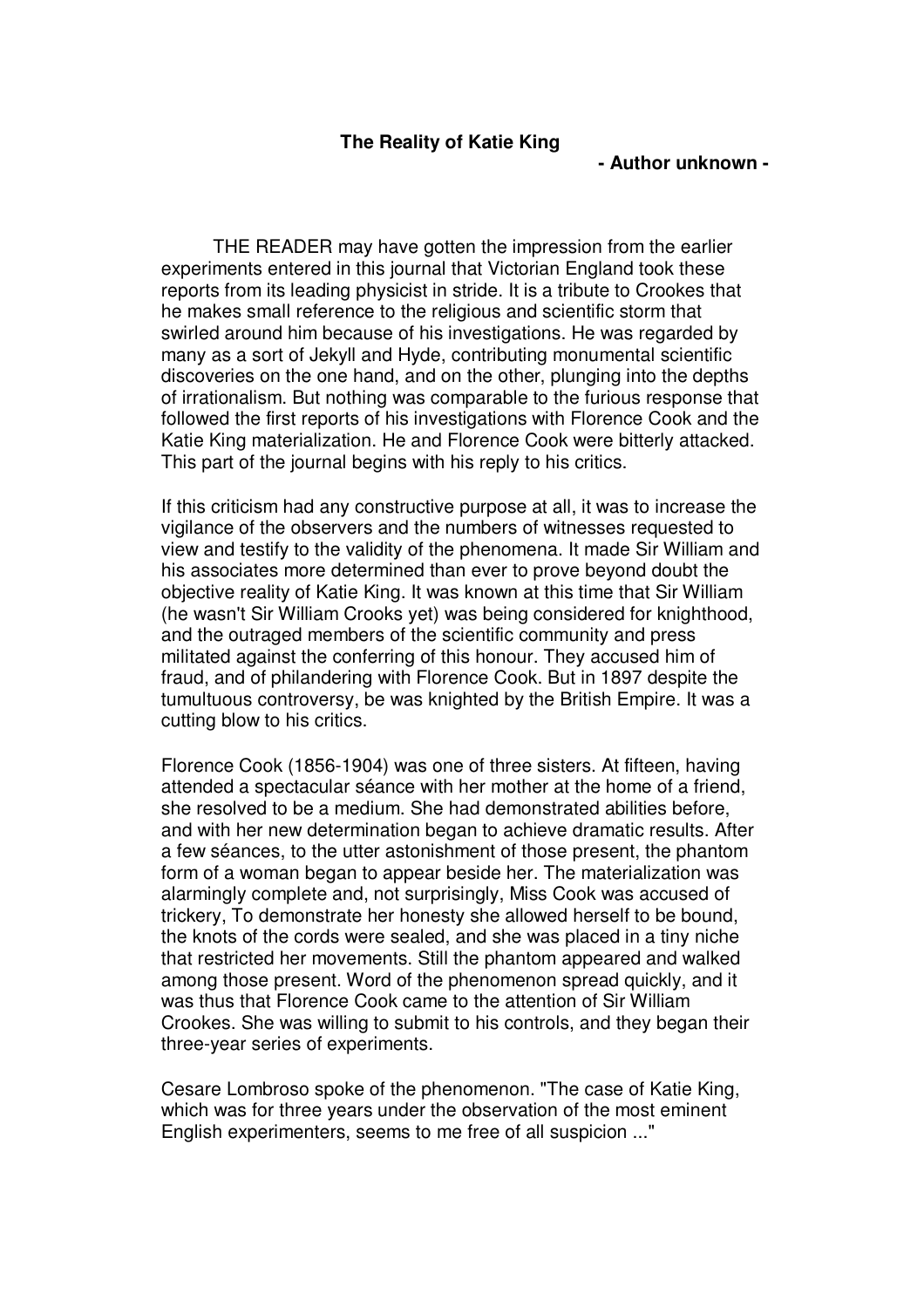THE READER may have gotten the impression from the earlier experiments entered in this journal that Victorian England took these reports from its leading physicist in stride. It is a tribute to Crookes that he makes small reference to the religious and scientific storm that swirled around him because of his investigations. He was regarded by many as a sort of Jekyll and Hyde, contributing monumental scientific discoveries on the one hand, and on the other, plunging into the depths of irrationalism. But nothing was comparable to the furious response that followed the first reports of his investigations with Florence Cook and the Katie King materialization. He and Florence Cook were bitterly attacked. This part of the journal begins with his reply to his critics.

If this criticism had any constructive purpose at all, it was to increase the vigilance of the observers and the numbers of witnesses requested to view and testify to the validity of the phenomena. It made Sir William and his associates more determined than ever to prove beyond doubt the objective reality of Katie King. It was known at this time that Sir William (he wasn't Sir William Crooks yet) was being considered for knighthood, and the outraged members of the scientific community and press militated against the conferring of this honour. They accused him of fraud, and of philandering with Florence Cook. But in 1897 despite the tumultuous controversy, be was knighted by the British Empire. It was a cutting blow to his critics.

Florence Cook (1856-1904) was one of three sisters. At fifteen, having attended a spectacular séance with her mother at the home of a friend, she resolved to be a medium. She had demonstrated abilities before, and with her new determination began to achieve dramatic results. After a few séances, to the utter astonishment of those present, the phantom form of a woman began to appear beside her. The materialization was alarmingly complete and, not surprisingly, Miss Cook was accused of trickery, To demonstrate her honesty she allowed herself to be bound, the knots of the cords were sealed, and she was placed in a tiny niche that restricted her movements. Still the phantom appeared and walked among those present. Word of the phenomenon spread quickly, and it was thus that Florence Cook came to the attention of Sir William Crookes. She was willing to submit to his controls, and they began their three-year series of experiments.

Cesare Lombroso spoke of the phenomenon. "The case of Katie King, which was for three years under the observation of the most eminent English experimenters, seems to me free of all suspicion ..."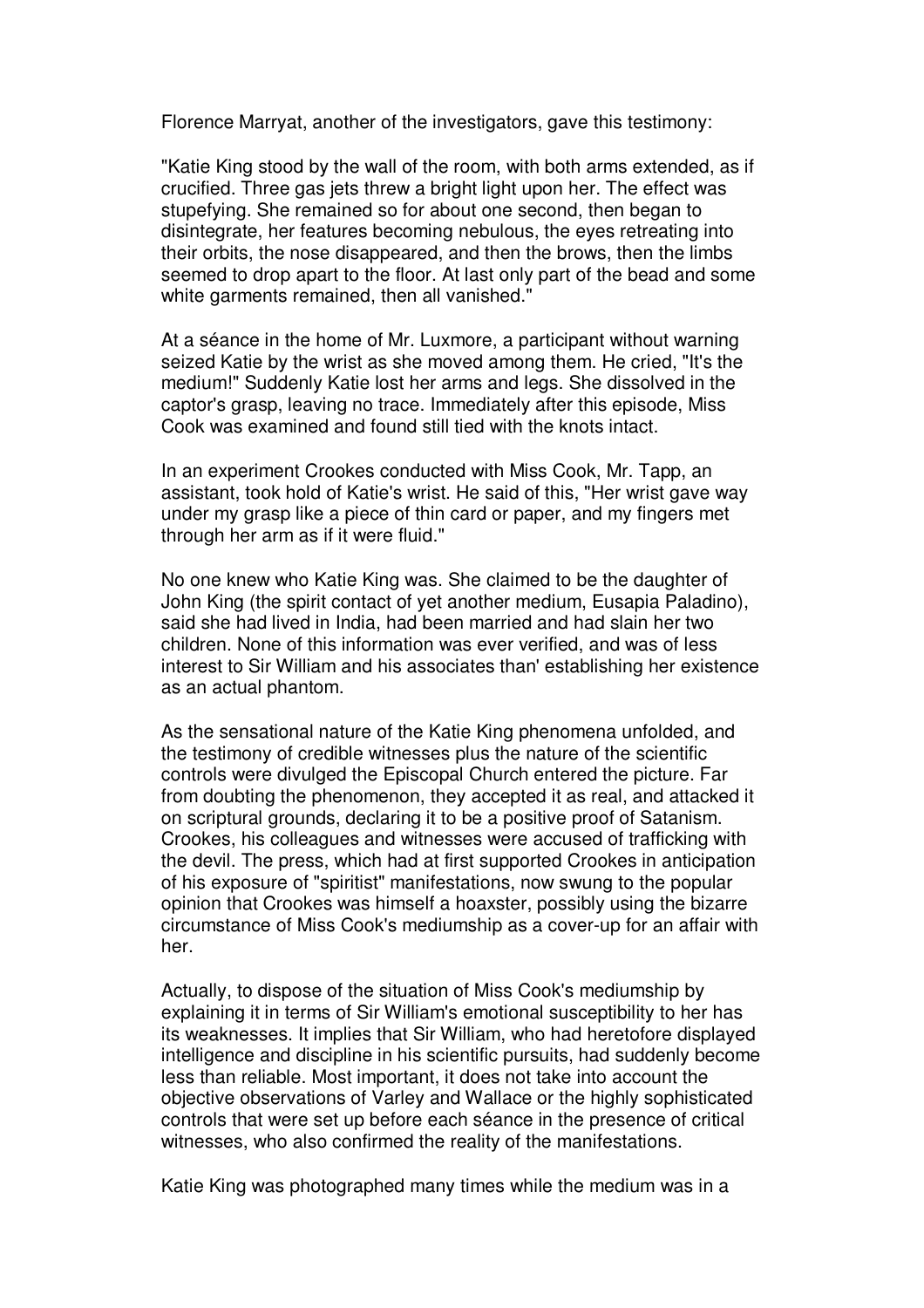Florence Marryat, another of the investigators, gave this testimony:

"Katie King stood by the wall of the room, with both arms extended, as if crucified. Three gas jets threw a bright light upon her. The effect was stupefying. She remained so for about one second, then began to disintegrate, her features becoming nebulous, the eyes retreating into their orbits, the nose disappeared, and then the brows, then the limbs seemed to drop apart to the floor. At last only part of the bead and some white garments remained, then all vanished."

At a séance in the home of Mr. Luxmore, a participant without warning seized Katie by the wrist as she moved among them. He cried, "It's the medium!" Suddenly Katie lost her arms and legs. She dissolved in the captor's grasp, leaving no trace. Immediately after this episode, Miss Cook was examined and found still tied with the knots intact.

In an experiment Crookes conducted with Miss Cook, Mr. Tapp, an assistant, took hold of Katie's wrist. He said of this, "Her wrist gave way under my grasp like a piece of thin card or paper, and my fingers met through her arm as if it were fluid."

No one knew who Katie King was. She claimed to be the daughter of John King (the spirit contact of yet another medium, Eusapia Paladino), said she had lived in India, had been married and had slain her two children. None of this information was ever verified, and was of less interest to Sir William and his associates than' establishing her existence as an actual phantom.

As the sensational nature of the Katie King phenomena unfolded, and the testimony of credible witnesses plus the nature of the scientific controls were divulged the Episcopal Church entered the picture. Far from doubting the phenomenon, they accepted it as real, and attacked it on scriptural grounds, declaring it to be a positive proof of Satanism. Crookes, his colleagues and witnesses were accused of trafficking with the devil. The press, which had at first supported Crookes in anticipation of his exposure of "spiritist" manifestations, now swung to the popular opinion that Crookes was himself a hoaxster, possibly using the bizarre circumstance of Miss Cook's mediumship as a cover-up for an affair with her.

Actually, to dispose of the situation of Miss Cook's mediumship by explaining it in terms of Sir William's emotional susceptibility to her has its weaknesses. It implies that Sir William, who had heretofore displayed intelligence and discipline in his scientific pursuits, had suddenly become less than reliable. Most important, it does not take into account the objective observations of Varley and Wallace or the highly sophisticated controls that were set up before each séance in the presence of critical witnesses, who also confirmed the reality of the manifestations.

Katie King was photographed many times while the medium was in a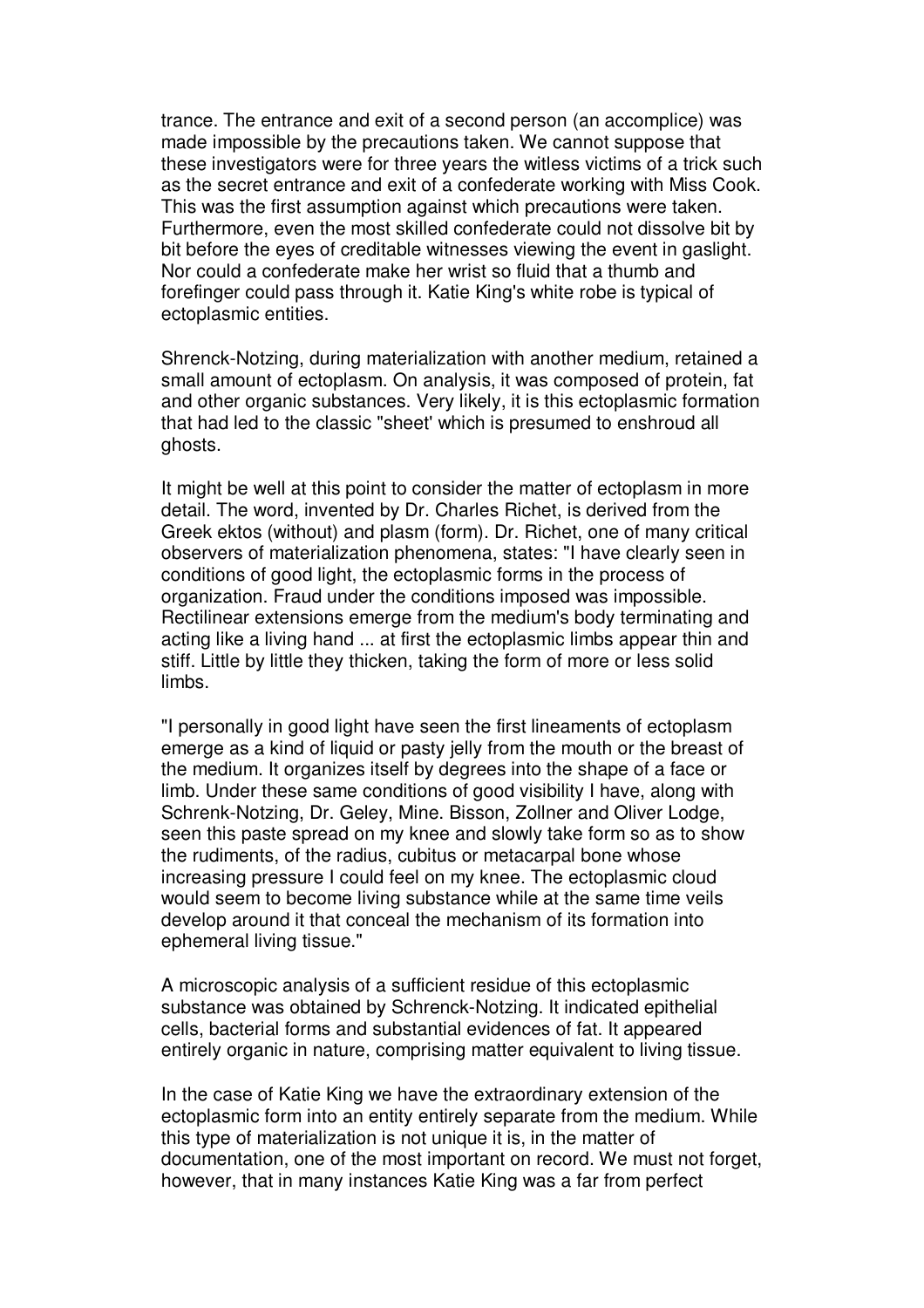trance. The entrance and exit of a second person (an accomplice) was made impossible by the precautions taken. We cannot suppose that these investigators were for three years the witless victims of a trick such as the secret entrance and exit of a confederate working with Miss Cook. This was the first assumption against which precautions were taken. Furthermore, even the most skilled confederate could not dissolve bit by bit before the eyes of creditable witnesses viewing the event in gaslight. Nor could a confederate make her wrist so fluid that a thumb and forefinger could pass through it. Katie King's white robe is typical of ectoplasmic entities.

Shrenck-Notzing, during materialization with another medium, retained a small amount of ectoplasm. On analysis, it was composed of protein, fat and other organic substances. Very likely, it is this ectoplasmic formation that had led to the classic "sheet' which is presumed to enshroud all ghosts.

It might be well at this point to consider the matter of ectoplasm in more detail. The word, invented by Dr. Charles Richet, is derived from the Greek ektos (without) and plasm (form). Dr. Richet, one of many critical observers of materialization phenomena, states: "I have clearly seen in conditions of good light, the ectoplasmic forms in the process of organization. Fraud under the conditions imposed was impossible. Rectilinear extensions emerge from the medium's body terminating and acting like a living hand ... at first the ectoplasmic limbs appear thin and stiff. Little by little they thicken, taking the form of more or less solid limbs.

"I personally in good light have seen the first lineaments of ectoplasm emerge as a kind of liquid or pasty jelly from the mouth or the breast of the medium. It organizes itself by degrees into the shape of a face or limb. Under these same conditions of good visibility I have, along with Schrenk-Notzing, Dr. Geley, Mine. Bisson, Zollner and Oliver Lodge, seen this paste spread on my knee and slowly take form so as to show the rudiments, of the radius, cubitus or metacarpal bone whose increasing pressure I could feel on my knee. The ectoplasmic cloud would seem to become living substance while at the same time veils develop around it that conceal the mechanism of its formation into ephemeral living tissue."

A microscopic analysis of a sufficient residue of this ectoplasmic substance was obtained by Schrenck-Notzing. It indicated epithelial cells, bacterial forms and substantial evidences of fat. It appeared entirely organic in nature, comprising matter equivalent to living tissue.

In the case of Katie King we have the extraordinary extension of the ectoplasmic form into an entity entirely separate from the medium. While this type of materialization is not unique it is, in the matter of documentation, one of the most important on record. We must not forget, however, that in many instances Katie King was a far from perfect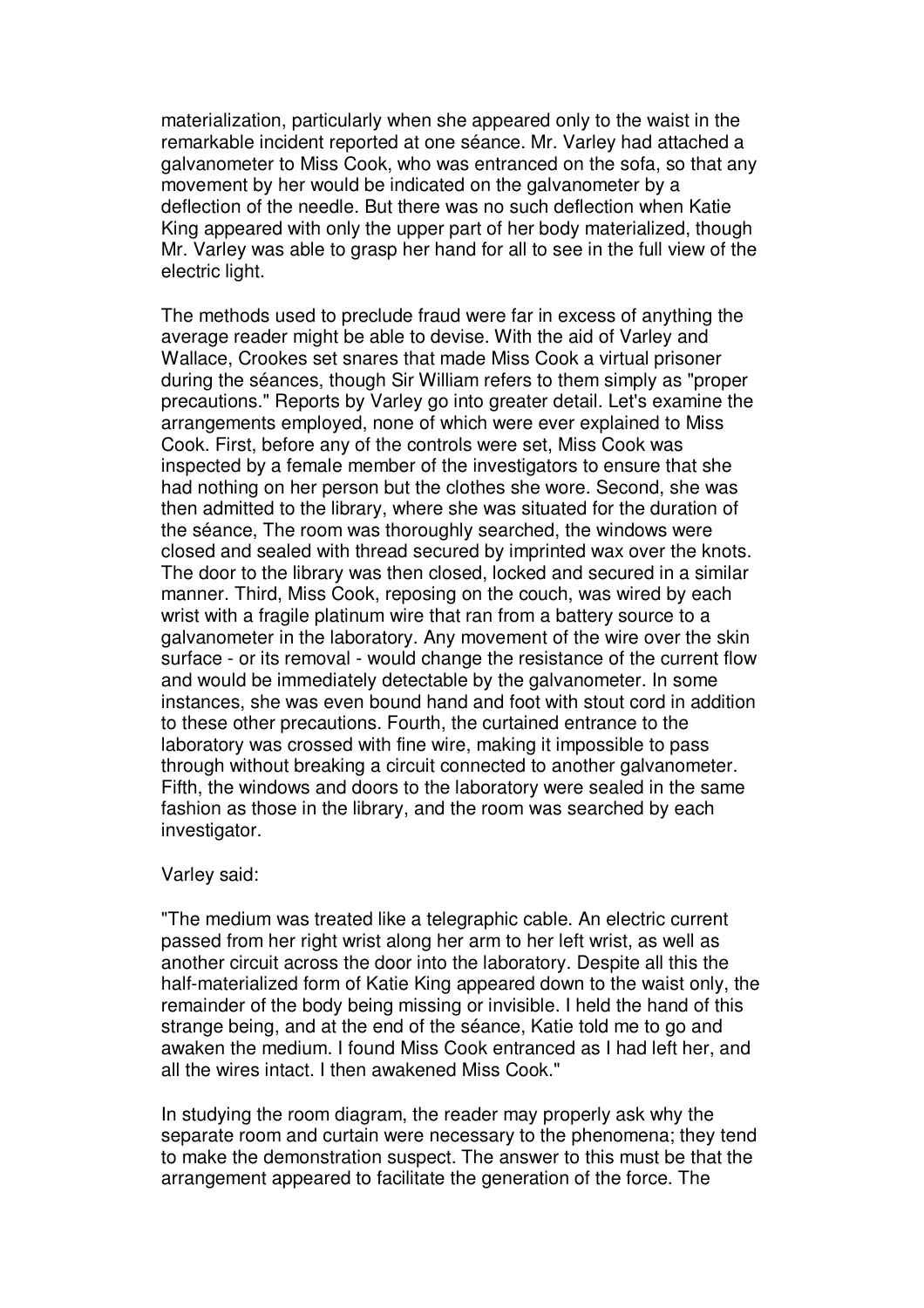materialization, particularly when she appeared only to the waist in the remarkable incident reported at one séance. Mr. Varley had attached a galvanometer to Miss Cook, who was entranced on the sofa, so that any movement by her would be indicated on the galvanometer by a deflection of the needle. But there was no such deflection when Katie King appeared with only the upper part of her body materialized, though Mr. Varley was able to grasp her hand for all to see in the full view of the electric light.

The methods used to preclude fraud were far in excess of anything the average reader might be able to devise. With the aid of Varley and Wallace, Crookes set snares that made Miss Cook a virtual prisoner during the séances, though Sir William refers to them simply as "proper precautions." Reports by Varley go into greater detail. Let's examine the arrangements employed, none of which were ever explained to Miss Cook. First, before any of the controls were set, Miss Cook was inspected by a female member of the investigators to ensure that she had nothing on her person but the clothes she wore. Second, she was then admitted to the library, where she was situated for the duration of the séance, The room was thoroughly searched, the windows were closed and sealed with thread secured by imprinted wax over the knots. The door to the library was then closed, locked and secured in a similar manner. Third, Miss Cook, reposing on the couch, was wired by each wrist with a fragile platinum wire that ran from a battery source to a galvanometer in the laboratory. Any movement of the wire over the skin surface - or its removal - would change the resistance of the current flow and would be immediately detectable by the galvanometer. In some instances, she was even bound hand and foot with stout cord in addition to these other precautions. Fourth, the curtained entrance to the laboratory was crossed with fine wire, making it impossible to pass through without breaking a circuit connected to another galvanometer. Fifth, the windows and doors to the laboratory were sealed in the same fashion as those in the library, and the room was searched by each investigator.

## Varley said:

"The medium was treated like a telegraphic cable. An electric current passed from her right wrist along her arm to her left wrist, as well as another circuit across the door into the laboratory. Despite all this the half-materialized form of Katie King appeared down to the waist only, the remainder of the body being missing or invisible. I held the hand of this strange being, and at the end of the séance, Katie told me to go and awaken the medium. I found Miss Cook entranced as I had left her, and all the wires intact. I then awakened Miss Cook."

In studying the room diagram, the reader may properly ask why the separate room and curtain were necessary to the phenomena; they tend to make the demonstration suspect. The answer to this must be that the arrangement appeared to facilitate the generation of the force. The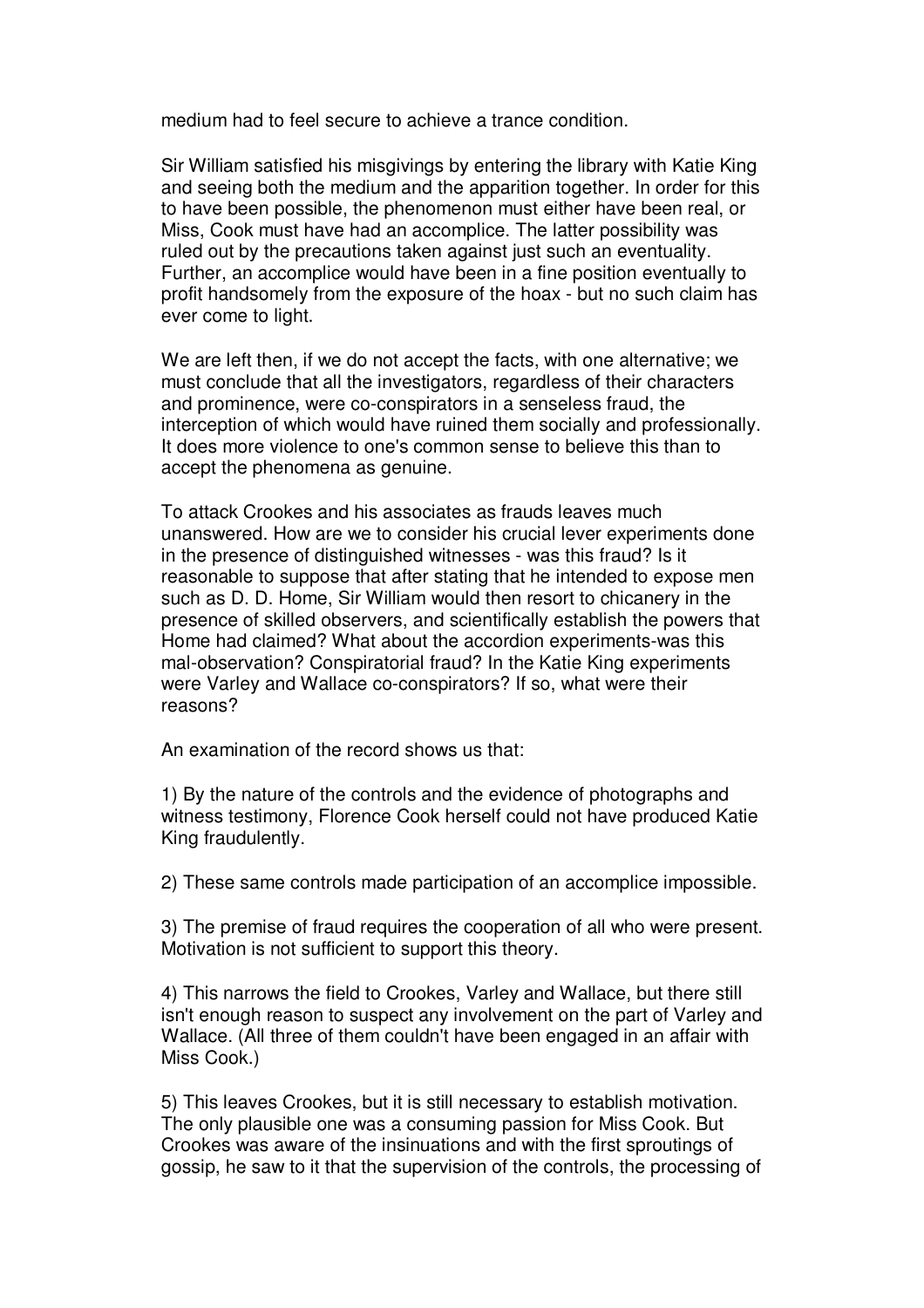medium had to feel secure to achieve a trance condition.

Sir William satisfied his misgivings by entering the library with Katie King and seeing both the medium and the apparition together. In order for this to have been possible, the phenomenon must either have been real, or Miss, Cook must have had an accomplice. The latter possibility was ruled out by the precautions taken against just such an eventuality. Further, an accomplice would have been in a fine position eventually to profit handsomely from the exposure of the hoax - but no such claim has ever come to light.

We are left then, if we do not accept the facts, with one alternative; we must conclude that all the investigators, regardless of their characters and prominence, were co-conspirators in a senseless fraud, the interception of which would have ruined them socially and professionally. It does more violence to one's common sense to believe this than to accept the phenomena as genuine.

To attack Crookes and his associates as frauds leaves much unanswered. How are we to consider his crucial lever experiments done in the presence of distinguished witnesses - was this fraud? Is it reasonable to suppose that after stating that he intended to expose men such as D. D. Home, Sir William would then resort to chicanery in the presence of skilled observers, and scientifically establish the powers that Home had claimed? What about the accordion experiments-was this mal-observation? Conspiratorial fraud? In the Katie King experiments were Varley and Wallace co-conspirators? If so, what were their reasons?

An examination of the record shows us that:

1) By the nature of the controls and the evidence of photographs and witness testimony, Florence Cook herself could not have produced Katie King fraudulently.

2) These same controls made participation of an accomplice impossible.

3) The premise of fraud requires the cooperation of all who were present. Motivation is not sufficient to support this theory.

4) This narrows the field to Crookes, Varley and Wallace, but there still isn't enough reason to suspect any involvement on the part of Varley and Wallace. (All three of them couldn't have been engaged in an affair with Miss Cook.)

5) This leaves Crookes, but it is still necessary to establish motivation. The only plausible one was a consuming passion for Miss Cook. But Crookes was aware of the insinuations and with the first sproutings of gossip, he saw to it that the supervision of the controls, the processing of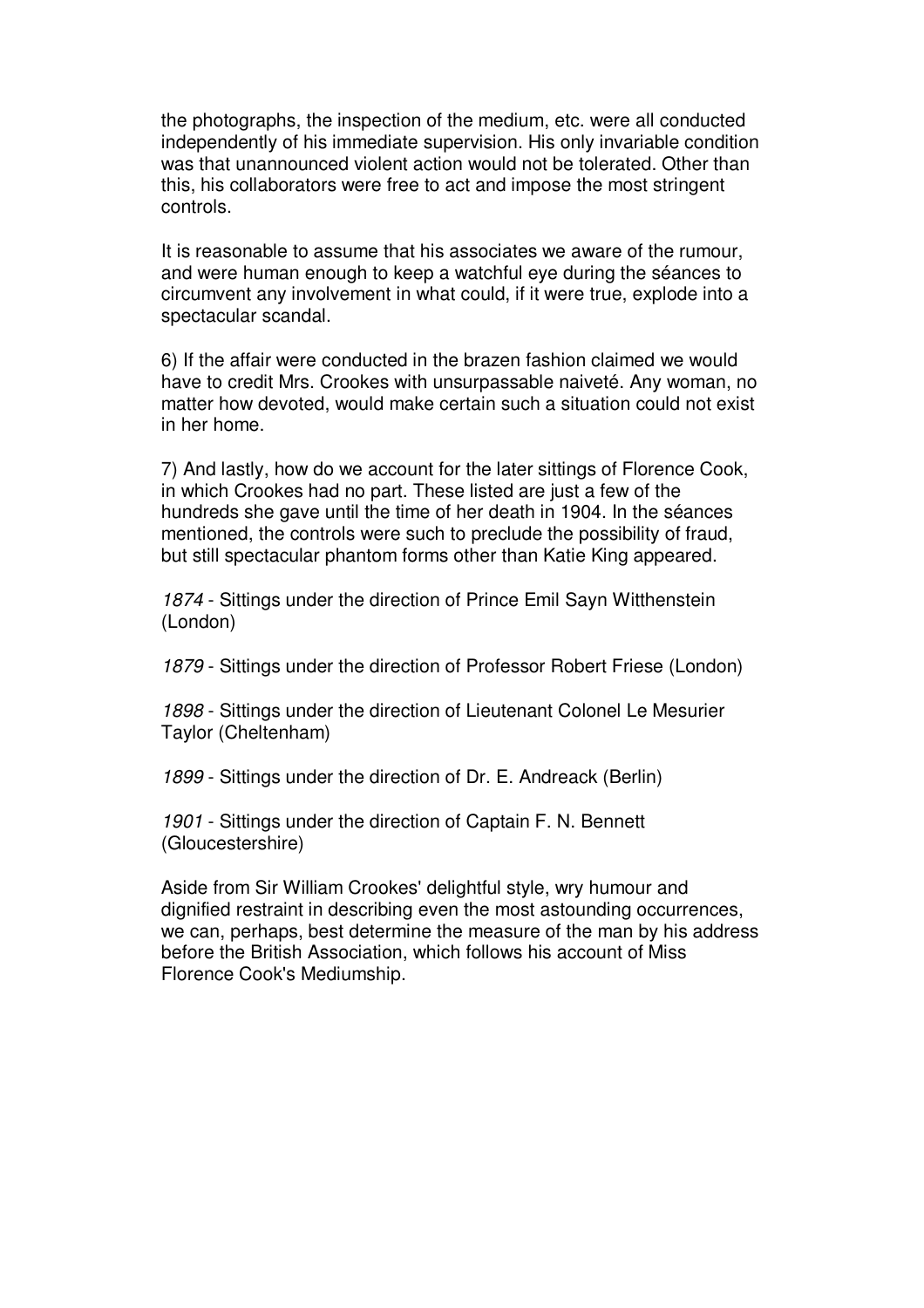the photographs, the inspection of the medium, etc. were all conducted independently of his immediate supervision. His only invariable condition was that unannounced violent action would not be tolerated. Other than this, his collaborators were free to act and impose the most stringent controls.

It is reasonable to assume that his associates we aware of the rumour, and were human enough to keep a watchful eye during the séances to circumvent any involvement in what could, if it were true, explode into a spectacular scandal.

6) If the affair were conducted in the brazen fashion claimed we would have to credit Mrs. Crookes with unsurpassable naiveté. Any woman, no matter how devoted, would make certain such a situation could not exist in her home.

7) And lastly, how do we account for the later sittings of Florence Cook, in which Crookes had no part. These listed are just a few of the hundreds she gave until the time of her death in 1904. In the séances mentioned, the controls were such to preclude the possibility of fraud, but still spectacular phantom forms other than Katie King appeared.

*1874* - Sittings under the direction of Prince Emil Sayn Witthenstein (London)

*1879* - Sittings under the direction of Professor Robert Friese (London)

*1898* - Sittings under the direction of Lieutenant Colonel Le Mesurier Taylor (Cheltenham)

*1899* - Sittings under the direction of Dr. E. Andreack (Berlin)

*1901* - Sittings under the direction of Captain F. N. Bennett (Gloucestershire)

Aside from Sir William Crookes' delightful style, wry humour and dignified restraint in describing even the most astounding occurrences, we can, perhaps, best determine the measure of the man by his address before the British Association, which follows his account of Miss Florence Cook's Mediumship.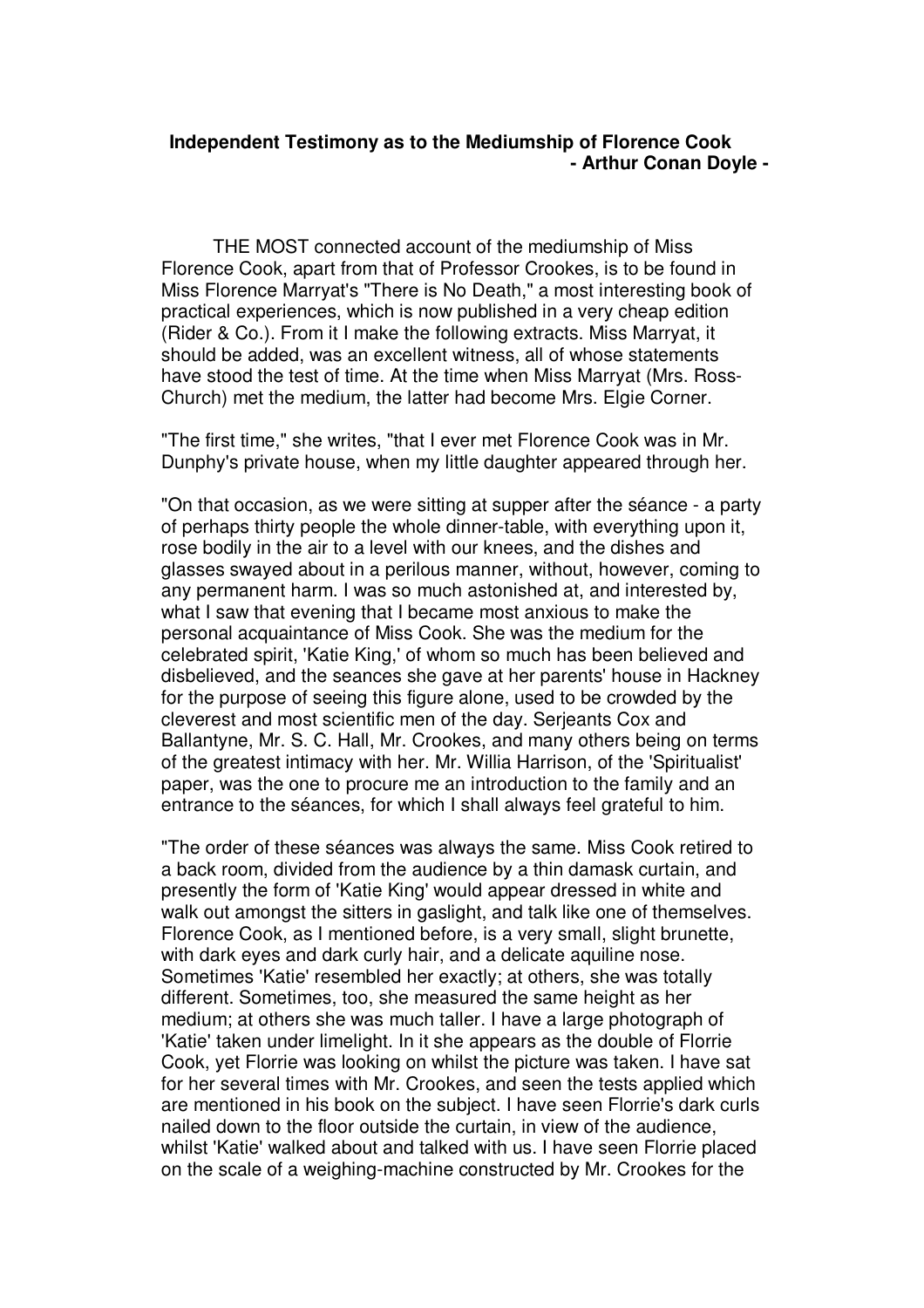## **Independent Testimony as to the Mediumship of Florence Cook - Arthur Conan Doyle -**

THE MOST connected account of the mediumship of Miss Florence Cook, apart from that of Professor Crookes, is to be found in Miss Florence Marryat's "There is No Death," a most interesting book of practical experiences, which is now published in a very cheap edition (Rider & Co.). From it I make the following extracts. Miss Marryat, it should be added, was an excellent witness, all of whose statements have stood the test of time. At the time when Miss Marryat (Mrs. Ross-Church) met the medium, the latter had become Mrs. Elgie Corner.

"The first time," she writes, "that I ever met Florence Cook was in Mr. Dunphy's private house, when my little daughter appeared through her.

"On that occasion, as we were sitting at supper after the séance - a party of perhaps thirty people the whole dinner-table, with everything upon it, rose bodily in the air to a level with our knees, and the dishes and glasses swayed about in a perilous manner, without, however, coming to any permanent harm. I was so much astonished at, and interested by, what I saw that evening that I became most anxious to make the personal acquaintance of Miss Cook. She was the medium for the celebrated spirit, 'Katie King,' of whom so much has been believed and disbelieved, and the seances she gave at her parents' house in Hackney for the purpose of seeing this figure alone, used to be crowded by the cleverest and most scientific men of the day. Serjeants Cox and Ballantyne, Mr. S. C. Hall, Mr. Crookes, and many others being on terms of the greatest intimacy with her. Mr. Willia Harrison, of the 'Spiritualist' paper, was the one to procure me an introduction to the family and an entrance to the séances, for which I shall always feel grateful to him.

"The order of these séances was always the same. Miss Cook retired to a back room, divided from the audience by a thin damask curtain, and presently the form of 'Katie King' would appear dressed in white and walk out amongst the sitters in gaslight, and talk like one of themselves. Florence Cook, as I mentioned before, is a very small, slight brunette, with dark eyes and dark curly hair, and a delicate aquiline nose. Sometimes 'Katie' resembled her exactly; at others, she was totally different. Sometimes, too, she measured the same height as her medium; at others she was much taller. I have a large photograph of 'Katie' taken under limelight. In it she appears as the double of Florrie Cook, yet Florrie was looking on whilst the picture was taken. I have sat for her several times with Mr. Crookes, and seen the tests applied which are mentioned in his book on the subject. I have seen Florrie's dark curls nailed down to the floor outside the curtain, in view of the audience, whilst 'Katie' walked about and talked with us. I have seen Florrie placed on the scale of a weighing-machine constructed by Mr. Crookes for the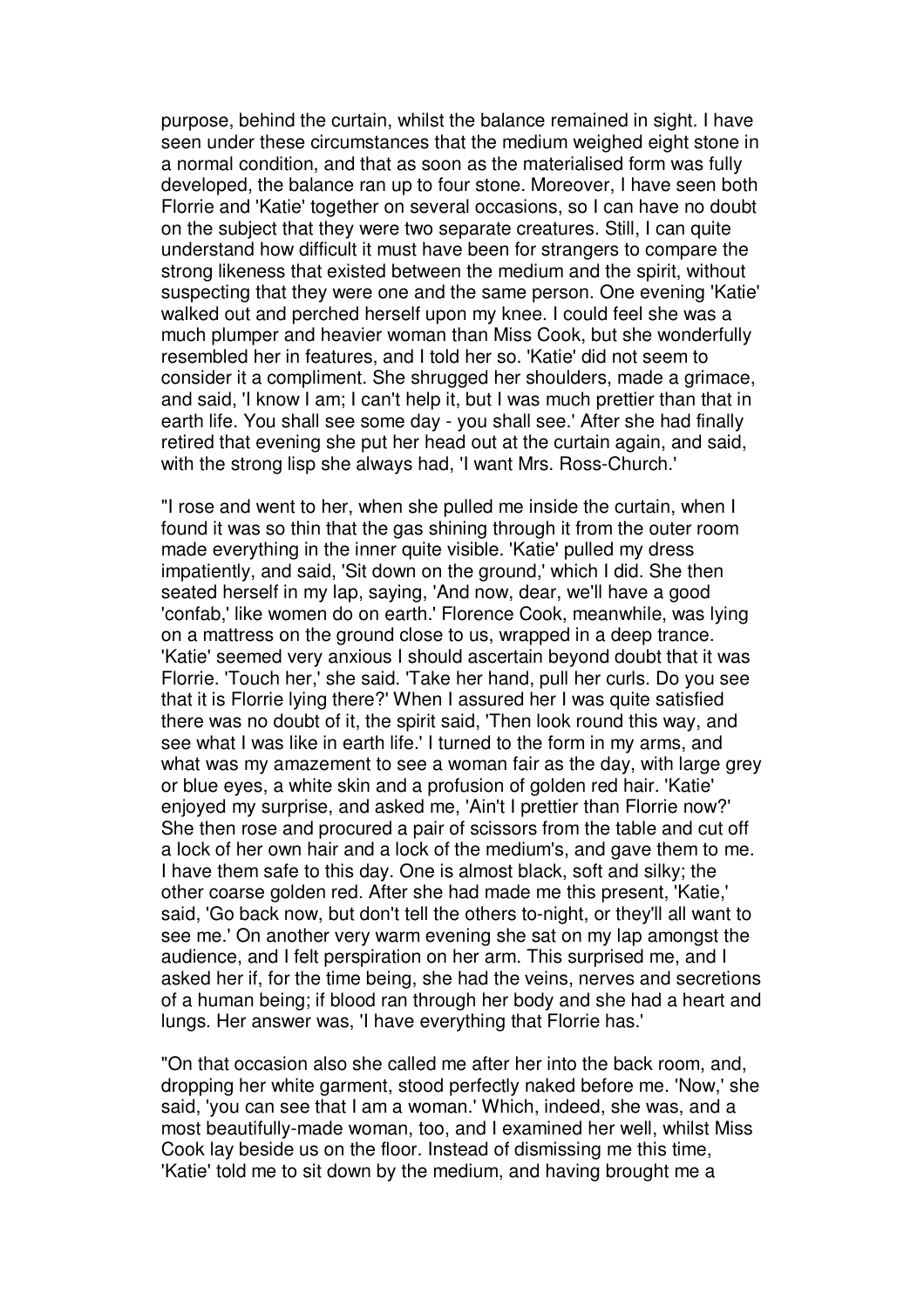purpose, behind the curtain, whilst the balance remained in sight. I have seen under these circumstances that the medium weighed eight stone in a normal condition, and that as soon as the materialised form was fully developed, the balance ran up to four stone. Moreover, I have seen both Florrie and 'Katie' together on several occasions, so I can have no doubt on the subject that they were two separate creatures. Still, I can quite understand how difficult it must have been for strangers to compare the strong likeness that existed between the medium and the spirit, without suspecting that they were one and the same person. One evening 'Katie' walked out and perched herself upon my knee. I could feel she was a much plumper and heavier woman than Miss Cook, but she wonderfully resembled her in features, and I told her so. 'Katie' did not seem to consider it a compliment. She shrugged her shoulders, made a grimace, and said, 'I know I am; I can't help it, but I was much prettier than that in earth life. You shall see some day - you shall see.' After she had finally retired that evening she put her head out at the curtain again, and said, with the strong lisp she always had, 'I want Mrs. Ross-Church.'

"I rose and went to her, when she pulled me inside the curtain, when I found it was so thin that the gas shining through it from the outer room made everything in the inner quite visible. 'Katie' pulled my dress impatiently, and said, 'Sit down on the ground,' which I did. She then seated herself in my lap, saying, 'And now, dear, we'll have a good 'confab,' like women do on earth.' Florence Cook, meanwhile, was lying on a mattress on the ground close to us, wrapped in a deep trance. 'Katie' seemed very anxious I should ascertain beyond doubt that it was Florrie. 'Touch her,' she said. 'Take her hand, pull her curls. Do you see that it is Florrie lying there?' When I assured her I was quite satisfied there was no doubt of it, the spirit said, 'Then look round this way, and see what I was like in earth life.' I turned to the form in my arms, and what was my amazement to see a woman fair as the day, with large grey or blue eyes, a white skin and a profusion of golden red hair. 'Katie' enjoyed my surprise, and asked me, 'Ain't I prettier than Florrie now?' She then rose and procured a pair of scissors from the table and cut off a lock of her own hair and a lock of the medium's, and gave them to me. I have them safe to this day. One is almost black, soft and silky; the other coarse golden red. After she had made me this present, 'Katie,' said, 'Go back now, but don't tell the others to-night, or they'll all want to see me.' On another very warm evening she sat on my lap amongst the audience, and I felt perspiration on her arm. This surprised me, and I asked her if, for the time being, she had the veins, nerves and secretions of a human being; if blood ran through her body and she had a heart and lungs. Her answer was, 'I have everything that Florrie has.'

"On that occasion also she called me after her into the back room, and, dropping her white garment, stood perfectly naked before me. 'Now,' she said, 'you can see that I am a woman.' Which, indeed, she was, and a most beautifully-made woman, too, and I examined her well, whilst Miss Cook lay beside us on the floor. Instead of dismissing me this time, 'Katie' told me to sit down by the medium, and having brought me a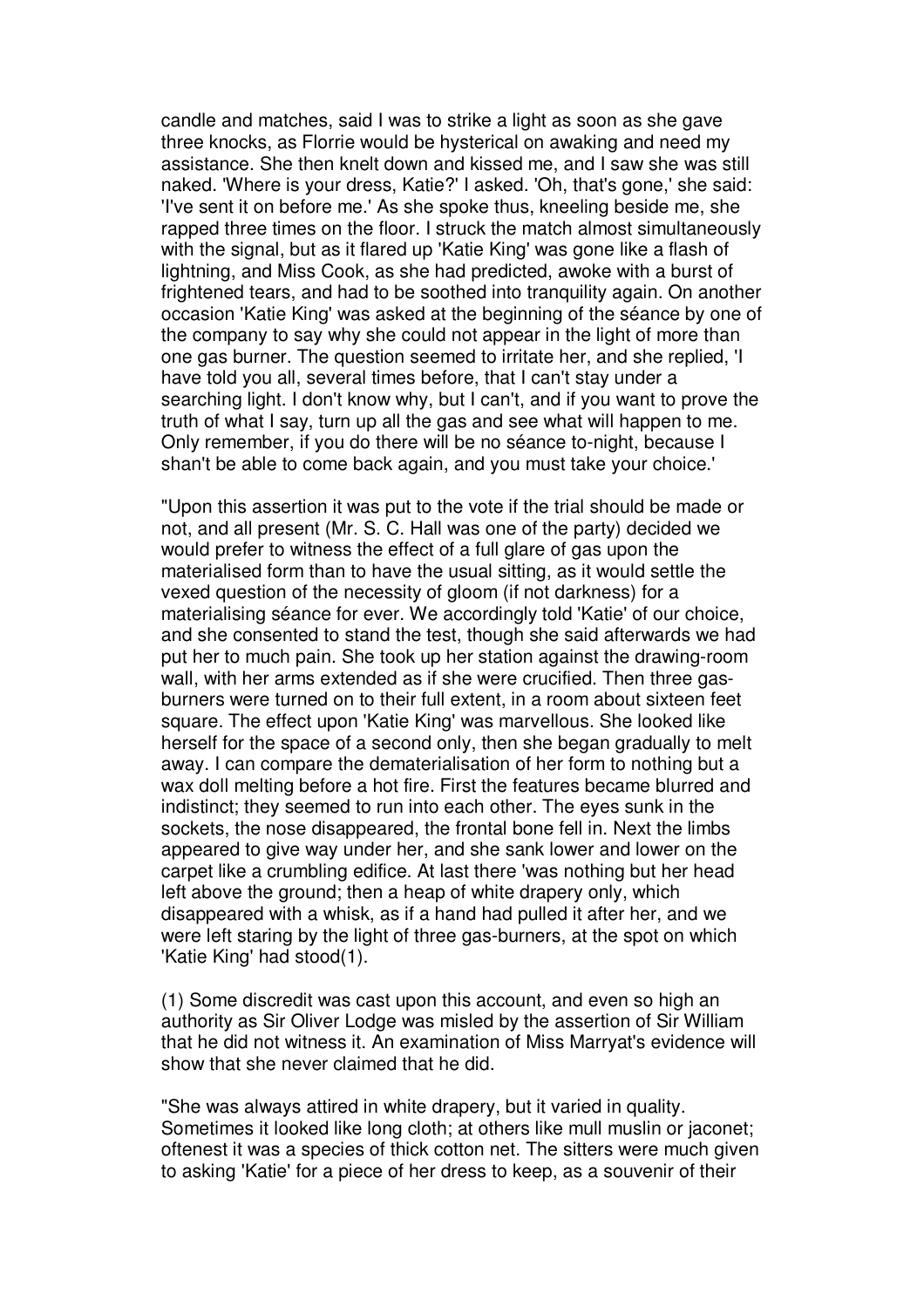candle and matches, said I was to strike a light as soon as she gave three knocks, as Florrie would be hysterical on awaking and need my assistance. She then knelt down and kissed me, and I saw she was still naked. 'Where is your dress, Katie?' I asked. 'Oh, that's gone,' she said: 'I've sent it on before me.' As she spoke thus, kneeling beside me, she rapped three times on the floor. I struck the match almost simultaneously with the signal, but as it flared up 'Katie King' was gone like a flash of lightning, and Miss Cook, as she had predicted, awoke with a burst of frightened tears, and had to be soothed into tranquility again. On another occasion 'Katie King' was asked at the beginning of the séance by one of the company to say why she could not appear in the light of more than one gas burner. The question seemed to irritate her, and she replied, 'I have told you all, several times before, that I can't stay under a searching light. I don't know why, but I can't, and if you want to prove the truth of what I say, turn up all the gas and see what will happen to me. Only remember, if you do there will be no séance to-night, because I shan't be able to come back again, and you must take your choice.'

"Upon this assertion it was put to the vote if the trial should be made or not, and all present (Mr. S. C. Hall was one of the party) decided we would prefer to witness the effect of a full glare of gas upon the materialised form than to have the usual sitting, as it would settle the vexed question of the necessity of gloom (if not darkness) for a materialising séance for ever. We accordingly told 'Katie' of our choice, and she consented to stand the test, though she said afterwards we had put her to much pain. She took up her station against the drawing-room wall, with her arms extended as if she were crucified. Then three gasburners were turned on to their full extent, in a room about sixteen feet square. The effect upon 'Katie King' was marvellous. She looked like herself for the space of a second only, then she began gradually to melt away. I can compare the dematerialisation of her form to nothing but a wax doll melting before a hot fire. First the features became blurred and indistinct; they seemed to run into each other. The eyes sunk in the sockets, the nose disappeared, the frontal bone fell in. Next the limbs appeared to give way under her, and she sank lower and lower on the carpet like a crumbling edifice. At last there 'was nothing but her head left above the ground; then a heap of white drapery only, which disappeared with a whisk, as if a hand had pulled it after her, and we were left staring by the light of three gas-burners, at the spot on which 'Katie King' had stood(1).

(1) Some discredit was cast upon this account, and even so high an authority as Sir Oliver Lodge was misled by the assertion of Sir William that he did not witness it. An examination of Miss Marryat's evidence will show that she never claimed that he did.

"She was always attired in white drapery, but it varied in quality. Sometimes it looked like long cloth; at others like mull muslin or jaconet; oftenest it was a species of thick cotton net. The sitters were much given to asking 'Katie' for a piece of her dress to keep, as a souvenir of their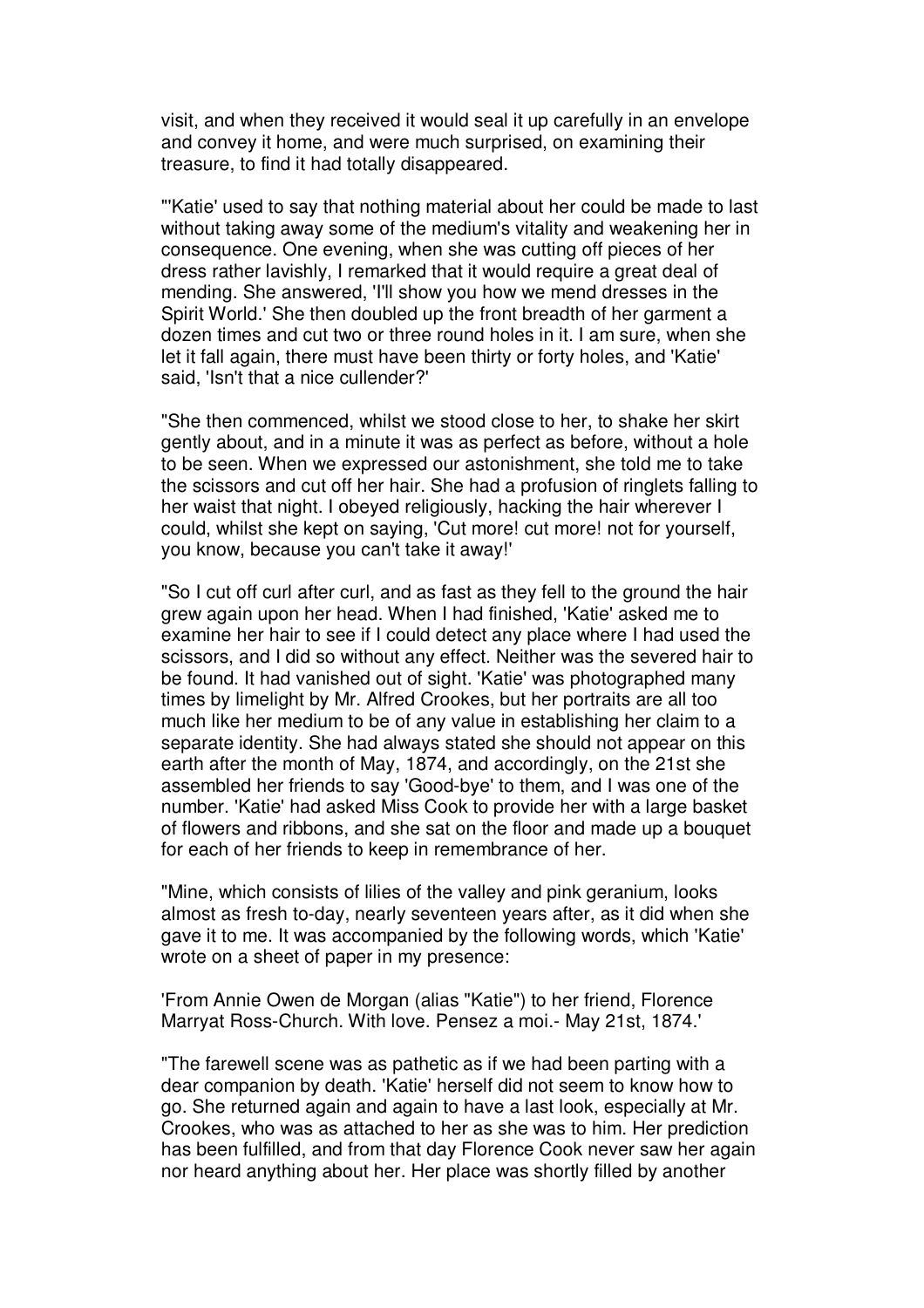visit, and when they received it would seal it up carefully in an envelope and convey it home, and were much surprised, on examining their treasure, to find it had totally disappeared.

"'Katie' used to say that nothing material about her could be made to last without taking away some of the medium's vitality and weakening her in consequence. One evening, when she was cutting off pieces of her dress rather lavishly, I remarked that it would require a great deal of mending. She answered, 'I'll show you how we mend dresses in the Spirit World.' She then doubled up the front breadth of her garment a dozen times and cut two or three round holes in it. I am sure, when she let it fall again, there must have been thirty or forty holes, and 'Katie' said, 'Isn't that a nice cullender?'

"She then commenced, whilst we stood close to her, to shake her skirt gently about, and in a minute it was as perfect as before, without a hole to be seen. When we expressed our astonishment, she told me to take the scissors and cut off her hair. She had a profusion of ringlets falling to her waist that night. I obeyed religiously, hacking the hair wherever I could, whilst she kept on saying, 'Cut more! cut more! not for yourself, you know, because you can't take it away!'

"So I cut off curl after curl, and as fast as they fell to the ground the hair grew again upon her head. When I had finished, 'Katie' asked me to examine her hair to see if I could detect any place where I had used the scissors, and I did so without any effect. Neither was the severed hair to be found. It had vanished out of sight. 'Katie' was photographed many times by limelight by Mr. Alfred Crookes, but her portraits are all too much like her medium to be of any value in establishing her claim to a separate identity. She had always stated she should not appear on this earth after the month of May, 1874, and accordingly, on the 21st she assembled her friends to say 'Good-bye' to them, and I was one of the number. 'Katie' had asked Miss Cook to provide her with a large basket of flowers and ribbons, and she sat on the floor and made up a bouquet for each of her friends to keep in remembrance of her.

"Mine, which consists of lilies of the valley and pink geranium, looks almost as fresh to-day, nearly seventeen years after, as it did when she gave it to me. It was accompanied by the following words, which 'Katie' wrote on a sheet of paper in my presence:

'From Annie Owen de Morgan (alias "Katie") to her friend, Florence Marryat Ross-Church. With love. Pensez a moi.- May 21st, 1874.'

"The farewell scene was as pathetic as if we had been parting with a dear companion by death. 'Katie' herself did not seem to know how to go. She returned again and again to have a last look, especially at Mr. Crookes, who was as attached to her as she was to him. Her prediction has been fulfilled, and from that day Florence Cook never saw her again nor heard anything about her. Her place was shortly filled by another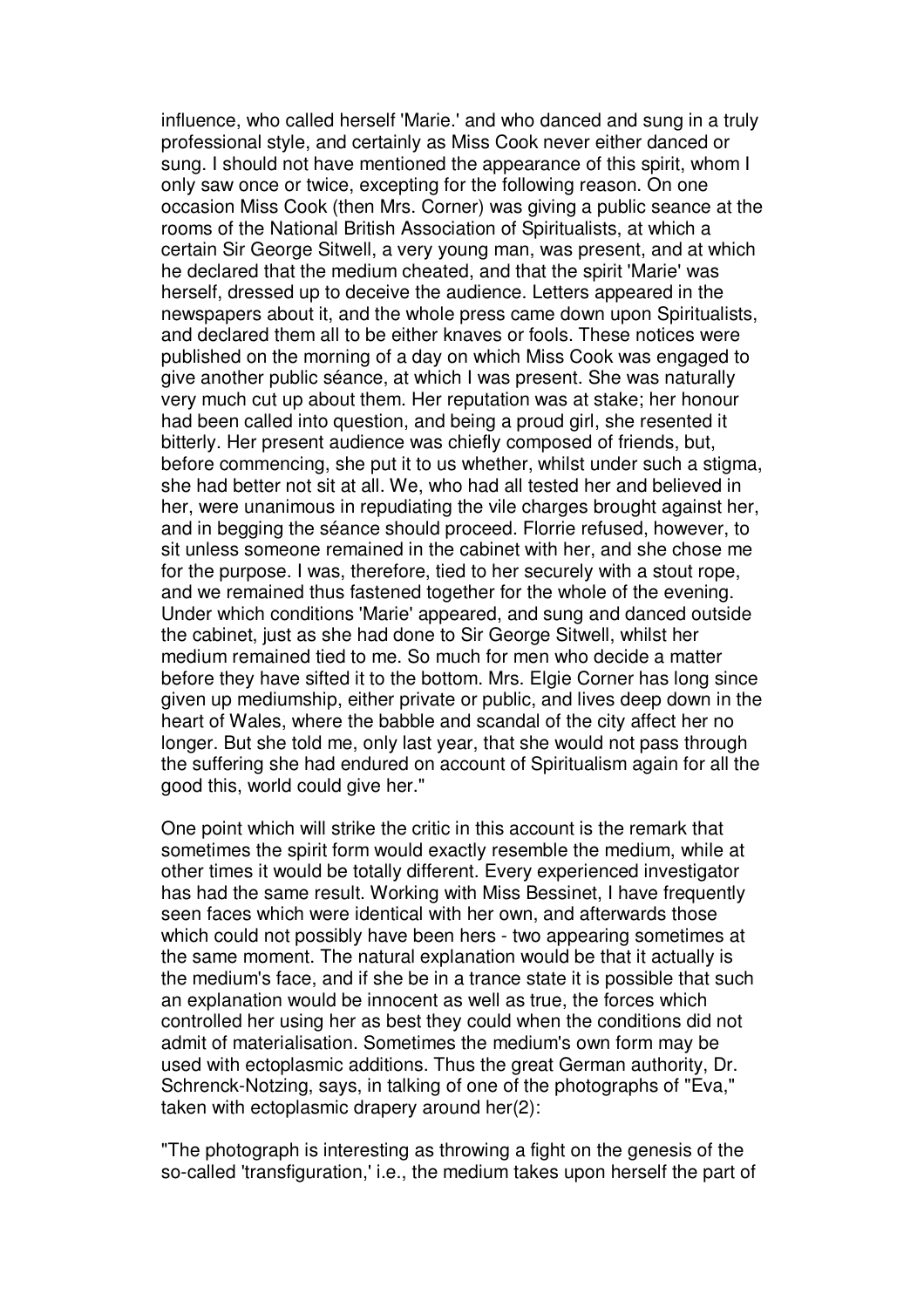influence, who called herself 'Marie.' and who danced and sung in a truly professional style, and certainly as Miss Cook never either danced or sung. I should not have mentioned the appearance of this spirit, whom I only saw once or twice, excepting for the following reason. On one occasion Miss Cook (then Mrs. Corner) was giving a public seance at the rooms of the National British Association of Spiritualists, at which a certain Sir George Sitwell, a very young man, was present, and at which he declared that the medium cheated, and that the spirit 'Marie' was herself, dressed up to deceive the audience. Letters appeared in the newspapers about it, and the whole press came down upon Spiritualists, and declared them all to be either knaves or fools. These notices were published on the morning of a day on which Miss Cook was engaged to give another public séance, at which I was present. She was naturally very much cut up about them. Her reputation was at stake; her honour had been called into question, and being a proud girl, she resented it bitterly. Her present audience was chiefly composed of friends, but, before commencing, she put it to us whether, whilst under such a stigma, she had better not sit at all. We, who had all tested her and believed in her, were unanimous in repudiating the vile charges brought against her, and in begging the séance should proceed. Florrie refused, however, to sit unless someone remained in the cabinet with her, and she chose me for the purpose. I was, therefore, tied to her securely with a stout rope, and we remained thus fastened together for the whole of the evening. Under which conditions 'Marie' appeared, and sung and danced outside the cabinet, just as she had done to Sir George Sitwell, whilst her medium remained tied to me. So much for men who decide a matter before they have sifted it to the bottom. Mrs. Elgie Corner has long since given up mediumship, either private or public, and lives deep down in the heart of Wales, where the babble and scandal of the city affect her no longer. But she told me, only last year, that she would not pass through the suffering she had endured on account of Spiritualism again for all the good this, world could give her."

One point which will strike the critic in this account is the remark that sometimes the spirit form would exactly resemble the medium, while at other times it would be totally different. Every experienced investigator has had the same result. Working with Miss Bessinet. I have frequently seen faces which were identical with her own, and afterwards those which could not possibly have been hers - two appearing sometimes at the same moment. The natural explanation would be that it actually is the medium's face, and if she be in a trance state it is possible that such an explanation would be innocent as well as true, the forces which controlled her using her as best they could when the conditions did not admit of materialisation. Sometimes the medium's own form may be used with ectoplasmic additions. Thus the great German authority, Dr. Schrenck-Notzing, says, in talking of one of the photographs of "Eva," taken with ectoplasmic drapery around her(2):

"The photograph is interesting as throwing a fight on the genesis of the so-called 'transfiguration,' i.e., the medium takes upon herself the part of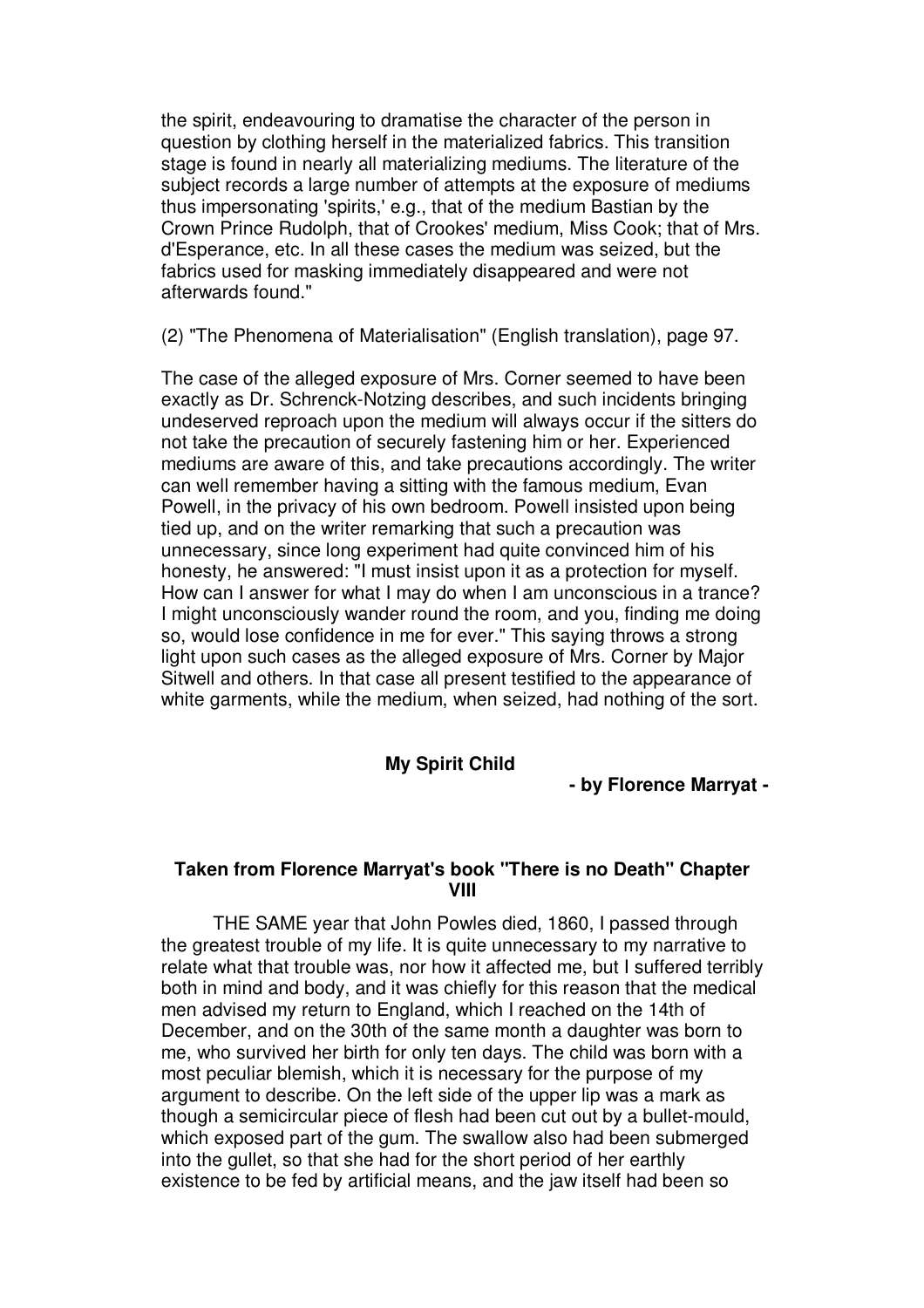the spirit, endeavouring to dramatise the character of the person in question by clothing herself in the materialized fabrics. This transition stage is found in nearly all materializing mediums. The literature of the subject records a large number of attempts at the exposure of mediums thus impersonating 'spirits,' e.g., that of the medium Bastian by the Crown Prince Rudolph, that of Crookes' medium, Miss Cook; that of Mrs. d'Esperance, etc. In all these cases the medium was seized, but the fabrics used for masking immediately disappeared and were not afterwards found."

(2) "The Phenomena of Materialisation" (English translation), page 97.

The case of the alleged exposure of Mrs. Corner seemed to have been exactly as Dr. Schrenck-Notzing describes, and such incidents bringing undeserved reproach upon the medium will always occur if the sitters do not take the precaution of securely fastening him or her. Experienced mediums are aware of this, and take precautions accordingly. The writer can well remember having a sitting with the famous medium, Evan Powell, in the privacy of his own bedroom. Powell insisted upon being tied up, and on the writer remarking that such a precaution was unnecessary, since long experiment had quite convinced him of his honesty, he answered: "I must insist upon it as a protection for myself. How can I answer for what I may do when I am unconscious in a trance? I might unconsciously wander round the room, and you, finding me doing so, would lose confidence in me for ever." This saying throws a strong light upon such cases as the alleged exposure of Mrs. Corner by Major Sitwell and others. In that case all present testified to the appearance of white garments, while the medium, when seized, had nothing of the sort.

## **My Spirit Child**

**- by Florence Marryat -**

## **Taken from Florence Marryat's book "There is no Death" Chapter VIII**

THE SAME year that John Powles died, 1860, I passed through the greatest trouble of my life. It is quite unnecessary to my narrative to relate what that trouble was, nor how it affected me, but I suffered terribly both in mind and body, and it was chiefly for this reason that the medical men advised my return to England, which I reached on the 14th of December, and on the 30th of the same month a daughter was born to me, who survived her birth for only ten days. The child was born with a most peculiar blemish, which it is necessary for the purpose of my argument to describe. On the left side of the upper lip was a mark as though a semicircular piece of flesh had been cut out by a bullet-mould, which exposed part of the gum. The swallow also had been submerged into the gullet, so that she had for the short period of her earthly existence to be fed by artificial means, and the jaw itself had been so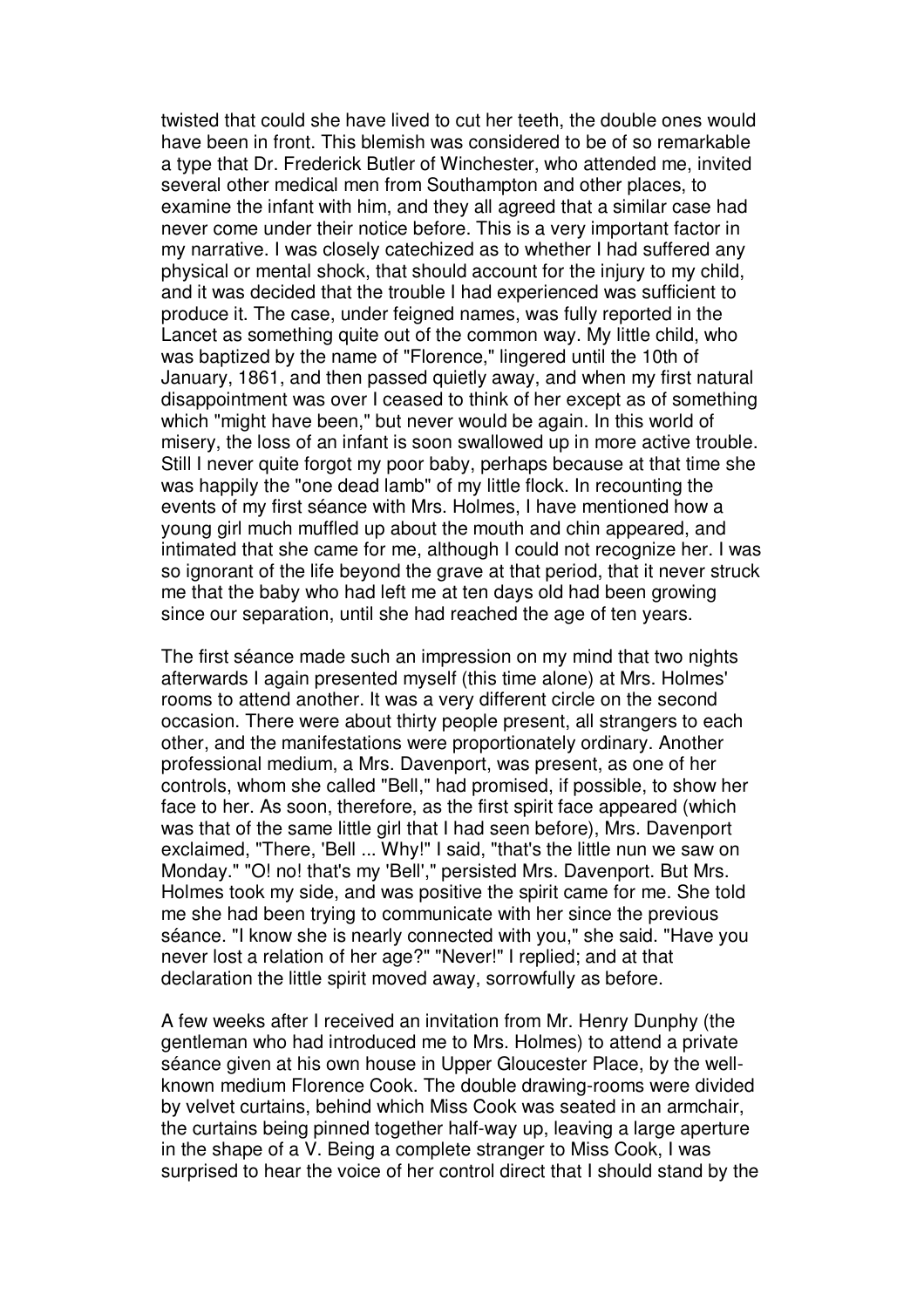twisted that could she have lived to cut her teeth, the double ones would have been in front. This blemish was considered to be of so remarkable a type that Dr. Frederick Butler of Winchester, who attended me, invited several other medical men from Southampton and other places, to examine the infant with him, and they all agreed that a similar case had never come under their notice before. This is a very important factor in my narrative. I was closely catechized as to whether I had suffered any physical or mental shock, that should account for the injury to my child, and it was decided that the trouble I had experienced was sufficient to produce it. The case, under feigned names, was fully reported in the Lancet as something quite out of the common way. My little child, who was baptized by the name of "Florence," lingered until the 10th of January, 1861, and then passed quietly away, and when my first natural disappointment was over I ceased to think of her except as of something which "might have been," but never would be again. In this world of misery, the loss of an infant is soon swallowed up in more active trouble. Still I never quite forgot my poor baby, perhaps because at that time she was happily the "one dead lamb" of my little flock. In recounting the events of my first séance with Mrs. Holmes, I have mentioned how a young girl much muffled up about the mouth and chin appeared, and intimated that she came for me, although I could not recognize her. I was so ignorant of the life beyond the grave at that period, that it never struck me that the baby who had left me at ten days old had been growing since our separation, until she had reached the age of ten years.

The first séance made such an impression on my mind that two nights afterwards I again presented myself (this time alone) at Mrs. Holmes' rooms to attend another. It was a very different circle on the second occasion. There were about thirty people present, all strangers to each other, and the manifestations were proportionately ordinary. Another professional medium, a Mrs. Davenport, was present, as one of her controls, whom she called "Bell," had promised, if possible, to show her face to her. As soon, therefore, as the first spirit face appeared (which was that of the same little girl that I had seen before), Mrs. Davenport exclaimed, "There, 'Bell ... Why!" I said, "that's the little nun we saw on Monday." "O! no! that's my 'Bell'," persisted Mrs. Davenport. But Mrs. Holmes took my side, and was positive the spirit came for me. She told me she had been trying to communicate with her since the previous séance. "I know she is nearly connected with you," she said. "Have you never lost a relation of her age?" "Never!" I replied; and at that declaration the little spirit moved away, sorrowfully as before.

A few weeks after I received an invitation from Mr. Henry Dunphy (the gentleman who had introduced me to Mrs. Holmes) to attend a private séance given at his own house in Upper Gloucester Place, by the wellknown medium Florence Cook. The double drawing-rooms were divided by velvet curtains, behind which Miss Cook was seated in an armchair, the curtains being pinned together half-way up, leaving a large aperture in the shape of a V. Being a complete stranger to Miss Cook, I was surprised to hear the voice of her control direct that I should stand by the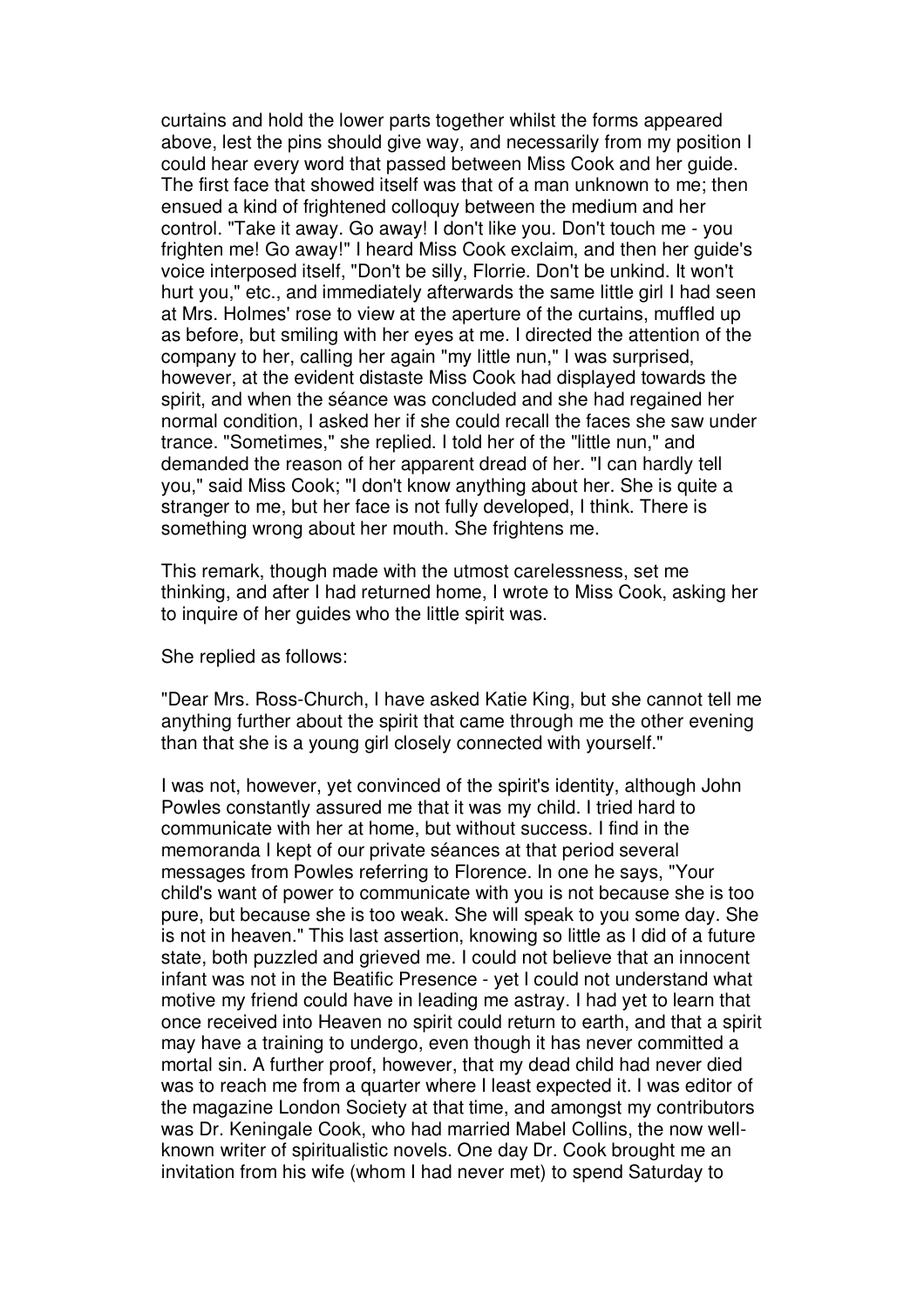curtains and hold the lower parts together whilst the forms appeared above, lest the pins should give way, and necessarily from my position I could hear every word that passed between Miss Cook and her guide. The first face that showed itself was that of a man unknown to me; then ensued a kind of frightened colloquy between the medium and her control. "Take it away. Go away! I don't like you. Don't touch me - you frighten me! Go away!" I heard Miss Cook exclaim, and then her guide's voice interposed itself, "Don't be silly, Florrie. Don't be unkind. It won't hurt you," etc., and immediately afterwards the same little girl I had seen at Mrs. Holmes' rose to view at the aperture of the curtains, muffled up as before, but smiling with her eyes at me. I directed the attention of the company to her, calling her again "my little nun," I was surprised, however, at the evident distaste Miss Cook had displayed towards the spirit, and when the séance was concluded and she had regained her normal condition, I asked her if she could recall the faces she saw under trance. "Sometimes," she replied. I told her of the "little nun," and demanded the reason of her apparent dread of her. "I can hardly tell you," said Miss Cook; "I don't know anything about her. She is quite a stranger to me, but her face is not fully developed, I think. There is something wrong about her mouth. She frightens me.

This remark, though made with the utmost carelessness, set me thinking, and after I had returned home, I wrote to Miss Cook, asking her to inquire of her guides who the little spirit was.

She replied as follows:

"Dear Mrs. Ross-Church, I have asked Katie King, but she cannot tell me anything further about the spirit that came through me the other evening than that she is a young girl closely connected with yourself."

I was not, however, yet convinced of the spirit's identity, although John Powles constantly assured me that it was my child. I tried hard to communicate with her at home, but without success. I find in the memoranda I kept of our private séances at that period several messages from Powles referring to Florence. In one he says, "Your child's want of power to communicate with you is not because she is too pure, but because she is too weak. She will speak to you some day. She is not in heaven." This last assertion, knowing so little as I did of a future state, both puzzled and grieved me. I could not believe that an innocent infant was not in the Beatific Presence - yet I could not understand what motive my friend could have in leading me astray. I had yet to learn that once received into Heaven no spirit could return to earth, and that a spirit may have a training to undergo, even though it has never committed a mortal sin. A further proof, however, that my dead child had never died was to reach me from a quarter where I least expected it. I was editor of the magazine London Society at that time, and amongst my contributors was Dr. Keningale Cook, who had married Mabel Collins, the now wellknown writer of spiritualistic novels. One day Dr. Cook brought me an invitation from his wife (whom I had never met) to spend Saturday to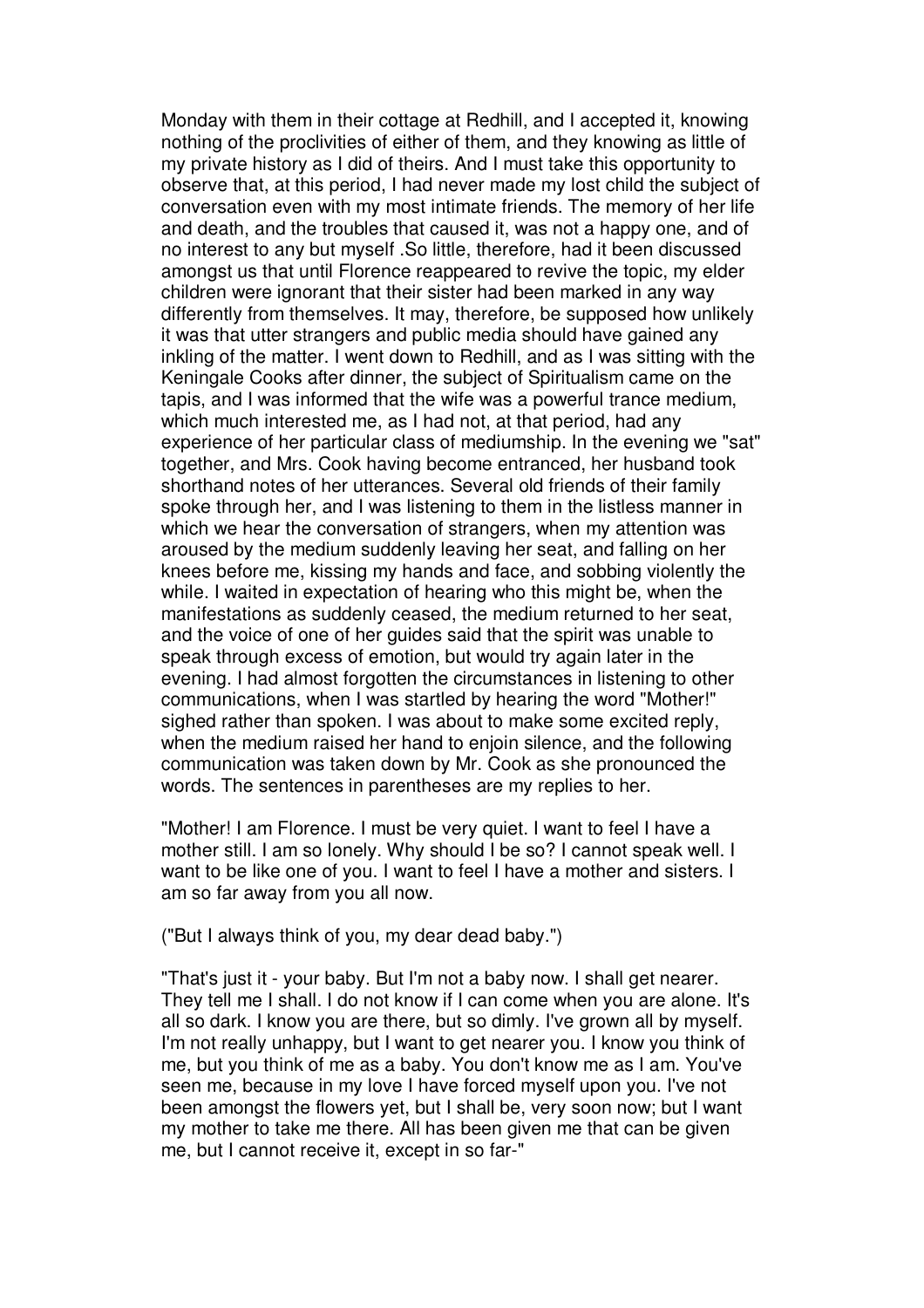Monday with them in their cottage at Redhill, and I accepted it, knowing nothing of the proclivities of either of them, and they knowing as little of my private history as I did of theirs. And I must take this opportunity to observe that, at this period, I had never made my lost child the subject of conversation even with my most intimate friends. The memory of her life and death, and the troubles that caused it, was not a happy one, and of no interest to any but myself .So little, therefore, had it been discussed amongst us that until Florence reappeared to revive the topic, my elder children were ignorant that their sister had been marked in any way differently from themselves. It may, therefore, be supposed how unlikely it was that utter strangers and public media should have gained any inkling of the matter. I went down to Redhill, and as I was sitting with the Keningale Cooks after dinner, the subject of Spiritualism came on the tapis, and I was informed that the wife was a powerful trance medium, which much interested me, as I had not, at that period, had any experience of her particular class of mediumship. In the evening we "sat" together, and Mrs. Cook having become entranced, her husband took shorthand notes of her utterances. Several old friends of their family spoke through her, and I was listening to them in the listless manner in which we hear the conversation of strangers, when my attention was aroused by the medium suddenly leaving her seat, and falling on her knees before me, kissing my hands and face, and sobbing violently the while. I waited in expectation of hearing who this might be, when the manifestations as suddenly ceased, the medium returned to her seat, and the voice of one of her guides said that the spirit was unable to speak through excess of emotion, but would try again later in the evening. I had almost forgotten the circumstances in listening to other communications, when I was startled by hearing the word "Mother!" sighed rather than spoken. I was about to make some excited reply, when the medium raised her hand to enjoin silence, and the following communication was taken down by Mr. Cook as she pronounced the words. The sentences in parentheses are my replies to her.

"Mother! I am Florence. I must be very quiet. I want to feel I have a mother still. I am so lonely. Why should I be so? I cannot speak well. I want to be like one of you. I want to feel I have a mother and sisters. I am so far away from you all now.

("But I always think of you, my dear dead baby.")

"That's just it - your baby. But I'm not a baby now. I shall get nearer. They tell me I shall. I do not know if I can come when you are alone. It's all so dark. I know you are there, but so dimly. I've grown all by myself. I'm not really unhappy, but I want to get nearer you. I know you think of me, but you think of me as a baby. You don't know me as I am. You've seen me, because in my love I have forced myself upon you. I've not been amongst the flowers yet, but I shall be, very soon now; but I want my mother to take me there. All has been given me that can be given me, but I cannot receive it, except in so far-"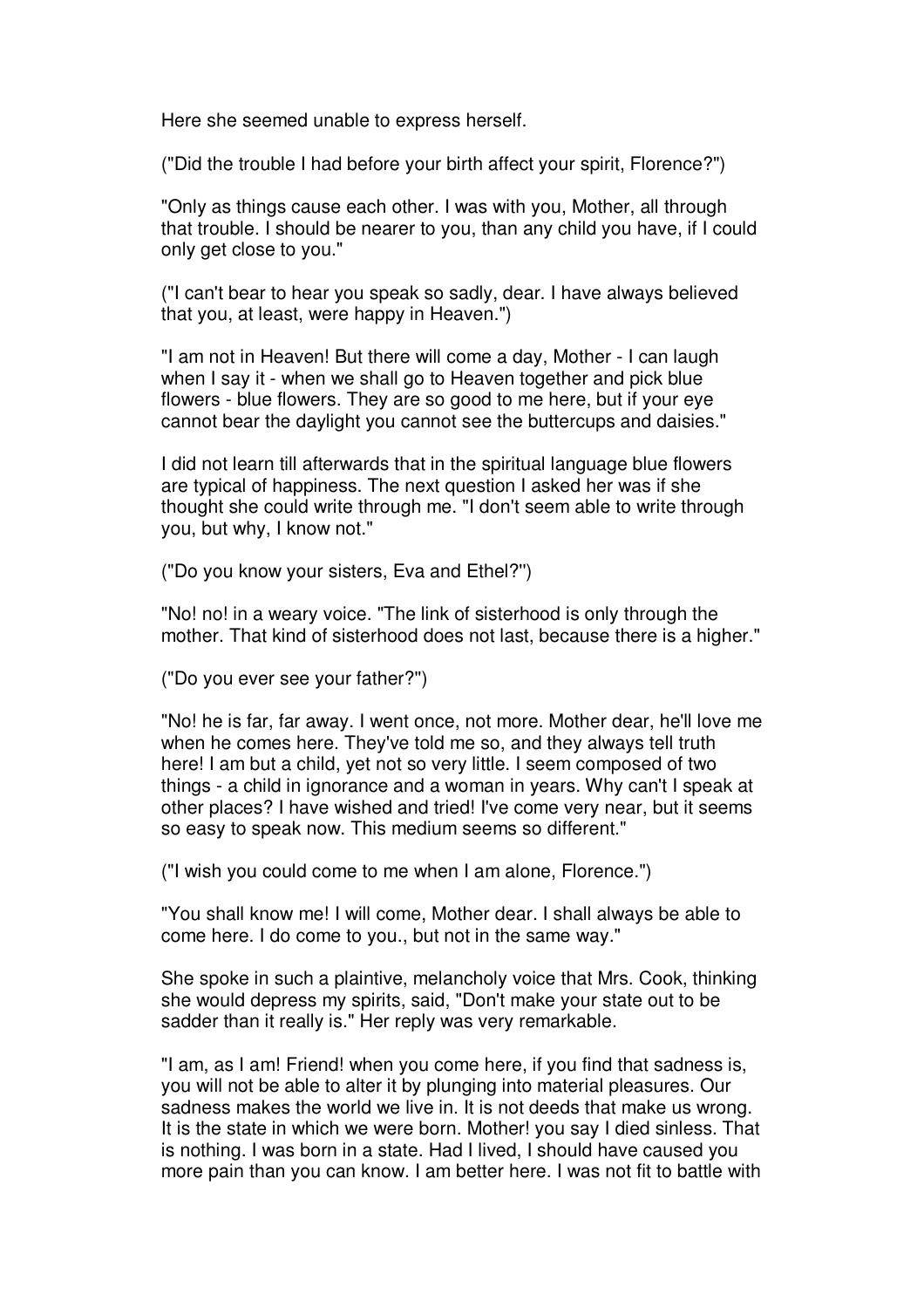Here she seemed unable to express herself.

("Did the trouble I had before your birth affect your spirit, Florence?")

"Only as things cause each other. I was with you, Mother, all through that trouble. I should be nearer to you, than any child you have, if I could only get close to you."

("I can't bear to hear you speak so sadly, dear. I have always believed that you, at least, were happy in Heaven.")

"I am not in Heaven! But there will come a day, Mother - I can laugh when I say it - when we shall go to Heaven together and pick blue flowers - blue flowers. They are so good to me here, but if your eye cannot bear the daylight you cannot see the buttercups and daisies."

I did not learn till afterwards that in the spiritual language blue flowers are typical of happiness. The next question I asked her was if she thought she could write through me. "I don't seem able to write through you, but why, I know not."

("Do you know your sisters, Eva and Ethel?'')

"No! no! in a weary voice. "The link of sisterhood is only through the mother. That kind of sisterhood does not last, because there is a higher."

("Do you ever see your father?'')

"No! he is far, far away. I went once, not more. Mother dear, he'll love me when he comes here. They've told me so, and they always tell truth here! I am but a child, yet not so very little. I seem composed of two things - a child in ignorance and a woman in years. Why can't I speak at other places? I have wished and tried! I've come very near, but it seems so easy to speak now. This medium seems so different."

("I wish you could come to me when I am alone, Florence.")

"You shall know me! I will come, Mother dear. I shall always be able to come here. I do come to you., but not in the same way."

She spoke in such a plaintive, melancholy voice that Mrs. Cook, thinking she would depress my spirits, said, "Don't make your state out to be sadder than it really is." Her reply was very remarkable.

"I am, as I am! Friend! when you come here, if you find that sadness is, you will not be able to alter it by plunging into material pleasures. Our sadness makes the world we live in. It is not deeds that make us wrong. It is the state in which we were born. Mother! you say I died sinless. That is nothing. I was born in a state. Had I lived, I should have caused you more pain than you can know. I am better here. I was not fit to battle with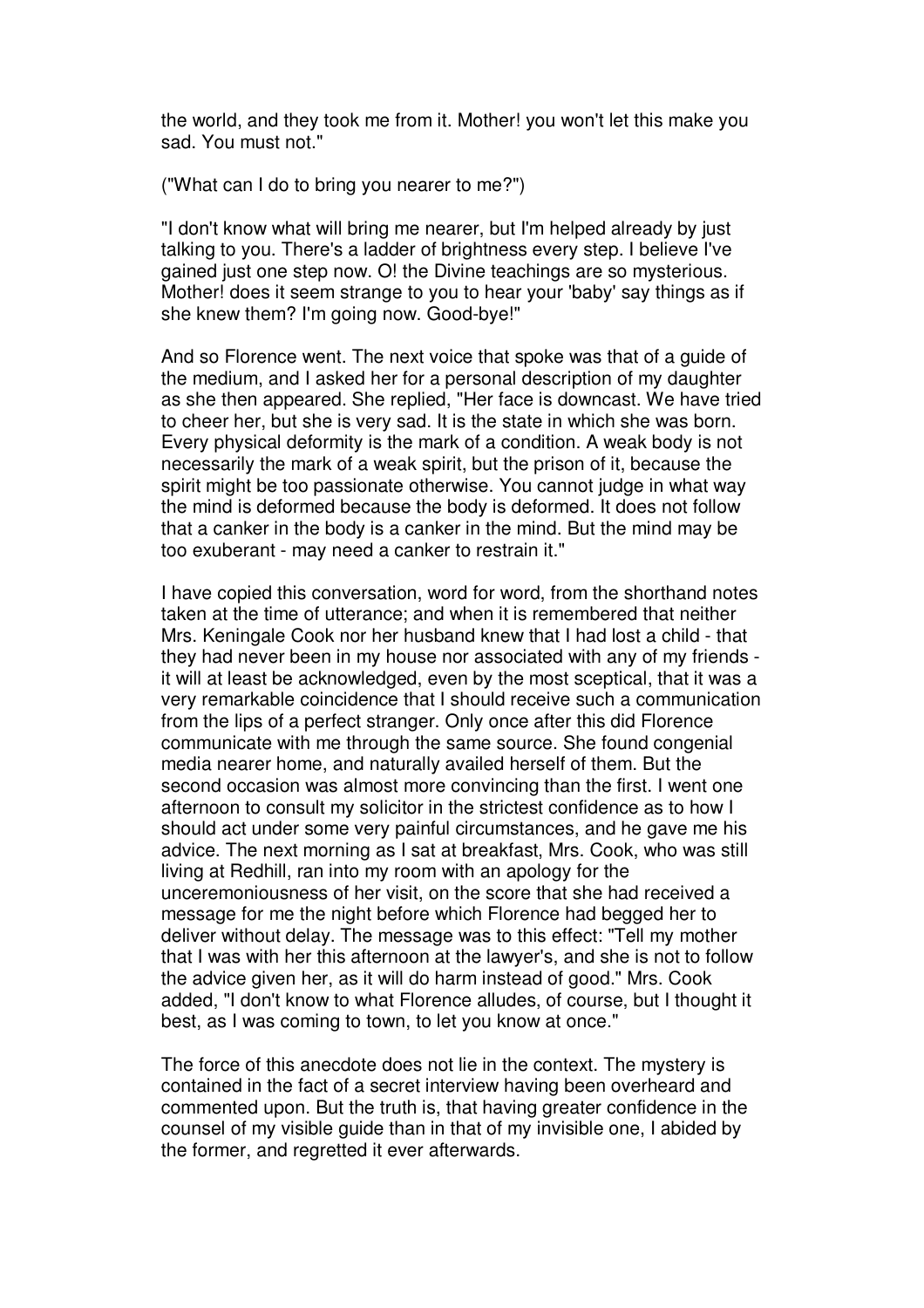the world, and they took me from it. Mother! you won't let this make you sad. You must not."

("What can I do to bring you nearer to me?")

"I don't know what will bring me nearer, but I'm helped already by just talking to you. There's a ladder of brightness every step. I believe I've gained just one step now. O! the Divine teachings are so mysterious. Mother! does it seem strange to you to hear your 'baby' say things as if she knew them? I'm going now. Good-bye!"

And so Florence went. The next voice that spoke was that of a guide of the medium, and I asked her for a personal description of my daughter as she then appeared. She replied, "Her face is downcast. We have tried to cheer her, but she is very sad. It is the state in which she was born. Every physical deformity is the mark of a condition. A weak body is not necessarily the mark of a weak spirit, but the prison of it, because the spirit might be too passionate otherwise. You cannot judge in what way the mind is deformed because the body is deformed. It does not follow that a canker in the body is a canker in the mind. But the mind may be too exuberant - may need a canker to restrain it."

I have copied this conversation, word for word, from the shorthand notes taken at the time of utterance; and when it is remembered that neither Mrs. Keningale Cook nor her husband knew that I had lost a child - that they had never been in my house nor associated with any of my friends it will at least be acknowledged, even by the most sceptical, that it was a very remarkable coincidence that I should receive such a communication from the lips of a perfect stranger. Only once after this did Florence communicate with me through the same source. She found congenial media nearer home, and naturally availed herself of them. But the second occasion was almost more convincing than the first. I went one afternoon to consult my solicitor in the strictest confidence as to how I should act under some very painful circumstances, and he gave me his advice. The next morning as I sat at breakfast, Mrs. Cook, who was still living at Redhill, ran into my room with an apology for the unceremoniousness of her visit, on the score that she had received a message for me the night before which Florence had begged her to deliver without delay. The message was to this effect: "Tell my mother that I was with her this afternoon at the lawyer's, and she is not to follow the advice given her, as it will do harm instead of good." Mrs. Cook added, "I don't know to what Florence alludes, of course, but I thought it best, as I was coming to town, to let you know at once."

The force of this anecdote does not lie in the context. The mystery is contained in the fact of a secret interview having been overheard and commented upon. But the truth is, that having greater confidence in the counsel of my visible guide than in that of my invisible one, I abided by the former, and regretted it ever afterwards.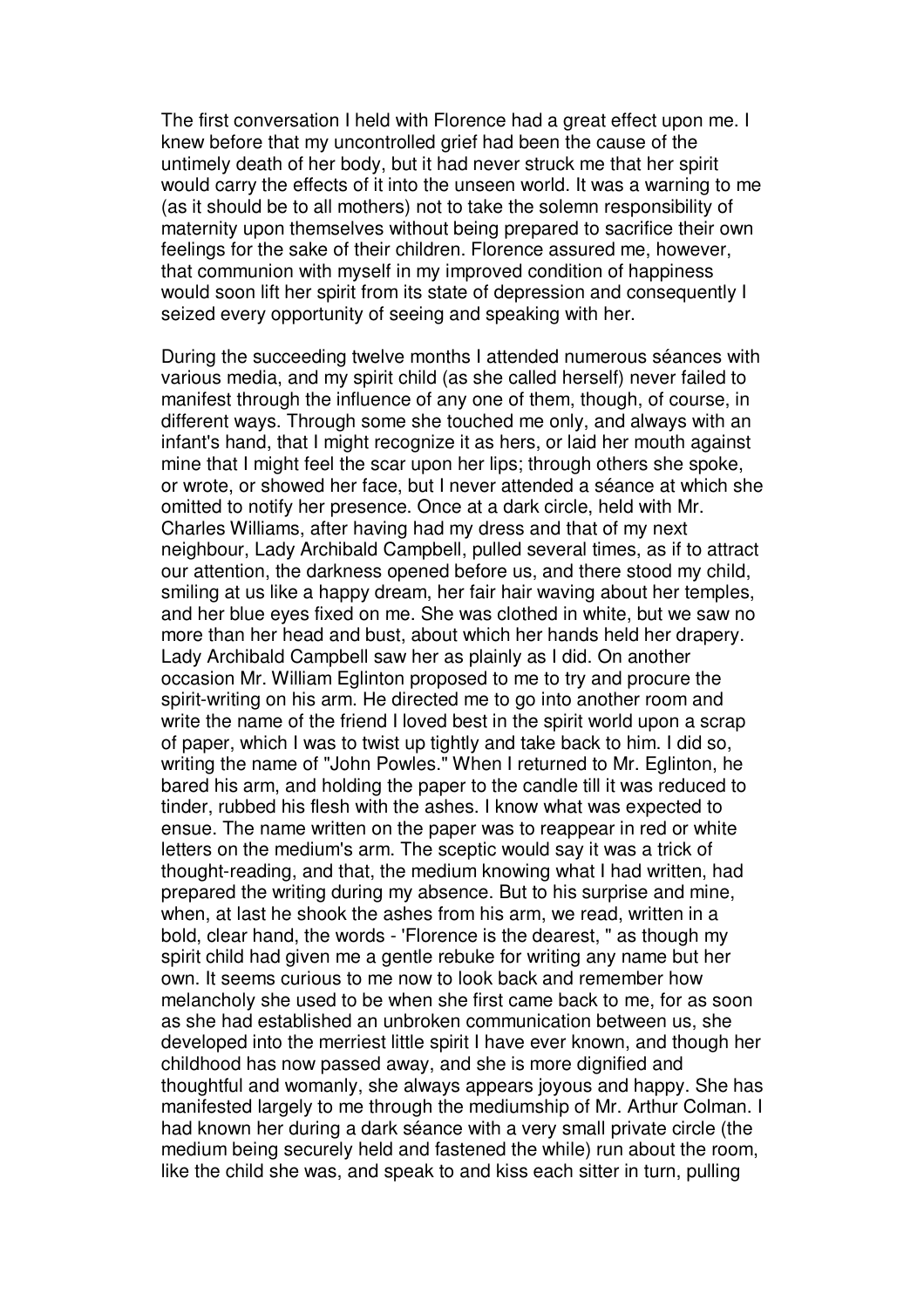The first conversation I held with Florence had a great effect upon me. I knew before that my uncontrolled grief had been the cause of the untimely death of her body, but it had never struck me that her spirit would carry the effects of it into the unseen world. It was a warning to me (as it should be to all mothers) not to take the solemn responsibility of maternity upon themselves without being prepared to sacrifice their own feelings for the sake of their children. Florence assured me, however, that communion with myself in my improved condition of happiness would soon lift her spirit from its state of depression and consequently I seized every opportunity of seeing and speaking with her.

During the succeeding twelve months I attended numerous séances with various media, and my spirit child (as she called herself) never failed to manifest through the influence of any one of them, though, of course, in different ways. Through some she touched me only, and always with an infant's hand, that I might recognize it as hers, or laid her mouth against mine that I might feel the scar upon her lips; through others she spoke, or wrote, or showed her face, but I never attended a séance at which she omitted to notify her presence. Once at a dark circle, held with Mr. Charles Williams, after having had my dress and that of my next neighbour, Lady Archibald Campbell, pulled several times, as if to attract our attention, the darkness opened before us, and there stood my child, smiling at us like a happy dream, her fair hair waving about her temples, and her blue eyes fixed on me. She was clothed in white, but we saw no more than her head and bust, about which her hands held her drapery. Lady Archibald Campbell saw her as plainly as I did. On another occasion Mr. William Eglinton proposed to me to try and procure the spirit-writing on his arm. He directed me to go into another room and write the name of the friend I loved best in the spirit world upon a scrap of paper, which I was to twist up tightly and take back to him. I did so, writing the name of "John Powles." When I returned to Mr. Eglinton, he bared his arm, and holding the paper to the candle till it was reduced to tinder, rubbed his flesh with the ashes. I know what was expected to ensue. The name written on the paper was to reappear in red or white letters on the medium's arm. The sceptic would say it was a trick of thought-reading, and that, the medium knowing what I had written, had prepared the writing during my absence. But to his surprise and mine, when, at last he shook the ashes from his arm, we read, written in a bold, clear hand, the words - 'Florence is the dearest, " as though my spirit child had given me a gentle rebuke for writing any name but her own. It seems curious to me now to look back and remember how melancholy she used to be when she first came back to me, for as soon as she had established an unbroken communication between us, she developed into the merriest little spirit I have ever known, and though her childhood has now passed away, and she is more dignified and thoughtful and womanly, she always appears joyous and happy. She has manifested largely to me through the mediumship of Mr. Arthur Colman. I had known her during a dark séance with a very small private circle (the medium being securely held and fastened the while) run about the room, like the child she was, and speak to and kiss each sitter in turn, pulling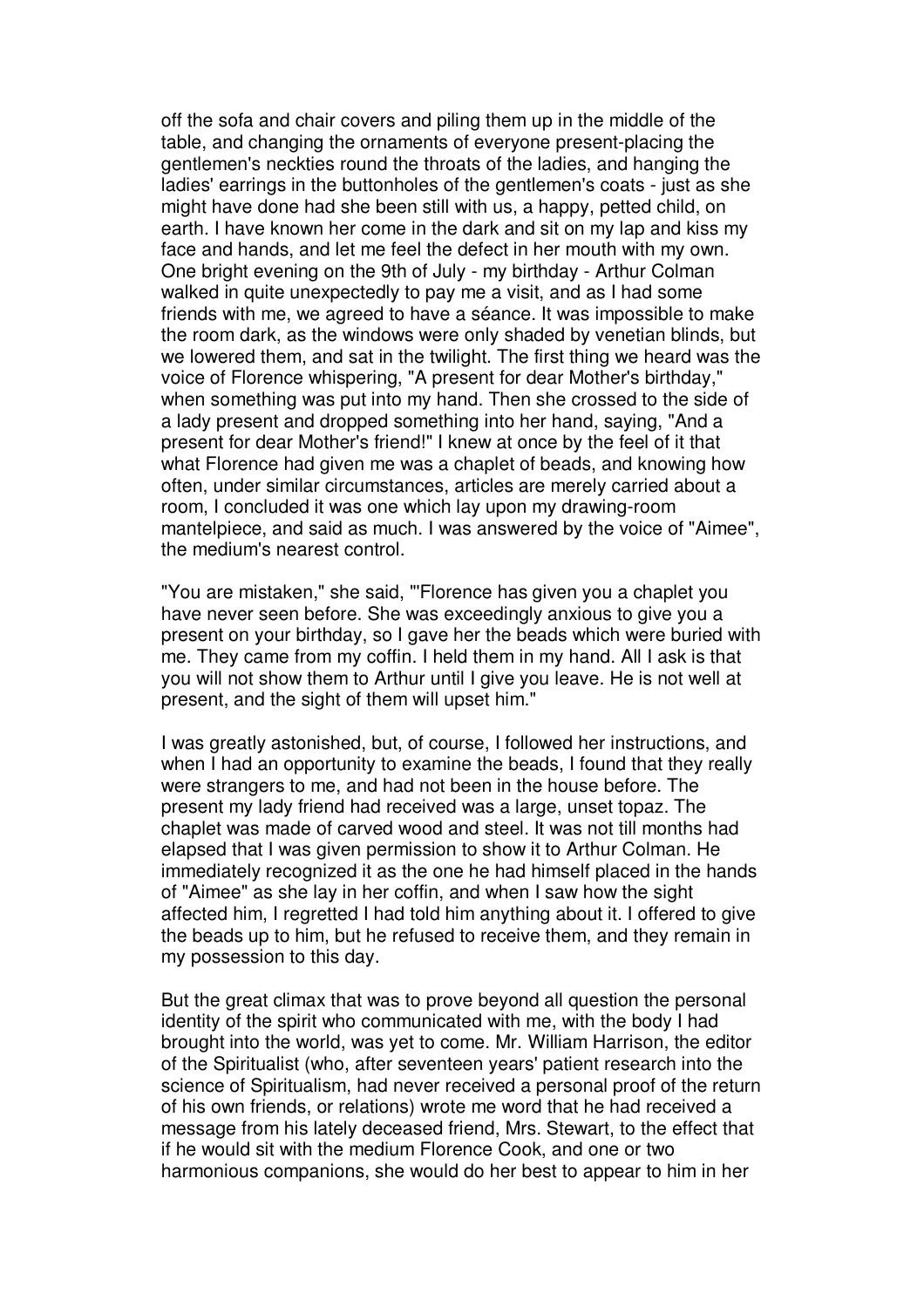off the sofa and chair covers and piling them up in the middle of the table, and changing the ornaments of everyone present-placing the gentlemen's neckties round the throats of the ladies, and hanging the ladies' earrings in the buttonholes of the gentlemen's coats - just as she might have done had she been still with us, a happy, petted child, on earth. I have known her come in the dark and sit on my lap and kiss my face and hands, and let me feel the defect in her mouth with my own. One bright evening on the 9th of July - my birthday - Arthur Colman walked in quite unexpectedly to pay me a visit, and as I had some friends with me, we agreed to have a séance. It was impossible to make the room dark, as the windows were only shaded by venetian blinds, but we lowered them, and sat in the twilight. The first thing we heard was the voice of Florence whispering, "A present for dear Mother's birthday," when something was put into my hand. Then she crossed to the side of a lady present and dropped something into her hand, saying, "And a present for dear Mother's friend!" I knew at once by the feel of it that what Florence had given me was a chaplet of beads, and knowing how often, under similar circumstances, articles are merely carried about a room, I concluded it was one which lay upon my drawing-room mantelpiece, and said as much. I was answered by the voice of "Aimee", the medium's nearest control.

"You are mistaken," she said, "'Florence has given you a chaplet you have never seen before. She was exceedingly anxious to give you a present on your birthday, so I gave her the beads which were buried with me. They came from my coffin. I held them in my hand. All I ask is that you will not show them to Arthur until I give you leave. He is not well at present, and the sight of them will upset him."

I was greatly astonished, but, of course, I followed her instructions, and when I had an opportunity to examine the beads, I found that they really were strangers to me, and had not been in the house before. The present my lady friend had received was a large, unset topaz. The chaplet was made of carved wood and steel. It was not till months had elapsed that I was given permission to show it to Arthur Colman. He immediately recognized it as the one he had himself placed in the hands of "Aimee" as she lay in her coffin, and when I saw how the sight affected him, I regretted I had told him anything about it. I offered to give the beads up to him, but he refused to receive them, and they remain in my possession to this day.

But the great climax that was to prove beyond all question the personal identity of the spirit who communicated with me, with the body I had brought into the world, was yet to come. Mr. William Harrison, the editor of the Spiritualist (who, after seventeen years' patient research into the science of Spiritualism, had never received a personal proof of the return of his own friends, or relations) wrote me word that he had received a message from his lately deceased friend, Mrs. Stewart, to the effect that if he would sit with the medium Florence Cook, and one or two harmonious companions, she would do her best to appear to him in her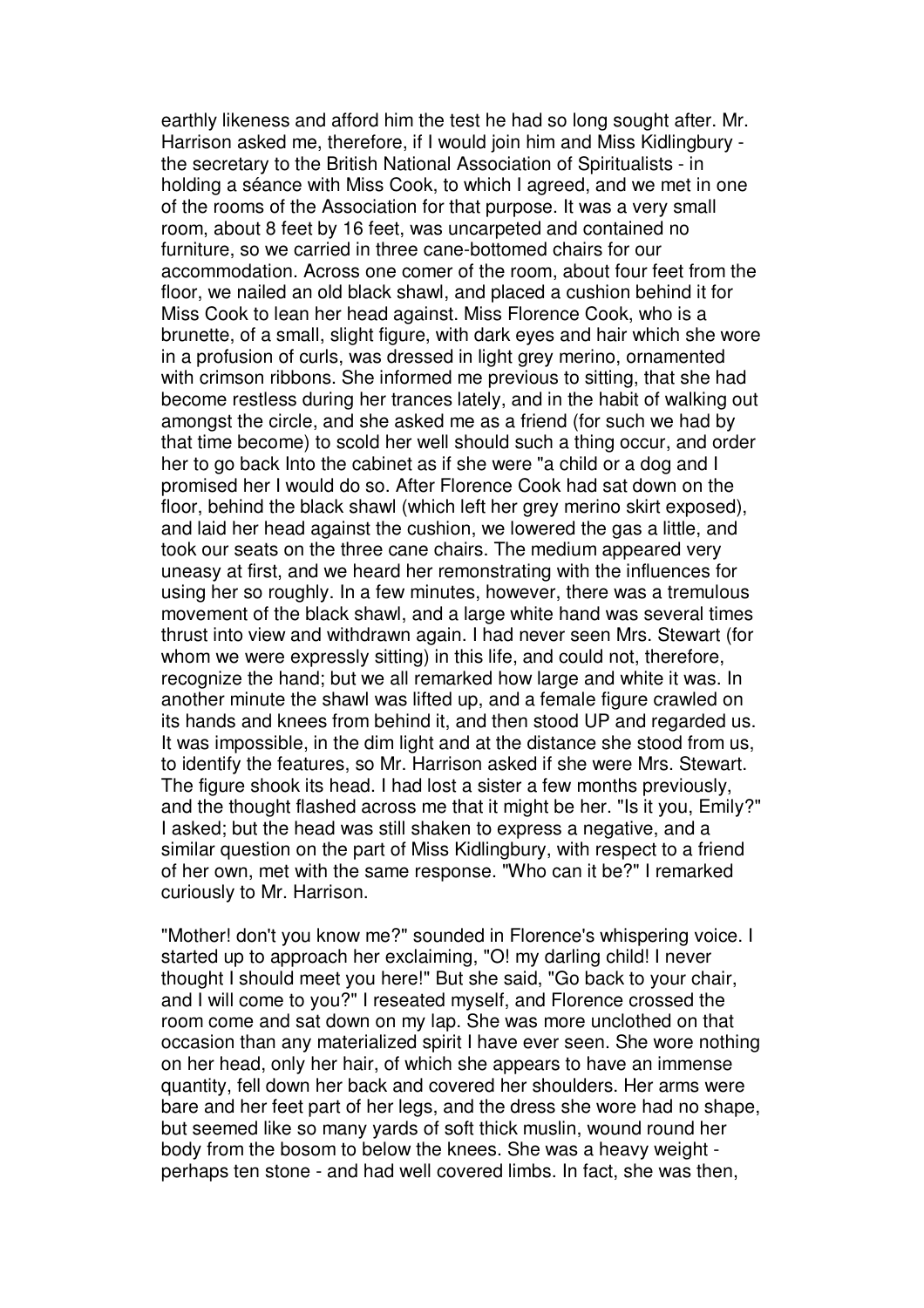earthly likeness and afford him the test he had so long sought after. Mr. Harrison asked me, therefore, if I would join him and Miss Kidlingbury the secretary to the British National Association of Spiritualists - in holding a séance with Miss Cook, to which I agreed, and we met in one of the rooms of the Association for that purpose. It was a very small room, about 8 feet by 16 feet, was uncarpeted and contained no furniture, so we carried in three cane-bottomed chairs for our accommodation. Across one comer of the room, about four feet from the floor, we nailed an old black shawl, and placed a cushion behind it for Miss Cook to lean her head against. Miss Florence Cook, who is a brunette, of a small, slight figure, with dark eyes and hair which she wore in a profusion of curls, was dressed in light grey merino, ornamented with crimson ribbons. She informed me previous to sitting, that she had become restless during her trances lately, and in the habit of walking out amongst the circle, and she asked me as a friend (for such we had by that time become) to scold her well should such a thing occur, and order her to go back Into the cabinet as if she were "a child or a dog and I promised her I would do so. After Florence Cook had sat down on the floor, behind the black shawl (which left her grey merino skirt exposed), and laid her head against the cushion, we lowered the gas a little, and took our seats on the three cane chairs. The medium appeared very uneasy at first, and we heard her remonstrating with the influences for using her so roughly. In a few minutes, however, there was a tremulous movement of the black shawl, and a large white hand was several times thrust into view and withdrawn again. I had never seen Mrs. Stewart (for whom we were expressly sitting) in this life, and could not, therefore, recognize the hand; but we all remarked how large and white it was. In another minute the shawl was lifted up, and a female figure crawled on its hands and knees from behind it, and then stood UP and regarded us. It was impossible, in the dim light and at the distance she stood from us, to identify the features, so Mr. Harrison asked if she were Mrs. Stewart. The figure shook its head. I had lost a sister a few months previously, and the thought flashed across me that it might be her. "Is it you, Emily?" I asked; but the head was still shaken to express a negative, and a similar question on the part of Miss Kidlingbury, with respect to a friend of her own, met with the same response. "Who can it be?" I remarked curiously to Mr. Harrison.

"Mother! don't you know me?" sounded in Florence's whispering voice. I started up to approach her exclaiming, "O! my darling child! I never thought I should meet you here!" But she said, "Go back to your chair, and I will come to you?" I reseated myself, and Florence crossed the room come and sat down on my lap. She was more unclothed on that occasion than any materialized spirit I have ever seen. She wore nothing on her head, only her hair, of which she appears to have an immense quantity, fell down her back and covered her shoulders. Her arms were bare and her feet part of her legs, and the dress she wore had no shape, but seemed like so many yards of soft thick muslin, wound round her body from the bosom to below the knees. She was a heavy weight perhaps ten stone - and had well covered limbs. In fact, she was then,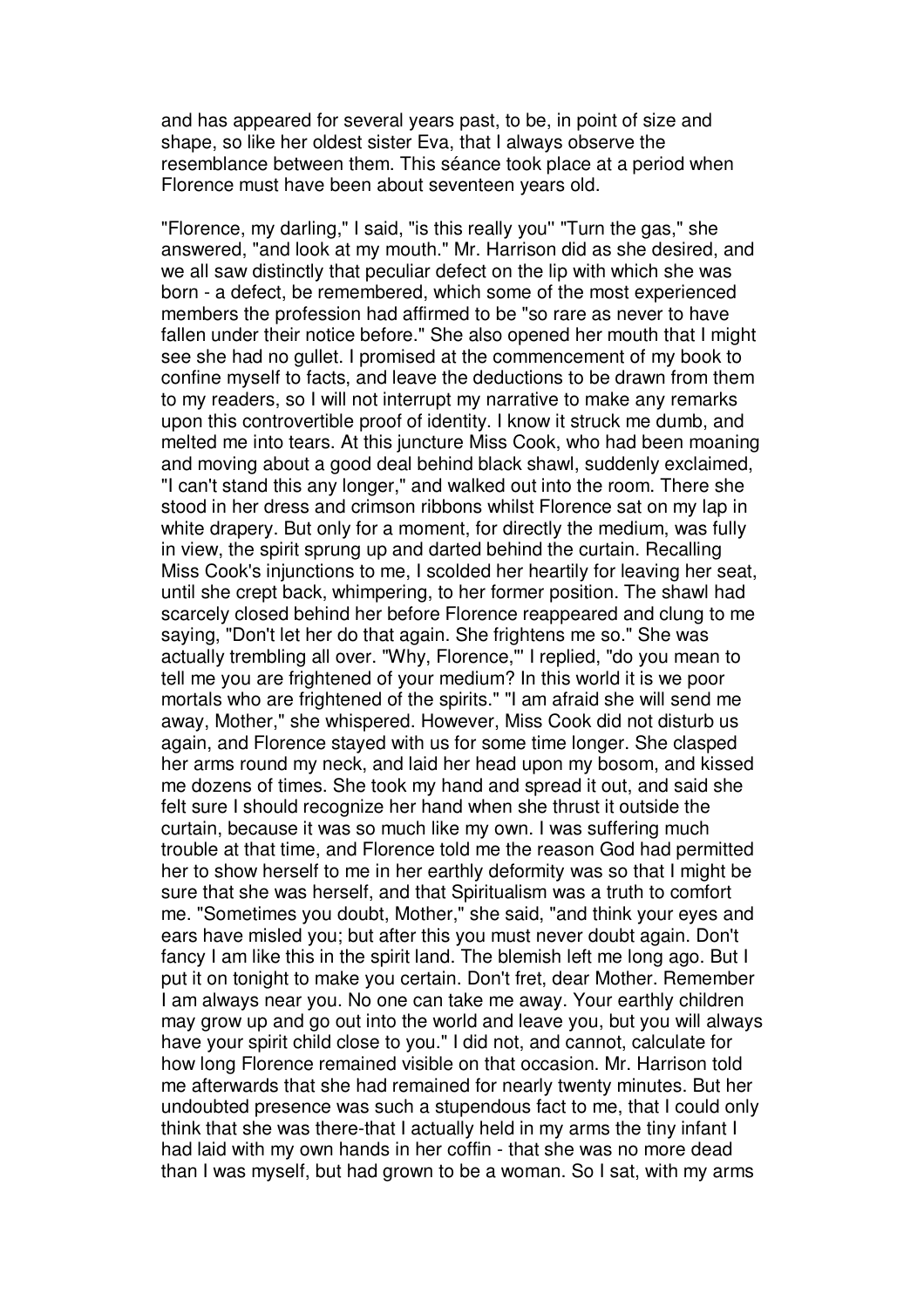and has appeared for several years past, to be, in point of size and shape, so like her oldest sister Eva, that I always observe the resemblance between them. This séance took place at a period when Florence must have been about seventeen years old.

"Florence, my darling," I said, "is this really you'' "Turn the gas," she answered, "and look at my mouth." Mr. Harrison did as she desired, and we all saw distinctly that peculiar defect on the lip with which she was born - a defect, be remembered, which some of the most experienced members the profession had affirmed to be "so rare as never to have fallen under their notice before." She also opened her mouth that I might see she had no gullet. I promised at the commencement of my book to confine myself to facts, and leave the deductions to be drawn from them to my readers, so I will not interrupt my narrative to make any remarks upon this controvertible proof of identity. I know it struck me dumb, and melted me into tears. At this juncture Miss Cook, who had been moaning and moving about a good deal behind black shawl, suddenly exclaimed, "I can't stand this any longer," and walked out into the room. There she stood in her dress and crimson ribbons whilst Florence sat on my lap in white drapery. But only for a moment, for directly the medium, was fully in view, the spirit sprung up and darted behind the curtain. Recalling Miss Cook's injunctions to me, I scolded her heartily for leaving her seat, until she crept back, whimpering, to her former position. The shawl had scarcely closed behind her before Florence reappeared and clung to me saying, "Don't let her do that again. She frightens me so." She was actually trembling all over. "Why, Florence,"' I replied, "do you mean to tell me you are frightened of your medium? In this world it is we poor mortals who are frightened of the spirits." "I am afraid she will send me away, Mother," she whispered. However, Miss Cook did not disturb us again, and Florence stayed with us for some time longer. She clasped her arms round my neck, and laid her head upon my bosom, and kissed me dozens of times. She took my hand and spread it out, and said she felt sure I should recognize her hand when she thrust it outside the curtain, because it was so much like my own. I was suffering much trouble at that time, and Florence told me the reason God had permitted her to show herself to me in her earthly deformity was so that I might be sure that she was herself, and that Spiritualism was a truth to comfort me. "Sometimes you doubt, Mother," she said, "and think your eyes and ears have misled you; but after this you must never doubt again. Don't fancy I am like this in the spirit land. The blemish left me long ago. But I put it on tonight to make you certain. Don't fret, dear Mother. Remember I am always near you. No one can take me away. Your earthly children may grow up and go out into the world and leave you, but you will always have your spirit child close to you." I did not, and cannot, calculate for how long Florence remained visible on that occasion. Mr. Harrison told me afterwards that she had remained for nearly twenty minutes. But her undoubted presence was such a stupendous fact to me, that I could only think that she was there-that I actually held in my arms the tiny infant I had laid with my own hands in her coffin - that she was no more dead than I was myself, but had grown to be a woman. So I sat, with my arms